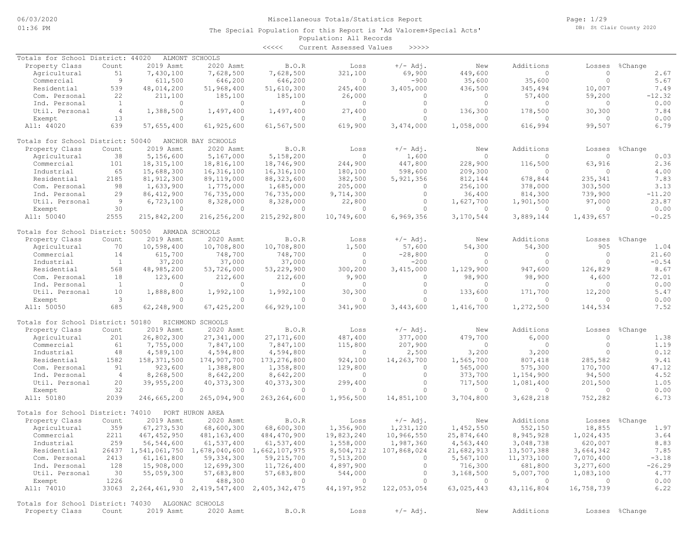Page: 1/29 DB: St Clair County 2020

### Population: All Records The Special Population for this Report is 'Ad Valorem+Special Acts'

<<<<< Current Assessed Values >>>>>

| Totals for School District: 44020                 |                |                | ALMONT SCHOOLS                                           |                |            |             |              |                |                |                |
|---------------------------------------------------|----------------|----------------|----------------------------------------------------------|----------------|------------|-------------|--------------|----------------|----------------|----------------|
| Property Class                                    | Count          | 2019 Asmt      | 2020 Asmt                                                | B.O.R          | Loss       | $+/-$ Adj.  | New          | Additions      | Losses         | %Change        |
| Agricultural                                      | 51             | 7,430,100      | 7,628,500                                                | 7,628,500      | 321,100    | 69,900      | 449,600      | $\Omega$       | $\Omega$       | 2.67           |
| Commercial                                        | 9              | 611,500        | 646,200                                                  | 646,200        | $\circ$    | $-900$      | 35,600       | 35,600         | $\Omega$       | 5.67           |
| Residential                                       | 539            | 48,014,200     | 51,968,400                                               | 51,610,300     | 245,400    | 3,405,000   | 436,500      | 345,494        | 10,007         | 7.49           |
| Com. Personal                                     | 22             | 211,100        | 185,100                                                  | 185,100        | 26,000     | $\circ$     | $\mathbf{0}$ | 57,400         | 59,200         | $-12.32$       |
| Ind. Personal                                     | <sup>1</sup>   | $\Omega$       | $\overline{0}$                                           | $\circ$        | $\circ$    | $\circ$     | $\Omega$     | 0              | $\mathbf{0}$   | 0.00           |
| Util. Personal                                    | $\overline{4}$ | 1,388,500      | 1,497,400                                                | 1,497,400      | 27,400     | $\circ$     | 136,300      | 178,500        | 30,300         | 7.84           |
| Exempt                                            | 13             | $\Omega$       | $\circ$                                                  | 0              | $\circ$    | $\circ$     | $\Omega$     | $\Omega$       | $\bigcap$      | 0.00           |
|                                                   | 639            |                |                                                          |                |            |             |              |                |                | 6.79           |
| All: 44020                                        |                | 57,655,400     | 61,925,600                                               | 61,567,500     | 619,900    | 3,474,000   | 1,058,000    | 616,994        | 99,507         |                |
|                                                   |                |                |                                                          |                |            |             |              |                |                |                |
| Totals for School District: 50040                 |                |                | ANCHOR BAY SCHOOLS                                       |                |            |             |              |                |                |                |
| Property Class                                    | Count          | 2019 Asmt      | 2020 Asmt                                                | B.O.R          | Loss       | $+/-$ Adj.  | New          | Additions      | Losses         | %Change        |
| Agricultural                                      | 38             | 5,156,600      | 5,167,000                                                | 5,158,200      | $\circ$    | 1,600       | $\circ$      | $\Omega$       | $\circ$        | 0.03           |
| Commercial                                        | 101            | 18, 315, 100   | 18,816,100                                               | 18,746,900     | 244,900    | 447,800     | 228,900      | 116,500        | 63,916         | 2.36           |
| Industrial                                        | 65             | 15,688,300     | 16,316,100                                               | 16,316,100     | 180,100    | 598,600     | 209,300      | $\Omega$       | $\Omega$       | 4.00           |
| Residential                                       | 2185           | 81, 912, 300   | 89,119,000                                               | 88, 323, 600   | 382,500    | 5,921,356   | 812,144      | 678,844        | 235,341        | 7.83           |
| Com. Personal                                     | 98             | 1,633,900      | 1,775,000                                                | 1,685,000      | 205,000    | 0           | 256,100      | 378,000        | 303,500        | 3.13           |
| Ind. Personal                                     | 29             | 86, 412, 900   | 76,735,000                                               | 76,735,000     | 9,714,300  | $\circ$     | 36,400       | 814,300        | 739,900        | $-11.20$       |
| Util. Personal                                    | -9             | 6,723,100      | 8,328,000                                                | 8,328,000      | 22,800     | $\circ$     | 1,627,700    | 1,901,500      | 97,000         | 23.87          |
| Exempt                                            | 30             | $\circ$        | $\circ$                                                  | $\circ$        | $\circ$    | $\circ$     | $\circ$      | $\circ$        | $\Omega$       | 0.00           |
|                                                   |                |                |                                                          |                |            |             |              |                |                |                |
| All: 50040                                        | 2555           | 215,842,200    | 216,256,200                                              | 215,292,800    | 10,749,600 | 6,969,356   | 3,170,544    | 3,889,144      | 1,439,657      | $-0.25$        |
|                                                   |                |                |                                                          |                |            |             |              |                |                |                |
| Totals for School District: 50050                 |                |                | ARMADA SCHOOLS                                           |                |            |             |              |                |                |                |
| Property Class                                    | Count          | 2019 Asmt      | 2020 Asmt                                                | B.O.R          | Loss       | $+/-$ Adj.  | New          | Additions      | Losses         | %Change        |
| Agricultural                                      | 70             | 10,598,400     | 10,708,800                                               | 10,708,800     | 1,500      | 57,600      | 54,300       | 54,300         | 905            | 1.04           |
| Commercial                                        | 14             | 615,700        | 748,700                                                  | 748,700        | $\circ$    | $-28,800$   | $\bigcap$    | $\Omega$       | $\Omega$       | 21.60          |
| Industrial                                        | <sup>1</sup>   | 37,200         | 37,000                                                   | 37,000         | $\circ$    | $-200$      | $\Omega$     | $\Omega$       | $\Omega$       | $-0.54$        |
| Residential                                       | 568            | 48,985,200     | 53,726,000                                               | 53,229,900     | 300, 200   | 3,415,000   | 1,129,900    | 947,600        | 126,829        | 8.67           |
| Com. Personal                                     | 18             | 123,600        | 212,600                                                  | 212,600        | 9,900      | $\circ$     | 98,900       | 98,900         | 4,600          | 72.01          |
| Ind. Personal                                     | $\mathbf{1}$   | $\Omega$       | $\overline{0}$                                           | 0              | $\circ$    | $\circ$     | $\mathbf{0}$ | $\circ$        | $\Omega$       | 0.00           |
| Util. Personal                                    | 10             | 1,888,800      | 1,992,100                                                | 1,992,100      | 30,300     | $\circ$     | 133,600      | 171,700        | 12,200         | 5.47           |
|                                                   | $\mathbf{3}$   | $\Omega$       |                                                          | 0              |            | $\Omega$    | $\Omega$     | $\Omega$       | $\cap$         | 0.00           |
| Exempt                                            |                |                | $\mathbf{0}$                                             |                | 0          |             |              |                |                |                |
| All: 50050                                        | 685            | 62,248,900     | 67, 425, 200                                             | 66,929,100     | 341,900    | 3,443,600   | 1,416,700    | 1,272,500      | 144,534        | 7.52           |
|                                                   |                |                |                                                          |                |            |             |              |                |                |                |
| Totals for School District: 50180                 |                |                | RICHMOND SCHOOLS                                         |                |            |             |              |                |                |                |
| Property Class                                    | Count          | 2019 Asmt      | 2020 Asmt                                                | B.O.R          | Loss       | $+/-$ Adj.  | New          | Additions      | Losses         | %Change        |
| Agricultural                                      | 201            | 26,802,300     | 27,341,000                                               | 27, 171, 600   | 487,400    | 377,000     | 479,700      | 6,000          | $\circ$        | 1.38           |
| Commercial                                        | 61             | 7,755,000      | 7,847,100                                                | 7,847,100      | 115,800    | 207,900     | $\circ$      | $\Omega$       | $\Omega$       | 1.19           |
| Industrial                                        | 48             | 4,589,100      | 4,594,800                                                | 4,594,800      | $\circ$    | 2,500       | 3,200        | 3,200          | $\bigcap$      | 0.12           |
| Residential                                       | 1582           | 158, 371, 500  | 174,907,700                                              | 173, 276, 800  | 924,100    | 14,263,700  | 1,565,700    | 807,418        | 285,582        | 9.41           |
| Com. Personal                                     | 91             | 923,600        | 1,388,800                                                | 1,358,800      | 129,800    | $\circ$     | 565,000      | 575,300        | 170,700        | 47.12          |
| Ind. Personal                                     | $\overline{4}$ | 8,268,500      | 8,642,200                                                | 8,642,200      | $\circ$    | $\circ$     | 373,700      | 1,154,900      | 94,500         | 4.52           |
| Util. Personal                                    | 20             | 39,955,200     | 40, 373, 300                                             | 40, 373, 300   | 299,400    | $\circ$     | 717,500      | 1,081,400      | 201,500        | 1.05           |
|                                                   | 32             | $\Omega$       | $\circ$                                                  | 0              | $\circ$    | $\circ$     | $\circ$      | 0              | $\circ$        |                |
| Exempt                                            |                |                |                                                          |                |            |             |              |                |                | 0.00           |
| All: 50180                                        | 2039           | 246,665,200    | 265,094,900                                              | 263, 264, 600  | 1,956,500  | 14,851,100  | 3,704,800    | 3,628,218      | 752,282        | 6.73           |
|                                                   |                |                |                                                          |                |            |             |              |                |                |                |
| Totals for School District: 74010                 |                |                | PORT HURON AREA                                          |                |            |             |              |                |                |                |
| Property Class                                    | Count          | 2019 Asmt      | 2020 Asmt                                                | B.O.R          | Loss       | $+/-$ Adj.  | New          | Additions      | Losses         | %Change        |
| Agricultural                                      | 359            | 67, 273, 530   | 68,600,300                                               | 68,600,300     | 1,356,900  | 1,231,120   | 1,452,550    | 552,150        | 18,855         | 1.97           |
| Commercial                                        | 2211           | 467, 452, 950  | 481,163,400                                              | 484,470,900    | 19,823,240 | 10,966,550  | 25,874,640   | 8,945,928      | 1,024,435      | 3.64           |
| Industrial                                        | 259            | 56,544,600     | 61,537,400                                               | 61,537,400     | 1,558,000  | 1,987,360   | 4,563,440    | 3,048,738      | 620,007        | 8.83           |
| Residential                                       |                |                | 26437 1,541,061,750 1,678,040,600                        | 1,662,107,975  | 8,504,712  | 107,868,024 | 21,682,913   | 13,507,388     | 3,664,342      | 7.85           |
| Com. Personal                                     | 2413           | 61,161,800     | 59, 334, 300                                             | 59,215,700     | 7,513,200  | $\circ$     | 5,567,100    | 11,373,100     | 7,070,400      | $-3.18$        |
| Ind. Personal                                     | 128            | 15,908,000     | 12,699,300                                               | 11,726,400     | 4,897,900  | $\circ$     | 716,300      | 681,800        | 3,277,600      | $-26.29$       |
|                                                   |                |                |                                                          |                |            |             |              |                |                |                |
| Util. Personal                                    | 30             | 55,059,300     | 57,683,800                                               | 57,683,800     | 544,000    | $\circ$     | 3,168,500    | 5,007,700      | 1,083,100      | 4.77           |
| Exempt                                            | 1226           | $\overline{0}$ | 488,300                                                  | $\overline{0}$ | $\circ$    | $\circ$     | $\circ$      | $\overline{0}$ | $\overline{0}$ | 0.00           |
| All: 74010                                        |                |                | 33063 2, 264, 461, 930 2, 419, 547, 400 2, 405, 342, 475 |                | 44,197,952 | 122,053,054 | 63,025,443   | 43, 116, 804   | 16,758,739     | 6.22           |
|                                                   |                |                |                                                          |                |            |             |              |                |                |                |
| Totals for School District: 74030 ALGONAC SCHOOLS |                |                |                                                          |                |            |             |              |                |                |                |
| Property Class                                    | Count          | 2019 Asmt      | 2020 Asmt                                                | B.O.R          | Loss       | $+/-$ Adj.  | New          | Additions      |                | Losses %Change |
|                                                   |                |                |                                                          |                |            |             |              |                |                |                |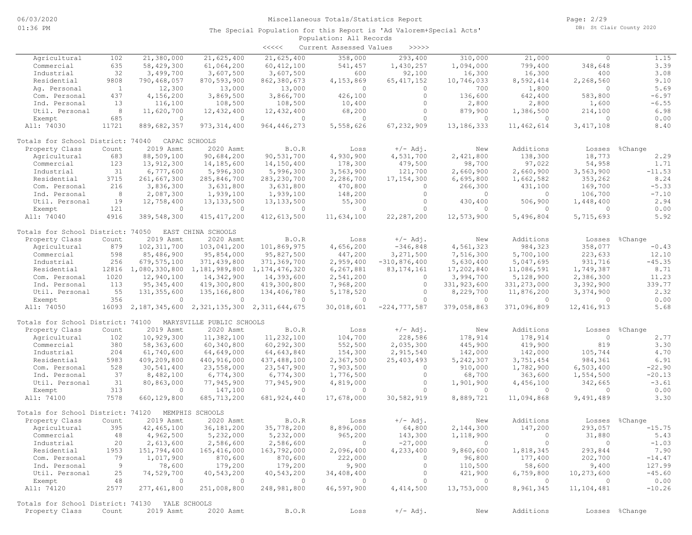|                                                |                |                                                  |                                   | $\prec \prec \prec \prec \prec$ | Current Assessed Values | >>>>>                  |                       |                             |                              |                  |
|------------------------------------------------|----------------|--------------------------------------------------|-----------------------------------|---------------------------------|-------------------------|------------------------|-----------------------|-----------------------------|------------------------------|------------------|
| Agricultural                                   | 102            | 21,380,000                                       | 21,625,400                        | 21,625,400                      | 358,000                 | 293,400                | 310,000               | 21,000                      | $\circ$                      | 1.15             |
| Commercial                                     | 635            | 58,429,300                                       | 61,064,200                        | 60, 412, 100                    | 541,457                 | 1,430,257              | 1,094,000             | 799,400                     | 348,648                      | 3.39             |
| Industrial                                     | 32             | 3,499,700                                        | 3,607,500                         | 3,607,500                       | 600                     | 92,100                 | 16,300                | 16,300                      | 400                          | 3.08             |
| Residential                                    | 9808           | 790,468,057                                      | 870,593,900                       | 862,380,673                     | 4,153,869               | 65, 417, 152           | 10,746,033            | 8,592,414                   | 2,268,560                    | 9.10             |
| Aq. Personal                                   | $\mathbf{1}$   | 12,300                                           | 13,000                            | 13,000                          | $\circ$                 | $\circ$                | 700                   | 1,800                       | $\circ$                      | 5.69             |
| Com. Personal                                  | 437            | 4,156,200                                        | 3,869,500                         | 3,866,700                       | 426,100                 | $\circ$                | 136,600               | 642,400                     | 583,800                      | $-6.97$          |
| Ind. Personal                                  | 13             | 116,100                                          | 108,500                           | 108,500                         | 10,400                  | $\circ$                | 2,800                 | 2,800                       | 1,600                        | $-6.55$          |
| Util. Personal                                 | - 8            | 11,620,700                                       | 12,432,400                        | 12,432,400                      | 68,200                  | $\circ$                | 879,900               | 1,386,500                   | 214,100                      | 6.98             |
| Exempt                                         | 685            | $\circ$                                          | $\circ$                           | $\circ$                         | $\circ$                 | $\circ$                | $\circ$               | $\circ$                     | $\circ$                      | 0.00             |
| All: 74030                                     | 11721          | 889,682,357                                      | 973, 314, 400                     | 964, 446, 273                   | 5,558,626               | 67,232,909             | 13, 186, 333          | 11,462,614                  | 3, 417, 108                  | 8.40             |
| Totals for School District: 74040              |                |                                                  | CAPAC SCHOOLS                     |                                 |                         |                        |                       |                             |                              |                  |
| Property Class                                 | Count          | 2019 Asmt                                        | 2020 Asmt                         | B.O.R                           | Loss                    | $+/-$ Adj.             | New                   | Additions                   | Losses                       | %Change          |
| Agricultural                                   | 683            | 88,509,100                                       | 90,684,200                        | 90,531,700                      | 4,930,900               | 4,531,700              | 2,421,800             | 138,300                     | 18,773                       | 2.29             |
| Commercial                                     | 123            | 13,912,300                                       | 14,185,600                        | 14,150,400                      | 178,300                 | 479,500                | 98,700                | 97,022                      | 54,958                       | 1.71             |
| Industrial                                     | 31             | 6,777,600                                        | 5,996,300                         | 5,996,300                       | 3,563,900               | 121,700                | 2,660,900             | 2,660,900                   | 3,563,900                    | $-11.53$         |
| Residential                                    | 3715           | 261,667,300                                      | 285,846,700                       | 283, 230, 700                   | 2,286,700               | 17, 154, 300           | 6,695,800             | 1,662,582                   | 353,262                      | 8.24             |
| Com. Personal                                  | 216            | 3,836,300                                        | 3,631,800                         | 3,631,800                       | 470,800                 | $\circ$                | 266,300               | 431,100                     | 169,700                      | $-5.33$          |
| Ind. Personal                                  | 8 <sup>8</sup> | 2,087,300                                        | 1,939,100                         | 1,939,100                       | 148,200                 | $\circ$                | $\circ$               | $\circ$                     | 106,700                      | $-7.10$          |
| Util. Personal                                 | 19             | 12,758,400                                       | 13, 133, 500                      | 13, 133, 500                    | 55,300                  | $\circ$                | 430,400               | 506,900                     | 1,448,400                    | 2.94             |
| Exempt                                         | 121            | $\circ$                                          | $\circ$                           | $\circ$                         | $\circ$                 | $\circ$                | $\circ$               | $\circ$                     | $\circ$                      | 0.00             |
| All: 74040                                     | 4916           | 389,548,300                                      | 415, 417, 200                     | 412,613,500                     | 11,634,100              | 22, 287, 200           | 12,573,900            | 5,496,804                   | 5,715,693                    | 5.92             |
| Totals for School District: 74050              |                |                                                  | EAST CHINA SCHOOLS                |                                 |                         |                        |                       |                             |                              |                  |
| Property Class                                 | Count          | 2019 Asmt                                        | 2020 Asmt                         | B.O.R                           | Loss                    | $+/-$ Adj.             | New                   | Additions                   | Losses                       | %Change          |
| Agricultural                                   | 879            | 102, 311, 700                                    | 103,041,200                       | 101,869,975                     | 4,656,200               | $-346,848$             | 4,561,323             | 984,323                     | 358,077                      | $-0.43$          |
| Commercial                                     | 598            | 85,486,900                                       | 95,854,000                        | 95,827,500                      | 447,200                 | 3,271,500              | 7,516,300             | 5,700,100                   | 223,633                      | 12.10            |
| Industrial                                     | 256            | 679,575,100                                      | 371,439,800                       | 371,369,700                     | 2,959,400               | $-310, 876, 400$       | 5,630,400             | 5,047,695                   | 931,716                      | $-45.35$         |
| Residential                                    | 12816          | 1,080,330,800                                    | 1,181,989,800                     | 1, 174, 476, 320                | 6, 267, 881             | 83, 174, 161           | 17,202,840            | 11,086,591                  | 1,749,387                    | 8.71             |
| Com. Personal                                  | 1020           | 12,940,100                                       | 14,342,900                        | 14,393,600                      | 2,541,200               | $\circ$                | 3,994,700             | 5,128,900                   | 2,386,300                    | 11.23            |
| Ind. Personal                                  | 113            | 95, 345, 400                                     | 419,300,800                       | 419,300,800                     | 7,968,200               | $\circ$                | 331, 923, 600         | 331, 273, 000               | 3,392,900                    | 339.77           |
| Util. Personal                                 | 55             | 131,355,600                                      | 135,166,800                       | 134,406,780                     | 5,178,520               | $\circ$                | 8,229,700             | 11,876,200                  | 3,374,900                    | 2.32             |
| Exempt                                         | 356            | $\circ$                                          | $\circ$                           | $\circ$                         | $\circ$                 | $\circ$                | $\circ$               | $\circ$                     | $\circ$                      | 0.00             |
| All: 74050                                     | 16093          |                                                  | 2, 187, 345, 600 2, 321, 135, 300 | 2, 311, 644, 675                | 30,018,601              | $-224, 777, 587$       | 379,058,863           | 371,096,809                 | 12, 416, 913                 | 5.68             |
| Totals for School District: 74100              |                |                                                  | MARYSVILLE PUBLIC SCHOOLS         |                                 |                         |                        |                       |                             |                              |                  |
| Property Class                                 | Count          | 2019 Asmt                                        | 2020 Asmt                         | B.O.R                           | Loss                    | $+/-$ Adj.             | New                   | Additions                   | Losses                       | %Change          |
| Agricultural                                   | 102            | 10,929,300                                       | 11,382,100                        | 11,232,100                      | 104,700                 | 228,586                | 178,914               | 178,914                     | $\circ$                      | 2.77             |
| Commercial                                     | 380            | 58,363,600                                       |                                   | 60,292,300                      | 552,500                 | 2,035,300              | 445,900               | 419,900                     | 819                          | 3.30             |
|                                                |                |                                                  | 60,340,800                        |                                 |                         |                        |                       |                             |                              |                  |
| Industrial                                     | 204            | 61,740,600                                       | 64,649,000                        | 64,643,840                      | 154,300                 | 2,915,540              | 142,000               | 142,000                     | 105,744                      | 4.70             |
| Residential                                    | 5983           | 409,209,800                                      | 440,916,000                       | 437,488,100                     | 2,367,500               | 25, 403, 493           | 5,242,307             | 3,751,454                   | 984,361                      | 6.91             |
| Com. Personal                                  | 528            | 30,541,400                                       | 23,558,000                        | 23,547,900                      | 7,903,500               | $\circ$                | 910,000               | 1,782,900                   | 6,503,400                    | $-22.90$         |
| Ind. Personal                                  | 37             | 8,482,100                                        | 6,774,300                         | 6,774,300                       | 1,776,500               | $\circ$                | 68,700                | 363,600                     | 1,554,500                    | $-20.13$         |
| Util. Personal                                 | 31             | 80,863,000                                       | 77,945,900                        | 77,945,900                      | 4,819,000               | $\circ$                | 1,901,900             | 4,456,100                   | 342,665                      | $-3.61$          |
| Exempt<br>All: 74100                           | 313<br>7578    | $\circ$<br>660, 129, 800                         | 147,100<br>685, 713, 200          | $\circ$<br>681, 924, 440        | $\circ$<br>17,678,000   | $\circ$<br>30,582,919  | $\circ$<br>8,889,721  | $\circ$<br>11,094,868       | $\circ$<br>9,491,489         | 0.00<br>3.30     |
|                                                |                |                                                  |                                   |                                 |                         |                        |                       |                             |                              |                  |
| Totals for School District: 74120              |                |                                                  | MEMPHIS SCHOOLS                   |                                 |                         |                        |                       |                             |                              |                  |
| Property Class                                 | Count          | 2019 Asmt                                        | 2020 Asmt                         | B.O.R                           | Loss                    | $+/-$ Adj.             | New                   | Additions                   | Losses                       | %Change          |
| Agricultural                                   | 395            | 42,465,100                                       | 36, 181, 200                      | 35,778,200                      | 8,896,000               | 64,800                 | 2,144,300             | 147,200                     | 293,057                      | $-15.75$         |
| Commercial                                     | 48             | 4,962,500                                        | 5,232,000                         | 5,232,000                       | 965,200                 | 143,300                | 1,118,900             | $\overline{0}$              | 31,880                       | 5.43             |
| Industrial                                     | 20             | 2,613,600                                        | 2,586,600                         | 2,586,600                       | $\sim$ 0                | $-27,000$              | $\sim$ 0              | $\circ$                     | $\overline{0}$               | $-1.03$          |
| Residential                                    | 1953           | 151,794,400                                      | 165,416,000                       | 163,792,000                     | 2,096,400               | 4,233,400              | 9,860,600             | 1,818,345                   | 293,844                      | 7.90             |
| Com. Personal                                  | 79             | 1,017,900                                        | 870,600                           | 870,600                         | 222,000                 | $\circ$                | 96,800                | 177,400                     | 202,700                      | $-14.47$         |
| Ind. Personal                                  | - 9            | 78,600                                           | 179,200                           | 179,200                         | 9,900                   | $\circ$                | 110,500               | 58,600                      | 9,400                        | 127.99           |
| Util. Personal                                 | 25             | 74,529,700                                       | 40,543,200                        | 40,543,200                      | 34,408,400              | $\circ$                | 421,900               | 6,759,800                   | 10,273,600                   | $-45.60$         |
| Exempt<br>All: 74120                           | 48<br>2577     | $\sim$ 0 $\sim$ 0 $\sim$ 0 $\sim$<br>277,461,800 | $\sim$ 0<br>251,008,800           | $\sim$ 0<br>248,981,800         | $\circ$<br>46,597,900   | $\circ$<br>4, 414, 500 | $\circ$<br>13,753,000 | $\overline{0}$<br>8,961,345 | $\overline{0}$<br>11,104,481 | 0.00<br>$-10.26$ |
|                                                |                |                                                  |                                   |                                 |                         |                        |                       |                             |                              |                  |
| Totals for School District: 74130 YALE SCHOOLS |                |                                                  |                                   |                                 |                         |                        |                       |                             |                              |                  |
| Property Class                                 | Count          | 2019 Asmt                                        | 2020 Asmt                         | B.O.R                           | Loss                    | $+/-$ Adj.             | New                   | Additions                   |                              | Losses %Change   |
|                                                |                |                                                  |                                   |                                 |                         |                        |                       |                             |                              |                  |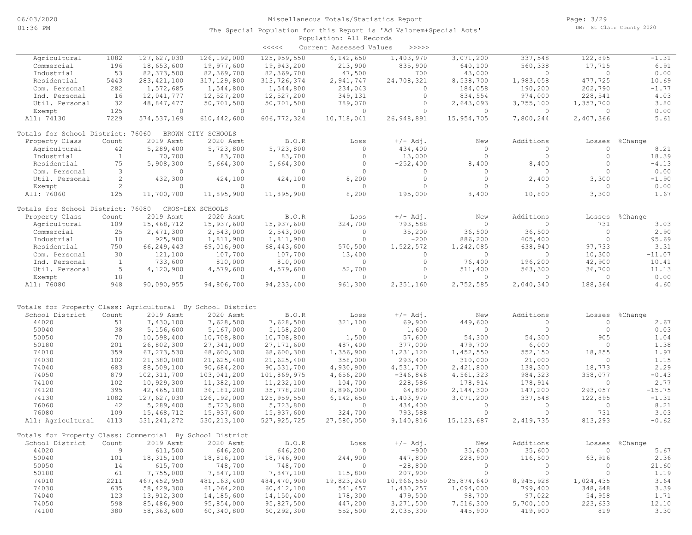|                                                                             |                |                             |                             | $\prec\prec\prec\prec\prec$ | Current Assessed Values   | >>>>>                 |                        |                       |                    |                 |
|-----------------------------------------------------------------------------|----------------|-----------------------------|-----------------------------|-----------------------------|---------------------------|-----------------------|------------------------|-----------------------|--------------------|-----------------|
| Agricultural                                                                | 1082           | 127,627,030                 | 126, 192, 000               | 125, 959, 550               | 6,142,650                 | 1,403,970             | 3,071,200              | 337,548               | 122,895            | $-1.31$         |
| Commercial                                                                  | 196            | 18,653,600                  | 19,977,600                  | 19,943,200                  | 213,900                   | 835,900               | 640,100                | 560,338               | 17,715             | 6.91            |
| Industrial                                                                  | 53             | 82, 373, 500                | 82,369,700                  | 82,369,700                  | 47,500                    | 700                   | 43,000                 | $\Omega$              | $\circ$            | 0.00            |
| Residential                                                                 | 5443           | 283, 421, 100               | 317,129,800                 | 313,726,374                 | 2,941,747                 | 24,708,321            | 8,538,700              | 1,983,058             | 477,725            | 10.69           |
| Com. Personal                                                               | 282            | 1,572,685                   | 1,544,800                   | 1,544,800                   | 234,043                   | $\circ$               | 184,058                | 190,200               | 202,790            | $-1.77$         |
| Ind. Personal                                                               | 16             | 12,041,777                  | 12,527,200                  | 12,527,200                  | 349,131                   | $\circ$               | 834,554                | 974,000               | 228,541            | 4.03            |
| Util. Personal                                                              | 32             | 48,847,477                  | 50,701,500                  | 50,701,500                  | 789,070                   | $\circ$               | 2,643,093              | 3,755,100             | 1,357,700          | 3.80            |
| Exempt                                                                      | 125            | $\circ$                     | $\overline{0}$              | $\overline{0}$              | $\overline{0}$            | $\Omega$              | $\circ$                | $\circ$               | $\circ$            | 0.00            |
| All: 74130                                                                  | 7229           | 574, 537, 169               | 610, 442, 600               | 606, 772, 324               | 10,718,041                | 26,948,891            | 15,954,705             | 7,800,244             | 2,407,366          | 5.61            |
| Totals for School District: 76060                                           |                |                             | BROWN CITY SCHOOLS          |                             |                           |                       |                        |                       |                    |                 |
| Property Class                                                              | Count          | 2019 Asmt                   | 2020 Asmt                   | B.O.R                       | Loss                      | $+/-$ Adj.            | New                    | Additions             | Losses             | %Change         |
| Agricultural                                                                | 42             | 5,289,400                   | 5,723,800                   | 5,723,800                   | $\circ$                   | 434,400               | $\circ$                | $\circ$               | $\circ$            | 8.21            |
| Industrial                                                                  | $\mathbf{1}$   | 70,700                      | 83,700                      | 83,700                      | $\circ$                   | 13,000                | $\circ$                | $\circ$               | $\circ$            | 18.39           |
| Residential                                                                 | 75             | 5,908,300                   | 5,664,300                   | 5,664,300                   | $\circ$                   | $-252,400$            | 8,400                  | 8,400                 | $\circ$            | $-4.13$         |
| Com. Personal                                                               | 3              | $\circ$                     | $\circ$                     | $\circ$                     | $\Omega$                  | $\circ$               | $\circ$                | $\circ$               | $\Omega$           | 0.00            |
| Util. Personal                                                              | $\overline{2}$ | 432,300                     | 424,100                     | 424,100                     | 8,200                     | $\circ$               | $\circ$                | 2,400                 | 3,300              | $-1.90$         |
| Exempt                                                                      | $\overline{2}$ | $\circ$                     | $\circ$                     | $\circ$                     | $\Omega$                  | $\circ$               | $\circ$                | $\circ$               | $\circ$            | 0.00            |
| All: 76060                                                                  | 125            | 11,700,700                  | 11,895,900                  | 11,895,900                  | 8,200                     | 195,000               | 8,400                  | 10,800                | 3,300              | 1.67            |
| Totals for School District: 76080                                           |                |                             | CROS-LEX SCHOOLS            |                             |                           |                       |                        |                       |                    |                 |
| Property Class                                                              | Count          | 2019 Asmt                   | 2020 Asmt                   | B.O.R                       | Loss                      | $+/-$ Adj.            | New                    | Additions             | Losses             | %Change         |
| Agricultural                                                                | 109            | 15,468,712                  | 15,937,600                  | 15,937,600                  | 324,700                   | 793,588               | $\circ$                | $\circ$               | 731                | 3.03            |
| Commercial                                                                  | 25             | 2,471,300                   | 2,543,000                   | 2,543,000                   | $\bigcirc$                | 35,200                | 36,500                 | 36,500                | $\circ$            | 2.90            |
| Industrial                                                                  | 10             | 925,900                     | 1,811,900                   | 1,811,900                   | $\circ$                   | $-200$                | 886,200                | 605,400               | $\circ$            | 95.69           |
| Residential                                                                 | 750            | 66,249,443                  | 69,016,900                  | 68,443,600                  | 570,500                   | 1,522,572             | 1,242,085              | 638,940               | 97,733             | 3.31            |
| Com. Personal                                                               | 30             | 121,100                     | 107,700                     | 107,700                     | 13,400                    | $\Omega$              | $\Omega$               | $\circ$               | 10,300             | $-11.07$        |
| Ind. Personal                                                               | $\mathbf{1}$   | 733,600                     | 810,000                     | 810,000                     | $\Omega$                  | $\Omega$              | 76,400                 | 196,200               | 42,900             | 10.41           |
| Util. Personal                                                              | 5              | 4,120,900                   | 4,579,600                   | 4,579,600                   | 52,700                    | $\circ$               | 511,400                | 563,300               | 36,700             | 11.13           |
| Exempt                                                                      | 18             | $\circ$                     | $\overline{0}$              | $\overline{0}$              | $\circ$                   | $\Omega$              | $\circ$                | $\circ$               | $\overline{0}$     | 0.00            |
| All: 76080                                                                  | 948            | 90,090,955                  | 94,806,700                  | 94, 233, 400                | 961,300                   | 2,351,160             | 2,752,585              | 2,040,340             | 188,364            | 4.60            |
|                                                                             |                |                             |                             |                             |                           |                       |                        |                       |                    |                 |
| Totals for Property Class: Agricultural By School District                  |                |                             |                             |                             |                           |                       |                        |                       |                    |                 |
| School District                                                             | Count          | 2019 Asmt                   | 2020 Asmt                   | B.O.R                       | Loss                      | $+/-$ Adj.            | New                    | Additions<br>$\Omega$ | Losses<br>$\circ$  | %Change         |
| 44020<br>50040                                                              | 51<br>38       | 7,430,100<br>5,156,600      | 7,628,500<br>5,167,000      | 7,628,500<br>5,158,200      | 321,100<br>$\overline{0}$ | 69,900<br>1,600       | 449,600<br>$\circ$     | $\circ$               | $\circ$            | 2.67<br>0.03    |
|                                                                             | 70             |                             |                             |                             |                           |                       |                        |                       | 905                |                 |
| 50050                                                                       |                | 10,598,400                  | 10,708,800                  | 10,708,800                  | 1,500                     | 57,600                | 54,300                 | 54,300                | $\circ$            | 1.04            |
| 50180                                                                       | 201            | 26,802,300                  | 27, 341, 000                | 27,171,600                  | 487,400                   | 377,000               | 479,700                | 6,000                 |                    | 1.38            |
| 74010                                                                       | 359            | 67, 273, 530                | 68,600,300                  | 68,600,300                  | 1,356,900                 | 1,231,120             | 1,452,550              | 552,150               | 18,855<br>$\circ$  | 1.97            |
| 74030<br>74040                                                              | 102<br>683     | 21,380,000                  | 21,625,400                  | 21,625,400                  | 358,000                   | 293,400               | 310,000                | 21,000                |                    | 1.15            |
| 74050                                                                       | 879            | 88,509,100                  | 90,684,200                  | 90,531,700                  | 4,930,900                 | 4,531,700             | 2,421,800              | 138,300               | 18,773<br>358,077  | 2.29<br>$-0.43$ |
|                                                                             | 102            | 102, 311, 700<br>10,929,300 | 103,041,200<br>11,382,100   | 101,869,975<br>11,232,100   | 4,656,200                 | $-346,848$<br>228,586 | 4,561,323<br>178,914   | 984,323<br>178,914    | $\circ$            | 2.77            |
| 74100<br>74120                                                              | 395            |                             |                             | 35,778,200                  | 104,700                   |                       |                        |                       |                    | $-15.75$        |
| 74130                                                                       | 1082           | 42,465,100<br>127,627,030   | 36,181,200<br>126,192,000   | 125, 959, 550               | 8,896,000<br>6,142,650    | 64,800                | 2,144,300<br>3,071,200 | 147,200<br>337,548    | 293,057<br>122,895 | $-1.31$         |
| 76060                                                                       | 42             |                             |                             | 5,723,800                   | $\circ$                   | 1,403,970             | $\circ$                | $\circ$               | $\circ$            | 8.21            |
| 76080                                                                       | 109            | 5,289,400                   | 5,723,800                   |                             |                           | 434,400               | $\circ$                | $\circ$               | 731                | 3.03            |
| All: Agricultural                                                           | 4113           | 15,468,712<br>531, 241, 272 | 15,937,600<br>530, 213, 100 | 15,937,600<br>527, 925, 725 | 324,700<br>27,580,050     | 793,588<br>9,140,816  | 15, 123, 687           | 2,419,735             | 813,293            | $-0.62$         |
|                                                                             |                |                             |                             |                             |                           |                       |                        |                       |                    |                 |
| Totals for Property Class: Commercial By School District<br>School District | Count          | 2019 Asmt                   | 2020 Asmt                   | B.O.R                       | Loss                      | $+/-$ Adj.            | New                    | Additions             |                    | Losses %Change  |
| 44020                                                                       | 9              | 611,500                     | 646,200                     | 646,200                     | $\overline{0}$            | $-900$                | 35,600                 | 35,600                | $\overline{0}$     | 5.67            |
| 50040                                                                       | 101            | 18, 315, 100                | 18,816,100                  | 18,746,900                  | 244,900                   | 447,800               | 228,900                | 116,500               | 63,916             | 2.36            |
| 50050                                                                       | 14             | 615,700                     | 748,700                     | 748,700                     | $\overline{0}$            | $-28,800$             | $\circ$                | $\circ$               | 0                  | 21.60           |
| 50180                                                                       | 61             | 7,755,000                   | 7,847,100                   | 7,847,100                   | 115,800                   | 207,900               | $\circ$                | $\overline{0}$        | $\circ$            | 1.19            |
| 74010                                                                       | 2211           | 467, 452, 950               | 481,163,400                 | 484,470,900                 | 19,823,240                | 10,966,550            | 25,874,640             | 8,945,928             | 1,024,435          | 3.64            |
| 74030                                                                       | 635            | 58,429,300                  | 61,064,200                  | 60, 412, 100                | 541,457                   | 1,430,257             | 1,094,000              | 799,400               | 348,648            | 3.39            |
| 74040                                                                       | 123            | 13,912,300                  | 14,185,600                  | 14,150,400                  | 178,300                   | 479,500               | 98,700                 | 97,022                | 54,958             | 1.71            |
| 74050                                                                       | 598            | 85,486,900                  | 95,854,000                  | 95,827,500                  | 447,200                   | 3,271,500             | 7,516,300              | 5,700,100             | 223,633            | 12.10           |
| 74100                                                                       | 380            | 58,363,600                  | 60,340,800                  | 60,292,300                  | 552,500                   | 2,035,300             | 445,900                | 419,900               | 819                | 3.30            |
|                                                                             |                |                             |                             |                             |                           |                       |                        |                       |                    |                 |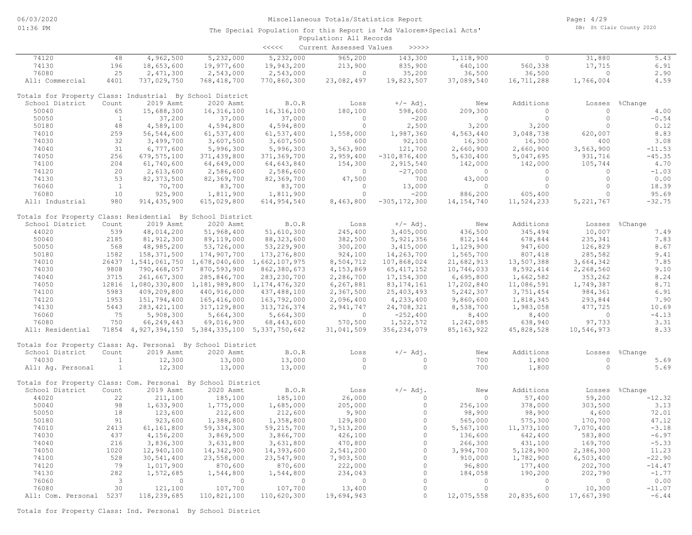|                                                             |              |                                                 |               | $\begin{array}{c} < \,<< \,<< \end{array}$ | Current Assessed Values | >>>>>            |                |              |             |                |
|-------------------------------------------------------------|--------------|-------------------------------------------------|---------------|--------------------------------------------|-------------------------|------------------|----------------|--------------|-------------|----------------|
| 74120                                                       | 48           | 4,962,500                                       | 5,232,000     | 5,232,000                                  | 965,200                 | 143,300          | 1,118,900      | $\circ$      | 31,880      | 5.43           |
| 74130                                                       | 196          | 18,653,600                                      | 19,977,600    | 19,943,200                                 | 213,900                 | 835,900          | 640,100        | 560,338      | 17,715      | 6.91           |
| 76080                                                       | 25           | 2,471,300                                       | 2,543,000     | 2,543,000                                  | $\circ$                 | 35,200           | 36,500         | 36,500       | $\circ$     | 2.90           |
| All: Commercial                                             | 4401         | 737,029,750                                     | 768, 418, 700 | 770,860,300                                | 23,082,497              | 19,823,507       | 37,089,540     | 16,711,288   | 1,766,004   | 4.59           |
| Totals for Property Class: Industrial By School District    |              |                                                 |               |                                            |                         |                  |                |              |             |                |
| School District                                             | Count        | 2019 Asmt                                       | 2020 Asmt     | B.O.R                                      | Loss                    | $+/-$ Adj.       | New            | Additions    | Losses      | %Change        |
| 50040                                                       | 65           | 15,688,300                                      | 16, 316, 100  | 16, 316, 100                               | 180,100                 | 598,600          | 209,300        | $\circ$      | $\circ$     | 4.00           |
| 50050                                                       | <sup>1</sup> | 37,200                                          | 37,000        | 37,000                                     | $\Omega$                | $-200$           | $\circ$        | $\circ$      | $\circ$     | $-0.54$        |
| 50180                                                       | 48           | 4,589,100                                       | 4,594,800     | 4,594,800                                  | $\circ$                 | 2,500            | 3,200          | 3,200        | $\circ$     | 0.12           |
| 74010                                                       | 259          | 56, 544, 600                                    | 61,537,400    | 61,537,400                                 | 1,558,000               | 1,987,360        | 4,563,440      | 3,048,738    | 620,007     | 8.83           |
| 74030                                                       | 32           | 3,499,700                                       | 3,607,500     | 3,607,500                                  | 600                     | 92,100           | 16,300         | 16,300       | 400         | 3.08           |
| 74040                                                       | 31           | 6,777,600                                       | 5,996,300     | 5,996,300                                  | 3,563,900               | 121,700          | 2,660,900      | 2,660,900    | 3,563,900   | $-11.53$       |
| 74050                                                       | 256          | 679, 575, 100                                   | 371,439,800   | 371,369,700                                | 2,959,400               | $-310, 876, 400$ | 5,630,400      | 5,047,695    | 931,716     | $-45.35$       |
| 74100                                                       | 204          | 61,740,600                                      | 64,649,000    | 64,643,840                                 | 154,300                 | 2,915,540        | 142,000        | 142,000      | 105,744     | 4.70           |
| 74120                                                       | 20           | 2,613,600                                       | 2,586,600     | 2,586,600                                  | $\circ$                 | $-27,000$        | $\circ$        | $\circ$      | $\circ$     | $-1.03$        |
| 74130                                                       | 53           | 82, 373, 500                                    | 82,369,700    | 82,369,700                                 | 47,500                  | 700              | 43,000         | $\circ$      | $\circ$     | 0.00           |
| 76060                                                       | $\mathbf{1}$ | 70,700                                          | 83,700        | 83,700                                     | $\mathbf{0}$            | 13,000           | $\circ$        | $\circ$      | $\circ$     | 18.39          |
| 76080                                                       | 10           | 925,900                                         | 1,811,900     | 1,811,900                                  | $\Omega$                | $-200$           | 886,200        | 605,400      | $\Omega$    | 95.69          |
| All: Industrial                                             | 980          | 914, 435, 900                                   | 615,029,800   | 614,954,540                                | 8,463,800               | $-305, 172, 300$ | 14, 154, 740   | 11,524,233   | 5, 221, 767 | $-32.75$       |
| Totals for Property Class: Residential By School District   |              |                                                 |               |                                            |                         |                  |                |              |             |                |
| School District                                             | Count        | 2019 Asmt                                       | 2020 Asmt     | B.O.R                                      | Loss                    | $+/-$ Adj.       | New            | Additions    |             | Losses %Change |
| 44020                                                       | 539          | 48,014,200                                      | 51,968,400    | 51,610,300                                 | 245,400                 | 3,405,000        | 436,500        | 345,494      | 10,007      | 7.49           |
| 50040                                                       | 2185         | 81, 912, 300                                    | 89,119,000    | 88, 323, 600                               | 382,500                 | 5, 921, 356      | 812,144        | 678,844      | 235,341     | 7.83           |
| 50050                                                       | 568          | 48,985,200                                      | 53,726,000    | 53,229,900                                 | 300,200                 | 3,415,000        | 1,129,900      | 947,600      | 126,829     | 8.67           |
| 50180                                                       | 1582         | 158, 371, 500                                   | 174,907,700   | 173, 276, 800                              | 924,100                 | 14,263,700       | 1,565,700      | 807,418      | 285,582     | 9.41           |
| 74010                                                       |              | 26437 1,541,061,750 1,678,040,600 1,662,107,975 |               |                                            | 8,504,712               | 107,868,024      | 21,682,913     | 13,507,388   | 3,664,342   | 7.85           |
| 74030                                                       | 9808         | 790,468,057                                     | 870,593,900   | 862,380,673                                | 4,153,869               | 65, 417, 152     | 10,746,033     | 8,592,414    | 2,268,560   | 9.10           |
| 74040                                                       | 3715         | 261,667,300                                     | 285,846,700   | 283, 230, 700                              | 2,286,700               | 17, 154, 300     | 6,695,800      | 1,662,582    | 353,262     | 8.24           |
| 74050                                                       |              | 12816 1,080,330,800 1,181,989,800 1,174,476,320 |               |                                            | 6,267,881               | 83, 174, 161     | 17,202,840     | 11,086,591   | 1,749,387   | 8.71           |
| 74100                                                       | 5983         | 409,209,800                                     | 440,916,000   | 437,488,100                                | 2,367,500               | 25, 403, 493     | 5, 242, 307    | 3,751,454    | 984,361     | 6.91           |
| 74120                                                       | 1953         | 151,794,400                                     | 165,416,000   | 163,792,000                                | 2,096,400               | 4,233,400        | 9,860,600      | 1,818,345    | 293,844     | 7.90           |
| 74130                                                       | 5443         | 283, 421, 100                                   | 317, 129, 800 | 313,726,374                                | 2,941,747               | 24,708,321       | 8,538,700      | 1,983,058    | 477,725     | 10.69          |
| 76060                                                       | 75           | 5,908,300                                       | 5,664,300     | 5,664,300                                  | $\overline{0}$          | $-252,400$       | 8,400          | 8,400        | $\circ$     | $-4.13$        |
| 76080                                                       | 750          | 66,249,443                                      | 69,016,900    | 68, 443, 600                               | 570,500                 | 1,522,572        | 1,242,085      | 638,940      | 97,733      | 3.31           |
| All: Residential                                            |              | 71854 4,927,394,150 5,384,335,100 5,337,750,642 |               |                                            | 31,041,509              | 356, 234, 079    | 85, 163, 922   | 45,828,528   | 10,546,973  | 8.33           |
| Totals for Property Class: Ag. Personal By School District  |              |                                                 |               |                                            |                         |                  |                |              |             |                |
| School District                                             | Count        | 2019 Asmt                                       | 2020 Asmt     | B.O.R                                      | Loss                    | $+/-$ Adj.       | New            | Additions    | Losses      | %Change        |
| 74030                                                       | $\mathbf{1}$ | 12,300                                          | 13,000        | 13,000                                     | $\circ$                 | $\circ$          | 700            | 1,800        | $\circ$     | 5.69           |
| All: Aq. Personal                                           | $\mathbf{1}$ | 12,300                                          | 13,000        | 13,000                                     | $\Omega$                | $\Omega$         | 700            | 1,800        | $\circ$     | 5.69           |
|                                                             |              |                                                 |               |                                            |                         |                  |                |              |             |                |
| Totals for Property Class: Com. Personal By School District |              |                                                 |               |                                            |                         |                  |                |              |             |                |
| School District                                             | Count        | 2019 Asmt                                       | 2020 Asmt     | B.O.R                                      | Loss                    | $+/-$ Adj.       | New            | Additions    | Losses      | %Change        |
| 44020                                                       | 22           | 211,100                                         | 185,100       | 185,100                                    | 26,000                  | $\Omega$         | $\overline{0}$ | 57,400       | 59,200      | $-12.32$       |
| 50040                                                       | 98           | 1,633,900                                       | 1,775,000     | 1,685,000                                  | 205,000                 | $\circ$          | 256,100        | 378,000      | 303,500     | 3.13           |
| 50050                                                       | 18           | 123,600                                         | 212,600       | 212,600                                    | 9,900                   | $\circ$          | 98,900         | 98,900       | 4,600       | 72.01          |
| 50180                                                       | 91           | 923,600                                         | 1,388,800     | 1,358,800                                  | 129,800                 | $\Omega$         | 565,000        | 575,300      | 170,700     | 47.12          |
| 74010                                                       | 2413         | 61, 161, 800                                    | 59, 334, 300  | 59, 215, 700                               | 7,513,200               | $\circ$          | 5,567,100      | 11, 373, 100 | 7,070,400   | $-3.18$        |
| 74030                                                       | 437          | 4,156,200                                       | 3,869,500     | 3,866,700                                  | 426,100                 | $\circ$          | 136,600        | 642,400      | 583,800     | $-6.97$        |
| 74040                                                       | 216          | 3,836,300                                       | 3,631,800     | 3,631,800                                  | 470,800                 | $\circ$          | 266,300        | 431,100      | 169,700     | $-5.33$        |
| 74050                                                       | 1020         | 12,940,100                                      | 14,342,900    | 14,393,600                                 | 2,541,200               | $\circ$          | 3,994,700      | 5,128,900    | 2,386,300   | 11.23          |
| 74100                                                       | 528          | 30,541,400                                      | 23,558,000    | 23,547,900                                 | 7,903,500               | $\circ$          | 910,000        | 1,782,900    | 6,503,400   | $-22.90$       |
| 74120                                                       | 79           | 1,017,900                                       | 870,600       | 870,600                                    | 222,000                 | $\circ$          | 96,800         | 177,400      | 202,700     | $-14.47$       |
| 74130                                                       | 282          | 1,572,685                                       | 1,544,800     | 1,544,800                                  | 234,043                 | $\circ$          | 184,058        | 190,200      | 202,790     | $-1.77$        |
| 76060                                                       | 3            | $\circ$                                         | $\circ$       | $\circ$                                    | $\Omega$                | $\Omega$         | $\overline{0}$ | $\circ$      | $\circ$     | 0.00           |
| 76080                                                       | 30           | 121,100                                         | 107,700       | 107,700                                    | 13,400                  | $\circ$          | $\circ$        | $\circ$      | 10,300      | $-11.07$       |
| All: Com. Personal 5237                                     |              | 118,239,685                                     | 110,821,100   | 110,620,300                                | 19,694,943              | $\Omega$         | 12,075,558     | 20,835,600   | 17,667,390  | $-6.44$        |

Totals for Property Class: Ind. Personal By School District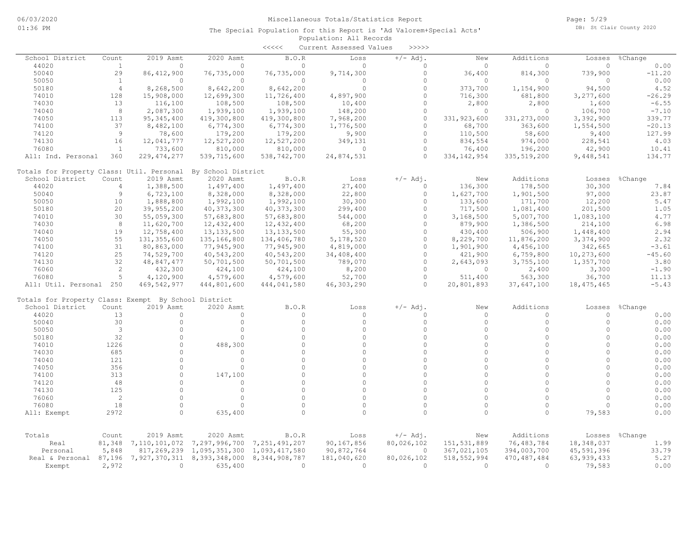|                                                      |                |               |                    | $\begin{array}{c} \begin{array}{c} < \  \  < \  \  < \end{array} \end{array}$ | Current Assessed Values | >>>>>      |               |               |              |          |
|------------------------------------------------------|----------------|---------------|--------------------|-------------------------------------------------------------------------------|-------------------------|------------|---------------|---------------|--------------|----------|
| School District                                      | Count          | 2019 Asmt     | 2020 Asmt          | B.O.R                                                                         | Loss                    | $+/-$ Adj. | New           | Additions     | Losses       | %Change  |
| 44020                                                | $\mathbf{1}$   | $\circ$       | $\Omega$           | $\Omega$                                                                      | $\Omega$                | $\Omega$   | $\Omega$      | $\Omega$      | $\Omega$     | 0.00     |
| 50040                                                | 29             | 86, 412, 900  | 76,735,000         | 76,735,000                                                                    | 9,714,300               | $\circ$    | 36,400        | 814,300       | 739,900      | $-11.20$ |
| 50050                                                | <sup>1</sup>   | $\circ$       | $\circ$            | $\mathbf{0}$                                                                  | $\circ$                 | $\Omega$   | 0             | $\circ$       | $\Omega$     | 0.00     |
| 50180                                                | $\overline{4}$ | 8,268,500     | 8,642,200          | 8,642,200                                                                     | $\circ$                 | $\Omega$   | 373,700       | 1,154,900     | 94,500       | 4.52     |
| 74010                                                | 128            | 15,908,000    | 12,699,300         | 11,726,400                                                                    | 4,897,900               | $\Omega$   | 716,300       | 681,800       | 3,277,600    | $-26.29$ |
| 74030                                                | 13             | 116,100       | 108,500            | 108,500                                                                       | 10,400                  | $\Omega$   | 2,800         | 2,800         | 1,600        | $-6.55$  |
| 74040                                                | $\,8\,$        | 2,087,300     | 1,939,100          | 1,939,100                                                                     | 148,200                 | $\Omega$   | $\Omega$      | $\Omega$      | 106,700      | $-7.10$  |
| 74050                                                | 113            | 95, 345, 400  | 419,300,800        | 419,300,800                                                                   | 7,968,200               | $\circ$    | 331, 923, 600 | 331, 273, 000 | 3,392,900    | 339.77   |
| 74100                                                | 37             | 8,482,100     | 6,774,300          | 6,774,300                                                                     | 1,776,500               | $\Omega$   | 68,700        | 363,600       | 1,554,500    | $-20.13$ |
| 74120                                                | 9              | 78,600        | 179,200            | 179,200                                                                       | 9,900                   | $\Omega$   | 110,500       | 58,600        | 9,400        | 127.99   |
| 74130                                                | 16             | 12,041,777    | 12,527,200         | 12,527,200                                                                    | 349,131                 | $\circ$    | 834,554       | 974,000       | 228,541      | 4.03     |
| 76080                                                | <sup>1</sup>   | 733,600       | 810,000            | 810,000                                                                       | $\Omega$                | $\circ$    | 76,400        | 196,200       | 42,900       | 10.41    |
| All: Ind. Personal                                   | 360            | 229, 474, 277 | 539,715,600        | 538,742,700                                                                   | 24,874,531              | $\Omega$   | 334, 142, 954 | 335, 519, 200 | 9,448,541    | 134.77   |
| Totals for Property Class: Util. Personal            |                |               | By School District |                                                                               |                         |            |               |               |              |          |
| School District                                      | Count          | 2019 Asmt     | 2020 Asmt          | B.O.R                                                                         | Loss                    | $+/-$ Adj. | New           | Additions     | Losses       | %Change  |
| 44020                                                | $\overline{4}$ | 1,388,500     | 1,497,400          | 1,497,400                                                                     | 27,400                  | $\Omega$   | 136,300       | 178,500       | 30,300       | 7.84     |
| 50040                                                | $\overline{9}$ | 6,723,100     | 8,328,000          | 8,328,000                                                                     | 22,800                  | $\Omega$   | 1,627,700     | 1,901,500     | 97,000       | 23.87    |
| 50050                                                | 10             | 1,888,800     | 1,992,100          | 1,992,100                                                                     | 30,300                  | $\Omega$   | 133,600       | 171,700       | 12,200       | 5.47     |
| 50180                                                | 20             | 39,955,200    | 40, 373, 300       | 40, 373, 300                                                                  | 299,400                 | $\Omega$   | 717,500       | 1,081,400     | 201,500      | 1.05     |
| 74010                                                | 30             | 55,059,300    | 57,683,800         | 57,683,800                                                                    | 544,000                 | $\Omega$   | 3,168,500     | 5,007,700     | 1,083,100    | 4.77     |
| 74030                                                | 8              | 11,620,700    | 12,432,400         | 12,432,400                                                                    | 68,200                  | $\Omega$   | 879,900       | 1,386,500     | 214,100      | 6.98     |
| 74040                                                | 19             | 12,758,400    | 13, 133, 500       | 13, 133, 500                                                                  | 55,300                  | $\Omega$   | 430,400       | 506,900       | 1,448,400    | 2.94     |
| 74050                                                | 55             | 131, 355, 600 | 135,166,800        | 134,406,780                                                                   | 5,178,520               | $\Omega$   | 8,229,700     | 11,876,200    | 3,374,900    | 2.32     |
| 74100                                                | 31             | 80,863,000    | 77,945,900         | 77,945,900                                                                    | 4,819,000               | $\Omega$   | 1,901,900     | 4,456,100     | 342,665      | $-3.61$  |
| 74120                                                | 25             | 74,529,700    | 40,543,200         | 40,543,200                                                                    | 34,408,400              | $\Omega$   | 421,900       | 6,759,800     | 10,273,600   | $-45.60$ |
| 74130                                                | 32             | 48,847,477    | 50,701,500         | 50,701,500                                                                    | 789,070                 | $\Omega$   | 2,643,093     | 3,755,100     | 1,357,700    | 3.80     |
| 76060                                                | 2              | 432,300       | 424,100            | 424,100                                                                       | 8,200                   | $\Omega$   | 0             | 2,400         | 3,300        | $-1.90$  |
| 76080                                                | 5              | 4,120,900     | 4,579,600          | 4,579,600                                                                     | 52,700                  | $\circ$    | 511,400       | 563,300       | 36,700       | 11.13    |
| All: Util. Personal                                  | 250            | 469, 542, 977 | 444,801,600        | 444,041,580                                                                   | 46,303,290              | $\Omega$   | 20,801,893    | 37,647,100    | 18, 475, 465 | $-5.43$  |
| Totals for Property Class: Exempt By School District |                |               |                    |                                                                               |                         |            |               |               |              |          |
| School District                                      | Count          | 2019 Asmt     | 2020 Asmt          | B.O.R                                                                         | Loss                    | $+/-$ Adj. | New           | Additions     | Losses       | %Change  |
| 44020                                                | 13             | 0             | $\circ$            | 0                                                                             | $\Omega$                | $\Omega$   | 0             | $\Omega$      | $\circ$      | 0.00     |
| 50040                                                | 30             | $\circ$       | $\circ$            | $\circ$                                                                       | $\Omega$                | $\Omega$   | $\circ$       | $\circ$       | $\circ$      | 0.00     |
| 50050                                                | $\mathbf{3}$   | $\circ$       | $\circ$            | $\Omega$                                                                      | $\circ$                 | $\Omega$   | $\circ$       | $\circ$       | $\circ$      | 0.00     |
| 50180                                                | 32             | $\circ$       | $\circ$            | $\circ$                                                                       | $\Omega$                | $\Omega$   | $\Omega$      | $\circ$       | $\Omega$     | 0.00     |
| 74010                                                | 1226           | $\Omega$      | 488,300            | $\Omega$                                                                      | $\Omega$                | $\Omega$   | $\Omega$      | $\Omega$      | $\cap$       | 0.00     |
| 74030                                                | 685            | $\Omega$      | $\Omega$           | $\Omega$                                                                      | $\Omega$                | $\Omega$   | $\Omega$      | $\Omega$      | $\Omega$     | 0.00     |
| 74040                                                | 121            | $\Omega$      | $\circ$            | $\Omega$                                                                      | $\Omega$                | $\Omega$   | $\Omega$      | $\Omega$      | $\Omega$     | 0.00     |
| 74050                                                | 356            | $\circ$       | $\Omega$           | $\Omega$                                                                      | $\Omega$                | $\Omega$   | $\Omega$      | $\Omega$      | $\cap$       | 0.00     |
| 74100                                                | 313            | $\Omega$      | 147,100            | $\Omega$                                                                      | $\Omega$                | $\Omega$   | $\Omega$      | $\Omega$      | $\circ$      | 0.00     |
| 74120                                                | 48             | $\circ$       | $\circ$            | $\Omega$                                                                      | $\Omega$                | $\Omega$   | $\Omega$      | $\Omega$      | $\Omega$     | 0.00     |
| 74130                                                | 125            | $\Omega$      | $\Omega$           | $\Omega$                                                                      | $\Omega$                | $\Omega$   | $\Omega$      | $\Omega$      | $\cap$       | 0.00     |
| 76060                                                | 2              | $\circ$       | $\circ$            | $\circ$                                                                       | $\Omega$                | $\Omega$   | $\circ$       | $\circ$       | $\circ$      | 0.00     |
| 76080                                                | 18             | $\Omega$      | $\Omega$           | $\Omega$                                                                      | $\Omega$                | $\Omega$   | $\Omega$      | $\Omega$      | $\cap$       | 0.00     |
| All: Exempt                                          | 2972           | $\Omega$      | 635,400            | $\cap$                                                                        | $\cap$                  | $\cap$     | $\cap$        | $\Omega$      | 79,583       | 0.00     |
|                                                      |                |               |                    |                                                                               |                         |            |               |               |              |          |
| Totals                                               | Count          | 2019 Asmt     | 2020 Asmt          | B.O.R                                                                         | Loss                    | $+/-$ Adj. | New           | Additions     | Losses       | %Change  |
| Real                                                 | 81,348         | 7,110,101,072 | 7,297,996,700      | 7,251,491,207                                                                 | 90,167,856              | 80,026,102 | 151,531,889   | 76, 483, 784  | 18,348,037   | 1.99     |
| Personal                                             | 5,848          | 817,269,239   | 1,095,351,300      | 1,093,417,580                                                                 | 90,872,764              | $\circ$    | 367,021,105   | 394,003,700   | 45,591,396   | 33.79    |
| Real & Personal 87,196                               |                | 7,927,370,311 | 8,393,348,000      | 8, 344, 908, 787                                                              | 181,040,620             | 80,026,102 | 518, 552, 994 | 470, 487, 484 | 63, 939, 433 | 5.27     |
| Exempt                                               | 2,972          | $\circ$       | 635,400            | $\circ$                                                                       | $\circ$                 | $\circ$    | $\Omega$      | $\circ$       | 79,583       | 0.00     |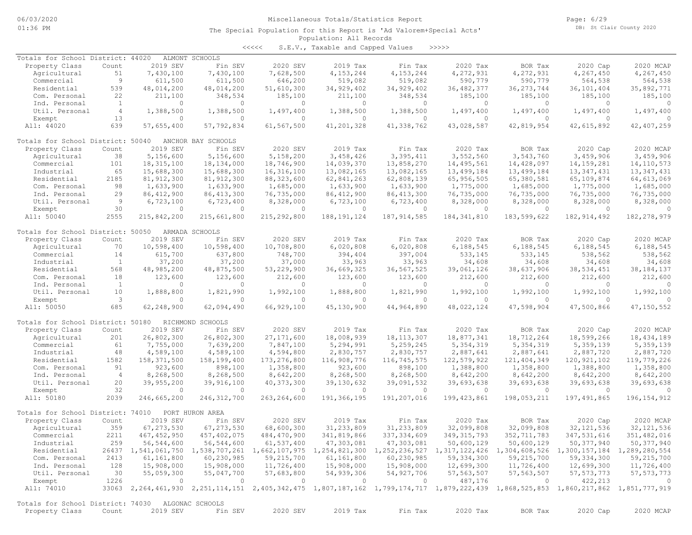<<<<< S.E.V., Taxable and Capped Values >>>>>

| Totals for School District: 44020                 |                |                | ALMONT SCHOOLS     |                |                |               |                                                                                                                                     |                |                |                |
|---------------------------------------------------|----------------|----------------|--------------------|----------------|----------------|---------------|-------------------------------------------------------------------------------------------------------------------------------------|----------------|----------------|----------------|
| Property Class                                    | Count          | 2019 SEV       | Fin SEV            | 2020 SEV       | 2019 Tax       | Fin Tax       | 2020 Tax                                                                                                                            | BOR Tax        | 2020 Cap       | 2020 MCAP      |
| Agricultural                                      | 51             | 7,430,100      | 7,430,100          | 7,628,500      | 4, 153, 244    | 4,153,244     | 4,272,931                                                                                                                           | 4,272,931      | 4,267,450      | 4,267,450      |
| Commercial                                        | 9              | 611,500        | 611,500            | 646,200        | 519,082        | 519,082       | 590,779                                                                                                                             | 590,779        | 564,538        | 564,538        |
| Residential                                       | 539            | 48,014,200     | 48,014,200         | 51,610,300     | 34,929,402     | 34,929,402    | 36, 482, 377                                                                                                                        | 36, 273, 744   | 36, 101, 404   | 35,892,771     |
| Com. Personal                                     | 22             | 211,100        | 348,534            | 185,100        | 211,100        | 348,534       | 185,100                                                                                                                             | 185,100        | 185,100        | 185,100        |
| Ind. Personal                                     | <sup>1</sup>   | $\circ$        | $\circ$            | $\circ$        | $\circ$        | $\circ$       | $\Omega$                                                                                                                            | 0              | $\circ$        | - 0            |
| Util. Personal                                    | $\overline{4}$ | 1,388,500      | 1,388,500          | 1,497,400      | 1,388,500      | 1,388,500     | 1,497,400                                                                                                                           | 1,497,400      | 1,497,400      | 1,497,400      |
| Exempt                                            | 13             | $\circ$        | 0                  | $\circ$        | $\circ$        | $\circ$       | $\circ$                                                                                                                             | 0              | $\circ$        | $\Omega$       |
| All: 44020                                        | 639            | 57,655,400     | 57,792,834         | 61,567,500     | 41,201,328     | 41,338,762    | 43,028,587                                                                                                                          | 42,819,954     | 42,615,892     | 42, 407, 259   |
|                                                   |                |                |                    |                |                |               |                                                                                                                                     |                |                |                |
| Totals for School District: 50040                 |                |                | ANCHOR BAY SCHOOLS |                |                |               |                                                                                                                                     |                |                |                |
| Property Class                                    | Count          | 2019 SEV       | Fin SEV            | 2020 SEV       | 2019 Tax       | Fin Tax       | 2020 Tax                                                                                                                            | BOR Tax        | 2020 Cap       | 2020 MCAP      |
| Agricultural                                      | 38             | 5,156,600      | 5,156,600          | 5,158,200      | 3,458,426      | 3,395,411     | 3,552,560                                                                                                                           | 3,543,760      | 3,459,906      | 3,459,906      |
| Commercial                                        | 101            | 18, 315, 100   | 18,134,000         | 18,746,900     | 14,039,370     | 13,858,270    | 14,495,561                                                                                                                          | 14,428,097     | 14, 159, 281   | 14, 110, 573   |
| Industrial                                        | 65             | 15,688,300     | 15,688,300         | 16, 316, 100   | 13,082,165     | 13,082,165    | 13,499,184                                                                                                                          | 13, 499, 184   | 13, 347, 431   | 13, 347, 431   |
| Residential                                       | 2185           | 81, 912, 300   | 81, 912, 300       | 88, 323, 600   | 62,841,263     | 62,808,139    | 65,956,505                                                                                                                          | 65,380,581     | 65,109,874     | 64, 613, 069   |
| Com. Personal                                     | 98             | 1,633,900      | 1,633,900          | 1,685,000      | 1,633,900      | 1,633,900     | 1,775,000                                                                                                                           | 1,685,000      | 1,775,000      | 1,685,000      |
| Ind. Personal                                     | 29             | 86, 412, 900   | 86, 413, 300       | 76,735,000     | 86, 412, 900   | 86, 413, 300  | 76,735,000                                                                                                                          | 76,735,000     | 76,735,000     | 76,735,000     |
| Util. Personal                                    | 9              | 6,723,100      | 6,723,400          | 8,328,000      | 6,723,100      | 6,723,400     | 8,328,000                                                                                                                           | 8,328,000      | 8,328,000      | 8,328,000      |
| Exempt                                            | 30             | $\circ$        | $\circ$            | $\circ$        | $\circ$        | $\circ$       | $\circ$                                                                                                                             | $\overline{0}$ | $\overline{0}$ | $\Omega$       |
| All: 50040                                        | 2555           | 215,842,200    | 215,661,800        | 215, 292, 800  | 188, 191, 124  | 187, 914, 585 | 184, 341, 810                                                                                                                       | 183,599,622    | 182, 914, 492  | 182, 278, 979  |
|                                                   |                |                |                    |                |                |               |                                                                                                                                     |                |                |                |
| Totals for School District: 50050                 |                |                | ARMADA SCHOOLS     |                |                |               |                                                                                                                                     |                |                |                |
| Property Class                                    | Count          | 2019 SEV       | Fin SEV            | 2020 SEV       | 2019 Tax       | Fin Tax       | 2020 Tax                                                                                                                            | BOR Tax        | 2020 Cap       | 2020 MCAP      |
| Agricultural                                      | 70             | 10,598,400     | 10,598,400         | 10,708,800     | 6,020,808      | 6,020,808     | 6,188,545                                                                                                                           | 6,188,545      | 6,188,545      | 6,188,545      |
| Commercial                                        | 14             | 615,700        | 637,800            | 748,700        | 394,404        | 397,004       | 533,145                                                                                                                             | 533,145        | 538,562        | 538,562        |
| Industrial                                        | <sup>1</sup>   | 37,200         | 37,200             | 37,000         | 33,963         | 33,963        | 34,608                                                                                                                              | 34,608         | 34,608         | 34,608         |
| Residential                                       | 568            | 48,985,200     | 48,875,500         | 53,229,900     | 36,669,325     | 36,567,525    | 39,061,126                                                                                                                          | 38,637,906     | 38, 534, 451   | 38, 184, 137   |
| Com. Personal                                     | 18             | 123,600        | 123,600            | 212,600        | 123,600        | 123,600       | 212,600                                                                                                                             | 212,600        | 212,600        | 212,600        |
| Ind. Personal                                     | $\mathbf{1}$   | $\circ$        | 0                  | $\circ$        | $\circ$        | $\circ$       | $\Omega$                                                                                                                            | $\circ$        | $\Omega$       | $\circ$        |
| Util. Personal                                    | 10             | 1,888,800      | 1,821,990          | 1,992,100      | 1,888,800      | 1,821,990     | 1,992,100                                                                                                                           | 1,992,100      | 1,992,100      | 1,992,100      |
| Exempt                                            | 3              | $\Omega$       | 0                  | $\circ$        | $\Omega$       | $\Omega$      | $\Omega$                                                                                                                            | $\Omega$       | $\Omega$       | $\Omega$       |
| All: 50050                                        | 685            | 62,248,900     | 62,094,490         | 66,929,100     | 45,130,900     | 44,964,890    | 48,022,124                                                                                                                          | 47,598,904     | 47,500,866     | 47,150,552     |
|                                                   |                |                |                    |                |                |               |                                                                                                                                     |                |                |                |
| Totals for School District: 50180                 |                |                | RICHMOND SCHOOLS   |                |                |               |                                                                                                                                     |                |                |                |
| Property Class                                    | Count          | 2019 SEV       | Fin SEV            | 2020 SEV       | 2019 Tax       | Fin Tax       | 2020 Tax                                                                                                                            | BOR Tax        | 2020 Cap       | 2020 MCAP      |
| Agricultural                                      | 201            | 26,802,300     | 26,802,300         | 27, 171, 600   | 18,008,939     | 18, 113, 307  | 18,877,341                                                                                                                          | 18,712,264     | 18,599,266     | 18,434,189     |
| Commercial                                        | 61             | 7,755,000      | 7,639,200          | 7,847,100      | 5,294,991      | 5,259,245     | 5, 354, 319                                                                                                                         | 5, 354, 319    | 5,359,139      | 5,359,139      |
| Industrial                                        | 48             | 4,589,100      | 4,589,100          | 4,594,800      | 2,830,757      | 2,830,757     | 2,887,641                                                                                                                           | 2,887,641      | 2,887,720      | 2,887,720      |
| Residential                                       | 1582           | 158, 371, 500  | 158,199,400        | 173, 276, 800  | 116,908,776    | 116,745,575   | 122,579,922                                                                                                                         | 121, 404, 349  | 120, 921, 102  | 119,779,226    |
| Com. Personal                                     | 91             | 923,600        | 898,100            | 1,358,800      | 923,600        | 898,100       | 1,388,800                                                                                                                           | 1,358,800      | 1,388,800      | 1,358,800      |
|                                                   | $\overline{4}$ |                |                    |                |                |               |                                                                                                                                     |                |                |                |
| Ind. Personal                                     |                | 8,268,500      | 8,268,500          | 8,642,200      | 8,268,500      | 8,268,500     | 8,642,200                                                                                                                           | 8,642,200      | 8,642,200      | 8,642,200      |
| Util. Personal                                    | 20             | 39,955,200     | 39,916,100         | 40, 373, 300   | 39, 130, 632   | 39,091,532    | 39,693,638                                                                                                                          | 39,693,638     | 39,693,638     | 39,693,638     |
| Exempt                                            | 32             | $\circ$        | $\circ$            | $\circ$        | $\circ$        | $\circ$       | $\Omega$                                                                                                                            | $\circ$        | $\Omega$       | $\Omega$       |
| All: 50180                                        | 2039           | 246,665,200    | 246,312,700        | 263, 264, 600  | 191,366,195    | 191,207,016   | 199, 423, 861                                                                                                                       | 198,053,211    | 197,491,865    | 196, 154, 912  |
| Totals for School District: 74010                 |                |                | PORT HURON AREA    |                |                |               |                                                                                                                                     |                |                |                |
| Property Class                                    | Count          | 2019 SEV       | Fin SEV            | 2020 SEV       | 2019 Tax       | Fin Tax       | 2020 Tax                                                                                                                            | BOR Tax        | 2020 Cap       | 2020 MCAP      |
| Agricultural                                      | 359            | 67, 273, 530   | 67, 273, 530       | 68,600,300     | 31, 233, 809   | 31, 233, 809  | 32,099,808                                                                                                                          | 32,099,808     | 32, 121, 536   | 32, 121, 536   |
| Commercial                                        | 2211           | 467, 452, 950  | 457,402,075        | 484, 470, 900  | 341,819,866    | 337, 334, 609 | 349, 315, 793                                                                                                                       | 352, 711, 783  | 347,531,616    | 351,482,016    |
| Industrial                                        | 259            | 56,544,600     | 56,544,600         | 61,537,400     | 47,303,081     | 47,303,081    | 50,600,129                                                                                                                          | 50,600,129     | 50,377,940     | 50,377,940     |
|                                                   |                |                |                    |                |                |               |                                                                                                                                     |                |                |                |
| Residential                                       |                |                |                    |                |                |               | 26437 1,541,061,750 1,538,707,261 1,662,107,975 1,254,821,300 1,252,236,527 1,317,122,426 1,304,608,526 1,300,157,184 1,289,280,554 |                |                |                |
| Com. Personal                                     | 2413           | 61, 161, 800   | 60,230,985         | 59,215,700     | 61,161,800     | 60,230,985    | 59,334,300                                                                                                                          | 59, 215, 700   | 59,334,300     | 59,215,700     |
| Ind. Personal                                     | 128            | 15,908,000     | 15,908,000         | 11,726,400     | 15,908,000     | 15,908,000    | 12,699,300                                                                                                                          | 11,726,400     | 12,699,300     | 11,726,400     |
| Util. Personal                                    | 30             | 55,059,300     | 55,047,700         | 57,683,800     | 54,939,306     | 54,927,706    | 57,563,507                                                                                                                          | 57,563,507     | 57, 573, 773   | 57, 573, 773   |
| Exempt                                            | 1226           | $\overline{0}$ | $\overline{0}$     | $\overline{0}$ | $\overline{0}$ | $\circ$       | 487,176                                                                                                                             | $\overline{0}$ | 422,213        | $\overline{0}$ |
| All: 74010                                        |                |                |                    |                |                |               | 33063 2,264,461,930 2,251,114,151 2,405,342,475 1,807,187,162 1,799,174,717 1,879,222,439 1,868,525,853 1,860,217,862 1,851,777,919 |                |                |                |
| Totals for School District: 74030 ALGONAC SCHOOLS |                |                |                    |                |                |               |                                                                                                                                     |                |                |                |
|                                                   |                |                |                    |                |                |               |                                                                                                                                     |                |                |                |
| Property Class                                    | Count          | 2019 SEV       | Fin SEV            | 2020 SEV       | 2019 Tax       | Fin Tax       | 2020 Tax                                                                                                                            | BOR Tax        | 2020 Cap       | 2020 MCAP      |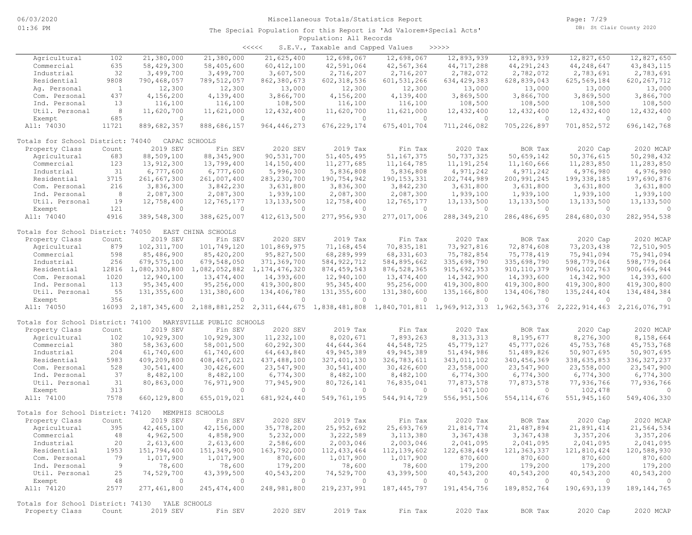| くくくくく | S.E.V., Taxable and Capped Values |  |  |  | >>>>> |
|-------|-----------------------------------|--|--|--|-------|
|-------|-----------------------------------|--|--|--|-------|

|                                   |              |                            |                           |                  | $\frac{1}{2}$ |                                                                                                                 |               |               |                |               |
|-----------------------------------|--------------|----------------------------|---------------------------|------------------|---------------|-----------------------------------------------------------------------------------------------------------------|---------------|---------------|----------------|---------------|
| Agricultural                      | 102          | 21,380,000                 | 21,380,000                | 21,625,400       | 12,698,067    | 12,698,067                                                                                                      | 12,893,939    | 12,893,939    | 12,827,650     | 12,827,650    |
| Commercial                        | 635          | 58,429,300                 | 58,405,600                | 60, 412, 100     | 42,591,064    | 42,567,364                                                                                                      | 44,717,288    | 44,291,243    | 44,248,647     | 43,843,115    |
| Industrial                        | 32           | 3,499,700                  | 3,499,700                 | 3,607,500        | 2,716,207     | 2,716,207                                                                                                       | 2,782,072     | 2,782,072     | 2,783,691      | 2,783,691     |
| Residential                       | 9808         | 790,468,057                | 789,512,057               | 862,380,673      | 602, 318, 536 | 601, 531, 266                                                                                                   | 634, 429, 383 | 628,839,043   | 625,569,184    | 620, 267, 712 |
| Aq. Personal                      | <sup>1</sup> | 12,300                     | 12,300                    | 13,000           | 12,300        | 12,300                                                                                                          | 13,000        | 13,000        | 13,000         | 13,000        |
| Com. Personal                     | 437          | 4,156,200                  | 4,139,400                 | 3,866,700        | 4,156,200     | 4,139,400                                                                                                       | 3,869,500     | 3,866,700     | 3,869,500      | 3,866,700     |
| Ind. Personal                     | 13           | 116,100                    | 116,100                   | 108,500          | 116,100       | 116,100                                                                                                         | 108,500       | 108,500       | 108,500        | 108,500       |
| Util. Personal                    | 8            | 11,620,700                 | 11,621,000                | 12,432,400       | 11,620,700    | 11,621,000                                                                                                      | 12,432,400    | 12,432,400    | 12,432,400     | 12,432,400    |
| Exempt                            | 685          | $\circ$                    | $\circ$                   | $\circ$          | $\circ$       | $\circ$                                                                                                         | $\circ$       | $\circ$       | $\circ$        | $\Omega$      |
| All: 74030                        | 11721        | 889,682,357                | 888,686,157               | 964, 446, 273    | 676, 229, 174 | 675, 401, 704                                                                                                   | 711,246,082   | 705, 226, 897 | 701,852,572    | 696, 142, 768 |
|                                   |              |                            |                           |                  |               |                                                                                                                 |               |               |                |               |
| Totals for School District: 74040 |              |                            | CAPAC SCHOOLS             |                  |               |                                                                                                                 |               |               |                |               |
| Property Class                    | Count        | 2019 SEV                   | Fin SEV                   | 2020 SEV         | 2019 Tax      | Fin Tax                                                                                                         | 2020 Tax      | BOR Tax       | 2020 Cap       | 2020 MCAP     |
| Agricultural                      | 683          | 88,509,100                 | 88, 345, 900              | 90,531,700       | 51,405,495    | 51, 167, 375                                                                                                    | 50,737,325    | 50,659,142    | 50, 376, 615   | 50,298,432    |
| Commercial                        | 123          | 13, 912, 300               | 13,799,400                | 14,150,400       | 11,277,685    | 11, 164, 785                                                                                                    | 11, 191, 254  | 11,160,666    | 11,283,850     | 11,283,850    |
| Industrial                        | 31           | 6,777,600                  | 6,777,600                 | 5,996,300        | 5,836,808     | 5,836,808                                                                                                       | 4,971,242     | 4,971,242     | 4,976,980      | 4,976,980     |
| Residential                       | 3715         | 261,667,300                | 261,007,400               | 283, 230, 700    | 190,754,942   | 190, 153, 331                                                                                                   | 202,744,989   | 200, 991, 245 | 199,338,185    | 197,690,876   |
| Com. Personal                     | 216          | 3,836,300                  | 3,842,230                 | 3,631,800        | 3,836,300     | 3,842,230                                                                                                       | 3,631,800     | 3,631,800     | 3,631,800      | 3,631,800     |
| Ind. Personal                     | $^{\circ}$ 8 | 2,087,300                  | 2,087,300                 | 1,939,100        | 2,087,300     | 2,087,300                                                                                                       | 1,939,100     | 1,939,100     | 1,939,100      | 1,939,100     |
| Util. Personal                    | 19           | 12,758,400                 | 12,765,177                | 13, 133, 500     | 12,758,400    | 12,765,177                                                                                                      | 13, 133, 500  | 13, 133, 500  | 13, 133, 500   | 13, 133, 500  |
| Exempt                            | 121          | $\Omega$                   | $\Omega$                  | $\Omega$         | $\circ$       | $\circ$                                                                                                         | $\circ$       | $\circ$       | $\overline{0}$ | $\Omega$      |
| All: 74040                        | 4916         | 389,548,300                | 388,625,007               | 412,613,500      | 277,956,930   | 277,017,006                                                                                                     | 288, 349, 210 | 286, 486, 695 | 284,680,030    | 282, 954, 538 |
|                                   |              |                            |                           |                  |               |                                                                                                                 |               |               |                |               |
| Totals for School District: 74050 |              |                            | EAST CHINA SCHOOLS        |                  |               |                                                                                                                 |               |               |                |               |
| Property Class                    | Count        | 2019 SEV                   | Fin SEV                   | 2020 SEV         | 2019 Tax      | Fin Tax                                                                                                         | 2020 Tax      | BOR Tax       | 2020 Cap       | 2020 MCAP     |
| Agricultural                      | 879          | 102, 311, 700              | 101,749,120               | 101,869,975      | 71,168,454    | 70,835,181                                                                                                      | 73,927,816    | 72,874,608    | 73,203,438     | 72,510,905    |
| Commercial                        | 598          | 85,486,900                 | 85,420,200                | 95,827,500       | 68,289,999    | 68, 331, 603                                                                                                    | 75,782,854    | 75,778,419    | 75,941,094     | 75,941,094    |
| Industrial                        | 256          | 679, 575, 100              | 679,548,050               | 371,369,700      | 584, 922, 712 | 584,895,662                                                                                                     | 335,698,790   | 335,698,790   | 598,779,064    | 598,779,064   |
| Residential                       | 12816        | 1,080,330,800              | 1,082,052,882             | 1, 174, 476, 320 | 874, 459, 543 | 876, 528, 365                                                                                                   | 915,692,353   | 910, 110, 379 | 906, 102, 763  | 900,666,944   |
|                                   |              |                            | 13,474,400                |                  |               |                                                                                                                 |               |               |                | 14,393,600    |
| Com. Personal                     | 1020         | 12,940,100<br>95, 345, 400 |                           | 14,393,600       | 12,940,100    | 13,474,400                                                                                                      | 14,342,900    | 14,393,600    | 14,342,900     |               |
| Ind. Personal                     | 113          |                            | 95,256,000                | 419,300,800      | 95, 345, 400  | 95,256,000                                                                                                      | 419,300,800   | 419,300,800   | 419,300,800    | 419,300,800   |
| Util. Personal                    | 55           | 131, 355, 600              | 131,380,600               | 134,406,780      | 131,355,600   | 131,380,600                                                                                                     | 135,166,800   | 134,406,780   | 135, 244, 404  | 134,484,384   |
| Exempt                            | 356          | $\circ$                    | $\circ$                   | $\circ$          | $\circ$       | $\circ$                                                                                                         | $\circ$       | $\circ$       | $\circ$        | $\Omega$      |
| All: 74050                        | 16093        |                            |                           |                  |               | 2,187,345,600 2,188,881,252 2,311,644,675 1,838,481,808 1,840,701,811 1,969,912,313 1,962,563,376 2,222,914,463 |               |               |                | 2,216,076,791 |
|                                   |              |                            |                           |                  |               |                                                                                                                 |               |               |                |               |
| Totals for School District: 74100 |              |                            | MARYSVILLE PUBLIC SCHOOLS |                  |               |                                                                                                                 |               |               |                |               |
| Property Class                    | Count        | 2019 SEV                   | Fin SEV                   | 2020 SEV         | 2019 Tax      | Fin Tax                                                                                                         | 2020 Tax      | BOR Tax       | 2020 Cap       | 2020 MCAP     |
| Agricultural                      | 102          | 10,929,300                 | 10,929,300                | 11,232,100       | 8,020,671     | 7,893,263                                                                                                       | 8, 313, 313   | 8,195,677     | 8,276,300      | 8,158,664     |
| Commercial                        | 380          | 58,363,600                 | 58,001,500                | 60,292,300       | 44,644,364    | 44,548,725                                                                                                      | 45,779,127    | 45,777,026    | 45,753,768     | 45,753,768    |
| Industrial                        | 204          | 61,740,600                 | 61,740,600                | 64,643,840       | 49,945,389    | 49, 945, 389                                                                                                    | 51,494,986    | 51,489,826    | 50,907,695     | 50,907,695    |
| Residential                       | 5983         | 409,209,800                | 408, 467, 021             | 437, 488, 100    | 327, 401, 130 | 326,783,611                                                                                                     | 343,011,102   | 340, 456, 369 | 338,635,853    | 336, 327, 237 |
| Com. Personal                     | 528          | 30,541,400                 | 30,426,600                | 23,547,900       | 30,541,400    | 30,426,600                                                                                                      | 23,558,000    | 23,547,900    | 23,558,000     | 23,547,900    |
| Ind. Personal                     | 37           | 8,482,100                  | 8,482,100                 | 6,774,300        | 8,482,100     | 8,482,100                                                                                                       | 6,774,300     | 6,774,300     | 6,774,300      | 6,774,300     |
| Util. Personal                    | 31           | 80,863,000                 | 76,971,900                | 77,945,900       | 80,726,141    | 76,835,041                                                                                                      | 77,873,578    | 77,873,578    | 77,936,766     | 77,936,766    |
| Exempt                            | 313          | $\circ$                    | $\circ$                   | $\circ$          | $\circ$       | $\circ$                                                                                                         | 147,100       | $\circ$       | 102,478        | $\Omega$      |
| All: 74100                        | 7578         | 660,129,800                | 655,019,021               | 681, 924, 440    | 549,761,195   | 544, 914, 729                                                                                                   | 556, 951, 506 | 554, 114, 676 | 551,945,160    | 549,406,330   |
|                                   |              |                            |                           |                  |               |                                                                                                                 |               |               |                |               |
| Totals for School District: 74120 |              |                            | MEMPHIS SCHOOLS           |                  |               |                                                                                                                 |               |               |                |               |
| Property Class                    | Count        | 2019 SEV                   | Fin SEV                   | 2020 SEV         | 2019 Tax      | Fin Tax                                                                                                         | 2020 Tax      | BOR Tax       | 2020 Cap       | 2020 MCAP     |
| Agricultural                      | 395          | 42, 465, 100               | 42,156,000                | 35,778,200       | 25,952,692    | 25,693,769                                                                                                      | 21,814,774    | 21,487,894    | 21,891,414     | 21,564,534    |
| Commercial                        | 48           | 4,962,500                  | 4,858,900                 | 5,232,000        | 3,222,589     | 3, 113, 380                                                                                                     | 3,367,438     | 3,367,438     | 3,357,206      | 3,357,206     |
| Industrial                        | 20           | 2,613,600                  | 2,613,600                 | 2,586,600        | 2,003,046     | 2,003,046                                                                                                       | 2,041,095     | 2,041,095     | 2,041,095      | 2,041,095     |
| Residential                       | 1953         | 151,794,400                | 151,349,900               | 163,792,000      | 112, 433, 464 | 112, 139, 602                                                                                                   | 122,638,449   | 121, 363, 337 | 121,810,424    | 120,588,930   |
| Com. Personal                     | 79           | 1,017,900                  | 1,017,900                 | 870,600          | 1,017,900     | 1,017,900                                                                                                       | 870,600       | 870,600       | 870,600        | 870,600       |
| Ind. Personal                     | 9            | 78,600                     | 78,600                    | 179,200          | 78,600        | 78,600                                                                                                          | 179,200       | 179,200       | 179,200        | 179,200       |
| Util. Personal                    | 25           | 74,529,700                 | 43,399,500                | 40,543,200       | 74,529,700    | 43,399,500                                                                                                      | 40,543,200    | 40,543,200    | 40,543,200     | 40,543,200    |
| Exempt                            | 48           | $\circ$                    | $\circ$                   | $\circ$          | $\circ$       | $\circ$                                                                                                         | $\circ$       | $\circ$       | $\overline{0}$ | $\circ$       |
| All: 74120                        | 2577         | 277,461,800                | 245, 474, 400             | 248,981,800      | 219,237,991   | 187, 445, 797                                                                                                   | 191,454,756   | 189,852,764   | 190,693,139    | 189, 144, 765 |
|                                   |              |                            |                           |                  |               |                                                                                                                 |               |               |                |               |
| Totals for School District: 74130 |              | YALE SCHOOLS               |                           |                  |               |                                                                                                                 |               |               |                |               |
| Property Class                    | Count        | 2019 SEV                   | Fin SEV                   | 2020 SEV         | 2019 Tax      | Fin Tax                                                                                                         | 2020 Tax      | BOR Tax       | 2020 Cap       | 2020 MCAP     |
|                                   |              |                            |                           |                  |               |                                                                                                                 |               |               |                |               |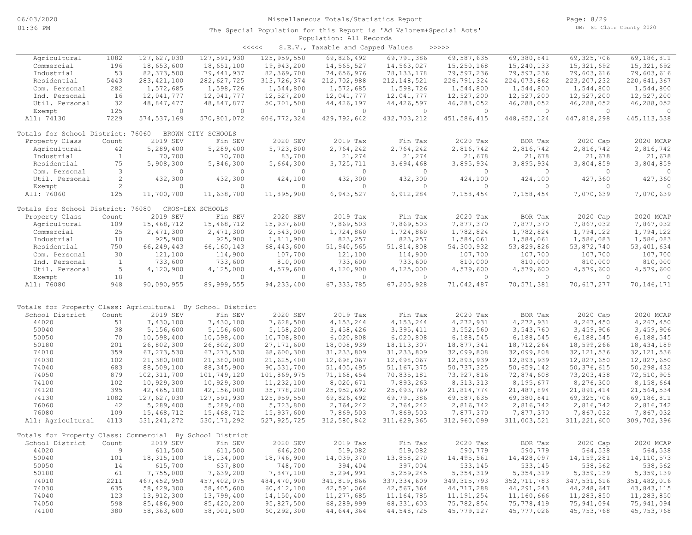| くくくくく | S.E.V., Taxable and Capped Values |  |  |  | >>>>> |
|-------|-----------------------------------|--|--|--|-------|
|-------|-----------------------------------|--|--|--|-------|

| Agricultural                                               | 1082           | 127,627,030   | 127,591,930        | 125,959,550    | 69,826,492   | 69,791,386    | 69,587,635    | 69,380,841    | 69, 325, 706  | 69,186,811    |
|------------------------------------------------------------|----------------|---------------|--------------------|----------------|--------------|---------------|---------------|---------------|---------------|---------------|
| Commercial                                                 | 196            | 18,653,600    | 18,651,100         | 19,943,200     | 14,565,527   | 14,563,027    | 15,250,168    | 15,240,133    | 15, 321, 692  | 15, 321, 692  |
| Industrial                                                 | 53             | 82, 373, 500  | 79,441,937         | 82,369,700     | 74,656,976   | 78, 133, 178  | 79,597,236    | 79,597,236    | 79,603,616    | 79,603,616    |
| Residential                                                | 5443           | 283, 421, 100 | 282,627,725        | 313,726,374    | 212,702,988  | 212, 148, 521 | 226,791,324   | 224,073,862   | 223, 207, 232 | 220,641,367   |
| Com. Personal                                              | 282            | 1,572,685     | 1,598,726          | 1,544,800      | 1,572,685    | 1,598,726     | 1,544,800     | 1,544,800     | 1,544,800     | 1,544,800     |
| Ind. Personal                                              | 16             | 12,041,777    | 12,041,777         | 12,527,200     | 12,041,777   | 12,041,777    | 12,527,200    | 12,527,200    | 12,527,200    | 12,527,200    |
| Util. Personal                                             | 32             | 48,847,477    | 48,847,877         | 50,701,500     | 44, 426, 197 | 44, 426, 597  | 46,288,052    | 46,288,052    | 46,288,052    | 46,288,052    |
|                                                            |                |               |                    |                |              |               |               |               |               |               |
| Exempt                                                     | 125            | $\circ$       | $\circ$            | $\overline{0}$ | $\circ$      | $\circ$       | $\circ$       | $\circ$       | $\circ$       | $\Omega$      |
| All: 74130                                                 | 7229           | 574, 537, 169 | 570,801,072        | 606, 772, 324  | 429,792,642  | 432,703,212   | 451,586,415   | 448,652,124   | 447,818,298   | 445, 113, 538 |
|                                                            |                |               |                    |                |              |               |               |               |               |               |
| Totals for School District: 76060                          |                |               | BROWN CITY SCHOOLS |                |              |               |               |               |               |               |
| Property Class                                             | Count          | 2019 SEV      | Fin SEV            | 2020 SEV       | 2019 Tax     | Fin Tax       | 2020 Tax      | BOR Tax       | 2020 Cap      | 2020 MCAP     |
| Agricultural                                               | 42             | 5,289,400     | 5,289,400          | 5,723,800      | 2,764,242    | 2,764,242     | 2,816,742     | 2,816,742     | 2,816,742     | 2,816,742     |
| Industrial                                                 | $\mathbf{1}$   | 70,700        | 70,700             | 83,700         | 21,274       | 21,274        | 21,678        | 21,678        | 21,678        | 21,678        |
| Residential                                                | 75             | 5,908,300     | 5,846,300          | 5,664,300      | 3,725,711    | 3,694,468     | 3,895,934     | 3,895,934     | 3,804,859     | 3,804,859     |
| Com. Personal                                              | 3              | $\circ$       | $\circ$            | $\circ$        | $\circ$      | $\circ$       | $\circ$       | $\circ$       | $\circ$       | $\circ$       |
| Util. Personal                                             | $\overline{c}$ | 432,300       | 432,300            | 424,100        | 432,300      | 432,300       | 424,100       | 424,100       | 427,360       | 427,360       |
| Exempt                                                     | $\overline{c}$ | $\circ$       | $\circ$            | $\circ$        | $\circ$      | $\Omega$      | $\circ$       | $\circ$       | $\circ$       | 0             |
| All: 76060                                                 | 125            | 11,700,700    | 11,638,700         | 11,895,900     | 6,943,527    | 6,912,284     | 7,158,454     | 7,158,454     | 7,070,639     | 7,070,639     |
|                                                            |                |               |                    |                |              |               |               |               |               |               |
| Totals for School District: 76080                          |                |               | CROS-LEX SCHOOLS   |                |              |               |               |               |               |               |
| Property Class                                             | Count          | 2019 SEV      | Fin SEV            | 2020 SEV       | 2019 Tax     | Fin Tax       | 2020 Tax      | BOR Tax       | 2020 Cap      | 2020 MCAP     |
| Agricultural                                               | 109            | 15,468,712    | 15,468,712         | 15,937,600     | 7,869,503    | 7,869,503     | 7,877,370     | 7,877,370     | 7,867,032     | 7,867,032     |
|                                                            |                |               |                    |                |              |               |               |               |               |               |
| Commercial                                                 | 25             | 2,471,300     | 2,471,300          | 2,543,000      | 1,724,860    | 1,724,860     | 1,782,824     | 1,782,824     | 1,794,122     | 1,794,122     |
| Industrial                                                 | 10             | 925,900       | 925,900            | 1,811,900      | 823,257      | 823,257       | 1,584,061     | 1,584,061     | 1,586,083     | 1,586,083     |
| Residential                                                | 750            | 66,249,443    | 66,160,143         | 68,443,600     | 51,940,565   | 51,814,808    | 54,300,932    | 53,829,826    | 53,872,740    | 53, 401, 634  |
| Com. Personal                                              | 30             | 121,100       | 114,900            | 107,700        | 121,100      | 114,900       | 107,700       | 107,700       | 107,700       | 107,700       |
| Ind. Personal                                              | $\mathbf{1}$   | 733,600       | 733,600            | 810,000        | 733,600      | 733,600       | 810,000       | 810,000       | 810,000       | 810,000       |
| Util. Personal                                             | 5              | 4,120,900     | 4,125,000          | 4,579,600      | 4,120,900    | 4,125,000     | 4,579,600     | 4,579,600     | 4,579,600     | 4,579,600     |
| Exempt                                                     | 18             | $\circ$       | $\circ$            | $\circ$        | $\circ$      | $\circ$       | $\circ$       | $\circ$       | $\circ$       | $\mathbf{0}$  |
| All: 76080                                                 | 948            | 90,090,955    | 89,999,555         | 94, 233, 400   | 67, 333, 785 | 67,205,928    | 71,042,487    | 70,571,381    | 70,617,277    | 70,146,171    |
|                                                            |                |               |                    |                |              |               |               |               |               |               |
|                                                            |                |               |                    |                |              |               |               |               |               |               |
| Totals for Property Class: Agricultural By School District |                |               |                    |                |              |               |               |               |               |               |
| School District                                            | Count          | 2019 SEV      | Fin SEV            | 2020 SEV       | 2019 Tax     | Fin Tax       | 2020 Tax      | BOR Tax       | 2020 Cap      | 2020 MCAP     |
| 44020                                                      | 51             | 7,430,100     | 7,430,100          | 7,628,500      | 4, 153, 244  | 4, 153, 244   | 4,272,931     | 4,272,931     | 4,267,450     | 4,267,450     |
| 50040                                                      | 38             | 5,156,600     | 5,156,600          | 5,158,200      | 3,458,426    | 3,395,411     | 3,552,560     | 3,543,760     | 3,459,906     | 3,459,906     |
| 50050                                                      | 70             | 10,598,400    | 10,598,400         | 10,708,800     | 6,020,808    | 6,020,808     | 6,188,545     | 6,188,545     | 6,188,545     | 6,188,545     |
| 50180                                                      | 201            |               | 26,802,300         |                | 18,008,939   | 18, 113, 307  | 18,877,341    | 18,712,264    | 18,599,266    | 18, 434, 189  |
|                                                            |                | 26,802,300    |                    | 27, 171, 600   |              |               |               |               |               |               |
| 74010                                                      | 359            | 67, 273, 530  | 67, 273, 530       | 68,600,300     | 31, 233, 809 | 31,233,809    | 32,099,808    | 32,099,808    | 32, 121, 536  | 32, 121, 536  |
| 74030                                                      | 102            | 21,380,000    | 21,380,000         | 21,625,400     | 12,698,067   | 12,698,067    | 12,893,939    | 12,893,939    | 12,827,650    | 12,827,650    |
| 74040                                                      | 683            | 88,509,100    | 88, 345, 900       | 90,531,700     | 51,405,495   | 51, 167, 375  | 50,737,325    | 50,659,142    | 50, 376, 615  | 50,298,432    |
| 74050                                                      | 879            | 102, 311, 700 | 101,749,120        | 101,869,975    | 71,168,454   | 70,835,181    | 73,927,816    | 72,874,608    | 73, 203, 438  | 72,510,905    |
| 74100                                                      | 102            | 10,929,300    | 10,929,300         | 11,232,100     | 8,020,671    | 7,893,263     | 8, 313, 313   | 8,195,677     | 8,276,300     | 8,158,664     |
| 74120                                                      | 395            | 42,465,100    | 42,156,000         | 35,778,200     | 25, 952, 692 | 25,693,769    | 21,814,774    | 21, 487, 894  | 21,891,414    | 21,564,534    |
| 74130                                                      | 1082           | 127,627,030   | 127,591,930        | 125, 959, 550  | 69,826,492   | 69,791,386    | 69,587,635    | 69,380,841    | 69,325,706    | 69,186,811    |
| 76060                                                      | 42             | 5,289,400     | 5,289,400          | 5,723,800      | 2,764,242    | 2,764,242     | 2,816,742     | 2,816,742     | 2,816,742     | 2,816,742     |
| 76080                                                      | 109            | 15,468,712    | 15,468,712         | 15,937,600     | 7,869,503    | 7,869,503     | 7,877,370     | 7,877,370     | 7,867,032     | 7,867,032     |
| All: Agricultural                                          | 4113           | 531, 241, 272 | 530, 171, 292      | 527, 925, 725  | 312,580,842  | 311,629,365   | 312,960,099   | 311,003,521   | 311,221,600   | 309,702,396   |
|                                                            |                |               |                    |                |              |               |               |               |               |               |
| Totals for Property Class: Commercial By School District   |                |               |                    |                |              |               |               |               |               |               |
| School District Count                                      |                | 2019 SEV      | Fin SEV            | 2020 SEV       | 2019 Tax     | Fin Tax       | 2020 Tax      | BOR Tax       | 2020 Cap      | 2020 MCAP     |
| 44020                                                      | 9              | 611,500       | 611,500            | 646,200        | 519,082      | 519,082       | 590,779       | 590,779       | 564,538       | 564,538       |
| 50040                                                      | 101            | 18,315,100    | 18,134,000         | 18,746,900     | 14,039,370   | 13,858,270    | 14,495,561    | 14,428,097    | 14, 159, 281  | 14, 110, 573  |
| 50050                                                      |                |               |                    |                |              |               |               |               |               | 538,562       |
|                                                            | 14             | 615,700       | 637,800            | 748,700        | 394,404      | 397,004       | 533,145       | 533,145       | 538,562       |               |
| 50180                                                      | 61             | 7,755,000     | 7,639,200          | 7,847,100      | 5,294,991    | 5,259,245     | 5,354,319     | 5, 354, 319   | 5,359,139     | 5,359,139     |
| 74010                                                      | 2211           | 467, 452, 950 | 457, 402, 075      | 484,470,900    | 341,819,866  | 337, 334, 609 | 349, 315, 793 | 352, 711, 783 | 347,531,616   | 351,482,016   |
| 74030                                                      | 635            | 58,429,300    | 58,405,600         | 60, 412, 100   | 42,591,064   | 42,567,364    | 44,717,288    | 44,291,243    | 44,248,647    | 43,843,115    |
| 74040                                                      | 123            | 13,912,300    | 13,799,400         | 14,150,400     | 11,277,685   | 11,164,785    | 11, 191, 254  | 11,160,666    | 11,283,850    | 11,283,850    |
| 74050                                                      | 598            | 85,486,900    | 85,420,200         | 95,827,500     | 68,289,999   | 68,331,603    | 75,782,854    | 75,778,419    | 75,941,094    | 75,941,094    |
| 74100                                                      | 380            | 58,363,600    | 58,001,500         | 60,292,300     | 44,644,364   | 44,548,725    | 45,779,127    | 45,777,026    | 45, 753, 768  | 45, 753, 768  |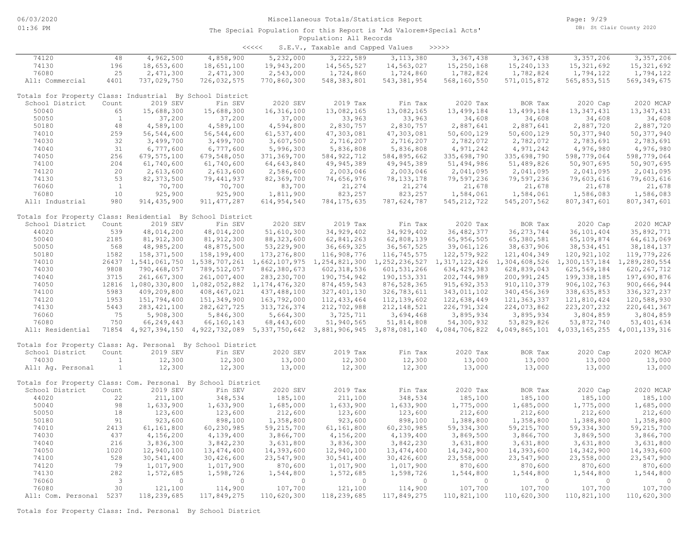| <<<< | S.E.V., Taxable and Capped Values |  |  |  | >>>>> |
|------|-----------------------------------|--|--|--|-------|
|------|-----------------------------------|--|--|--|-------|

| 74120                                                       | 48           | 4,962,500           | 4,858,900                                                                   | 5,232,000                   | 3,222,589     | 3, 113, 380                       | 3,367,438     | 3,367,438     | 3,357,206                                                           | 3,357,206     |
|-------------------------------------------------------------|--------------|---------------------|-----------------------------------------------------------------------------|-----------------------------|---------------|-----------------------------------|---------------|---------------|---------------------------------------------------------------------|---------------|
| 74130                                                       | 196          | 18,653,600          | 18,651,100                                                                  | 19,943,200                  | 14,565,527    | 14,563,027                        | 15,250,168    | 15, 240, 133  | 15, 321, 692                                                        | 15, 321, 692  |
| 76080                                                       | 25           | 2,471,300           | 2,471,300                                                                   | 2,543,000                   | 1,724,860     | 1,724,860                         | 1,782,824     | 1,782,824     | 1,794,122                                                           | 1,794,122     |
| All: Commercial                                             | 4401         | 737,029,750         | 726,032,575                                                                 | 770,860,300                 | 548, 383, 801 | 543, 381, 954                     | 568,160,550   | 571,015,872   | 565,853,515                                                         | 569, 349, 675 |
|                                                             |              |                     |                                                                             |                             |               |                                   |               |               |                                                                     |               |
| Totals for Property Class: Industrial By School District    |              |                     |                                                                             |                             |               |                                   |               |               |                                                                     |               |
| School District                                             | Count        | 2019 SEV            | Fin SEV                                                                     | 2020 SEV                    | 2019 Tax      | Fin Tax                           | 2020 Tax      | BOR Tax       | 2020 Cap                                                            | 2020 MCAP     |
| 50040                                                       | 65           | 15,688,300          | 15,688,300                                                                  | 16, 316, 100                | 13,082,165    | 13,082,165                        | 13,499,184    | 13,499,184    | 13, 347, 431                                                        | 13, 347, 431  |
| 50050                                                       | $\mathbf{1}$ | 37,200              | 37,200                                                                      | 37,000                      | 33,963        | 33,963                            | 34,608        | 34,608        | 34,608                                                              | 34,608        |
| 50180                                                       | 48           | 4,589,100           | 4,589,100                                                                   | 4,594,800                   | 2,830,757     | 2,830,757                         | 2,887,641     | 2,887,641     | 2,887,720                                                           | 2,887,720     |
| 74010                                                       | 259          | 56, 544, 600        | 56, 544, 600                                                                | 61,537,400                  | 47,303,081    | 47,303,081                        | 50,600,129    | 50,600,129    | 50, 377, 940                                                        | 50, 377, 940  |
| 74030                                                       | 32           | 3,499,700           | 3,499,700                                                                   |                             |               | 2,716,207                         |               |               |                                                                     | 2,783,691     |
|                                                             |              |                     |                                                                             | 3,607,500                   | 2,716,207     |                                   | 2,782,072     | 2,782,072     | 2,783,691                                                           |               |
| 74040                                                       | 31           | 6,777,600           | 6,777,600                                                                   | 5,996,300                   | 5,836,808     | 5,836,808                         | 4,971,242     | 4,971,242     | 4,976,980                                                           | 4,976,980     |
| 74050                                                       | 256          | 679, 575, 100       | 679,548,050                                                                 | 371,369,700                 | 584, 922, 712 | 584,895,662                       | 335,698,790   | 335,698,790   | 598,779,064                                                         | 598,779,064   |
| 74100                                                       | 204          | 61,740,600          | 61,740,600                                                                  | 64,643,840                  | 49,945,389    | 49, 945, 389                      | 51,494,986    | 51,489,826    | 50,907,695                                                          | 50,907,695    |
| 74120                                                       | 20           | 2,613,600           | 2,613,600                                                                   | 2,586,600                   | 2,003,046     | 2,003,046                         | 2,041,095     | 2,041,095     | 2,041,095                                                           | 2,041,095     |
| 74130                                                       | 53           | 82, 373, 500        | 79, 441, 937                                                                | 82,369,700                  | 74,656,976    | 78, 133, 178                      | 79,597,236    | 79,597,236    | 79,603,616                                                          | 79,603,616    |
| 76060                                                       | $\mathbf{1}$ | 70,700              | 70,700                                                                      | 83,700                      | 21,274        | 21,274                            | 21,678        | 21,678        | 21,678                                                              | 21,678        |
| 76080                                                       | 10           | 925,900             | 925,900                                                                     | 1,811,900                   | 823,257       | 823,257                           | 1,584,061     | 1,584,061     | 1,586,083                                                           | 1,586,083     |
| All: Industrial                                             | 980          | 914, 435, 900       | 911, 477, 287                                                               | 614, 954, 540               | 784, 175, 635 | 787,624,787                       | 545, 212, 722 | 545, 207, 562 | 807, 347, 601                                                       | 807, 347, 601 |
|                                                             |              |                     |                                                                             |                             |               |                                   |               |               |                                                                     |               |
| Totals for Property Class: Residential By School District   |              |                     |                                                                             |                             |               |                                   |               |               |                                                                     |               |
| School District                                             | Count        | 2019 SEV            | Fin SEV                                                                     | 2020 SEV                    | 2019 Tax      | Fin Tax                           | 2020 Tax      | BOR Tax       | 2020 Cap                                                            | 2020 MCAP     |
| 44020                                                       | 539          | 48,014,200          | 48,014,200                                                                  | 51,610,300                  | 34,929,402    | 34, 929, 402                      | 36, 482, 377  | 36, 273, 744  | 36, 101, 404                                                        | 35,892,771    |
| 50040                                                       | 2185         | 81, 912, 300        | 81, 912, 300                                                                | 88, 323, 600                | 62,841,263    | 62,808,139                        | 65, 956, 505  | 65,380,581    | 65,109,874                                                          | 64, 613, 069  |
| 50050                                                       | 568          | 48,985,200          | 48,875,500                                                                  | 53,229,900                  | 36,669,325    | 36, 567, 525                      | 39,061,126    | 38,637,906    | 38,534,451                                                          | 38, 184, 137  |
| 50180                                                       | 1582         | 158,371,500         | 158,199,400                                                                 | 173,276,800                 | 116,908,776   | 116,745,575                       | 122,579,922   | 121, 404, 349 | 120, 921, 102                                                       | 119,779,226   |
| 74010                                                       |              | 26437 1,541,061,750 |                                                                             | 1,538,707,261 1,662,107,975 |               | 1, 254, 821, 300 1, 252, 236, 527 |               |               | 1, 317, 122, 426 1, 304, 608, 526 1, 300, 157, 184 1, 289, 280, 554 |               |
| 74030                                                       | 9808         | 790,468,057         | 789, 512, 057                                                               | 862,380,673                 | 602, 318, 536 | 601, 531, 266                     | 634, 429, 383 | 628,839,043   | 625, 569, 184                                                       | 620, 267, 712 |
| 74040                                                       | 3715         | 261,667,300         | 261,007,400                                                                 | 283, 230, 700               | 190,754,942   | 190, 153, 331                     | 202,744,989   | 200,991,245   | 199, 338, 185                                                       | 197,690,876   |
| 74050                                                       |              |                     | 12816 1,080,330,800 1,082,052,882 1,174,476,320                             |                             |               | 876, 528, 365                     |               |               | 906, 102, 763                                                       |               |
| 74100                                                       | 5983         |                     |                                                                             |                             | 874, 459, 543 |                                   | 915,692,353   | 910, 110, 379 |                                                                     | 900,666,944   |
|                                                             |              | 409,209,800         | 408, 467, 021                                                               | 437,488,100                 | 327, 401, 130 | 326,783,611                       | 343,011,102   | 340, 456, 369 | 338,635,853                                                         | 336, 327, 237 |
| 74120                                                       | 1953         | 151,794,400         | 151,349,900                                                                 | 163,792,000                 | 112, 433, 464 | 112, 139, 602                     | 122,638,449   | 121, 363, 337 | 121,810,424                                                         | 120,588,930   |
| 74130                                                       | 5443         | 283, 421, 100       | 282, 627, 725                                                               | 313,726,374                 | 212,702,988   | 212, 148, 521                     | 226,791,324   | 224,073,862   | 223, 207, 232                                                       | 220,641,367   |
| 76060                                                       | 75           | 5,908,300           | 5,846,300                                                                   | 5,664,300                   | 3,725,711     | 3,694,468                         | 3,895,934     | 3,895,934     | 3,804,859                                                           | 3,804,859     |
| 76080                                                       | 750          | 66,249,443          | 66,160,143                                                                  | 68, 443, 600                | 51,940,565    | 51,814,808                        | 54,300,932    | 53,829,826    | 53,872,740                                                          | 53, 401, 634  |
| All: Residential                                            |              |                     | 71854 4,927,394,150 4,922,732,089 5,337,750,642 3,881,906,945 3,878,081,140 |                             |               |                                   |               |               | 4,084,706,822 4,049,865,101 4,033,165,255 4,001,139,316             |               |
|                                                             |              |                     |                                                                             |                             |               |                                   |               |               |                                                                     |               |
| Totals for Property Class: Aq. Personal By School District  |              |                     |                                                                             |                             |               |                                   |               |               |                                                                     |               |
| School District                                             | Count        | 2019 SEV            | Fin SEV                                                                     | 2020 SEV                    | 2019 Tax      | Fin Tax                           | 2020 Tax      | BOR Tax       | 2020 Cap                                                            | 2020 MCAP     |
| 74030                                                       | 1            | 12,300              | 12,300                                                                      | 13,000                      | 12,300        | 12,300                            | 13,000        | 13,000        | 13,000                                                              | 13,000        |
| All: Aq. Personal                                           | 1            | 12,300              | 12,300                                                                      | 13,000                      | 12,300        | 12,300                            | 13,000        | 13,000        | 13,000                                                              | 13,000        |
|                                                             |              |                     |                                                                             |                             |               |                                   |               |               |                                                                     |               |
| Totals for Property Class: Com. Personal By School District |              |                     |                                                                             |                             |               |                                   |               |               |                                                                     |               |
| School District                                             | Count        | 2019 SEV            | Fin SEV                                                                     | 2020 SEV                    | 2019 Tax      | Fin Tax                           | 2020 Tax      | BOR Tax       | 2020 Cap                                                            | 2020 MCAP     |
| 44020                                                       | 22           | 211,100             | 348,534                                                                     | 185,100                     | 211,100       | 348,534                           | 185,100       | 185,100       | 185,100                                                             | 185,100       |
| 50040                                                       | 98           | 1,633,900           | 1,633,900                                                                   | 1,685,000                   | 1,633,900     | 1,633,900                         | 1,775,000     | 1,685,000     | 1,775,000                                                           | 1,685,000     |
| 50050                                                       | 18           | 123,600             | 123,600                                                                     | 212,600                     | 123,600       | 123,600                           | 212,600       | 212,600       | 212,600                                                             | 212,600       |
| 50180                                                       | 91           | 923,600             | 898,100                                                                     | 1,358,800                   | 923,600       | 898,100                           | 1,388,800     | 1,358,800     | 1,388,800                                                           | 1,358,800     |
| 74010                                                       | 2413         |                     |                                                                             |                             |               |                                   |               |               |                                                                     | 59, 215, 700  |
|                                                             |              | 61,161,800          | 60,230,985                                                                  | 59, 215, 700                | 61,161,800    | 60,230,985                        | 59, 334, 300  | 59, 215, 700  | 59, 334, 300                                                        |               |
| 74030                                                       | 437          | 4,156,200           | 4,139,400                                                                   | 3,866,700                   | 4,156,200     | 4,139,400                         | 3,869,500     | 3,866,700     | 3,869,500                                                           | 3,866,700     |
| 74040                                                       | 216          | 3,836,300           | 3,842,230                                                                   | 3,631,800                   | 3,836,300     | 3,842,230                         | 3,631,800     | 3,631,800     | 3,631,800                                                           | 3,631,800     |
| 74050                                                       | 1020         | 12,940,100          | 13, 474, 400                                                                | 14,393,600                  | 12,940,100    | 13, 474, 400                      | 14,342,900    | 14,393,600    | 14,342,900                                                          | 14,393,600    |
| 74100                                                       | 528          | 30,541,400          | 30,426,600                                                                  | 23,547,900                  | 30,541,400    | 30,426,600                        | 23,558,000    | 23,547,900    | 23,558,000                                                          | 23,547,900    |
| 74120                                                       | 79           | 1,017,900           | 1,017,900                                                                   | 870,600                     | 1,017,900     | 1,017,900                         | 870,600       | 870,600       | 870,600                                                             | 870,600       |
| 74130                                                       | 282          | 1,572,685           | 1,598,726                                                                   | 1,544,800                   | 1,572,685     | 1,598,726                         | 1,544,800     | 1,544,800     | 1,544,800                                                           | 1,544,800     |
| 76060                                                       | -3           | $\Omega$            | $\circ$                                                                     | $\circ$                     | $\circ$       | $\circ$                           | $\circ$       | $\circ$       | $\circ$                                                             | $\circ$       |
| 76080                                                       | 30           | 121,100             | 114,900                                                                     | 107,700                     | 121,100       | 114,900                           | 107,700       | 107,700       | 107,700                                                             | 107,700       |
| All: Com. Personal 5237                                     |              | 118,239,685         | 117,849,275                                                                 | 110,620,300                 | 118,239,685   | 117,849,275                       | 110,821,100   | 110,620,300   | 110,821,100                                                         | 110,620,300   |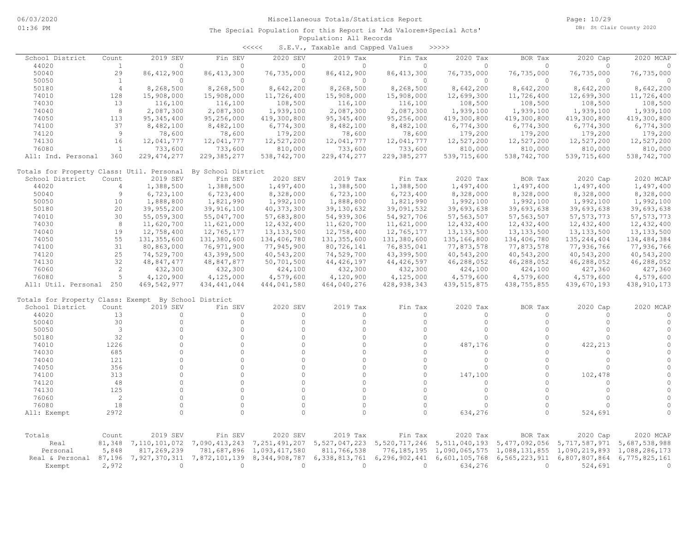|                                                      |                |               |                     | <<<<                 | S.E.V., Taxable and Capped Values |                     | >>>>>         |                     |                      |                       |
|------------------------------------------------------|----------------|---------------|---------------------|----------------------|-----------------------------------|---------------------|---------------|---------------------|----------------------|-----------------------|
| School District                                      | Count          | 2019 SEV      | Fin SEV             | 2020 SEV             | 2019 Tax                          | Fin Tax             | 2020 Tax      | BOR Tax             | 2020<br>Cap          | 2020 MCAP             |
| 44020                                                | $\mathbf{1}$   | $\circ$       | $\circ$             | $\circ$              | 0                                 | $\Omega$            | 0             | 0                   | $\Omega$             | $\Omega$              |
| 50040                                                | 29             | 86, 412, 900  | 86, 413, 300        | 76,735,000           | 86, 412, 900                      | 86, 413, 300        | 76,735,000    | 76,735,000          | 76,735,000           | 76,735,000            |
| 50050                                                | $\mathbf{1}$   | $\circ$       | $\circ$             | $\circ$              | $\circ$                           | $\circ$             | 0             | $\mathbf{0}$        | $\mathbf{0}$         | $\Omega$              |
| 50180                                                | $\overline{4}$ | 8,268,500     | 8,268,500           | 8,642,200            | 8,268,500                         | 8,268,500           | 8,642,200     | 8,642,200           | 8,642,200            | 8,642,200             |
| 74010                                                | 128            | 15,908,000    | 15,908,000          | 11,726,400           | 15,908,000                        | 15,908,000          | 12,699,300    | 11,726,400          | 12,699,300           | 11,726,400            |
| 74030                                                | 13             | 116,100       | 116,100             | 108,500              | 116,100                           | 116,100             | 108,500       | 108,500             | 108,500              | 108,500               |
| 74040                                                | 8              | 2,087,300     | 2,087,300           | 1,939,100            | 2,087,300                         | 2,087,300           | 1,939,100     | 1,939,100           | 1,939,100            | 1,939,100             |
| 74050                                                | 113            | 95, 345, 400  | 95,256,000          | 419,300,800          | 95, 345, 400                      | 95,256,000          | 419,300,800   | 419,300,800         | 419,300,800          | 419,300,800           |
| 74100                                                | 37             | 8,482,100     | 8,482,100           | 6,774,300            | 8,482,100                         | 8,482,100           | 6,774,300     | 6,774,300           | 6,774,300            | 6,774,300             |
| 74120                                                | $\overline{9}$ | 78,600        | 78,600              | 179,200              | 78,600                            | 78,600              | 179,200       | 179,200             | 179,200              | 179,200               |
| 74130                                                | 16             | 12,041,777    | 12,041,777          | 12,527,200           | 12,041,777                        | 12,041,777          | 12,527,200    | 12,527,200          | 12,527,200           | 12,527,200            |
| 76080                                                | $\overline{1}$ | 733,600       | 733,600             | 810,000              | 733,600                           | 733,600             | 810,000       | 810,000             | 810,000              | 810,000               |
| All: Ind. Personal                                   | 360            | 229, 474, 277 | 229, 385, 277       | 538,742,700          | 229, 474, 277                     | 229, 385, 277       | 539,715,600   | 538,742,700         | 539,715,600          | 538,742,700           |
| Totals for Property Class: Util. Personal            |                |               | By School District  |                      |                                   |                     |               |                     |                      |                       |
| School District                                      | Count          | 2019 SEV      | Fin SEV             | 2020 SEV             | 2019 Tax                          | Fin Tax             | 2020 Tax      | BOR Tax             | 2020 Cap             | 2020 MCAP             |
| 44020                                                | $\overline{4}$ | 1,388,500     | 1,388,500           | 1,497,400            | 1,388,500                         | 1,388,500           | 1,497,400     | 1,497,400           | 1,497,400            | 1,497,400             |
| 50040                                                | $\overline{9}$ | 6,723,100     | 6,723,400           | 8,328,000            | 6,723,100                         | 6,723,400           | 8,328,000     | 8,328,000           | 8,328,000            | 8,328,000             |
| 50050                                                | 10             | 1,888,800     | 1,821,990           | 1,992,100            | 1,888,800                         | 1,821,990           | 1,992,100     | 1,992,100           | 1,992,100            | 1,992,100             |
| 50180                                                | 20             | 39,955,200    | 39,916,100          | 40, 373, 300         | 39, 130, 632                      | 39,091,532          | 39,693,638    | 39,693,638          | 39,693,638           | 39,693,638            |
| 74010                                                | 30             | 55,059,300    | 55,047,700          | 57,683,800           | 54,939,306                        | 54, 927, 706        | 57, 563, 507  | 57, 563, 507        | 57, 573, 773         | 57, 573, 773          |
| 74030                                                | 8              | 11,620,700    | 11,621,000          | 12,432,400           | 11,620,700                        | 11,621,000          | 12,432,400    | 12, 432, 400        | 12,432,400           | 12,432,400            |
| 74040                                                | 19             | 12,758,400    | 12,765,177          | 13, 133, 500         | 12,758,400                        | 12,765,177          | 13, 133, 500  | 13, 133, 500        | 13, 133, 500         | 13, 133, 500          |
| 74050                                                | 55             | 131, 355, 600 | 131,380,600         | 134,406,780          | 131, 355, 600                     | 131,380,600         | 135, 166, 800 | 134,406,780         | 135, 244, 404        | 134, 484, 384         |
| 74100                                                | 31             | 80,863,000    | 76,971,900          | 77,945,900           | 80,726,141                        | 76,835,041          | 77,873,578    | 77,873,578          | 77,936,766           | 77,936,766            |
| 74120                                                | 25             | 74,529,700    | 43,399,500          | 40,543,200           | 74,529,700                        | 43,399,500          | 40,543,200    | 40,543,200          | 40,543,200           | 40,543,200            |
| 74130                                                | 32             | 48,847,477    | 48,847,877          | 50,701,500           | 44, 426, 197                      | 44, 426, 597        | 46,288,052    | 46,288,052          | 46,288,052           | 46,288,052            |
| 76060                                                | 2              | 432,300       | 432,300             | 424,100              | 432,300                           | 432,300             | 424,100       | 424,100             | 427,360              | 427,360               |
| 76080                                                | 5              | 4,120,900     | 4,125,000           | 4,579,600            | 4,120,900                         | 4,125,000           | 4,579,600     | 4,579,600           | 4,579,600            | 4,579,600             |
| All: Util. Personal 250                              |                | 469,542,977   | 434, 441, 044       | 444,041,580          | 464,040,276                       | 428, 938, 343       | 439, 515, 875 | 438,755,855         | 439,670,193          | 438, 910, 173         |
|                                                      |                |               |                     |                      |                                   |                     |               |                     |                      |                       |
| Totals for Property Class: Exempt By School District |                | 2019 SEV      |                     |                      |                                   |                     |               |                     |                      |                       |
| School District                                      | Count          |               | Fin SEV<br>$\circ$  | 2020 SEV             | 2019 Tax<br>$\mathbf{0}$          | Fin Tax             | 2020 Tax<br>0 | BOR Tax<br>$\circ$  | 2020 Cap<br>$\Omega$ | 2020 MCAP<br>$\Omega$ |
| 44020                                                | 13<br>30       | 0<br>$\circ$  | $\circ$             | $\circ$<br>$\circ$   | $\circ$                           | 0                   | $\circ$       | $\circ$             | $\circ$              | $\Omega$              |
| 50040                                                | 3              | $\circ$       | $\circ$             | $\circ$              | $\circ$                           | 0<br>$\circ$        | $\circ$       | $\Omega$            | $\circ$              | $\cap$                |
| 50050                                                |                | $\cap$        | $\circ$             | $\Omega$             | $\circ$                           | $\Omega$            |               | $\cap$              | $\cap$               | $\cap$                |
| 50180                                                | 32             | $\Omega$      | $\circ$             |                      |                                   |                     | $\circ$       |                     |                      | $\cap$                |
| 74010                                                | 1226           | $\Omega$      |                     | $\circ$              | $\circ$                           | $\circ$             | 487,176       | $\circ$<br>$\Omega$ | 422,213              | $\cap$                |
| 74030                                                | 685            | $\Omega$      | $\circ$<br>$\Omega$ | $\circ$              | $\circ$<br>$\Omega$               | $\circ$<br>$\Omega$ | $\circ$       | $\Omega$            | $\circ$<br>$\Omega$  | $\Omega$              |
| 74040                                                | 121            | $\Omega$      | $\Omega$            | $\Omega$<br>$\Omega$ | $\Omega$                          | $\Omega$            | $\Omega$      | $\Omega$            |                      | $\cap$                |
| 74050                                                | 356            | $\Omega$      |                     |                      |                                   |                     | $\circ$       |                     | $\circ$              | $\cap$                |
| 74100                                                | 313            | $\Omega$      | $\circ$<br>$\Omega$ | $\circ$              | $\circ$                           | $\circ$             | 147,100       | $\Omega$            | 102,478              | $\Omega$              |
| 74120                                                | 48             | $\Omega$      |                     | $\circ$              | $\circ$                           | 0                   | $\Omega$      | $\Omega$            | $\Omega$             |                       |
| 74130                                                | 125            |               | $\Omega$            | $\Omega$             | $\circ$                           | $\Omega$            | $\Omega$      | $\Omega$            | $\circ$              |                       |
| 76060                                                | $\overline{2}$ | $\Omega$      | $\Omega$            | $\Omega$             | $\circ$                           | $\Omega$            | $\Omega$      | $\Omega$            | $\Omega$             |                       |
| 76080                                                | 18             | $\circ$       | $\circ$             | $\circ$              | $\circ$                           | 0                   | 0             | $\Omega$            | $\Omega$             | $\Omega$              |
| All: Exempt                                          | 2972           | $\Omega$      | $\Omega$            | $\Omega$             | $\Omega$                          | 0                   | 634,276       | $\Omega$            | 524,691              | $\Omega$              |
|                                                      |                |               |                     |                      |                                   |                     |               |                     |                      |                       |
| Totals                                               | Count          | 2019 SEV      | Fin SEV             | 2020 SEV             | 2019 Tax                          | Fin Tax             | 2020 Tax      | BOR Tax             | 2020 Cap             | 2020 MCAP             |
| Real                                                 | 81,348         | 7,110,101,072 | 7,090,413,243       | 7, 251, 491, 207     | 5,527,047,223                     | 5,520,717,246       | 5,511,040,193 | 5,477,092,056       | 5,717,587,971        | 5,687,538,988         |
| Personal                                             | 5,848          | 817,269,239   | 781,687,896         | 1,093,417,580        | 811,766,538                       | 776, 185, 195       | 1,090,065,575 | 1,088,131,855       | 1,090,219,893        | 1,088,286,173         |
| Real & Personal                                      | 87,196         | 7,927,370,311 | 7,872,101,139       | 8, 344, 908, 787     | 6,338,813,761                     | 6,296,902,441       | 6,601,105,768 | 6,565,223,911       | 6,807,807,864        | 6,775,825,161         |
| Exempt                                               | 2,972          | $\circ$       | $\circ$             | $\circ$              | $\circ$                           | $\circ$             | 634,276       | $\circ$             | 524,691              | $\Omega$              |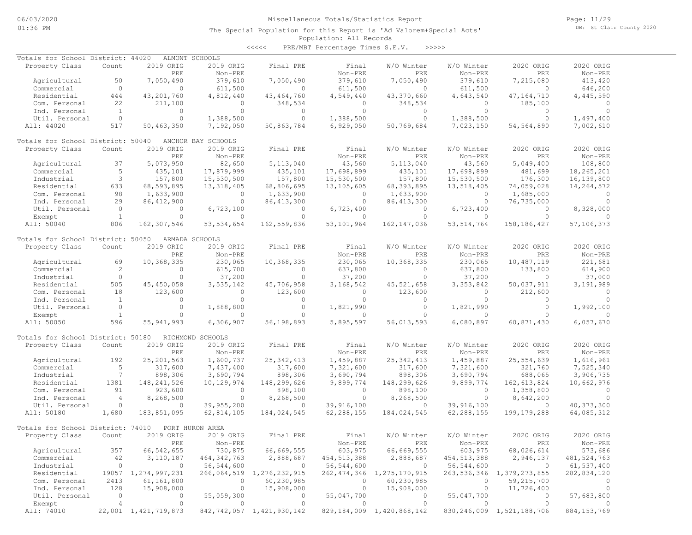| Totals for School District: 44020 |                      |                        | ALMONT SCHOOLS     |                                |                |                                |              |                                |               |
|-----------------------------------|----------------------|------------------------|--------------------|--------------------------------|----------------|--------------------------------|--------------|--------------------------------|---------------|
| Property Class                    | Count                | 2019 ORIG              | 2019 ORIG          | Final PRE                      | Final          | W/O Winter                     | W/O Winter   | 2020 ORIG                      | 2020 ORIG     |
|                                   |                      | PRE                    | Non-PRE            |                                | Non-PRE        | PRE                            | Non-PRE      | PRE                            | Non-PRE       |
| Agricultural                      | 50                   | 7,050,490              | 379,610            | 7,050,490                      | 379,610        | 7,050,490                      | 379,610      | 7,215,080                      | 413,420       |
| Commercial                        | $\circ$              | $\circ$                | 611,500            | $\circ$                        | 611,500        | $\Omega$                       | 611,500      | $\Omega$                       | 646,200       |
| Residential                       | 444                  | 43,201,760             | 4,812,440          | 43, 464, 760                   | 4,549,440      | 43,370,660                     | 4,643,540    | 47, 164, 710                   | 4,445,590     |
| Com. Personal                     | 22                   | 211,100                | $\Omega$           | 348,534                        | $\circ$        | 348,534                        | $\circ$      | 185,100                        | $\Omega$      |
| Ind. Personal                     | $\overline{1}$       | $\circ$                | $\circ$            | $\circ$                        | $\circ$        | $\circ$                        | $\circ$      | $\circ$                        | $\Omega$      |
|                                   |                      | $\circ$                |                    |                                |                |                                |              |                                |               |
| Util. Personal                    | $\circ$              |                        | 1,388,500          | $\circ$                        | 1,388,500      | $\circ$                        | 1,388,500    | $\circ$                        | 1,497,400     |
| All: 44020                        | 517                  | 50,463,350             | 7,192,050          | 50,863,784                     | 6,929,050      | 50,769,684                     | 7,023,150    | 54, 564, 890                   | 7,002,610     |
| Totals for School District: 50040 |                      |                        | ANCHOR BAY SCHOOLS |                                |                |                                |              |                                |               |
| Property Class                    | Count                | 2019 ORIG              | 2019 ORIG          | Final PRE                      | Final          | W/O Winter                     | W/O Winter   | 2020 ORIG                      | 2020 ORIG     |
|                                   |                      | PRE                    | Non-PRE            |                                | Non-PRE        | PRE                            | Non-PRE      | PRE                            | Non-PRE       |
| Agricultural                      | 37                   | 5,073,950              | 82,650             | 5,113,040                      | 43,560         | 5,113,040                      | 43,560       | 5,049,400                      | 108,800       |
| Commercial                        | 5                    | 435,101                | 17,879,999         | 435,101                        | 17,698,899     | 435,101                        | 17,698,899   | 481,699                        | 18,265,201    |
| Industrial                        | 3                    | 157,800                | 15,530,500         | 157,800                        | 15,530,500     | 157,800                        | 15,530,500   | 176,300                        | 16,139,800    |
| Residential                       | 633                  | 68,593,895             | 13, 318, 405       | 68,806,695                     | 13,105,605     | 68, 393, 895                   | 13,518,405   | 74,059,028                     | 14,264,572    |
| Com. Personal                     | 98                   | 1,633,900              | $\circ$            | 1,633,900                      | $\circ$        | 1,633,900                      | $\circ$      | 1,685,000                      | $\Omega$      |
|                                   |                      |                        | $\circ$            |                                |                |                                |              |                                | $\Omega$      |
| Ind. Personal                     | 29                   | 86, 412, 900           |                    | 86, 413, 300                   | $\circ$        | 86, 413, 300                   | $\circ$      | 76,735,000                     |               |
| Util. Personal                    | $\circ$              | $\circ$                | 6,723,100          | $\circ$                        | 6,723,400      | $\circ$                        | 6,723,400    | $\circ$                        | 8,328,000     |
| Exempt                            | $\mathbf{1}$         | $\Omega$               | $\Omega$           | $\Omega$                       | $\circ$        | $\Omega$                       | $\Omega$     | $\Omega$                       | $\bigcap$     |
| All: 50040                        | 806                  | 162,307,546            | 53, 534, 654       | 162,559,836                    | 53,101,964     | 162, 147, 036                  | 53, 514, 764 | 158, 186, 427                  | 57,106,373    |
| Totals for School District: 50050 |                      |                        | ARMADA SCHOOLS     |                                |                |                                |              |                                |               |
| Property Class                    | Count                | 2019 ORIG              | 2019 ORIG          | Final PRE                      | Final          | W/O Winter                     | W/O Winter   | 2020 ORIG                      | 2020 ORIG     |
|                                   |                      | PRE                    | Non-PRE            |                                | Non-PRE        | PRE                            | Non-PRE      | PRE                            | Non-PRE       |
| Agricultural                      | 69                   | 10,368,335             | 230,065            | 10,368,335                     | 230,065        | 10,368,335                     | 230,065      | 10,487,119                     | 221,681       |
| Commercial                        | $\mathbf{2}^{\circ}$ | $\circ$                | 615,700            | $\circ$                        | 637,800        | $\circ$                        | 637,800      | 133,800                        | 614,900       |
|                                   |                      |                        |                    |                                |                |                                |              |                                |               |
| Industrial                        | $\circ$              | $\circ$                | 37,200             | $\circ$                        | 37,200         | $\circ$                        | 37,200       | $\circ$                        | 37,000        |
| Residential                       | 505                  | 45, 450, 058           | 3,535,142          | 45,706,958                     | 3,168,542      | 45, 521, 658                   | 3,353,842    | 50,037,911                     | 3,191,989     |
| Com. Personal                     | 18                   | 123,600                | $\circ$            | 123,600                        | $\circ$        | 123,600                        | $\circ$      | 212,600                        | $\circ$       |
| Ind. Personal                     | $\overline{1}$       | $\circ$                | $\circ$            | $\circ$                        | $\circ$        | $\circ$                        | $\circ$      | $\circ$                        | $\circ$       |
| Util. Personal                    | $\circ$              | $\circ$                | 1,888,800          | $\circ$                        | 1,821,990      | $\circ$                        | 1,821,990    | $\circ$                        | 1,992,100     |
| Exempt                            | <sup>1</sup>         | $\Omega$               | $\Omega$           | $\Omega$                       | $\Omega$       |                                | $\Omega$     | $\Omega$                       | $\Omega$      |
| All: 50050                        | 596                  | 55, 941, 993           | 6,306,907          | 56,198,893                     | 5,895,597      | 56,013,593                     | 6,080,897    | 60,871,430                     | 6,057,670     |
| Totals for School District: 50180 |                      |                        | RICHMOND SCHOOLS   |                                |                |                                |              |                                |               |
|                                   | Count                | 2019 ORIG              | 2019 ORIG          | Final PRE                      | Final          | W/O Winter                     | W/O Winter   | 2020 ORIG                      | 2020 ORIG     |
| Property Class                    |                      |                        |                    |                                |                |                                |              |                                |               |
|                                   |                      | PRE                    | Non-PRE            |                                | Non-PRE        | PRE                            | Non-PRE      | PRE                            | Non-PRE       |
| Agricultural                      | 192                  | 25, 201, 563           | 1,600,737          | 25, 342, 413                   | 1,459,887      | 25, 342, 413                   | 1,459,887    | 25,554,639                     | 1,616,961     |
| Commercial                        | 5                    | 317,600                | 7,437,400          | 317,600                        | 7,321,600      | 317,600                        | 7,321,600    | 321,760                        | 7,525,340     |
| Industrial                        | $7\phantom{.0}$      | 898,306                | 3,690,794          | 898,306                        | 3,690,794      | 898,306                        | 3,690,794    | 688,065                        | 3,906,735     |
| Residential                       | 1381                 | 148, 241, 526          | 10,129,974         | 148,299,626                    | 9,899,774      | 148,299,626                    | 9,899,774    | 162,613,824                    | 10,662,976    |
| Com. Personal                     | 91                   | 923,600                | $\circ$            | 898,100                        | $\circ$        | 898,100                        | $\circ$      | 1,358,800                      | $\circ$       |
| Ind. Personal                     | $\overline{4}$       | 8,268,500              | $\circ$            | 8,268,500                      | $\circ$        | 8,268,500                      | $\circ$      | 8,642,200                      | $\Omega$      |
| Util. Personal                    | $\circ$              | $\circ$                | 39,955,200         | 0                              | 39,916,100     | $\circ$                        | 39,916,100   | $\Omega$                       | 40, 373, 300  |
| All: 50180                        | 1,680                | 183,851,095            | 62,814,105         | 184,024,545                    | 62,288,155     | 184,024,545                    | 62,288,155   | 199, 179, 288                  | 64,085,312    |
|                                   |                      |                        |                    |                                |                |                                |              |                                |               |
| Totals for School District: 74010 |                      |                        | PORT HURON AREA    |                                |                |                                |              |                                |               |
| Property Class                    | Count                | 2019 ORIG              | 2019 ORIG          | Final PRE                      | Final          | W/O Winter                     | W/O Winter   | 2020 ORIG                      | 2020 ORIG     |
|                                   |                      | PRE                    | Non-PRE            |                                | Non-PRE        | PRE                            | Non-PRE      | PRE                            | Non-PRE       |
| Agricultural                      | 357                  | 66, 542, 655           | 730,875            | 66,669,555                     | 603,975        | 66,669,555                     | 603,975      | 68,026,614                     | 573,686       |
| Commercial                        | 42                   | 3,110,187              | 464, 342, 763      | 2,888,687                      | 454, 513, 388  | 2,888,687                      | 454,513,388  | 2,946,137                      | 481, 524, 763 |
| Industrial                        | $\circ$              | $\overline{0}$         | 56,544,600         | $\overline{0}$                 | 56,544,600     | $\overline{0}$                 | 56,544,600   | $\overline{0}$                 | 61,537,400    |
| Residential                       |                      | 19057 1, 274, 997, 231 |                    | 266,064,519 1,276,232,915      |                | 262, 474, 346 1, 275, 170, 915 |              | 263, 536, 346 1, 379, 273, 855 | 282,834,120   |
| Com. Personal                     | 2413                 | 61,161,800             | $\circ$            | 60,230,985                     | $\circ$        | 60,230,985                     | $\circ$      | 59,215,700                     | $\circ$       |
|                                   | 128                  | 15,908,000             | 0                  | 15,908,000                     | $\circ$        | 15,908,000                     | $\circ$      | 11,726,400                     | $\circ$       |
| Ind. Personal                     |                      |                        |                    |                                |                |                                |              |                                |               |
| Util. Personal                    | $\overline{0}$       | 0                      | 55,059,300         | 0                              | 55,047,700     | $\overline{0}$                 | 55,047,700   | $\circ$                        | 57,683,800    |
| Exempt                            | 4                    | $\circ$                | $\circ$            | $\circ$                        | $\overline{0}$ | $\circ$                        | $\sim$ 0     | $\circ$                        | $\Omega$      |
| All: 74010                        |                      | 22,001 1,421,719,873   |                    | 842, 742, 057 1, 421, 930, 142 |                | 829, 184, 009 1, 420, 868, 142 |              | 830, 246, 009 1, 521, 188, 706 | 884, 153, 769 |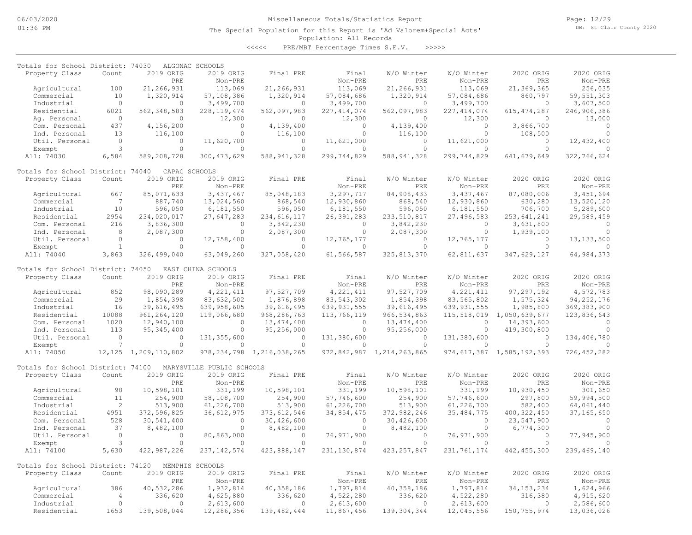Page: 12/29 DB: St Clair County 2020

### Population: All Records The Special Population for this Report is 'Ad Valorem+Special Acts'

| Totals for School District: 74030 |                            |                           | ALGONAC SCHOOLS           |                                           |                             |                           |                         |                             |                          |
|-----------------------------------|----------------------------|---------------------------|---------------------------|-------------------------------------------|-----------------------------|---------------------------|-------------------------|-----------------------------|--------------------------|
| Property Class                    | Count                      | 2019 ORIG                 | 2019 ORIG                 | Final PRE                                 | Final                       | W/O Winter                | W/O Winter              | 2020 ORIG                   | 2020 ORIG                |
|                                   |                            | PRE                       | Non-PRE                   |                                           | Non-PRE                     | PRE                       | Non-PRE                 | PRE                         | Non-PRE                  |
| Agricultural<br>Commercial        | 100<br>10                  | 21,266,931<br>1,320,914   | 113,069<br>57,108,386     | 21,266,931<br>1,320,914                   | 113,069<br>57,084,686       | 21,266,931<br>1,320,914   | 113,069<br>57,084,686   | 21,369,365<br>860,797       | 256,035<br>59, 551, 303  |
| Industrial                        | $\circ$                    | $\circ$                   | 3,499,700                 | $\circ$                                   | 3,499,700                   | $\circ$                   | 3,499,700               | $\circ$                     | 3,607,500                |
| Residential                       | 6021                       | 562, 348, 583             | 228, 119, 474             | 562,097,983                               | 227, 414, 074               | 562,097,983               | 227, 414, 074           | 615, 474, 287               | 246,906,386              |
| Ag. Personal                      | $\circ$                    | $\circ$                   | 12,300                    | $\Omega$                                  | 12,300                      | $\circ$                   | 12,300                  | $\circ$                     | 13,000                   |
| Com. Personal                     | 437                        | 4,156,200                 | $\circ$                   | 4,139,400                                 | $\circ$                     | 4,139,400                 | $\Omega$                | 3,866,700                   | $\circ$                  |
| Ind. Personal                     | 13                         | 116,100                   | $\Omega$                  | 116,100                                   | $\circ$                     | 116,100                   | $\Omega$                | 108,500                     | $\Omega$                 |
| Util. Personal                    | $\circ$                    | $\circ$                   | 11,620,700                | 0                                         | 11,621,000                  | 0                         | 11,621,000              | $\circ$                     | 12,432,400               |
| Exempt                            | 3                          | $\Omega$                  | $\circ$                   | $\Omega$                                  | $\Omega$                    | $\circ$                   | $\Omega$                | $\circ$                     |                          |
| All: 74030                        | 6,584                      | 589,208,728               | 300, 473, 629             | 588, 941, 328                             | 299,744,829                 | 588, 941, 328             | 299,744,829             | 641, 679, 649               | 322,766,624              |
| Totals for School District: 74040 |                            | CAPAC SCHOOLS             |                           |                                           |                             |                           |                         |                             |                          |
| Property Class                    | Count                      | 2019 ORIG                 | 2019 ORIG                 | Final PRE                                 | Final                       | W/O Winter                | W/O Winter              | 2020 ORIG                   | 2020 ORIG                |
|                                   |                            | PRE                       | Non-PRE                   |                                           | Non-PRE                     | PRE                       | Non-PRE                 | PRE                         | $Non-PRE$                |
| Agricultural                      | 667                        | 85,071,633                | 3,437,467                 | 85,048,183                                | 3,297,717                   | 84,908,433                | 3,437,467               | 87,080,006                  | 3,451,694                |
| Commercial                        | 7                          | 887,740                   | 13,024,560                | 868,540                                   | 12,930,860                  | 868,540                   | 12,930,860              | 630,280                     | 13,520,120               |
| Industrial                        | 10                         | 596,050                   | 6,181,550                 | 596,050                                   | 6,181,550                   | 596,050                   | 6,181,550               | 706,700                     | 5,289,600                |
| Residential                       | 2954                       | 234,020,017               | 27,647,283                | 234,616,117                               | 26,391,283                  | 233, 510, 817             | 27,496,583              | 253,641,241                 | 29,589,459               |
| Com. Personal                     | 216                        | 3,836,300                 | $\mathbf{0}$              | 3,842,230                                 | $\mathbf{0}$                | 3,842,230                 | $\circ$                 | 3,631,800                   | $\Omega$                 |
| Ind. Personal                     | 8                          | 2,087,300                 | $\mathbf{0}$              | 2,087,300                                 | $\circ$                     | 2,087,300                 | $\circ$                 | 1,939,100                   | $\Omega$                 |
| Util. Personal                    | $\Omega$<br>$\mathbf{1}$   | $\Omega$<br>$\Omega$      | 12,758,400<br>$\Omega$    | $\Omega$<br>$\Omega$                      | 12,765,177<br>$\Omega$      | $\Omega$<br>$\Omega$      | 12,765,177<br>$\Omega$  | $\circ$<br>$\Omega$         | 13, 133, 500             |
| Exempt<br>All: 74040              | 3,863                      | 326,499,040               |                           | 327,058,420                               | 61,566,587                  | 325, 813, 370             | 62,811,637              | 347,629,127                 | 64,984,373               |
|                                   |                            |                           | 63,049,260                |                                           |                             |                           |                         |                             |                          |
| Totals for School District: 74050 |                            |                           | EAST CHINA SCHOOLS        |                                           |                             |                           |                         |                             |                          |
| Property Class                    | Count                      | 2019 ORIG                 | 2019 ORIG                 | Final PRE                                 | Final                       | W/O Winter                | W/O Winter              | 2020 ORIG                   | 2020 ORIG                |
|                                   |                            | PRE                       | Non-PRE                   |                                           | Non-PRE                     | PRE                       | Non-PRE                 | <b>PRE</b>                  | Non-PRE                  |
| Agricultural                      | 852                        | 98,090,289                | 4, 221, 411               | 97,527,709                                | 4, 221, 411                 | 97,527,709                | 4, 221, 411             | 97, 297, 192                | 4,572,783                |
| Commercial                        | 29                         | 1,854,398                 | 83,632,502                | 1,876,898                                 | 83, 543, 302                | 1,854,398                 | 83,565,802              | 1,575,324                   | 94, 252, 176             |
| Industrial                        | 16                         | 39,616,495                | 639,958,605               | 39,616,495                                | 639, 931, 555               | 39,616,495                | 639, 931, 555           | 1,985,800                   | 369, 383, 900            |
| Residential                       | 10088                      | 961, 264, 120             | 119,066,680               | 968, 286, 763                             | 113,766,119                 | 966, 534, 863             | 115,518,019             | 1,050,639,677               | 123,836,643              |
| Com. Personal                     | 1020                       | 12,940,100                | $\mathbf{0}$              | 13, 474, 400                              | $\circ$                     | 13, 474, 400              | $\circ$                 | 14,393,600                  | $\Omega$                 |
| Ind. Personal                     | 113                        | 95, 345, 400              | $\circ$                   | 95,256,000                                | $\circ$                     | 95,256,000                | $\circ$                 | 419,300,800                 | $\Omega$                 |
| Util. Personal                    | $\circ$<br>$7\phantom{.0}$ | $\Omega$<br>$\circ$       | 131, 355, 600             | $\Omega$                                  | 131,380,600                 | $\Omega$<br>$\circ$       | 131,380,600<br>$\Omega$ | $\Omega$<br>$\circ$         | 134,406,780              |
| Exempt<br>All: 74050              | 12,125                     | 1,209,110,802             | 0                         | $\circ$<br>978, 234, 798 1, 216, 038, 265 | $\mathbf{0}$<br>972,842,987 | 1,214,263,865             | 974,617,387             | 1,585,192,393               | 726, 452, 282            |
|                                   |                            |                           |                           |                                           |                             |                           |                         |                             |                          |
| Totals for School District: 74100 |                            |                           | MARYSVILLE PUBLIC SCHOOLS |                                           |                             |                           |                         |                             |                          |
| Property Class                    | Count                      | 2019 ORIG                 | 2019 ORIG                 | Final PRE                                 | Final                       | W/O Winter                | W/O Winter              | 2020 ORIG                   | 2020 ORIG                |
|                                   |                            | PRE                       | Non-PRE                   |                                           | Non-PRE                     | PRE                       | Non-PRE                 | PRE                         | Non-PRE                  |
| Agricultural                      | 98                         | 10,598,101                | 331,199                   | 10,598,101                                | 331,199                     | 10,598,101                | 331,199                 | 10,930,450                  | 301,650                  |
| Commercial                        | 11<br>2                    | 254,900                   | 58,108,700                | 254,900                                   | 57,746,600                  | 254,900                   | 57,746,600              | 297,800                     | 59,994,500               |
| Industrial<br>Residential         | 4951                       | 513,900                   | 61,226,700                | 513,900                                   | 61,226,700                  | 513,900                   | 61,226,700              | 582,400                     | 64,061,440               |
| Com. Personal                     | 528                        | 372,596,825<br>30,541,400 | 36,612,975<br>0           | 373, 612, 546<br>30,426,600               | 34,854,475<br>$\circ$       | 372,982,246<br>30,426,600 | 35, 484, 775<br>$\circ$ | 400, 322, 450<br>23,547,900 | 37, 165, 650<br>$\Omega$ |
| Ind. Personal                     | 37                         | 8,482,100                 | $\circ$                   | 8,482,100                                 | $\circ$                     | 8,482,100                 | $\circ$                 | 6,774,300                   | $\cap$                   |
| Util. Personal                    | $\circ$                    | $\circ$                   | 80,863,000                | $\circ$                                   | 76,971,900                  | $\circ$                   | 76,971,900              | $\circ$                     | 77,945,900               |
| Exempt                            | 3                          | $\Omega$                  | $\mathbf{0}$              | $\Omega$                                  | $\Omega$                    | $\circ$                   | $\bigcap$               | $\circ$                     |                          |
| All: 74100                        | 5,630                      | 422,987,226               | 237, 142, 574             | 423,888,147                               | 231, 130, 874               | 423, 257, 847             | 231,761,174             | 442, 455, 300               | 239,469,140              |
|                                   |                            |                           |                           |                                           |                             |                           |                         |                             |                          |
| Totals for School District: 74120 |                            |                           | MEMPHIS SCHOOLS           |                                           |                             |                           |                         |                             |                          |
| Property Class                    | Count                      | 2019 ORIG                 | 2019 ORIG                 | Final PRE                                 | Final                       | W/O Winter                | W/O Winter              | 2020 ORIG                   | 2020 ORIG                |
|                                   |                            | PRE                       | Non-PRE                   |                                           | Non-PRE                     | PRE                       | Non-PRE                 | PRE                         | Non-PRE                  |
| Agricultural                      | 386                        | 40,532,286                | 1,932,814                 | 40,358,186                                | 1,797,814                   | 40,358,186                | 1,797,814               | 34, 153, 234                | 1,624,966                |
| Commercial                        | $\overline{4}$<br>$\circ$  | 336,620                   | 4,625,880                 | 336,620                                   | 4,522,280                   | 336,620                   | 4,522,280               | 316,380                     | 4,915,620                |
| Industrial<br>Residential         | 1653                       | $\circ$                   | 2,613,600<br>12,286,356   | $\Omega$                                  | 2,613,600                   | $\circ$                   | 2,613,600               | $\circ$                     | 2,586,600                |
|                                   |                            | 139,508,044               |                           | 139, 482, 444                             | 11,867,456                  | 139, 304, 344             | 12,045,556              | 150, 755, 974               | 13,036,026               |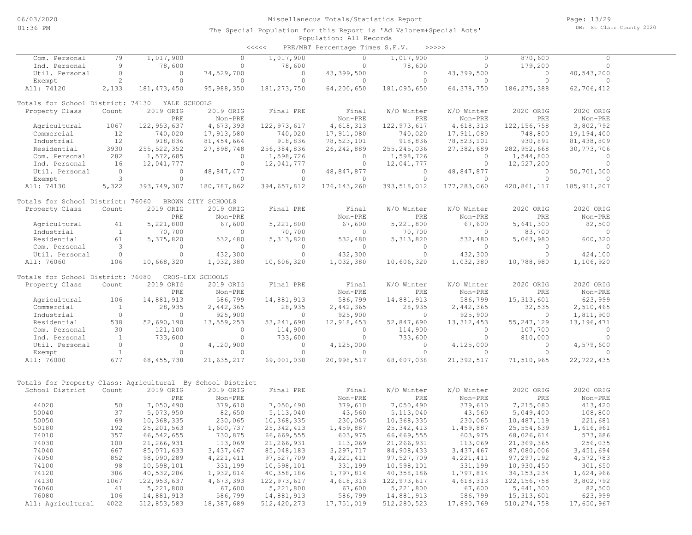| Com. Personal                                              | 79             | 1,017,900                | $\circ$                  | 1,017,900                | $\circ$                  | 1,017,900                | $\circ$                  | 870,600                    | $\Omega$                 |  |
|------------------------------------------------------------|----------------|--------------------------|--------------------------|--------------------------|--------------------------|--------------------------|--------------------------|----------------------------|--------------------------|--|
| Ind. Personal                                              | 9              | 78,600                   | $\Omega$                 | 78,600                   | $\Omega$                 | 78,600                   | $\circ$                  | 179,200                    | $\Omega$                 |  |
| Util. Personal                                             | $\circ$        | $\circ$                  | 74,529,700               | $\circ$                  | 43,399,500               | $\circ$                  | 43,399,500               | 0                          | 40,543,200               |  |
| Exempt                                                     | $\overline{c}$ | $\circ$                  | $\Omega$                 | $\circ$                  | $\circ$                  | $\circ$                  | $\circ$                  | $\circ$                    | $\circ$                  |  |
| All: 74120                                                 | 2,133          | 181, 473, 450            | 95,988,350               | 181, 273, 750            | 64,200,650               | 181,095,650              | 64,378,750               | 186, 275, 388              | 62,706,412               |  |
| Totals for School District: 74130                          |                | YALE SCHOOLS             |                          |                          |                          |                          |                          |                            |                          |  |
| Property Class                                             | Count          | 2019 ORIG                | 2019 ORIG                | Final PRE                | Final                    | W/O Winter               | W/O Winter               | 2020 ORIG                  | 2020 ORIG                |  |
|                                                            |                | PRE                      | Non-PRE                  |                          | Non-PRE                  | PRE                      | Non-PRE                  | PRE                        | Non-PRE                  |  |
| Agricultural                                               | 1067           | 122, 953, 637            | 4,673,393                | 122, 973, 617            | 4,618,313                | 122, 973, 617            | 4,618,313                | 122, 156, 758              | 3,802,792                |  |
| Commercial                                                 | 12             | 740,020                  | 17,913,580               | 740,020                  | 17,911,080               | 740,020                  | 17,911,080               | 748,800                    | 19,194,400               |  |
| Industrial                                                 | 12             | 918,836                  | 81, 454, 664             | 918,836                  | 78, 523, 101             | 918,836                  | 78, 523, 101             | 930,891                    | 81,438,809               |  |
| Residential                                                | 3930           | 255, 522, 352            | 27,898,748               | 256, 384, 836            | 26, 242, 889             | 255, 245, 036            | 27,382,689               | 282, 952, 668              | 30, 773, 706             |  |
| Com. Personal                                              | 282            | 1,572,685                | $\Omega$                 | 1,598,726                | $\Omega$                 | 1,598,726                | $\Omega$                 | 1,544,800                  | $\Omega$                 |  |
| Ind. Personal                                              | 16             | 12,041,777               | $\circ$                  | 12,041,777               | $\circ$                  | 12,041,777               | $\circ$                  | 12,527,200                 | $\circ$                  |  |
| Util. Personal                                             | $\circ$        | $\circ$                  | 48,847,477               | $\circ$                  | 48,847,877               | $\circ$                  | 48,847,877               | $\circ$                    | 50,701,500               |  |
| Exempt                                                     | 3              | $\circ$                  | $\Omega$                 | $\circ$                  | $\Omega$                 | $\circ$                  | $\Omega$                 | $\circ$                    | $\Omega$                 |  |
| All: 74130                                                 | 5,322          | 393,749,307              | 180,787,862              | 394,657,812              | 176, 143, 260            | 393,518,012              | 177,283,060              | 420,861,117                | 185, 911, 207            |  |
| Totals for School District: 76060                          |                |                          | BROWN CITY SCHOOLS       |                          |                          |                          |                          |                            |                          |  |
| Property Class                                             | Count          | 2019 ORIG                | 2019 ORIG                | Final PRE                | Final                    | W/O Winter               | W/O Winter               | 2020 ORIG                  | 2020 ORIG                |  |
|                                                            |                | PRE                      | Non-PRE                  |                          | Non-PRE                  | PRE                      | Non-PRE                  | PRE                        | Non-PRE                  |  |
| Agricultural                                               | 41             | 5,221,800                | 67,600                   | 5,221,800                | 67,600                   | 5,221,800                | 67,600                   | 5,641,300                  | 82,500                   |  |
| Industrial                                                 | $\mathbf{1}$   | 70,700                   | $\circ$                  | 70,700                   | $\circ$                  | 70,700                   | $\circ$                  | 83,700                     | $\circ$                  |  |
| Residential                                                | 61             | 5,375,820                | 532,480                  | 5, 313, 820              | 532,480                  | 5, 313, 820              | 532,480                  | 5,063,980                  | 600,320                  |  |
| Com. Personal                                              | 3              | $\Omega$                 | $\Omega$                 | $\circ$                  | $\Omega$                 | $\Omega$                 | $\Omega$                 | $\Omega$                   | $\Omega$                 |  |
| Util. Personal                                             | $\circ$        | $\Omega$                 | 432,300                  | $\Omega$                 | 432,300                  | $\circ$                  | 432,300                  | $\cap$                     | 424,100                  |  |
| All: 76060                                                 | 106            | 10,668,320               | 1,032,380                | 10,606,320               | 1,032,380                | 10,606,320               | 1,032,380                | 10,788,980                 | 1,106,920                |  |
| Totals for School District: 76080                          |                |                          | CROS-LEX SCHOOLS         |                          |                          |                          |                          |                            |                          |  |
| Property Class                                             | Count          | 2019 ORIG                | 2019 ORIG                | Final PRE                | Final                    | W/O Winter               | W/O Winter               | 2020 ORIG                  | 2020 ORIG                |  |
|                                                            |                | PRE                      | Non-PRE                  |                          | Non-PRE                  | PRE                      | Non-PRE                  | PRE                        | Non-PRE                  |  |
| Agricultural                                               | 106            | 14,881,913               | 586,799                  | 14,881,913               | 586,799                  | 14,881,913               | 586,799                  | 15, 313, 601               | 623,999                  |  |
| Commercial                                                 | $\mathbf{1}$   | 28,935                   | 2,442,365                | 28,935                   | 2,442,365                | 28,935                   | 2,442,365                | 32,535                     | 2,510,465                |  |
| Industrial                                                 | $\circ$        | $\circ$                  | 925,900                  | $\circ$                  | 925,900                  | $\circ$                  | 925,900                  | $\circ$                    | 1,811,900                |  |
| Residential                                                | 538            | 52,690,190               | 13,559,253               | 53, 241, 690             | 12,918,453               | 52,847,690               | 13, 312, 453             | 55, 247, 129               | 13, 196, 471             |  |
| Com. Personal                                              | 30             | 121,100                  | $\circ$                  | 114,900                  | $\circ$                  | 114,900                  | $\circ$                  | 107,700                    | $\circ$                  |  |
| Ind. Personal                                              | <sup>1</sup>   | 733,600                  | $\Omega$                 | 733,600                  | $\Omega$                 | 733,600                  | $\circ$                  | 810,000                    | $\Omega$                 |  |
| Util. Personal                                             | $\circ$        | $\circ$                  | 4,120,900                | $\circ$                  | 4,125,000                | $\circ$                  | 4,125,000                | $\circ$                    | 4,579,600                |  |
| Exempt                                                     | <sup>1</sup>   | $\circ$                  | $\Omega$                 | $\circ$                  | $\Omega$                 | $\circ$                  | $\Omega$                 | $\circ$                    | $\bigcap$                |  |
| All: 76080                                                 | 677            | 68, 455, 738             | 21,635,217               | 69,001,038               | 20,998,517               | 68,607,038               | 21,392,517               | 71,510,965                 | 22,722,435               |  |
|                                                            |                |                          |                          |                          |                          |                          |                          |                            |                          |  |
| Totals for Property Class: Agricultural By School District |                |                          |                          |                          |                          |                          |                          |                            |                          |  |
| School District                                            | Count          | 2019 ORIG                | 2019 ORIG                | Final PRE                | Final                    | W/O Winter               | W/O Winter               | 2020 ORIG                  | 2020 ORIG                |  |
|                                                            |                | PRE                      | Non-PRE                  |                          | Non-PRE                  | PRE                      | Non-PRE                  | PRE                        | Non-PRE                  |  |
| 44020                                                      | 50             | 7,050,490                | 379,610                  | 7,050,490                | 379,610                  | 7,050,490                | 379,610                  | 7,215,080                  | 413,420                  |  |
| 50040                                                      | 37             | 5,073,950                | 82,650                   | 5,113,040                | 43,560                   | 5, 113, 040              | 43,560                   | 5,049,400                  | 108,800                  |  |
| 50050                                                      | 69             | 10,368,335               | 230,065                  | 10,368,335               | 230,065                  | 10,368,335               | 230,065                  | 10,487,119                 | 221,681                  |  |
| 50180<br>74010                                             | 192<br>357     | 25, 201, 563             | 1,600,737                | 25, 342, 413             | 1,459,887                | 25, 342, 413             | 1,459,887                | 25, 554, 639               | 1,616,961                |  |
|                                                            | 100            | 66, 542, 655             | 730,875                  | 66,669,555               | 603,975                  | 66,669,555               | 603,975                  | 68,026,614                 | 573,686                  |  |
| 74030<br>74040                                             | 667            | 21,266,931               | 113,069                  | 21,266,931               | 113,069                  | 21,266,931               | 113,069                  | 21,369,365                 | 256,035                  |  |
| 74050                                                      | 852            | 85,071,633<br>98,090,289 | 3,437,467<br>4, 221, 411 | 85,048,183<br>97,527,709 | 3,297,717<br>4, 221, 411 | 84,908,433<br>97,527,709 | 3,437,467<br>4, 221, 411 | 87,080,006<br>97, 297, 192 | 3, 451, 694<br>4,572,783 |  |
| 74100                                                      | 98             | 10,598,101               | 331,199                  | 10,598,101               | 331,199                  | 10,598,101               | 331,199                  |                            |                          |  |
| 74120                                                      | 386            | 40,532,286               | 1,932,814                | 40,358,186               | 1,797,814                | 40,358,186               | 1,797,814                | 10,930,450<br>34, 153, 234 | 301,650<br>1,624,966     |  |
| 74130                                                      | 1067           | 122, 953, 637            | 4,673,393                | 122, 973, 617            | 4,618,313                | 122, 973, 617            | 4,618,313                | 122, 156, 758              | 3,802,792                |  |
| 76060                                                      | 41             | 5,221,800                | 67,600                   | 5,221,800                | 67,600                   | 5,221,800                | 67,600                   | 5,641,300                  | 82,500                   |  |
| 76080                                                      | 106            | 14,881,913               | 586,799                  | 14,881,913               | 586,799                  | 14,881,913               | 586,799                  | 15, 313, 601               | 623,999                  |  |
| All: Agricultural                                          | 4022           | 512,853,583              | 18,387,689               | 512, 420, 273            | 17,751,019               | 512,280,523              | 17,890,769               | 510, 274, 758              | 17,650,967               |  |
|                                                            |                |                          |                          |                          |                          |                          |                          |                            |                          |  |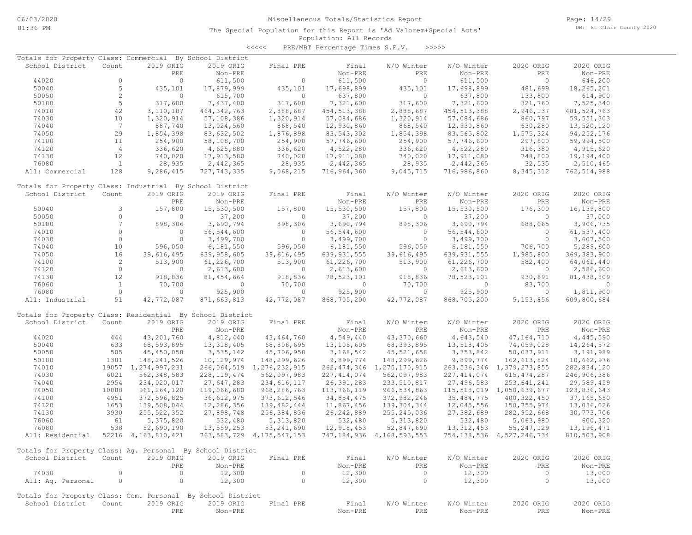Page: 14/29 DB: St Clair County 2020

### Population: All Records The Special Population for this Report is 'Ad Valorem+Special Acts'

| Totals for Property Class: Commercial                       |                 |                        | By School District |                                |               |                                |               |                                |               |
|-------------------------------------------------------------|-----------------|------------------------|--------------------|--------------------------------|---------------|--------------------------------|---------------|--------------------------------|---------------|
| School District                                             | Count           | 2019 ORIG              | 2019 ORIG          | Final PRE                      | Final         | W/O Winter                     | W/O Winter    | 2020 ORIG                      | 2020 ORIG     |
|                                                             |                 | PRE                    | Non-PRE            |                                | Non-PRE       | PRE                            | Non-PRE       | PRE                            | Non-PRE       |
| 44020                                                       | $\circ$         | $\circ$                | 611,500            | $\circ$                        | 611,500       | $\circ$                        | 611,500       | $\overline{0}$                 | 646,200       |
| 50040                                                       | 5               | 435,101                | 17,879,999         | 435,101                        | 17,698,899    | 435,101                        | 17,698,899    | 481,699                        | 18,265,201    |
| 50050                                                       | 2               | $\circ$                | 615,700            | $\circ$                        | 637,800       | $\Omega$                       | 637,800       | 133,800                        | 614,900       |
| 50180                                                       | 5               | 317,600                | 7,437,400          | 317,600                        | 7,321,600     | 317,600                        | 7,321,600     | 321,760                        | 7,525,340     |
| 74010                                                       | 42              | 3, 110, 187            | 464, 342, 763      | 2,888,687                      | 454, 513, 388 | 2,888,687                      | 454, 513, 388 | 2,946,137                      | 481, 524, 763 |
| 74030                                                       | 10              | 1,320,914              | 57,108,386         | 1,320,914                      | 57,084,686    | 1,320,914                      | 57,084,686    | 860,797                        | 59, 551, 303  |
| 74040                                                       | $7\phantom{.0}$ | 887,740                | 13,024,560         | 868,540                        | 12,930,860    | 868,540                        | 12,930,860    | 630,280                        | 13,520,120    |
| 74050                                                       | 29              | 1,854,398              | 83,632,502         | 1,876,898                      | 83, 543, 302  | 1,854,398                      | 83,565,802    | 1,575,324                      | 94, 252, 176  |
| 74100                                                       | 11              | 254,900                | 58,108,700         | 254,900                        | 57,746,600    | 254,900                        | 57,746,600    | 297,800                        | 59,994,500    |
| 74120                                                       | $\overline{4}$  | 336,620                | 4,625,880          | 336,620                        | 4,522,280     | 336,620                        | 4,522,280     | 316,380                        |               |
|                                                             |                 |                        | 17,913,580         |                                |               |                                | 17,911,080    |                                | 4,915,620     |
| 74130                                                       | 12              | 740,020                |                    | 740,020                        | 17,911,080    | 740,020                        |               | 748,800                        | 19,194,400    |
| 76080                                                       | $\overline{1}$  | 28,935                 | 2,442,365          | 28,935                         | 2,442,365     | 28,935                         | 2,442,365     | 32,535                         | 2,510,465     |
| All: Commercial                                             | 128             | 9,286,415              | 727, 743, 335      | 9,068,215                      | 716,964,360   | 9,045,715                      | 716,986,860   | 8, 345, 312                    | 762,514,988   |
| Totals for Property Class: Industrial By School District    |                 |                        |                    |                                |               |                                |               |                                |               |
| School District                                             | Count           | 2019 ORIG              | 2019 ORIG          | Final PRE                      | Final         | W/O Winter                     | W/O Winter    | 2020 ORIG                      | 2020 ORIG     |
|                                                             |                 | PRE                    | Non-PRE            |                                | Non-PRE       | PRE                            | Non-PRE       | PRE                            | Non-PRE       |
| 50040                                                       | 3               | 157,800                | 15,530,500         | 157,800                        | 15,530,500    | 157,800                        | 15,530,500    | 176,300                        | 16,139,800    |
| 50050                                                       | $\circ$         | $\circ$                | 37,200             | $\circ$                        | 37,200        | $\circ$                        | 37,200        | $\circ$                        | 37,000        |
|                                                             | $7\phantom{.0}$ |                        |                    |                                |               |                                |               |                                |               |
| 50180                                                       | $\circ$         | 898,306                | 3,690,794          | 898,306                        | 3,690,794     | 898,306                        | 3,690,794     | 688,065                        | 3,906,735     |
| 74010                                                       |                 | $\circ$                | 56, 544, 600       | $\circ$                        | 56,544,600    | $\circ$                        | 56, 544, 600  | $\circ$                        | 61,537,400    |
| 74030                                                       | $\circ$         | $\circ$                | 3,499,700          | $\circ$                        | 3,499,700     | $\circ$                        | 3,499,700     | $\circ$                        | 3,607,500     |
| 74040                                                       | 10              | 596,050                | 6,181,550          | 596,050                        | 6,181,550     | 596,050                        | 6,181,550     | 706,700                        | 5,289,600     |
| 74050                                                       | 16              | 39,616,495             | 639,958,605        | 39,616,495                     | 639, 931, 555 | 39,616,495                     | 639, 931, 555 | 1,985,800                      | 369, 383, 900 |
| 74100                                                       | $\overline{c}$  | 513,900                | 61,226,700         | 513,900                        | 61,226,700    | 513,900                        | 61,226,700    | 582,400                        | 64,061,440    |
| 74120                                                       | $\circ$         | $\circ$                | 2,613,600          | $\circ$                        | 2,613,600     | $\circ$                        | 2,613,600     | $\overline{0}$                 | 2,586,600     |
| 74130                                                       | 12              | 918,836                | 81, 454, 664       | 918,836                        | 78,523,101    | 918,836                        | 78,523,101    | 930,891                        | 81,438,809    |
| 76060                                                       | $\mathbf{1}$    | 70,700                 | 0                  | 70,700                         | $\circ$       | 70,700                         | $\circ$       | 83,700                         | $\circ$       |
| 76080                                                       | $\circ$         | $\mathbf{0}$           | 925,900            | $\circ$                        | 925,900       | $\circ$                        | 925,900       | $\overline{0}$                 | 1,811,900     |
| All: Industrial                                             | 51              | 42,772,087             | 871,663,813        | 42,772,087                     | 868,705,200   | 42,772,087                     | 868,705,200   | 5, 153, 856                    | 609,800,684   |
| Totals for Property Class: Residential By School District   |                 |                        |                    |                                |               |                                |               |                                |               |
| School District                                             | Count           | 2019 ORIG              | 2019 ORIG          | Final PRE                      | Final         | W/O Winter                     | W/O Winter    | 2020 ORIG                      | 2020 ORIG     |
|                                                             |                 |                        |                    |                                |               |                                |               |                                |               |
|                                                             |                 | PRE                    | Non-PRE            |                                | Non-PRE       | PRE                            | Non-PRE       | PRE                            | Non-PRE       |
| 44020                                                       | 444             | 43,201,760             | 4,812,440          | 43, 464, 760                   | 4,549,440     | 43,370,660                     | 4,643,540     | 47, 164, 710                   | 4,445,590     |
| 50040                                                       | 633             | 68,593,895             | 13,318,405         | 68,806,695                     | 13,105,605    | 68,393,895                     | 13,518,405    | 74,059,028                     | 14,264,572    |
| 50050                                                       | 505             | 45, 450, 058           | 3,535,142          | 45,706,958                     | 3, 168, 542   | 45, 521, 658                   | 3, 353, 842   | 50,037,911                     | 3,191,989     |
| 50180                                                       | 1381            | 148, 241, 526          | 10,129,974         | 148,299,626                    | 9,899,774     | 148,299,626                    | 9,899,774     | 162,613,824                    | 10,662,976    |
| 74010                                                       |                 | 19057 1,274,997,231    | 266,064,519        | 1,276,232,915                  |               | 262, 474, 346 1, 275, 170, 915 | 263,536,346   | 1,379,273,855                  | 282,834,120   |
| 74030                                                       | 6021            | 562, 348, 583          | 228, 119, 474      | 562,097,983                    | 227, 414, 074 | 562,097,983                    | 227, 414, 074 | 615, 474, 287                  | 246,906,386   |
| 74040                                                       | 2954            | 234,020,017            | 27,647,283         | 234,616,117                    | 26, 391, 283  | 233, 510, 817                  | 27,496,583    | 253,641,241                    | 29,589,459    |
| 74050                                                       | 10088           | 961, 264, 120          | 119,066,680        | 968, 286, 763                  | 113,766,119   | 966, 534, 863                  |               | 115,518,019 1,050,639,677      | 123,836,643   |
| 74100                                                       | 4951            | 372,596,825            | 36,612,975         | 373, 612, 546                  | 34,854,475    | 372,982,246                    | 35, 484, 775  | 400, 322, 450                  | 37, 165, 650  |
| 74120                                                       | 1653            | 139,508,044            | 12,286,356         | 139,482,444                    | 11,867,456    | 139, 304, 344                  | 12,045,556    | 150,755,974                    | 13,036,026    |
| 74130                                                       | 3930            | 255, 522, 352          | 27,898,748         | 256,384,836                    | 26, 242, 889  | 255, 245, 036                  | 27,382,689    | 282,952,668                    | 30,773,706    |
| 76060                                                       | 61              | 5,375,820              | 532,480            | 5, 313, 820                    | 532,480       | 5, 313, 820                    | 532,480       | 5,063,980                      | 600,320       |
| 76080                                                       | 538             | 52,690,190             | 13,559,253         | 53, 241, 690                   | 12,918,453    | 52,847,690                     | 13, 312, 453  | 55, 247, 129                   | 13, 196, 471  |
| All: Residential                                            |                 | 52216 4, 163, 810, 421 |                    | 763, 583, 729 4, 175, 547, 153 |               | 747, 184, 936 4, 168, 593, 553 |               | 754, 138, 536 4, 527, 246, 734 | 810,503,908   |
|                                                             |                 |                        |                    |                                |               |                                |               |                                |               |
| Totals for Property Class: Ag. Personal By School District  |                 |                        |                    |                                |               |                                |               |                                |               |
| School District                                             | Count           | 2019 ORIG              | 2019 ORIG          | Final PRE                      | Final         | W/O Winter                     | W/O Winter    | 2020 ORIG                      | 2020 ORIG     |
|                                                             |                 | PRE                    | Non-PRE            |                                | Non-PRE       | PRE                            | Non-PRE       | PRE                            | Non-PRE       |
| 74030                                                       | $\circ$         | $\circ$                | 12,300             | $\circ$                        | 12,300        | $\circ$                        | 12,300        | $\circ$                        | 13,000        |
| All: Ag. Personal                                           | $\circ$         | $\circ$                | 12,300             | $\circ$                        | 12,300        | $\circ$                        | 12,300        | 0                              | 13,000        |
|                                                             |                 |                        |                    |                                |               |                                |               |                                |               |
| Totals for Property Class: Com. Personal By School District |                 |                        |                    |                                |               |                                |               |                                |               |
| School District                                             | Count           | 2019 ORIG              | 2019 ORIG          | Final PRE                      | Final         | W/O Winter                     | W/O Winter    | 2020 ORIG                      | 2020 ORIG     |
|                                                             |                 | PRE                    | Non-PRE            |                                | Non-PRE       | PRE                            | Non-PRE       | PRE                            | Non-PRE       |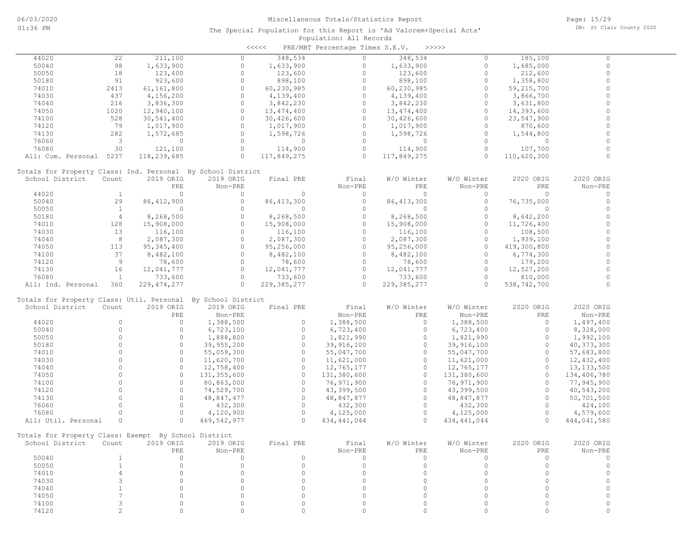| くくくくく |         | PRE/MBT Percentage Times S.E.V. |         | >>>>>> |  |
|-------|---------|---------------------------------|---------|--------|--|
|       | 348,534 |                                 | 348,534 |        |  |

| 44020                                                        | 22                      | 211,100       | $\circ$       | 348,534       | $\circ$       | 348,534       | $\Omega$      | 185,100     | $\Omega$       |  |
|--------------------------------------------------------------|-------------------------|---------------|---------------|---------------|---------------|---------------|---------------|-------------|----------------|--|
| 50040                                                        | 98                      | 1,633,900     | $\circ$       | 1,633,900     | $\Omega$      | 1,633,900     | $\circ$       | 1,685,000   | $\Omega$       |  |
| 50050                                                        | 18                      | 123,600       | $\circ$       | 123,600       | $\circ$       | 123,600       | $\circ$       | 212,600     | $\overline{0}$ |  |
| 50180                                                        | 91                      | 923,600       | $\circ$       | 898,100       | $\circ$       | 898,100       | $\circ$       | 1,358,800   | $\circ$        |  |
| 74010                                                        | 2413                    | 61,161,800    | $\circ$       | 60,230,985    | $\circ$       | 60, 230, 985  | $\circ$       | 59,215,700  | $\circ$        |  |
| 74030                                                        | 437                     | 4,156,200     | $\circ$       | 4,139,400     | $\circ$       | 4,139,400     | $\circ$       | 3,866,700   | $\circ$        |  |
| 74040                                                        | 216                     | 3,836,300     | $\circ$       | 3,842,230     | $\circ$       | 3,842,230     | $\circ$       | 3,631,800   | $\circ$        |  |
|                                                              |                         |               | $\Omega$      |               | $\circ$       |               | $\circ$       |             | $\Omega$       |  |
| 74050                                                        | 1020                    | 12,940,100    |               | 13, 474, 400  |               | 13,474,400    |               | 14,393,600  |                |  |
| 74100                                                        | 528                     | 30,541,400    | $\circ$       | 30,426,600    | $\Omega$      | 30,426,600    | $\circ$       | 23,547,900  | $\Omega$       |  |
| 74120                                                        | 79                      | 1,017,900     | $\circ$       | 1,017,900     | $\circ$       | 1,017,900     | $\circ$       | 870,600     | $\Omega$       |  |
| 74130                                                        | 282                     | 1,572,685     | $\circ$       | 1,598,726     | $\circ$       | 1,598,726     | $\circ$       | 1,544,800   | $\circ$        |  |
| 76060                                                        | $\overline{\mathbf{3}}$ | 0             | $\circ$       | $\circ$       | $\Omega$      | $\circ$       | $\circ$       | $\circ$     | $\Omega$       |  |
| 76080                                                        | 30                      | 121,100       | $\circ$       | 114,900       | $\circ$       | 114,900       | $\circ$       | 107,700     | $\Omega$       |  |
| All: Com. Personal 5237                                      |                         | 118,239,685   | $\Omega$      | 117,849,275   | $\Omega$      | 117,849,275   | $\Omega$      | 110,620,300 | $\circ$        |  |
|                                                              |                         |               |               |               |               |               |               |             |                |  |
| Totals for Property Class: Ind. Personal By School District  |                         |               |               |               |               |               |               |             |                |  |
| School District                                              |                         |               |               |               |               |               |               |             | 2020 ORIG      |  |
|                                                              | Count                   | 2019 ORIG     | 2019 ORIG     | Final PRE     | Final         | W/O Winter    | W/O Winter    | 2020 ORIG   |                |  |
|                                                              |                         | PRE           | Non-PRE       |               | Non-PRE       | PRE           | Non-PRE       | PRE         | Non-PRE        |  |
| 44020                                                        | <sup>1</sup>            | $\circ$       | $\circ$       | $\mathbf{0}$  | $\circ$       | $\circ$       | $\circ$       | $\circ$     | $\circ$        |  |
| 50040                                                        | 29                      | 86, 412, 900  | $\circ$       | 86, 413, 300  | $\circ$       | 86, 413, 300  | $\circ$       | 76,735,000  | $\circ$        |  |
| 50050                                                        | $\mathbf{1}$            | $\circ$       | $\circ$       | $\circ$       | $\circ$       | $\circ$       | $\circ$       | $\circ$     | $\circ$        |  |
| 50180                                                        | $\overline{4}$          | 8,268,500     | $\circ$       | 8,268,500     | $\circ$       | 8,268,500     | $\circ$       | 8,642,200   | $\Omega$       |  |
| 74010                                                        | 128                     | 15,908,000    | $\circ$       | 15,908,000    | $\circ$       | 15,908,000    | $\circ$       | 11,726,400  | $\circ$        |  |
| 74030                                                        | 13                      | 116,100       | $\Omega$      | 116,100       | $\circ$       | 116,100       | $\Omega$      | 108,500     | $\circ$        |  |
| 74040                                                        | 8                       | 2,087,300     | $\circ$       | 2,087,300     | $\circ$       | 2,087,300     | $\circ$       | 1,939,100   | $\circ$        |  |
|                                                              |                         |               | $\Omega$      |               | $\circ$       |               |               |             | $\Omega$       |  |
| 74050                                                        | 113                     | 95, 345, 400  |               | 95,256,000    |               | 95,256,000    | $\Omega$      | 419,300,800 |                |  |
| 74100                                                        | 37                      | 8,482,100     | $\circ$       | 8,482,100     | $\Omega$      | 8,482,100     | $\circ$       | 6,774,300   | $\Omega$       |  |
| 74120                                                        | 9                       | 78,600        | $\circ$       | 78,600        | $\Omega$      | 78,600        | $\circ$       | 179,200     | $\circ$        |  |
| 74130                                                        | 16                      | 12,041,777    | $\circ$       | 12,041,777    | $\circ$       | 12,041,777    | $\circ$       | 12,527,200  | $\circ$        |  |
| 76080                                                        | $\mathbf{1}$            | 733,600       | $\circ$       | 733,600       | $\circ$       | 733,600       | $\circ$       | 810,000     | 0              |  |
| All: Ind. Personal                                           | 360                     | 229, 474, 277 | $\Omega$      | 229, 385, 277 | $\circ$       | 229, 385, 277 | $\circ$       | 538,742,700 | $\circ$        |  |
|                                                              |                         |               |               |               |               |               |               |             |                |  |
| Totals for Property Class: Util. Personal By School District |                         |               |               |               |               |               |               |             |                |  |
| School District                                              | Count                   | 2019 ORIG     | 2019 ORIG     | Final PRE     | Final         | W/O Winter    | W/O Winter    | 2020 ORIG   | 2020 ORIG      |  |
|                                                              |                         | PRE           |               |               |               | PRE           |               | PRE         |                |  |
|                                                              |                         |               | Non-PRE       |               | Non-PRE       |               | Non-PRE       |             | Non-PRE        |  |
| 44020                                                        | $\circ$                 | $\circ$       | 1,388,500     | $\circ$       | 1,388,500     | $\circ$       | 1,388,500     | $\circ$     | 1,497,400      |  |
| 50040                                                        | $\circ$                 | $\circ$       | 6,723,100     | $\circ$       | 6,723,400     | $\circ$       | 6,723,400     | $\circ$     | 8,328,000      |  |
| 50050                                                        | $\Omega$                | $\circ$       | 1,888,800     | $\circ$       | 1,821,990     | $\circ$       | 1,821,990     | $\circ$     | 1,992,100      |  |
| 50180                                                        | $\Omega$                | $\circ$       | 39,955,200    | $\circ$       | 39,916,100    | $\circ$       | 39,916,100    | $\circ$     | 40, 373, 300   |  |
| 74010                                                        | $\Omega$                | $\circ$       | 55,059,300    | $\circ$       | 55,047,700    | $\circ$       | 55,047,700    | $\circ$     | 57,683,800     |  |
| 74030                                                        | $\Omega$                | $\circ$       | 11,620,700    | $\circ$       | 11,621,000    | $\circ$       | 11,621,000    | $\circ$     | 12,432,400     |  |
| 74040                                                        | $\Omega$                | $\Omega$      | 12,758,400    | $\circ$       | 12,765,177    | $\Omega$      | 12,765,177    | $\Omega$    | 13, 133, 500   |  |
| 74050                                                        | $\Omega$                | $\circ$       |               | $\circ$       |               | $\circ$       |               | $\circ$     |                |  |
|                                                              |                         |               | 131, 355, 600 |               | 131,380,600   |               | 131,380,600   |             | 134,406,780    |  |
| 74100                                                        | $\Omega$                | $\circ$       | 80,863,000    | $\circ$       | 76,971,900    | $\circ$       | 76,971,900    | $\circ$     | 77,945,900     |  |
| 74120                                                        | $\circ$                 | $\circ$       | 74,529,700    | $\circ$       | 43,399,500    | $\circ$       | 43,399,500    | $\circ$     | 40,543,200     |  |
| 74130                                                        | $\circ$                 | $\circ$       | 48,847,477    | $\circ$       | 48,847,877    | $\circ$       | 48,847,877    | $\circ$     | 50,701,500     |  |
| 76060                                                        | $\Omega$                | $\circ$       | 432,300       | $\circ$       | 432,300       | $\circ$       | 432,300       | $\circ$     | 424,100        |  |
| 76080                                                        | $\circ$                 | $\circ$       | 4,120,900     | $\circ$       | 4,125,000     | $\circ$       | 4,125,000     | $\circ$     | 4,579,600      |  |
| All: Util. Personal                                          | $\circ$                 | $\circ$       | 469,542,977   | $\circ$       | 434, 441, 044 | $\Omega$      | 434, 441, 044 | $\circ$     | 444,041,580    |  |
|                                                              |                         |               |               |               |               |               |               |             |                |  |
| Totals for Property Class: Exempt By School District         |                         |               |               |               |               |               |               |             |                |  |
|                                                              |                         |               |               |               |               |               |               |             |                |  |
| School District                                              | Count                   | 2019 ORIG     | 2019 ORIG     | Final PRE     | Final         | W/O Winter    | W/O Winter    | 2020 ORIG   | 2020 ORIG      |  |
|                                                              |                         | PRE           | Non-PRE       |               | Non-PRE       | PRE           | Non-PRE       | PRE         | Non-PRE        |  |
| 50040                                                        | -1                      | $\circ$       | $\circ$       | 0             | $\mathbf 0$   | $\circ$       | $\circ$       | 0           | 0              |  |
| 50050                                                        | $\overline{1}$          | $\mathbf 0$   | $\circ$       | $\circ$       | $\mathbf 0$   | 0             | $\circ$       | $\Omega$    | $\Omega$       |  |
| 74010                                                        | $\overline{4}$          | $\Omega$      | $\circ$       | $\circ$       | $\Omega$      | $\Omega$      | $\circ$       | $\circ$     | $\Omega$       |  |
| 74030                                                        | 3                       | $\Omega$      | $\Omega$      | 0             | $\Omega$      | $\Omega$      | $\circ$       | $\Omega$    | 0              |  |
| 74040                                                        | $\overline{1}$          | $\Omega$      | $\Omega$      | 0             | $\Omega$      | $\Omega$      | $\Omega$      | $\Omega$    | $\Omega$       |  |
| 74050                                                        | 7                       | $\Omega$      | $\Omega$      | 0             | $\Omega$      | $\Omega$      | $\circ$       | $\circ$     | 0              |  |
|                                                              |                         |               |               |               |               |               |               |             |                |  |
| 74100                                                        | 3                       | $\Omega$      | 0             | 0             | $\circ$       | 0             | $\circ$       | $\circ$     | 0              |  |
| 74120                                                        | $\overline{c}$          | $\circ$       | $\circ$       | $\circ$       | $\mathbb O$   | $\Omega$      | $\circ$       | $\circ$     | $\Omega$       |  |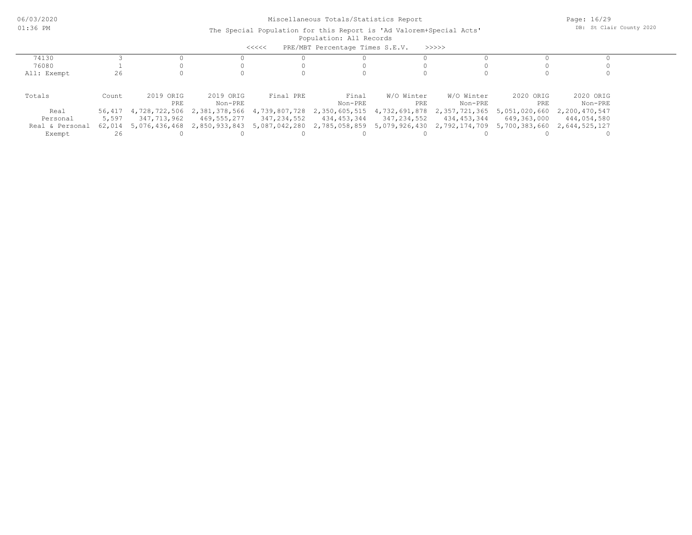|                 |        |                      |               | $\prec$ <<<<  | PRE/MBT Percentage Times S.E.V.           |             | >>>>>                                     |                             |               |  |
|-----------------|--------|----------------------|---------------|---------------|-------------------------------------------|-------------|-------------------------------------------|-----------------------------|---------------|--|
| 74130           |        |                      |               |               |                                           |             |                                           |                             |               |  |
| 76080           |        |                      |               |               |                                           |             |                                           |                             |               |  |
| All: Exempt     | 26     |                      |               |               |                                           |             |                                           |                             |               |  |
|                 |        |                      |               |               |                                           |             |                                           |                             |               |  |
| Totals          | Count  | 2019 ORIG            | 2019 ORIG     | Final PRE     | Final                                     | W/O Winter  | W/O Winter                                | 2020 ORIG                   | 2020 ORIG     |  |
|                 |        | PRE                  | Non-PRE       |               | Non-PRE                                   | PRE         | Non-PRE                                   | PRE                         | Non-PRE       |  |
| Real            |        | 56,417 4,728,722,506 | 2,381,378,566 |               | 4,739,807,728 2,350,605,515 4,732,691,878 |             | 2,357,721,365                             | 5,051,020,660               | 2,200,470,547 |  |
| Personal        | 5,597  | 347,713,962          | 469,555,277   | 347,234,552   | 434,453,344                               | 347,234,552 | 434,453,344                               | 649,363,000                 | 444,054,580   |  |
| Real & Personal | 62,014 | 5,076,436,468        | 2,850,933,843 | 5,087,042,280 |                                           |             | 2,785,058,859 5,079,926,430 2,792,174,709 | 5,700,383,660 2,644,525,127 |               |  |
| Exempt          |        |                      |               |               |                                           |             |                                           |                             |               |  |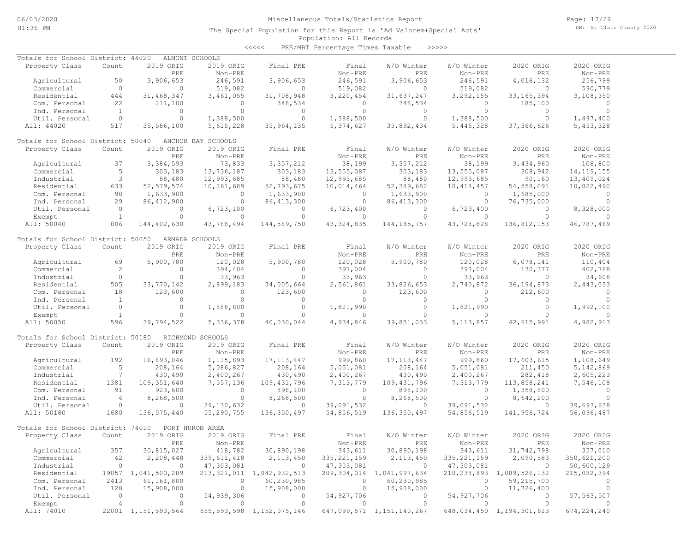Page: 17/29 DB: St Clair County 2020

### Population: All Records The Special Population for this Report is 'Ad Valorem+Special Acts'

<<<<< PRE/MBT Percentage Times Taxable >>>>>

| Totals for School District: 44020 |                          |                     | ALMONT SCHOOLS     |                                |               |                                |                |                                |                |
|-----------------------------------|--------------------------|---------------------|--------------------|--------------------------------|---------------|--------------------------------|----------------|--------------------------------|----------------|
| Property Class                    | Count                    | 2019 ORIG           | 2019 ORIG          | Final PRE                      | Final         | W/O Winter                     | W/O Winter     | 2020 ORIG                      | 2020 ORIG      |
|                                   |                          | PRE                 | Non-PRE            |                                | Non-PRE       | PRE                            | Non-PRE        | PRE                            | Non-PRE        |
| Agricultural                      | 50                       | 3,906,653           | 246,591            | 3,906,653                      | 246,591       | 3,906,653                      | 246,591        | 4,016,132                      | 256,799        |
| Commercial                        | $\circ$                  | $\circ$             | 519,082            | $\circ$                        | 519,082       | $\Omega$                       | 519,082        | $\Omega$                       | 590,779        |
| Residential                       | 444                      | 31, 468, 347        | 3,461,055          | 31,708,948                     | 3,220,454     | 31,637,247                     | 3,292,155      | 33, 165, 394                   | 3,108,350      |
|                                   | 22                       | 211,100             | $\Omega$           |                                | $\circ$       | 348,534                        | $\circ$        |                                | $\Omega$       |
| Com. Personal                     |                          |                     |                    | 348,534                        |               |                                |                | 185,100                        |                |
| Ind. Personal                     | $\mathbf{1}$             | $\circ$             | $\circ$            | $\circ$                        | $\circ$       | $\circ$                        | $\circ$        | $\circ$                        | $\circ$        |
| Util. Personal                    | $\overline{0}$           | $\circ$             | 1,388,500          | $\circ$                        | 1,388,500     | $\circ$                        | 1,388,500      | $\circ$                        | 1,497,400      |
| All: 44020                        | 517                      | 35,586,100          | 5,615,228          | 35,964,135                     | 5,374,627     | 35,892,434                     | 5,446,328      | 37,366,626                     | 5, 453, 328    |
| Totals for School District: 50040 |                          |                     | ANCHOR BAY SCHOOLS |                                |               |                                |                |                                |                |
| Property Class                    | Count                    | 2019 ORIG           | 2019 ORIG          | Final PRE                      | Final         | W/O Winter                     | W/O Winter     | 2020 ORIG                      | 2020 ORIG      |
|                                   |                          | PRE                 | Non-PRE            |                                | Non-PRE       | PRE                            | Non-PRE        | PRE                            | Non-PRE        |
| Agricultural                      | 37                       | 3,384,593           | 73,833             | 3,357,212                      | 38,199        | 3,357,212                      | 38,199         | 3,434,960                      | 108,800        |
| Commercial                        | 5                        | 303,183             | 13,736,187         | 303,183                        | 13,555,087    | 303,183                        | 13,555,087     | 308,942                        | 14, 119, 155   |
| Industrial                        | 3                        | 88,480              | 12,993,685         | 88,480                         |               | 88,480                         | 12,993,685     | 90,160                         | 13,409,024     |
|                                   |                          |                     |                    |                                | 12,993,685    |                                |                |                                |                |
| Residential                       | 633                      | 52, 579, 574        | 10,261,689         | 52,793,675                     | 10,014,464    | 52,389,682                     | 10,418,457     | 54,558,091                     | 10,822,490     |
| Com. Personal                     | 98                       | 1,633,900           | 0                  | 1,633,900                      | $\circ$       | 1,633,900                      | $\circ$        | 1,685,000                      | $\circ$        |
| Ind. Personal                     | 29                       | 86, 412, 900        | $\circ$            | 86, 413, 300                   | $\circ$       | 86, 413, 300                   | $\circ$        | 76,735,000                     | $\Omega$       |
| Util. Personal                    | $\overline{0}$           | $\overline{0}$      | 6,723,100          | $\circ$                        | 6,723,400     | $\overline{0}$                 | 6,723,400      | $\circ$                        | 8,328,000      |
| Exempt                            | $\mathbf{1}$             | $\Omega$            | $\circ$            | $\circ$                        | $\circ$       | $\circ$                        | $\Omega$       | $\Omega$                       |                |
| All: 50040                        | 806                      | 144,402,630         | 43,788,494         | 144,589,750                    | 43, 324, 835  | 144, 185, 757                  | 43,728,828     | 136,812,153                    | 46,787,469     |
| Totals for School District: 50050 |                          |                     | ARMADA SCHOOLS     |                                |               |                                |                |                                |                |
| Property Class                    | Count                    | 2019 ORIG           | 2019 ORIG          | Final PRE                      | Final         | W/O Winter                     | W/O Winter     | 2020 ORIG                      | 2020 ORIG      |
|                                   |                          | PRE                 | Non-PRE            |                                | Non-PRE       | PRE                            | Non-PRE        | PRE                            | Non-PRE        |
|                                   |                          |                     |                    |                                |               |                                |                |                                |                |
| Agricultural                      | 69                       | 5,900,780           | 120,028            | 5,900,780                      | 120,028       | 5,900,780                      | 120,028        | 6,078,141                      | 110,404        |
| Commercial                        | 2                        | $\circ$             | 394,404            | $\circ$                        | 397,004       | $\circ$                        | 397,004        | 130,377                        | 402,768        |
| Industrial                        | $\circ$                  | $\circ$             | 33,963             | $\circ$                        | 33,963        | $\circ$                        | 33,963         | $\Omega$                       | 34,608         |
| Residential                       | 505                      | 33,770,142          | 2,899,183          | 34,005,664                     | 2,561,861     | 33,826,653                     | 2,740,872      | 36, 194, 873                   | 2,443,033      |
| Com. Personal                     | 18                       | 123,600             | $\mathbf{0}$       | 123,600                        | $\circ$       | 123,600                        | $\circ$        | 212,600                        | $\Omega$       |
| Ind. Personal                     | $\overline{1}$           | $\circ$             | $\circ$            | $\circ$                        | $\circ$       | $\circ$                        | $\circ$        | $\mathbf{0}$                   | $\circ$        |
| Util. Personal                    | $\overline{0}$           | $\circ$             | 1,888,800          | $\circ$                        | 1,821,990     | $\circ$                        | 1,821,990      | $\circ$                        | 1,992,100      |
| Exempt                            | $\mathbf{1}$             | $\circ$             | $\circ$            | $\Omega$                       | $\circ$       | $\Omega$                       | $\mathbf{0}$   | $\Omega$                       | $\circ$        |
|                                   | 596                      |                     |                    |                                | 4,934,846     |                                |                |                                |                |
| All: 50050                        |                          | 39,794,522          | 5,336,378          | 40,030,044                     |               | 39,851,033                     | 5, 113, 857    | 42,615,991                     | 4,982,913      |
| Totals for School District: 50180 |                          |                     | RICHMOND SCHOOLS   |                                |               |                                |                |                                |                |
| Property Class                    | Count                    | 2019 ORIG           | 2019 ORIG          | Final PRE                      | Final         | W/O Winter                     | W/O Winter     | 2020 ORIG                      | 2020 ORIG      |
|                                   |                          | PRE                 | Non-PRE            |                                | Non-PRE       | PRE                            | Non-PRE        | PRE                            | Non-PRE        |
| Agricultural                      | 192                      | 16,893,046          | 1, 115, 893        | 17, 113, 447                   | 999,860       | 17, 113, 447                   | 999,860        | 17,603,615                     | 1,108,649      |
|                                   |                          |                     |                    |                                |               |                                |                |                                |                |
| Commercial                        | 5                        | 208,164             | 5,086,827          | 208,164                        | 5,051,081     | 208,164                        | 5,051,081      | 211,450                        | 5, 142, 869    |
| Industrial                        | $7\phantom{.0}$          | 430,490             | 2,400,267          | 430,490                        | 2,400,267     | 430,490                        | 2,400,267      | 282, 418                       | 2,605,223      |
| Residential                       | 1381                     | 109, 351, 640       | 7,557,136          | 109, 431, 796                  | 7,313,779     | 109,431,796                    | 7,313,779      | 113,858,241                    | 7,546,108      |
| Com. Personal                     | 91                       | 923,600             | $\circ$            | 898,100                        | $\circ$       | 898,100                        | $\circ$        | 1,358,800                      | $\circ$        |
| Ind. Personal                     | $\overline{4}$           | 8,268,500           | $\circ$            | 8,268,500                      | $\circ$       | 8,268,500                      | $\circ$        | 8,642,200                      | $\circ$        |
| Util. Personal                    | $\circ$                  | $\circ$             | 39,130,632         | $\circ$                        | 39,091,532    | $\circ$                        | 39,091,532     | $\circ$                        | 39,693,638     |
| All: 50180                        | 1680                     | 136,075,440         | 55,290,755         | 136,350,497                    | 54,856,519    | 136,350,497                    | 54,856,519     | 141,956,724                    | 56,096,487     |
|                                   |                          |                     |                    |                                |               |                                |                |                                |                |
| Totals for School District: 74010 |                          |                     | PORT HURON AREA    |                                |               |                                |                |                                |                |
| Property Class                    | Count                    | 2019 ORIG           | 2019 ORIG          | Final PRE                      | Final         | W/O Winter                     | W/O Winter     | 2020 ORIG                      | 2020 ORIG      |
|                                   |                          | PRE                 | Non-PRE            |                                | Non-PRE       | PRE                            | Non-PRE        | PRE                            | Non-PRE        |
| Agricultural                      | 357                      | 30,815,027          | 418,782            | 30,890,198                     | 343,611       | 30,890,198                     | 343,611        | 31,742,798                     | 357,010        |
| Commercial                        | 42                       | 2,208,448           | 339,611,418        | 2, 113, 450                    | 335, 221, 159 | 2, 113, 450                    |                | 335, 221, 159 2, 090, 583      | 350,621,200    |
| Industrial                        | $\overline{0}$           | $\overline{0}$      | 47,303,081         | $\overline{0}$                 | 47,303,081    | $\overline{0}$                 | 47,303,081     | $\overline{0}$                 | 50,600,129     |
| Residential                       |                          | 19057 1,041,500,289 |                    | 213, 321, 011 1, 042, 932, 513 |               | 209, 304, 014 1, 041, 997, 634 |                | 210, 238, 893 1, 089, 526, 132 | 215,082,394    |
| Com. Personal                     | 2413                     | 61,161,800          | $\circ$            | 60, 230, 985                   | $\circ$       | 60,230,985                     | $\overline{0}$ | 59,215,700                     | $\circ$        |
|                                   | 128                      | 15,908,000          | $\circ$            |                                | $\circ$       |                                | $\circ$        |                                |                |
| Ind. Personal                     |                          |                     |                    | 15,908,000                     |               | 15,908,000                     |                | 11,726,400                     | $\overline{0}$ |
| Util. Personal                    | $\overline{\phantom{0}}$ | 0                   | 54,939,306         | $\circ$                        | 54,927,706    | $\circ$                        | 54,927,706     | $\overline{0}$                 | 57,563,507     |
| Exempt                            | 4                        | $\circ$             | $\circ$            | $\circ$                        | $\circ$       | $\circ$                        | $\sim$ 0       | $\circ$                        |                |
| All: 74010                        |                          | 22001 1,151,593,564 |                    | 655, 593, 598 1, 152, 075, 146 |               | 647,099,571 1,151,140,267      |                | 648,034,450 1,194,301,613      | 674, 224, 240  |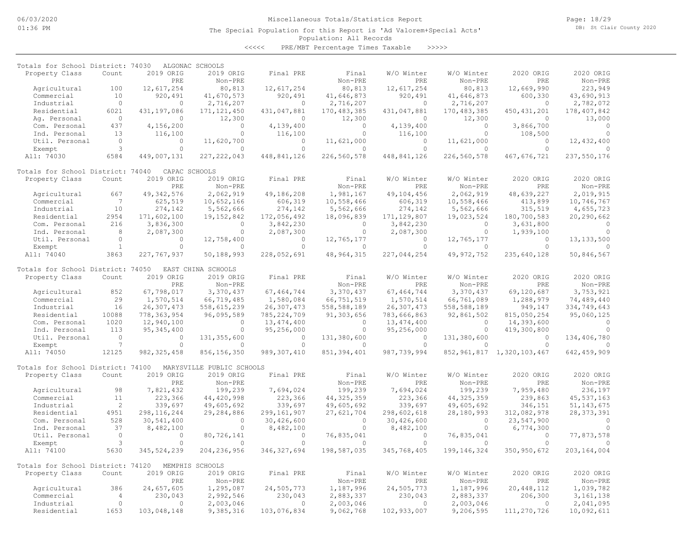Page: 18/29 DB: St Clair County 2020

### Population: All Records The Special Population for this Report is 'Ad Valorem+Special Acts'

<<<<< PRE/MBT Percentage Times Taxable >>>>>

| Totals for School District: 74030                   |                           |                            | ALGONAC SCHOOLS                        |                       |                        |                       |                          |                                |                              |
|-----------------------------------------------------|---------------------------|----------------------------|----------------------------------------|-----------------------|------------------------|-----------------------|--------------------------|--------------------------------|------------------------------|
| Property Class                                      | Count                     | 2019 ORIG<br>PRE           | 2019 ORIG                              | Final PRE             | Final                  | W/O Winter<br>PRE     | W/O Winter<br>Non-PRE    | 2020 ORIG<br>PRE               | 2020 ORIG<br>Non-PRE         |
|                                                     | 100                       | 12,617,254                 | Non-PRE                                |                       | Non-PRE<br>80,813      |                       |                          |                                | 223,949                      |
| Agricultural<br>Commercial                          | 10                        | 920,491                    | 80,813<br>41,670,573                   | 12,617,254<br>920,491 | 41,646,873             | 12,617,254<br>920,491 | 80,813<br>41,646,873     | 12,669,990<br>600,330          | 43,690,913                   |
| Industrial                                          | $\circ$                   | $\Omega$                   | 2,716,207                              | $\circ$               | 2,716,207              | $\circ$               | 2,716,207                | $\circ$                        | 2,782,072                    |
| Residential                                         | 6021                      | 431,197,086                | 171, 121, 450                          | 431,047,881           | 170, 483, 385          | 431,047,881           | 170, 483, 385            | 450, 431, 201                  | 178,407,842                  |
| Ag. Personal                                        | $\circ$                   | $\circ$                    | 12,300                                 | $\Omega$              | 12,300                 | $\circ$               | 12,300                   | $\circ$                        | 13,000                       |
| Com. Personal                                       | 437                       | 4,156,200                  | $\circ$                                | 4,139,400             | $\circ$                | 4,139,400             | $\Omega$                 | 3,866,700                      | $\Omega$                     |
| Ind. Personal                                       | 13                        | 116,100                    | $\Omega$                               | 116,100               | $\circ$                | 116,100               | $\Omega$                 | 108,500                        | $\Omega$                     |
| Util. Personal                                      | $\circ$                   | $\circ$                    | 11,620,700                             | $\circ$               | 11,621,000             | 0                     | 11,621,000               | $\circ$                        | 12,432,400                   |
| Exempt                                              | 3                         | $\circ$                    | $\circ$                                | $\Omega$              | $\Omega$               | $\circ$               | $\Omega$                 | $\circ$                        |                              |
| All: 74030                                          | 6584                      | 449,007,131                | 227, 222, 043                          | 448,841,126           | 226,560,578            | 448,841,126           | 226,560,578              | 467,676,721                    | 237,550,176                  |
|                                                     |                           |                            |                                        |                       |                        |                       |                          |                                |                              |
| Totals for School District: 74040<br>Property Class | Count                     | CAPAC SCHOOLS<br>2019 ORIG | 2019 ORIG                              | Final PRE             | Final                  | W/O Winter            | W/O Winter               | 2020 ORIG                      | 2020 ORIG                    |
|                                                     |                           | PRE                        | Non-PRE                                |                       | Non-PRE                | PRE                   | Non-PRE                  | PRE                            | Non-PRE                      |
| Agricultural                                        | 667                       | 49, 342, 576               | 2,062,919                              | 49,186,208            | 1,981,167              | 49,104,456            | 2,062,919                | 48,639,227                     | 2,019,915                    |
| Commercial                                          | 7                         | 625,519                    | 10,652,166                             | 606,319               | 10,558,466             | 606,319               | 10,558,466               | 413,899                        | 10,746,767                   |
| Industrial                                          | 10                        | 274,142                    | 5,562,666                              | 274,142               | 5,562,666              | 274,142               | 5,562,666                | 315,519                        | 4,655,723                    |
| Residential                                         | 2954                      | 171,602,100                | 19, 152, 842                           | 172,056,492           | 18,096,839             | 171, 129, 807         | 19,023,524               | 180,700,583                    | 20,290,662                   |
| Com. Personal                                       | 216                       | 3,836,300                  | 0                                      | 3,842,230             | 0                      | 3,842,230             | $\circ$                  | 3,631,800                      | $\circ$                      |
| Ind. Personal                                       | 8                         | 2,087,300                  | $\circ$                                | 2,087,300             | $\circ$                | 2,087,300             | $\circ$                  | 1,939,100                      | $\Omega$                     |
| Util. Personal                                      | $\circ$                   | $\Omega$                   | 12,758,400                             | $\Omega$              | 12,765,177             | $\circ$               | 12,765,177               | $\circ$                        | 13, 133, 500                 |
| Exempt                                              | $\mathbf{1}$              | $\circ$                    | $\circ$                                | $\Omega$              | $\Omega$               | $\circ$               | $\Omega$                 | $\circ$                        | $\Omega$                     |
| All: 74040                                          | 3863                      | 227, 767, 937              | 50,188,993                             | 228,052,691           | 48, 964, 315           | 227,044,254           | 49, 972, 752             | 235,640,128                    | 50,846,567                   |
|                                                     |                           |                            |                                        |                       |                        |                       |                          |                                |                              |
| Totals for School District: 74050                   |                           | 2019 ORIG                  | EAST CHINA SCHOOLS                     |                       |                        | W/O Winter            |                          |                                | 2020 ORIG                    |
| Property Class                                      | Count                     | PRE                        | 2019 ORIG<br>Non-PRE                   | Final PRE             | Final<br>Non-PRE       | PRE                   | W/O Winter<br>Non-PRE    | 2020 ORIG<br>PRE               | Non-PRE                      |
| Agricultural                                        | 852                       | 67,798,017                 | 3,370,437                              | 67, 464, 744          | 3,370,437              | 67, 464, 744          | 3,370,437                | 69,120,687                     | 3,753,921                    |
| Commercial                                          | 29                        | 1,570,514                  | 66,719,485                             | 1,580,084             | 66,751,519             | 1,570,514             | 66,761,089               | 1,288,979                      | 74,489,440                   |
| Industrial                                          | 16                        | 26, 307, 473               | 558,615,239                            | 26, 307, 473          | 558,588,189            | 26, 307, 473          | 558,588,189              | 949,147                        | 334,749,643                  |
| Residential                                         | 10088                     | 778, 363, 954              | 96,095,589                             | 785, 224, 709         | 91,303,656             | 783,666,863           | 92,861,502               | 815,050,254                    | 95,060,125                   |
| Com. Personal                                       | 1020                      | 12,940,100                 | $\circ$                                | 13,474,400            | 0                      | 13,474,400            | $\circ$                  | 14,393,600                     | $\Omega$                     |
| Ind. Personal                                       | 113                       | 95, 345, 400               | $\circ$                                | 95,256,000            | $\circ$                | 95,256,000            | $\circ$                  | 419,300,800                    | $\Omega$                     |
| Util. Personal                                      | $\circ$                   | $\circ$                    | 131, 355, 600                          | $\Omega$              | 131,380,600            | $\circ$               | 131,380,600              | $\Omega$                       | 134,406,780                  |
| Exempt                                              | $\overline{7}$            | $\Omega$                   | $\Omega$                               | $\Omega$              | $\Omega$               | $\Omega$              | $\Omega$                 | $\Omega$                       | $\Omega$                     |
| All: 74050                                          | 12125                     | 982, 325, 458              | 856, 156, 350                          | 989, 307, 410         | 851, 394, 401          | 987, 739, 994         |                          | 852, 961, 817 1, 320, 103, 467 | 642,459,909                  |
|                                                     |                           |                            |                                        |                       |                        |                       |                          |                                |                              |
| Totals for School District: 74100<br>Property Class | Count                     | 2019 ORIG                  | MARYSVILLE PUBLIC SCHOOLS<br>2019 ORIG | Final PRE             | Final                  | W/O Winter            | W/O Winter               | 2020 ORIG                      | 2020 ORIG                    |
|                                                     |                           | PRE                        | Non-PRE                                |                       | Non-PRE                | PRE                   | Non-PRE                  | PRE                            | Non-PRE                      |
| Agricultural                                        | 98                        |                            |                                        |                       | 199,239                | 7,694,024             |                          |                                | 236,197                      |
| Commercial                                          | 11                        | 7,821,432<br>223,366       | 199,239<br>44, 420, 998                | 7,694,024<br>223,366  | 44, 325, 359           | 223,366               | 199,239<br>44, 325, 359  | 7,959,480<br>239,863           | 45, 537, 163                 |
| Industrial                                          | $\overline{c}$            | 339,697                    | 49,605,692                             | 339,697               | 49,605,692             | 339,697               |                          | 346,151                        |                              |
| Residential                                         | 4951                      | 298, 116, 244              | 29,284,886                             | 299, 161, 907         | 27,621,704             | 298,602,618           | 49,605,692<br>28,180,993 | 312,082,978                    | 51, 143, 675<br>28, 373, 391 |
| Com. Personal                                       | 528                       | 30,541,400                 | $\circ$                                | 30,426,600            | $\circ$                | 30,426,600            | $\circ$                  | 23,547,900                     | $\circ$                      |
| Ind. Personal                                       | 37                        | 8,482,100                  | $\circ$                                | 8,482,100             | $\circ$                | 8,482,100             | $\circ$                  | 6,774,300                      | $\Omega$                     |
| Util. Personal                                      | $\circ$                   | $\circ$                    | 80,726,141                             | $\circ$               | 76,835,041             | $\circ$               | 76,835,041               | $\circ$                        | 77,873,578                   |
| Exempt                                              | 3                         | $\Omega$                   | $\circ$                                | $\Omega$              | $\circ$                | $\circ$               | $\Omega$                 | $\circ$                        |                              |
| All: 74100                                          | 5630                      | 345, 524, 239              | 204, 236, 956                          | 346, 327, 694         | 198,587,035            | 345,768,405           | 199, 146, 324            | 350,950,672                    | 203,164,004                  |
|                                                     |                           |                            |                                        |                       |                        |                       |                          |                                |                              |
| Totals for School District: 74120                   |                           |                            | MEMPHIS SCHOOLS                        |                       |                        |                       |                          |                                |                              |
| Property Class                                      | Count                     | 2019 ORIG                  | 2019 ORIG                              | Final PRE             | Final                  | W/O Winter            | W/O Winter               | 2020 ORIG                      | 2020 ORIG                    |
|                                                     |                           | PRE                        | Non-PRE                                |                       | Non-PRE                | PRE                   | Non-PRE                  | PRE                            | Non-PRE                      |
| Agricultural                                        | 386                       | 24,657,605                 | 1,295,087                              | 24,505,773            | 1,187,996              | 24,505,773            | 1,187,996                | 20, 448, 112                   | 1,039,782                    |
| Commercial<br>Industrial                            | $\overline{4}$<br>$\circ$ | 230,043<br>$\circ$         | 2,992,546<br>2,003,046                 | 230,043<br>$\Omega$   | 2,883,337<br>2,003,046 | 230,043<br>$\circ$    | 2,883,337<br>2,003,046   | 206,300<br>$\circ$             | 3, 161, 138<br>2,041,095     |
| Residential                                         | 1653                      | 103,048,148                | 9,385,316                              | 103,076,834           | 9,062,768              | 102,933,007           | 9,206,595                | 111,270,726                    | 10,092,611                   |
|                                                     |                           |                            |                                        |                       |                        |                       |                          |                                |                              |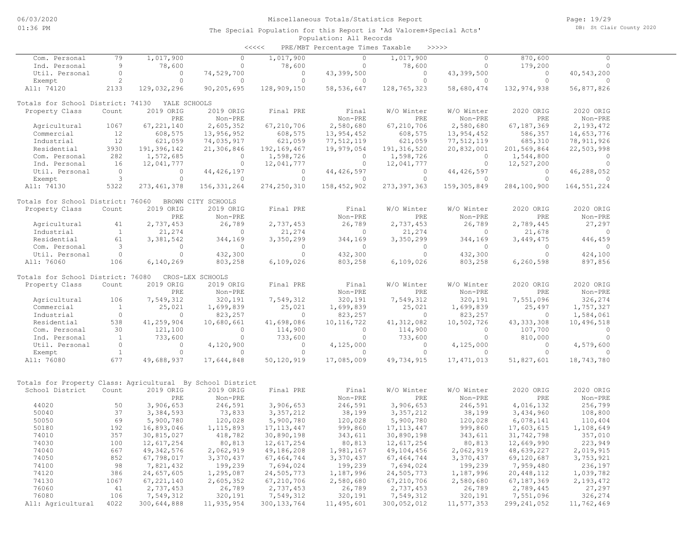| <<<< | PRE/MBT Percentage Times Taxable |  |  | >>>>> |
|------|----------------------------------|--|--|-------|
|------|----------------------------------|--|--|-------|

| 79<br>$\circ$<br>$\circ$<br>870,600<br>Com. Personal<br>$\circ$<br>$\Omega$<br>9<br>78,600<br>78,600<br>$\circ$<br>78,600<br>$\circ$<br>179,200<br>$\circ$<br>Ind. Personal<br>$\circ$<br>$\circ$<br>Util. Personal<br>$\circ$<br>74,529,700<br>$\circ$<br>43,399,500<br>$\Omega$<br>43,399,500<br>$\Omega$<br>40,543,200<br>$\overline{2}$<br>$\circ$<br>$\circ$<br>$\circ$<br>Exempt<br>$\circ$<br>$\circ$<br>$\circ$<br>$\circ$<br>$\circ$<br>All: 74120<br>2133<br>129,032,296<br>90,205,695<br>128,909,150<br>58, 536, 647<br>128,765,323<br>58,680,474<br>132, 974, 938<br>56,877,826<br>Totals for School District: 74130<br>YALE SCHOOLS<br>2019 ORIG<br>2019 ORIG<br>Final PRE<br>W/O Winter<br>W/O Winter<br>2020 ORIG<br>2020 ORIG<br>Property Class<br>Count<br>Final<br>PRE<br>Non-PRE<br>Non-PRE<br>PRE<br>Non-PRE<br>PRE<br>Non-PRE<br>67, 221, 140<br>2,580,680<br>2,580,680<br>Agricultural<br>1067<br>2,605,352<br>67,210,706<br>67,210,706<br>67, 187, 369<br>2,193,472<br>12<br>608,575<br>13,956,952<br>608,575<br>13,954,452<br>608,575<br>13,954,452<br>586,357<br>14,653,776<br>Commercial<br>12<br>621,059<br>621,059<br>77,512,119<br>77,512,119<br>78, 911, 926<br>Industrial<br>74,035,917<br>621,059<br>685,310<br>3930<br>19,979,054<br>191, 316, 520<br>191,396,142<br>21,306,846<br>192, 169, 467<br>20,832,001<br>201,569,864<br>22,503,998<br>Residential<br>282<br>1,598,726<br>Com. Personal<br>1,572,685<br>$\circ$<br>1,598,726<br>$\mathbf{0}$<br>1,544,800<br>$\circ$<br>0<br>16<br>Ind. Personal<br>12,041,777<br>0<br>12,041,777<br>$\circ$<br>12,041,777<br>$\circ$<br>12,527,200<br>$\mathbf{0}$<br>Util. Personal<br>$\Omega$<br>$\circ$<br>44, 426, 197<br>$\circ$<br>44, 426, 597<br>$\Omega$<br>44, 426, 597<br>$\circ$<br>46,288,052<br>3<br>$\circ$<br>Exempt<br>$\Omega$<br>$\Omega$<br>$\circ$<br>$\Omega$<br>$\Omega$<br>$\Omega$<br>$\Omega$<br>All: 74130<br>5322<br>273, 461, 378<br>156, 331, 264<br>274,250,310<br>158, 452, 902<br>273, 397, 363<br>159, 305, 849<br>284,100,900<br>164, 551, 224<br>Totals for School District: 76060<br>BROWN CITY SCHOOLS<br>2019 ORIG<br>W/O Winter<br>W/O Winter<br>Property Class<br>Count<br>2019 ORIG<br>Final PRE<br>Final<br>2020 ORIG<br>2020 ORIG<br>PRE<br>Non-PRE<br>Non-PRE<br>PRE<br>Non-PRE<br>PRE<br>Non-PRE<br>2,737,453<br>26,789<br>2,737,453<br>26,789<br>2,737,453<br>26,789<br>2,789,445<br>27,297<br>Agricultural<br>41<br>$\mathbf{1}$<br>21,274<br>21,678<br>Industrial<br>$\circ$<br>21,274<br>$\circ$<br>21,274<br>$\circ$<br>0<br>61<br>3,350,299<br>Residential<br>3,381,542<br>344,169<br>344,169<br>3,350,299<br>344,169<br>3,449,475<br>446,459<br>3<br>Com. Personal<br>$\circ$<br>$\circ$<br>$\circ$<br>$\mathbf{0}$<br>$\circ$<br>$\circ$<br>0<br>$\circ$<br>$\circ$<br>432,300<br>$\Omega$<br>432,300<br>$\Omega$<br>$\Omega$<br>432,300<br>$\Omega$<br>424,100<br>Util. Personal<br>6,109,026<br>897,856<br>All: 76060<br>106<br>6,140,269<br>803,258<br>6,109,026<br>803,258<br>803,258<br>6,260,598<br>Totals for School District: 76080<br>CROS-LEX SCHOOLS<br>2019 ORIG<br>2019 ORIG<br>W/O Winter<br>W/O Winter<br>2020 ORIG<br>2020 ORIG<br>Property Class<br>Count<br>Final PRE<br>Final<br>Non-PRE<br>PRE<br>Non-PRE<br>PRE<br>Non-PRE<br>PRE<br>Non-PRE<br>106<br>7,549,312<br>320,191<br>7,549,312<br>320,191<br>7,549,312<br>320,191<br>7,551,096<br>326,274<br>Agricultural<br>25,021<br>Commercial<br>$\mathbf{1}$<br>1,699,839<br>25,021<br>1,699,839<br>25,021<br>1,699,839<br>25,497<br>1,757,327<br>$\circ$<br>Industrial<br>$\circ$<br>823,257<br>$\circ$<br>823,257<br>$\circ$<br>823,257<br>0<br>1,584,061<br>41,259,904<br>41,698,086<br>41, 312, 082<br>43, 333, 308<br>Residential<br>538<br>10,680,661<br>10, 116, 722<br>10,502,726<br>10,496,518<br>30<br>121,100<br>114,900<br>114,900<br>107,700<br>Com. Personal<br>$\circ$<br>$\mathbf{0}$<br>$\mathbf{0}$<br>$\mathbf{0}$<br><sup>1</sup><br>733,600<br>$\circ$<br>$\circ$<br>Ind. Personal<br>0<br>733,600<br>733,600<br>$\circ$<br>810,000<br>Util. Personal<br>$\circ$<br>4,120,900<br>4,125,000<br>4,125,000<br>4,579,600<br>$\circ$<br>$\circ$<br>$\circ$<br>0<br><sup>1</sup><br>$\circ$<br>$\circ$<br>Exempt<br>$\Omega$<br>$\circ$<br>$\Omega$<br>$\Omega$<br>0<br>$\Omega$<br>677<br>All: 76080<br>49,688,937<br>17,644,848<br>50,120,919<br>17,085,009<br>49,734,915<br>17, 471, 013<br>51,827,601<br>18,743,780<br>Totals for Property Class: Agricultural By School District<br>School District<br>2019 ORIG<br>2019 ORIG<br>W/O Winter<br>2020 ORIG<br>2020 ORIG<br>Count<br>Final PRE<br>Final<br>W/O Winter<br>PRE<br>Non-PRE<br>Non-PRE<br>PRE<br>Non-PRE<br>PRE<br>Non-PRE<br>246,591<br>246,591<br>246,591<br>44020<br>50<br>3,906,653<br>3,906,653<br>3,906,653<br>4,016,132<br>256,799<br>50040<br>37<br>3,384,593<br>73,833<br>38,199<br>3, 357, 212<br>38,199<br>3, 357, 212<br>3,434,960<br>108,800<br>50050<br>69<br>5,900,780<br>120,028<br>120,028<br>5,900,780<br>120,028<br>5,900,780<br>6,078,141<br>110,404<br>50180<br>192<br>16,893,046<br>1, 115, 893<br>17, 113, 447<br>999,860<br>17, 113, 447<br>999,860<br>17,603,615<br>1,108,649<br>74010<br>357<br>30,815,027<br>418,782<br>30,890,198<br>343,611<br>30,890,198<br>343,611<br>31,742,798<br>357,010<br>74030<br>80,813<br>100<br>12,617,254<br>80,813<br>12,617,254<br>12,617,254<br>80,813<br>12,669,990<br>223,949<br>74040<br>667<br>2,062,919<br>2,062,919<br>49, 342, 576<br>49,186,208<br>1,981,167<br>49,104,456<br>48,639,227<br>2,019,915<br>852<br>74050<br>67,798,017<br>3,370,437<br>67, 464, 744<br>3,370,437<br>3,370,437<br>69,120,687<br>3,753,921<br>67, 464, 744<br>98<br>74100<br>7,821,432<br>199,239<br>7,694,024<br>199,239<br>7,694,024<br>199,239<br>7,959,480<br>236,197<br>74120<br>386<br>24,657,605<br>24,505,773<br>1,187,996<br>24,505,773<br>1,295,087<br>1,187,996<br>20,448,112<br>1,039,782<br>74130<br>1067<br>2,580,680<br>67, 187, 369<br>67, 221, 140<br>2,605,352<br>67,210,706<br>67,210,706<br>2,580,680<br>2,193,472<br>41<br>76060<br>2,737,453<br>26,789<br>2,737,453<br>26,789<br>2,737,453<br>26,789<br>2,789,445<br>27,297<br>106<br>76080<br>7,549,312<br>320,191<br>7,549,312<br>320,191<br>7,549,312<br>320,191<br>326,274<br>7,551,096<br>4022 |                   |             |            |               |            |             |            |               |            |
|------------------------------------------------------------------------------------------------------------------------------------------------------------------------------------------------------------------------------------------------------------------------------------------------------------------------------------------------------------------------------------------------------------------------------------------------------------------------------------------------------------------------------------------------------------------------------------------------------------------------------------------------------------------------------------------------------------------------------------------------------------------------------------------------------------------------------------------------------------------------------------------------------------------------------------------------------------------------------------------------------------------------------------------------------------------------------------------------------------------------------------------------------------------------------------------------------------------------------------------------------------------------------------------------------------------------------------------------------------------------------------------------------------------------------------------------------------------------------------------------------------------------------------------------------------------------------------------------------------------------------------------------------------------------------------------------------------------------------------------------------------------------------------------------------------------------------------------------------------------------------------------------------------------------------------------------------------------------------------------------------------------------------------------------------------------------------------------------------------------------------------------------------------------------------------------------------------------------------------------------------------------------------------------------------------------------------------------------------------------------------------------------------------------------------------------------------------------------------------------------------------------------------------------------------------------------------------------------------------------------------------------------------------------------------------------------------------------------------------------------------------------------------------------------------------------------------------------------------------------------------------------------------------------------------------------------------------------------------------------------------------------------------------------------------------------------------------------------------------------------------------------------------------------------------------------------------------------------------------------------------------------------------------------------------------------------------------------------------------------------------------------------------------------------------------------------------------------------------------------------------------------------------------------------------------------------------------------------------------------------------------------------------------------------------------------------------------------------------------------------------------------------------------------------------------------------------------------------------------------------------------------------------------------------------------------------------------------------------------------------------------------------------------------------------------------------------------------------------------------------------------------------------------------------------------------------------------------------------------------------------------------------------------------------------------------------------------------------------------------------------------------------------------------------------------------------------------------------------------------------------------------------------------------------------------------------------------------------------------------------------------------------------------------------------------------------------------------------------------------------------------------------------------------------------------------------------------------------------------------------------------------------------------------------------------------------------------------------------------------------------------------------------------------------------------------------------------------------------------------------------------------------------------------------------------------------------------------------------------------------------------------------------------------------------------------------------------------------------------------------------------------------------------------------------------------------------------------------------------------------------------------------------------------------------------------------------------------------------------------------------------------------------------------------------------------------------------------------------------------------------------------------------------------------------------------------------------------------------------------------------------------------------------------------------------------------------------------------------------------------------------------------------------------------------------------------------------------------------------------------------------------------------------------------------------------------------------------------------------------------------------------------------------------------------------|-------------------|-------------|------------|---------------|------------|-------------|------------|---------------|------------|
|                                                                                                                                                                                                                                                                                                                                                                                                                                                                                                                                                                                                                                                                                                                                                                                                                                                                                                                                                                                                                                                                                                                                                                                                                                                                                                                                                                                                                                                                                                                                                                                                                                                                                                                                                                                                                                                                                                                                                                                                                                                                                                                                                                                                                                                                                                                                                                                                                                                                                                                                                                                                                                                                                                                                                                                                                                                                                                                                                                                                                                                                                                                                                                                                                                                                                                                                                                                                                                                                                                                                                                                                                                                                                                                                                                                                                                                                                                                                                                                                                                                                                                                                                                                                                                                                                                                                                                                                                                                                                                                                                                                                                                                                                                                                                                                                                                                                                                                                                                                                                                                                                                                                                                                                                                                                                                                                                                                                                                                                                                                                                                                                                                                                                                                                                                                                                                                                                                                                                                                                                                                                                                                                                                                                                                                                                                            |                   | 1,017,900   |            | 1,017,900     |            | 1,017,900   |            |               |            |
|                                                                                                                                                                                                                                                                                                                                                                                                                                                                                                                                                                                                                                                                                                                                                                                                                                                                                                                                                                                                                                                                                                                                                                                                                                                                                                                                                                                                                                                                                                                                                                                                                                                                                                                                                                                                                                                                                                                                                                                                                                                                                                                                                                                                                                                                                                                                                                                                                                                                                                                                                                                                                                                                                                                                                                                                                                                                                                                                                                                                                                                                                                                                                                                                                                                                                                                                                                                                                                                                                                                                                                                                                                                                                                                                                                                                                                                                                                                                                                                                                                                                                                                                                                                                                                                                                                                                                                                                                                                                                                                                                                                                                                                                                                                                                                                                                                                                                                                                                                                                                                                                                                                                                                                                                                                                                                                                                                                                                                                                                                                                                                                                                                                                                                                                                                                                                                                                                                                                                                                                                                                                                                                                                                                                                                                                                                            |                   |             |            |               |            |             |            |               |            |
|                                                                                                                                                                                                                                                                                                                                                                                                                                                                                                                                                                                                                                                                                                                                                                                                                                                                                                                                                                                                                                                                                                                                                                                                                                                                                                                                                                                                                                                                                                                                                                                                                                                                                                                                                                                                                                                                                                                                                                                                                                                                                                                                                                                                                                                                                                                                                                                                                                                                                                                                                                                                                                                                                                                                                                                                                                                                                                                                                                                                                                                                                                                                                                                                                                                                                                                                                                                                                                                                                                                                                                                                                                                                                                                                                                                                                                                                                                                                                                                                                                                                                                                                                                                                                                                                                                                                                                                                                                                                                                                                                                                                                                                                                                                                                                                                                                                                                                                                                                                                                                                                                                                                                                                                                                                                                                                                                                                                                                                                                                                                                                                                                                                                                                                                                                                                                                                                                                                                                                                                                                                                                                                                                                                                                                                                                                            |                   |             |            |               |            |             |            |               |            |
|                                                                                                                                                                                                                                                                                                                                                                                                                                                                                                                                                                                                                                                                                                                                                                                                                                                                                                                                                                                                                                                                                                                                                                                                                                                                                                                                                                                                                                                                                                                                                                                                                                                                                                                                                                                                                                                                                                                                                                                                                                                                                                                                                                                                                                                                                                                                                                                                                                                                                                                                                                                                                                                                                                                                                                                                                                                                                                                                                                                                                                                                                                                                                                                                                                                                                                                                                                                                                                                                                                                                                                                                                                                                                                                                                                                                                                                                                                                                                                                                                                                                                                                                                                                                                                                                                                                                                                                                                                                                                                                                                                                                                                                                                                                                                                                                                                                                                                                                                                                                                                                                                                                                                                                                                                                                                                                                                                                                                                                                                                                                                                                                                                                                                                                                                                                                                                                                                                                                                                                                                                                                                                                                                                                                                                                                                                            |                   |             |            |               |            |             |            |               |            |
|                                                                                                                                                                                                                                                                                                                                                                                                                                                                                                                                                                                                                                                                                                                                                                                                                                                                                                                                                                                                                                                                                                                                                                                                                                                                                                                                                                                                                                                                                                                                                                                                                                                                                                                                                                                                                                                                                                                                                                                                                                                                                                                                                                                                                                                                                                                                                                                                                                                                                                                                                                                                                                                                                                                                                                                                                                                                                                                                                                                                                                                                                                                                                                                                                                                                                                                                                                                                                                                                                                                                                                                                                                                                                                                                                                                                                                                                                                                                                                                                                                                                                                                                                                                                                                                                                                                                                                                                                                                                                                                                                                                                                                                                                                                                                                                                                                                                                                                                                                                                                                                                                                                                                                                                                                                                                                                                                                                                                                                                                                                                                                                                                                                                                                                                                                                                                                                                                                                                                                                                                                                                                                                                                                                                                                                                                                            |                   |             |            |               |            |             |            |               |            |
|                                                                                                                                                                                                                                                                                                                                                                                                                                                                                                                                                                                                                                                                                                                                                                                                                                                                                                                                                                                                                                                                                                                                                                                                                                                                                                                                                                                                                                                                                                                                                                                                                                                                                                                                                                                                                                                                                                                                                                                                                                                                                                                                                                                                                                                                                                                                                                                                                                                                                                                                                                                                                                                                                                                                                                                                                                                                                                                                                                                                                                                                                                                                                                                                                                                                                                                                                                                                                                                                                                                                                                                                                                                                                                                                                                                                                                                                                                                                                                                                                                                                                                                                                                                                                                                                                                                                                                                                                                                                                                                                                                                                                                                                                                                                                                                                                                                                                                                                                                                                                                                                                                                                                                                                                                                                                                                                                                                                                                                                                                                                                                                                                                                                                                                                                                                                                                                                                                                                                                                                                                                                                                                                                                                                                                                                                                            |                   |             |            |               |            |             |            |               |            |
|                                                                                                                                                                                                                                                                                                                                                                                                                                                                                                                                                                                                                                                                                                                                                                                                                                                                                                                                                                                                                                                                                                                                                                                                                                                                                                                                                                                                                                                                                                                                                                                                                                                                                                                                                                                                                                                                                                                                                                                                                                                                                                                                                                                                                                                                                                                                                                                                                                                                                                                                                                                                                                                                                                                                                                                                                                                                                                                                                                                                                                                                                                                                                                                                                                                                                                                                                                                                                                                                                                                                                                                                                                                                                                                                                                                                                                                                                                                                                                                                                                                                                                                                                                                                                                                                                                                                                                                                                                                                                                                                                                                                                                                                                                                                                                                                                                                                                                                                                                                                                                                                                                                                                                                                                                                                                                                                                                                                                                                                                                                                                                                                                                                                                                                                                                                                                                                                                                                                                                                                                                                                                                                                                                                                                                                                                                            |                   |             |            |               |            |             |            |               |            |
|                                                                                                                                                                                                                                                                                                                                                                                                                                                                                                                                                                                                                                                                                                                                                                                                                                                                                                                                                                                                                                                                                                                                                                                                                                                                                                                                                                                                                                                                                                                                                                                                                                                                                                                                                                                                                                                                                                                                                                                                                                                                                                                                                                                                                                                                                                                                                                                                                                                                                                                                                                                                                                                                                                                                                                                                                                                                                                                                                                                                                                                                                                                                                                                                                                                                                                                                                                                                                                                                                                                                                                                                                                                                                                                                                                                                                                                                                                                                                                                                                                                                                                                                                                                                                                                                                                                                                                                                                                                                                                                                                                                                                                                                                                                                                                                                                                                                                                                                                                                                                                                                                                                                                                                                                                                                                                                                                                                                                                                                                                                                                                                                                                                                                                                                                                                                                                                                                                                                                                                                                                                                                                                                                                                                                                                                                                            |                   |             |            |               |            |             |            |               |            |
|                                                                                                                                                                                                                                                                                                                                                                                                                                                                                                                                                                                                                                                                                                                                                                                                                                                                                                                                                                                                                                                                                                                                                                                                                                                                                                                                                                                                                                                                                                                                                                                                                                                                                                                                                                                                                                                                                                                                                                                                                                                                                                                                                                                                                                                                                                                                                                                                                                                                                                                                                                                                                                                                                                                                                                                                                                                                                                                                                                                                                                                                                                                                                                                                                                                                                                                                                                                                                                                                                                                                                                                                                                                                                                                                                                                                                                                                                                                                                                                                                                                                                                                                                                                                                                                                                                                                                                                                                                                                                                                                                                                                                                                                                                                                                                                                                                                                                                                                                                                                                                                                                                                                                                                                                                                                                                                                                                                                                                                                                                                                                                                                                                                                                                                                                                                                                                                                                                                                                                                                                                                                                                                                                                                                                                                                                                            |                   |             |            |               |            |             |            |               |            |
|                                                                                                                                                                                                                                                                                                                                                                                                                                                                                                                                                                                                                                                                                                                                                                                                                                                                                                                                                                                                                                                                                                                                                                                                                                                                                                                                                                                                                                                                                                                                                                                                                                                                                                                                                                                                                                                                                                                                                                                                                                                                                                                                                                                                                                                                                                                                                                                                                                                                                                                                                                                                                                                                                                                                                                                                                                                                                                                                                                                                                                                                                                                                                                                                                                                                                                                                                                                                                                                                                                                                                                                                                                                                                                                                                                                                                                                                                                                                                                                                                                                                                                                                                                                                                                                                                                                                                                                                                                                                                                                                                                                                                                                                                                                                                                                                                                                                                                                                                                                                                                                                                                                                                                                                                                                                                                                                                                                                                                                                                                                                                                                                                                                                                                                                                                                                                                                                                                                                                                                                                                                                                                                                                                                                                                                                                                            |                   |             |            |               |            |             |            |               |            |
|                                                                                                                                                                                                                                                                                                                                                                                                                                                                                                                                                                                                                                                                                                                                                                                                                                                                                                                                                                                                                                                                                                                                                                                                                                                                                                                                                                                                                                                                                                                                                                                                                                                                                                                                                                                                                                                                                                                                                                                                                                                                                                                                                                                                                                                                                                                                                                                                                                                                                                                                                                                                                                                                                                                                                                                                                                                                                                                                                                                                                                                                                                                                                                                                                                                                                                                                                                                                                                                                                                                                                                                                                                                                                                                                                                                                                                                                                                                                                                                                                                                                                                                                                                                                                                                                                                                                                                                                                                                                                                                                                                                                                                                                                                                                                                                                                                                                                                                                                                                                                                                                                                                                                                                                                                                                                                                                                                                                                                                                                                                                                                                                                                                                                                                                                                                                                                                                                                                                                                                                                                                                                                                                                                                                                                                                                                            |                   |             |            |               |            |             |            |               |            |
|                                                                                                                                                                                                                                                                                                                                                                                                                                                                                                                                                                                                                                                                                                                                                                                                                                                                                                                                                                                                                                                                                                                                                                                                                                                                                                                                                                                                                                                                                                                                                                                                                                                                                                                                                                                                                                                                                                                                                                                                                                                                                                                                                                                                                                                                                                                                                                                                                                                                                                                                                                                                                                                                                                                                                                                                                                                                                                                                                                                                                                                                                                                                                                                                                                                                                                                                                                                                                                                                                                                                                                                                                                                                                                                                                                                                                                                                                                                                                                                                                                                                                                                                                                                                                                                                                                                                                                                                                                                                                                                                                                                                                                                                                                                                                                                                                                                                                                                                                                                                                                                                                                                                                                                                                                                                                                                                                                                                                                                                                                                                                                                                                                                                                                                                                                                                                                                                                                                                                                                                                                                                                                                                                                                                                                                                                                            |                   |             |            |               |            |             |            |               |            |
|                                                                                                                                                                                                                                                                                                                                                                                                                                                                                                                                                                                                                                                                                                                                                                                                                                                                                                                                                                                                                                                                                                                                                                                                                                                                                                                                                                                                                                                                                                                                                                                                                                                                                                                                                                                                                                                                                                                                                                                                                                                                                                                                                                                                                                                                                                                                                                                                                                                                                                                                                                                                                                                                                                                                                                                                                                                                                                                                                                                                                                                                                                                                                                                                                                                                                                                                                                                                                                                                                                                                                                                                                                                                                                                                                                                                                                                                                                                                                                                                                                                                                                                                                                                                                                                                                                                                                                                                                                                                                                                                                                                                                                                                                                                                                                                                                                                                                                                                                                                                                                                                                                                                                                                                                                                                                                                                                                                                                                                                                                                                                                                                                                                                                                                                                                                                                                                                                                                                                                                                                                                                                                                                                                                                                                                                                                            |                   |             |            |               |            |             |            |               |            |
|                                                                                                                                                                                                                                                                                                                                                                                                                                                                                                                                                                                                                                                                                                                                                                                                                                                                                                                                                                                                                                                                                                                                                                                                                                                                                                                                                                                                                                                                                                                                                                                                                                                                                                                                                                                                                                                                                                                                                                                                                                                                                                                                                                                                                                                                                                                                                                                                                                                                                                                                                                                                                                                                                                                                                                                                                                                                                                                                                                                                                                                                                                                                                                                                                                                                                                                                                                                                                                                                                                                                                                                                                                                                                                                                                                                                                                                                                                                                                                                                                                                                                                                                                                                                                                                                                                                                                                                                                                                                                                                                                                                                                                                                                                                                                                                                                                                                                                                                                                                                                                                                                                                                                                                                                                                                                                                                                                                                                                                                                                                                                                                                                                                                                                                                                                                                                                                                                                                                                                                                                                                                                                                                                                                                                                                                                                            |                   |             |            |               |            |             |            |               |            |
|                                                                                                                                                                                                                                                                                                                                                                                                                                                                                                                                                                                                                                                                                                                                                                                                                                                                                                                                                                                                                                                                                                                                                                                                                                                                                                                                                                                                                                                                                                                                                                                                                                                                                                                                                                                                                                                                                                                                                                                                                                                                                                                                                                                                                                                                                                                                                                                                                                                                                                                                                                                                                                                                                                                                                                                                                                                                                                                                                                                                                                                                                                                                                                                                                                                                                                                                                                                                                                                                                                                                                                                                                                                                                                                                                                                                                                                                                                                                                                                                                                                                                                                                                                                                                                                                                                                                                                                                                                                                                                                                                                                                                                                                                                                                                                                                                                                                                                                                                                                                                                                                                                                                                                                                                                                                                                                                                                                                                                                                                                                                                                                                                                                                                                                                                                                                                                                                                                                                                                                                                                                                                                                                                                                                                                                                                                            |                   |             |            |               |            |             |            |               |            |
|                                                                                                                                                                                                                                                                                                                                                                                                                                                                                                                                                                                                                                                                                                                                                                                                                                                                                                                                                                                                                                                                                                                                                                                                                                                                                                                                                                                                                                                                                                                                                                                                                                                                                                                                                                                                                                                                                                                                                                                                                                                                                                                                                                                                                                                                                                                                                                                                                                                                                                                                                                                                                                                                                                                                                                                                                                                                                                                                                                                                                                                                                                                                                                                                                                                                                                                                                                                                                                                                                                                                                                                                                                                                                                                                                                                                                                                                                                                                                                                                                                                                                                                                                                                                                                                                                                                                                                                                                                                                                                                                                                                                                                                                                                                                                                                                                                                                                                                                                                                                                                                                                                                                                                                                                                                                                                                                                                                                                                                                                                                                                                                                                                                                                                                                                                                                                                                                                                                                                                                                                                                                                                                                                                                                                                                                                                            |                   |             |            |               |            |             |            |               |            |
|                                                                                                                                                                                                                                                                                                                                                                                                                                                                                                                                                                                                                                                                                                                                                                                                                                                                                                                                                                                                                                                                                                                                                                                                                                                                                                                                                                                                                                                                                                                                                                                                                                                                                                                                                                                                                                                                                                                                                                                                                                                                                                                                                                                                                                                                                                                                                                                                                                                                                                                                                                                                                                                                                                                                                                                                                                                                                                                                                                                                                                                                                                                                                                                                                                                                                                                                                                                                                                                                                                                                                                                                                                                                                                                                                                                                                                                                                                                                                                                                                                                                                                                                                                                                                                                                                                                                                                                                                                                                                                                                                                                                                                                                                                                                                                                                                                                                                                                                                                                                                                                                                                                                                                                                                                                                                                                                                                                                                                                                                                                                                                                                                                                                                                                                                                                                                                                                                                                                                                                                                                                                                                                                                                                                                                                                                                            |                   |             |            |               |            |             |            |               |            |
|                                                                                                                                                                                                                                                                                                                                                                                                                                                                                                                                                                                                                                                                                                                                                                                                                                                                                                                                                                                                                                                                                                                                                                                                                                                                                                                                                                                                                                                                                                                                                                                                                                                                                                                                                                                                                                                                                                                                                                                                                                                                                                                                                                                                                                                                                                                                                                                                                                                                                                                                                                                                                                                                                                                                                                                                                                                                                                                                                                                                                                                                                                                                                                                                                                                                                                                                                                                                                                                                                                                                                                                                                                                                                                                                                                                                                                                                                                                                                                                                                                                                                                                                                                                                                                                                                                                                                                                                                                                                                                                                                                                                                                                                                                                                                                                                                                                                                                                                                                                                                                                                                                                                                                                                                                                                                                                                                                                                                                                                                                                                                                                                                                                                                                                                                                                                                                                                                                                                                                                                                                                                                                                                                                                                                                                                                                            |                   |             |            |               |            |             |            |               |            |
|                                                                                                                                                                                                                                                                                                                                                                                                                                                                                                                                                                                                                                                                                                                                                                                                                                                                                                                                                                                                                                                                                                                                                                                                                                                                                                                                                                                                                                                                                                                                                                                                                                                                                                                                                                                                                                                                                                                                                                                                                                                                                                                                                                                                                                                                                                                                                                                                                                                                                                                                                                                                                                                                                                                                                                                                                                                                                                                                                                                                                                                                                                                                                                                                                                                                                                                                                                                                                                                                                                                                                                                                                                                                                                                                                                                                                                                                                                                                                                                                                                                                                                                                                                                                                                                                                                                                                                                                                                                                                                                                                                                                                                                                                                                                                                                                                                                                                                                                                                                                                                                                                                                                                                                                                                                                                                                                                                                                                                                                                                                                                                                                                                                                                                                                                                                                                                                                                                                                                                                                                                                                                                                                                                                                                                                                                                            |                   |             |            |               |            |             |            |               |            |
|                                                                                                                                                                                                                                                                                                                                                                                                                                                                                                                                                                                                                                                                                                                                                                                                                                                                                                                                                                                                                                                                                                                                                                                                                                                                                                                                                                                                                                                                                                                                                                                                                                                                                                                                                                                                                                                                                                                                                                                                                                                                                                                                                                                                                                                                                                                                                                                                                                                                                                                                                                                                                                                                                                                                                                                                                                                                                                                                                                                                                                                                                                                                                                                                                                                                                                                                                                                                                                                                                                                                                                                                                                                                                                                                                                                                                                                                                                                                                                                                                                                                                                                                                                                                                                                                                                                                                                                                                                                                                                                                                                                                                                                                                                                                                                                                                                                                                                                                                                                                                                                                                                                                                                                                                                                                                                                                                                                                                                                                                                                                                                                                                                                                                                                                                                                                                                                                                                                                                                                                                                                                                                                                                                                                                                                                                                            |                   |             |            |               |            |             |            |               |            |
|                                                                                                                                                                                                                                                                                                                                                                                                                                                                                                                                                                                                                                                                                                                                                                                                                                                                                                                                                                                                                                                                                                                                                                                                                                                                                                                                                                                                                                                                                                                                                                                                                                                                                                                                                                                                                                                                                                                                                                                                                                                                                                                                                                                                                                                                                                                                                                                                                                                                                                                                                                                                                                                                                                                                                                                                                                                                                                                                                                                                                                                                                                                                                                                                                                                                                                                                                                                                                                                                                                                                                                                                                                                                                                                                                                                                                                                                                                                                                                                                                                                                                                                                                                                                                                                                                                                                                                                                                                                                                                                                                                                                                                                                                                                                                                                                                                                                                                                                                                                                                                                                                                                                                                                                                                                                                                                                                                                                                                                                                                                                                                                                                                                                                                                                                                                                                                                                                                                                                                                                                                                                                                                                                                                                                                                                                                            |                   |             |            |               |            |             |            |               |            |
|                                                                                                                                                                                                                                                                                                                                                                                                                                                                                                                                                                                                                                                                                                                                                                                                                                                                                                                                                                                                                                                                                                                                                                                                                                                                                                                                                                                                                                                                                                                                                                                                                                                                                                                                                                                                                                                                                                                                                                                                                                                                                                                                                                                                                                                                                                                                                                                                                                                                                                                                                                                                                                                                                                                                                                                                                                                                                                                                                                                                                                                                                                                                                                                                                                                                                                                                                                                                                                                                                                                                                                                                                                                                                                                                                                                                                                                                                                                                                                                                                                                                                                                                                                                                                                                                                                                                                                                                                                                                                                                                                                                                                                                                                                                                                                                                                                                                                                                                                                                                                                                                                                                                                                                                                                                                                                                                                                                                                                                                                                                                                                                                                                                                                                                                                                                                                                                                                                                                                                                                                                                                                                                                                                                                                                                                                                            |                   |             |            |               |            |             |            |               |            |
|                                                                                                                                                                                                                                                                                                                                                                                                                                                                                                                                                                                                                                                                                                                                                                                                                                                                                                                                                                                                                                                                                                                                                                                                                                                                                                                                                                                                                                                                                                                                                                                                                                                                                                                                                                                                                                                                                                                                                                                                                                                                                                                                                                                                                                                                                                                                                                                                                                                                                                                                                                                                                                                                                                                                                                                                                                                                                                                                                                                                                                                                                                                                                                                                                                                                                                                                                                                                                                                                                                                                                                                                                                                                                                                                                                                                                                                                                                                                                                                                                                                                                                                                                                                                                                                                                                                                                                                                                                                                                                                                                                                                                                                                                                                                                                                                                                                                                                                                                                                                                                                                                                                                                                                                                                                                                                                                                                                                                                                                                                                                                                                                                                                                                                                                                                                                                                                                                                                                                                                                                                                                                                                                                                                                                                                                                                            |                   |             |            |               |            |             |            |               |            |
|                                                                                                                                                                                                                                                                                                                                                                                                                                                                                                                                                                                                                                                                                                                                                                                                                                                                                                                                                                                                                                                                                                                                                                                                                                                                                                                                                                                                                                                                                                                                                                                                                                                                                                                                                                                                                                                                                                                                                                                                                                                                                                                                                                                                                                                                                                                                                                                                                                                                                                                                                                                                                                                                                                                                                                                                                                                                                                                                                                                                                                                                                                                                                                                                                                                                                                                                                                                                                                                                                                                                                                                                                                                                                                                                                                                                                                                                                                                                                                                                                                                                                                                                                                                                                                                                                                                                                                                                                                                                                                                                                                                                                                                                                                                                                                                                                                                                                                                                                                                                                                                                                                                                                                                                                                                                                                                                                                                                                                                                                                                                                                                                                                                                                                                                                                                                                                                                                                                                                                                                                                                                                                                                                                                                                                                                                                            |                   |             |            |               |            |             |            |               |            |
|                                                                                                                                                                                                                                                                                                                                                                                                                                                                                                                                                                                                                                                                                                                                                                                                                                                                                                                                                                                                                                                                                                                                                                                                                                                                                                                                                                                                                                                                                                                                                                                                                                                                                                                                                                                                                                                                                                                                                                                                                                                                                                                                                                                                                                                                                                                                                                                                                                                                                                                                                                                                                                                                                                                                                                                                                                                                                                                                                                                                                                                                                                                                                                                                                                                                                                                                                                                                                                                                                                                                                                                                                                                                                                                                                                                                                                                                                                                                                                                                                                                                                                                                                                                                                                                                                                                                                                                                                                                                                                                                                                                                                                                                                                                                                                                                                                                                                                                                                                                                                                                                                                                                                                                                                                                                                                                                                                                                                                                                                                                                                                                                                                                                                                                                                                                                                                                                                                                                                                                                                                                                                                                                                                                                                                                                                                            |                   |             |            |               |            |             |            |               |            |
|                                                                                                                                                                                                                                                                                                                                                                                                                                                                                                                                                                                                                                                                                                                                                                                                                                                                                                                                                                                                                                                                                                                                                                                                                                                                                                                                                                                                                                                                                                                                                                                                                                                                                                                                                                                                                                                                                                                                                                                                                                                                                                                                                                                                                                                                                                                                                                                                                                                                                                                                                                                                                                                                                                                                                                                                                                                                                                                                                                                                                                                                                                                                                                                                                                                                                                                                                                                                                                                                                                                                                                                                                                                                                                                                                                                                                                                                                                                                                                                                                                                                                                                                                                                                                                                                                                                                                                                                                                                                                                                                                                                                                                                                                                                                                                                                                                                                                                                                                                                                                                                                                                                                                                                                                                                                                                                                                                                                                                                                                                                                                                                                                                                                                                                                                                                                                                                                                                                                                                                                                                                                                                                                                                                                                                                                                                            |                   |             |            |               |            |             |            |               |            |
|                                                                                                                                                                                                                                                                                                                                                                                                                                                                                                                                                                                                                                                                                                                                                                                                                                                                                                                                                                                                                                                                                                                                                                                                                                                                                                                                                                                                                                                                                                                                                                                                                                                                                                                                                                                                                                                                                                                                                                                                                                                                                                                                                                                                                                                                                                                                                                                                                                                                                                                                                                                                                                                                                                                                                                                                                                                                                                                                                                                                                                                                                                                                                                                                                                                                                                                                                                                                                                                                                                                                                                                                                                                                                                                                                                                                                                                                                                                                                                                                                                                                                                                                                                                                                                                                                                                                                                                                                                                                                                                                                                                                                                                                                                                                                                                                                                                                                                                                                                                                                                                                                                                                                                                                                                                                                                                                                                                                                                                                                                                                                                                                                                                                                                                                                                                                                                                                                                                                                                                                                                                                                                                                                                                                                                                                                                            |                   |             |            |               |            |             |            |               |            |
|                                                                                                                                                                                                                                                                                                                                                                                                                                                                                                                                                                                                                                                                                                                                                                                                                                                                                                                                                                                                                                                                                                                                                                                                                                                                                                                                                                                                                                                                                                                                                                                                                                                                                                                                                                                                                                                                                                                                                                                                                                                                                                                                                                                                                                                                                                                                                                                                                                                                                                                                                                                                                                                                                                                                                                                                                                                                                                                                                                                                                                                                                                                                                                                                                                                                                                                                                                                                                                                                                                                                                                                                                                                                                                                                                                                                                                                                                                                                                                                                                                                                                                                                                                                                                                                                                                                                                                                                                                                                                                                                                                                                                                                                                                                                                                                                                                                                                                                                                                                                                                                                                                                                                                                                                                                                                                                                                                                                                                                                                                                                                                                                                                                                                                                                                                                                                                                                                                                                                                                                                                                                                                                                                                                                                                                                                                            |                   |             |            |               |            |             |            |               |            |
|                                                                                                                                                                                                                                                                                                                                                                                                                                                                                                                                                                                                                                                                                                                                                                                                                                                                                                                                                                                                                                                                                                                                                                                                                                                                                                                                                                                                                                                                                                                                                                                                                                                                                                                                                                                                                                                                                                                                                                                                                                                                                                                                                                                                                                                                                                                                                                                                                                                                                                                                                                                                                                                                                                                                                                                                                                                                                                                                                                                                                                                                                                                                                                                                                                                                                                                                                                                                                                                                                                                                                                                                                                                                                                                                                                                                                                                                                                                                                                                                                                                                                                                                                                                                                                                                                                                                                                                                                                                                                                                                                                                                                                                                                                                                                                                                                                                                                                                                                                                                                                                                                                                                                                                                                                                                                                                                                                                                                                                                                                                                                                                                                                                                                                                                                                                                                                                                                                                                                                                                                                                                                                                                                                                                                                                                                                            |                   |             |            |               |            |             |            |               |            |
|                                                                                                                                                                                                                                                                                                                                                                                                                                                                                                                                                                                                                                                                                                                                                                                                                                                                                                                                                                                                                                                                                                                                                                                                                                                                                                                                                                                                                                                                                                                                                                                                                                                                                                                                                                                                                                                                                                                                                                                                                                                                                                                                                                                                                                                                                                                                                                                                                                                                                                                                                                                                                                                                                                                                                                                                                                                                                                                                                                                                                                                                                                                                                                                                                                                                                                                                                                                                                                                                                                                                                                                                                                                                                                                                                                                                                                                                                                                                                                                                                                                                                                                                                                                                                                                                                                                                                                                                                                                                                                                                                                                                                                                                                                                                                                                                                                                                                                                                                                                                                                                                                                                                                                                                                                                                                                                                                                                                                                                                                                                                                                                                                                                                                                                                                                                                                                                                                                                                                                                                                                                                                                                                                                                                                                                                                                            |                   |             |            |               |            |             |            |               |            |
|                                                                                                                                                                                                                                                                                                                                                                                                                                                                                                                                                                                                                                                                                                                                                                                                                                                                                                                                                                                                                                                                                                                                                                                                                                                                                                                                                                                                                                                                                                                                                                                                                                                                                                                                                                                                                                                                                                                                                                                                                                                                                                                                                                                                                                                                                                                                                                                                                                                                                                                                                                                                                                                                                                                                                                                                                                                                                                                                                                                                                                                                                                                                                                                                                                                                                                                                                                                                                                                                                                                                                                                                                                                                                                                                                                                                                                                                                                                                                                                                                                                                                                                                                                                                                                                                                                                                                                                                                                                                                                                                                                                                                                                                                                                                                                                                                                                                                                                                                                                                                                                                                                                                                                                                                                                                                                                                                                                                                                                                                                                                                                                                                                                                                                                                                                                                                                                                                                                                                                                                                                                                                                                                                                                                                                                                                                            |                   |             |            |               |            |             |            |               |            |
|                                                                                                                                                                                                                                                                                                                                                                                                                                                                                                                                                                                                                                                                                                                                                                                                                                                                                                                                                                                                                                                                                                                                                                                                                                                                                                                                                                                                                                                                                                                                                                                                                                                                                                                                                                                                                                                                                                                                                                                                                                                                                                                                                                                                                                                                                                                                                                                                                                                                                                                                                                                                                                                                                                                                                                                                                                                                                                                                                                                                                                                                                                                                                                                                                                                                                                                                                                                                                                                                                                                                                                                                                                                                                                                                                                                                                                                                                                                                                                                                                                                                                                                                                                                                                                                                                                                                                                                                                                                                                                                                                                                                                                                                                                                                                                                                                                                                                                                                                                                                                                                                                                                                                                                                                                                                                                                                                                                                                                                                                                                                                                                                                                                                                                                                                                                                                                                                                                                                                                                                                                                                                                                                                                                                                                                                                                            |                   |             |            |               |            |             |            |               |            |
|                                                                                                                                                                                                                                                                                                                                                                                                                                                                                                                                                                                                                                                                                                                                                                                                                                                                                                                                                                                                                                                                                                                                                                                                                                                                                                                                                                                                                                                                                                                                                                                                                                                                                                                                                                                                                                                                                                                                                                                                                                                                                                                                                                                                                                                                                                                                                                                                                                                                                                                                                                                                                                                                                                                                                                                                                                                                                                                                                                                                                                                                                                                                                                                                                                                                                                                                                                                                                                                                                                                                                                                                                                                                                                                                                                                                                                                                                                                                                                                                                                                                                                                                                                                                                                                                                                                                                                                                                                                                                                                                                                                                                                                                                                                                                                                                                                                                                                                                                                                                                                                                                                                                                                                                                                                                                                                                                                                                                                                                                                                                                                                                                                                                                                                                                                                                                                                                                                                                                                                                                                                                                                                                                                                                                                                                                                            |                   |             |            |               |            |             |            |               |            |
|                                                                                                                                                                                                                                                                                                                                                                                                                                                                                                                                                                                                                                                                                                                                                                                                                                                                                                                                                                                                                                                                                                                                                                                                                                                                                                                                                                                                                                                                                                                                                                                                                                                                                                                                                                                                                                                                                                                                                                                                                                                                                                                                                                                                                                                                                                                                                                                                                                                                                                                                                                                                                                                                                                                                                                                                                                                                                                                                                                                                                                                                                                                                                                                                                                                                                                                                                                                                                                                                                                                                                                                                                                                                                                                                                                                                                                                                                                                                                                                                                                                                                                                                                                                                                                                                                                                                                                                                                                                                                                                                                                                                                                                                                                                                                                                                                                                                                                                                                                                                                                                                                                                                                                                                                                                                                                                                                                                                                                                                                                                                                                                                                                                                                                                                                                                                                                                                                                                                                                                                                                                                                                                                                                                                                                                                                                            |                   |             |            |               |            |             |            |               |            |
|                                                                                                                                                                                                                                                                                                                                                                                                                                                                                                                                                                                                                                                                                                                                                                                                                                                                                                                                                                                                                                                                                                                                                                                                                                                                                                                                                                                                                                                                                                                                                                                                                                                                                                                                                                                                                                                                                                                                                                                                                                                                                                                                                                                                                                                                                                                                                                                                                                                                                                                                                                                                                                                                                                                                                                                                                                                                                                                                                                                                                                                                                                                                                                                                                                                                                                                                                                                                                                                                                                                                                                                                                                                                                                                                                                                                                                                                                                                                                                                                                                                                                                                                                                                                                                                                                                                                                                                                                                                                                                                                                                                                                                                                                                                                                                                                                                                                                                                                                                                                                                                                                                                                                                                                                                                                                                                                                                                                                                                                                                                                                                                                                                                                                                                                                                                                                                                                                                                                                                                                                                                                                                                                                                                                                                                                                                            |                   |             |            |               |            |             |            |               |            |
|                                                                                                                                                                                                                                                                                                                                                                                                                                                                                                                                                                                                                                                                                                                                                                                                                                                                                                                                                                                                                                                                                                                                                                                                                                                                                                                                                                                                                                                                                                                                                                                                                                                                                                                                                                                                                                                                                                                                                                                                                                                                                                                                                                                                                                                                                                                                                                                                                                                                                                                                                                                                                                                                                                                                                                                                                                                                                                                                                                                                                                                                                                                                                                                                                                                                                                                                                                                                                                                                                                                                                                                                                                                                                                                                                                                                                                                                                                                                                                                                                                                                                                                                                                                                                                                                                                                                                                                                                                                                                                                                                                                                                                                                                                                                                                                                                                                                                                                                                                                                                                                                                                                                                                                                                                                                                                                                                                                                                                                                                                                                                                                                                                                                                                                                                                                                                                                                                                                                                                                                                                                                                                                                                                                                                                                                                                            |                   |             |            |               |            |             |            |               |            |
|                                                                                                                                                                                                                                                                                                                                                                                                                                                                                                                                                                                                                                                                                                                                                                                                                                                                                                                                                                                                                                                                                                                                                                                                                                                                                                                                                                                                                                                                                                                                                                                                                                                                                                                                                                                                                                                                                                                                                                                                                                                                                                                                                                                                                                                                                                                                                                                                                                                                                                                                                                                                                                                                                                                                                                                                                                                                                                                                                                                                                                                                                                                                                                                                                                                                                                                                                                                                                                                                                                                                                                                                                                                                                                                                                                                                                                                                                                                                                                                                                                                                                                                                                                                                                                                                                                                                                                                                                                                                                                                                                                                                                                                                                                                                                                                                                                                                                                                                                                                                                                                                                                                                                                                                                                                                                                                                                                                                                                                                                                                                                                                                                                                                                                                                                                                                                                                                                                                                                                                                                                                                                                                                                                                                                                                                                                            |                   |             |            |               |            |             |            |               |            |
|                                                                                                                                                                                                                                                                                                                                                                                                                                                                                                                                                                                                                                                                                                                                                                                                                                                                                                                                                                                                                                                                                                                                                                                                                                                                                                                                                                                                                                                                                                                                                                                                                                                                                                                                                                                                                                                                                                                                                                                                                                                                                                                                                                                                                                                                                                                                                                                                                                                                                                                                                                                                                                                                                                                                                                                                                                                                                                                                                                                                                                                                                                                                                                                                                                                                                                                                                                                                                                                                                                                                                                                                                                                                                                                                                                                                                                                                                                                                                                                                                                                                                                                                                                                                                                                                                                                                                                                                                                                                                                                                                                                                                                                                                                                                                                                                                                                                                                                                                                                                                                                                                                                                                                                                                                                                                                                                                                                                                                                                                                                                                                                                                                                                                                                                                                                                                                                                                                                                                                                                                                                                                                                                                                                                                                                                                                            |                   |             |            |               |            |             |            |               |            |
|                                                                                                                                                                                                                                                                                                                                                                                                                                                                                                                                                                                                                                                                                                                                                                                                                                                                                                                                                                                                                                                                                                                                                                                                                                                                                                                                                                                                                                                                                                                                                                                                                                                                                                                                                                                                                                                                                                                                                                                                                                                                                                                                                                                                                                                                                                                                                                                                                                                                                                                                                                                                                                                                                                                                                                                                                                                                                                                                                                                                                                                                                                                                                                                                                                                                                                                                                                                                                                                                                                                                                                                                                                                                                                                                                                                                                                                                                                                                                                                                                                                                                                                                                                                                                                                                                                                                                                                                                                                                                                                                                                                                                                                                                                                                                                                                                                                                                                                                                                                                                                                                                                                                                                                                                                                                                                                                                                                                                                                                                                                                                                                                                                                                                                                                                                                                                                                                                                                                                                                                                                                                                                                                                                                                                                                                                                            |                   |             |            |               |            |             |            |               |            |
|                                                                                                                                                                                                                                                                                                                                                                                                                                                                                                                                                                                                                                                                                                                                                                                                                                                                                                                                                                                                                                                                                                                                                                                                                                                                                                                                                                                                                                                                                                                                                                                                                                                                                                                                                                                                                                                                                                                                                                                                                                                                                                                                                                                                                                                                                                                                                                                                                                                                                                                                                                                                                                                                                                                                                                                                                                                                                                                                                                                                                                                                                                                                                                                                                                                                                                                                                                                                                                                                                                                                                                                                                                                                                                                                                                                                                                                                                                                                                                                                                                                                                                                                                                                                                                                                                                                                                                                                                                                                                                                                                                                                                                                                                                                                                                                                                                                                                                                                                                                                                                                                                                                                                                                                                                                                                                                                                                                                                                                                                                                                                                                                                                                                                                                                                                                                                                                                                                                                                                                                                                                                                                                                                                                                                                                                                                            |                   |             |            |               |            |             |            |               |            |
|                                                                                                                                                                                                                                                                                                                                                                                                                                                                                                                                                                                                                                                                                                                                                                                                                                                                                                                                                                                                                                                                                                                                                                                                                                                                                                                                                                                                                                                                                                                                                                                                                                                                                                                                                                                                                                                                                                                                                                                                                                                                                                                                                                                                                                                                                                                                                                                                                                                                                                                                                                                                                                                                                                                                                                                                                                                                                                                                                                                                                                                                                                                                                                                                                                                                                                                                                                                                                                                                                                                                                                                                                                                                                                                                                                                                                                                                                                                                                                                                                                                                                                                                                                                                                                                                                                                                                                                                                                                                                                                                                                                                                                                                                                                                                                                                                                                                                                                                                                                                                                                                                                                                                                                                                                                                                                                                                                                                                                                                                                                                                                                                                                                                                                                                                                                                                                                                                                                                                                                                                                                                                                                                                                                                                                                                                                            |                   |             |            |               |            |             |            |               |            |
|                                                                                                                                                                                                                                                                                                                                                                                                                                                                                                                                                                                                                                                                                                                                                                                                                                                                                                                                                                                                                                                                                                                                                                                                                                                                                                                                                                                                                                                                                                                                                                                                                                                                                                                                                                                                                                                                                                                                                                                                                                                                                                                                                                                                                                                                                                                                                                                                                                                                                                                                                                                                                                                                                                                                                                                                                                                                                                                                                                                                                                                                                                                                                                                                                                                                                                                                                                                                                                                                                                                                                                                                                                                                                                                                                                                                                                                                                                                                                                                                                                                                                                                                                                                                                                                                                                                                                                                                                                                                                                                                                                                                                                                                                                                                                                                                                                                                                                                                                                                                                                                                                                                                                                                                                                                                                                                                                                                                                                                                                                                                                                                                                                                                                                                                                                                                                                                                                                                                                                                                                                                                                                                                                                                                                                                                                                            |                   |             |            |               |            |             |            |               |            |
|                                                                                                                                                                                                                                                                                                                                                                                                                                                                                                                                                                                                                                                                                                                                                                                                                                                                                                                                                                                                                                                                                                                                                                                                                                                                                                                                                                                                                                                                                                                                                                                                                                                                                                                                                                                                                                                                                                                                                                                                                                                                                                                                                                                                                                                                                                                                                                                                                                                                                                                                                                                                                                                                                                                                                                                                                                                                                                                                                                                                                                                                                                                                                                                                                                                                                                                                                                                                                                                                                                                                                                                                                                                                                                                                                                                                                                                                                                                                                                                                                                                                                                                                                                                                                                                                                                                                                                                                                                                                                                                                                                                                                                                                                                                                                                                                                                                                                                                                                                                                                                                                                                                                                                                                                                                                                                                                                                                                                                                                                                                                                                                                                                                                                                                                                                                                                                                                                                                                                                                                                                                                                                                                                                                                                                                                                                            |                   |             |            |               |            |             |            |               |            |
|                                                                                                                                                                                                                                                                                                                                                                                                                                                                                                                                                                                                                                                                                                                                                                                                                                                                                                                                                                                                                                                                                                                                                                                                                                                                                                                                                                                                                                                                                                                                                                                                                                                                                                                                                                                                                                                                                                                                                                                                                                                                                                                                                                                                                                                                                                                                                                                                                                                                                                                                                                                                                                                                                                                                                                                                                                                                                                                                                                                                                                                                                                                                                                                                                                                                                                                                                                                                                                                                                                                                                                                                                                                                                                                                                                                                                                                                                                                                                                                                                                                                                                                                                                                                                                                                                                                                                                                                                                                                                                                                                                                                                                                                                                                                                                                                                                                                                                                                                                                                                                                                                                                                                                                                                                                                                                                                                                                                                                                                                                                                                                                                                                                                                                                                                                                                                                                                                                                                                                                                                                                                                                                                                                                                                                                                                                            |                   |             |            |               |            |             |            |               |            |
|                                                                                                                                                                                                                                                                                                                                                                                                                                                                                                                                                                                                                                                                                                                                                                                                                                                                                                                                                                                                                                                                                                                                                                                                                                                                                                                                                                                                                                                                                                                                                                                                                                                                                                                                                                                                                                                                                                                                                                                                                                                                                                                                                                                                                                                                                                                                                                                                                                                                                                                                                                                                                                                                                                                                                                                                                                                                                                                                                                                                                                                                                                                                                                                                                                                                                                                                                                                                                                                                                                                                                                                                                                                                                                                                                                                                                                                                                                                                                                                                                                                                                                                                                                                                                                                                                                                                                                                                                                                                                                                                                                                                                                                                                                                                                                                                                                                                                                                                                                                                                                                                                                                                                                                                                                                                                                                                                                                                                                                                                                                                                                                                                                                                                                                                                                                                                                                                                                                                                                                                                                                                                                                                                                                                                                                                                                            |                   |             |            |               |            |             |            |               |            |
|                                                                                                                                                                                                                                                                                                                                                                                                                                                                                                                                                                                                                                                                                                                                                                                                                                                                                                                                                                                                                                                                                                                                                                                                                                                                                                                                                                                                                                                                                                                                                                                                                                                                                                                                                                                                                                                                                                                                                                                                                                                                                                                                                                                                                                                                                                                                                                                                                                                                                                                                                                                                                                                                                                                                                                                                                                                                                                                                                                                                                                                                                                                                                                                                                                                                                                                                                                                                                                                                                                                                                                                                                                                                                                                                                                                                                                                                                                                                                                                                                                                                                                                                                                                                                                                                                                                                                                                                                                                                                                                                                                                                                                                                                                                                                                                                                                                                                                                                                                                                                                                                                                                                                                                                                                                                                                                                                                                                                                                                                                                                                                                                                                                                                                                                                                                                                                                                                                                                                                                                                                                                                                                                                                                                                                                                                                            |                   |             |            |               |            |             |            |               |            |
|                                                                                                                                                                                                                                                                                                                                                                                                                                                                                                                                                                                                                                                                                                                                                                                                                                                                                                                                                                                                                                                                                                                                                                                                                                                                                                                                                                                                                                                                                                                                                                                                                                                                                                                                                                                                                                                                                                                                                                                                                                                                                                                                                                                                                                                                                                                                                                                                                                                                                                                                                                                                                                                                                                                                                                                                                                                                                                                                                                                                                                                                                                                                                                                                                                                                                                                                                                                                                                                                                                                                                                                                                                                                                                                                                                                                                                                                                                                                                                                                                                                                                                                                                                                                                                                                                                                                                                                                                                                                                                                                                                                                                                                                                                                                                                                                                                                                                                                                                                                                                                                                                                                                                                                                                                                                                                                                                                                                                                                                                                                                                                                                                                                                                                                                                                                                                                                                                                                                                                                                                                                                                                                                                                                                                                                                                                            |                   |             |            |               |            |             |            |               |            |
|                                                                                                                                                                                                                                                                                                                                                                                                                                                                                                                                                                                                                                                                                                                                                                                                                                                                                                                                                                                                                                                                                                                                                                                                                                                                                                                                                                                                                                                                                                                                                                                                                                                                                                                                                                                                                                                                                                                                                                                                                                                                                                                                                                                                                                                                                                                                                                                                                                                                                                                                                                                                                                                                                                                                                                                                                                                                                                                                                                                                                                                                                                                                                                                                                                                                                                                                                                                                                                                                                                                                                                                                                                                                                                                                                                                                                                                                                                                                                                                                                                                                                                                                                                                                                                                                                                                                                                                                                                                                                                                                                                                                                                                                                                                                                                                                                                                                                                                                                                                                                                                                                                                                                                                                                                                                                                                                                                                                                                                                                                                                                                                                                                                                                                                                                                                                                                                                                                                                                                                                                                                                                                                                                                                                                                                                                                            |                   |             |            |               |            |             |            |               |            |
|                                                                                                                                                                                                                                                                                                                                                                                                                                                                                                                                                                                                                                                                                                                                                                                                                                                                                                                                                                                                                                                                                                                                                                                                                                                                                                                                                                                                                                                                                                                                                                                                                                                                                                                                                                                                                                                                                                                                                                                                                                                                                                                                                                                                                                                                                                                                                                                                                                                                                                                                                                                                                                                                                                                                                                                                                                                                                                                                                                                                                                                                                                                                                                                                                                                                                                                                                                                                                                                                                                                                                                                                                                                                                                                                                                                                                                                                                                                                                                                                                                                                                                                                                                                                                                                                                                                                                                                                                                                                                                                                                                                                                                                                                                                                                                                                                                                                                                                                                                                                                                                                                                                                                                                                                                                                                                                                                                                                                                                                                                                                                                                                                                                                                                                                                                                                                                                                                                                                                                                                                                                                                                                                                                                                                                                                                                            |                   |             |            |               |            |             |            |               |            |
|                                                                                                                                                                                                                                                                                                                                                                                                                                                                                                                                                                                                                                                                                                                                                                                                                                                                                                                                                                                                                                                                                                                                                                                                                                                                                                                                                                                                                                                                                                                                                                                                                                                                                                                                                                                                                                                                                                                                                                                                                                                                                                                                                                                                                                                                                                                                                                                                                                                                                                                                                                                                                                                                                                                                                                                                                                                                                                                                                                                                                                                                                                                                                                                                                                                                                                                                                                                                                                                                                                                                                                                                                                                                                                                                                                                                                                                                                                                                                                                                                                                                                                                                                                                                                                                                                                                                                                                                                                                                                                                                                                                                                                                                                                                                                                                                                                                                                                                                                                                                                                                                                                                                                                                                                                                                                                                                                                                                                                                                                                                                                                                                                                                                                                                                                                                                                                                                                                                                                                                                                                                                                                                                                                                                                                                                                                            |                   |             |            |               |            |             |            |               |            |
|                                                                                                                                                                                                                                                                                                                                                                                                                                                                                                                                                                                                                                                                                                                                                                                                                                                                                                                                                                                                                                                                                                                                                                                                                                                                                                                                                                                                                                                                                                                                                                                                                                                                                                                                                                                                                                                                                                                                                                                                                                                                                                                                                                                                                                                                                                                                                                                                                                                                                                                                                                                                                                                                                                                                                                                                                                                                                                                                                                                                                                                                                                                                                                                                                                                                                                                                                                                                                                                                                                                                                                                                                                                                                                                                                                                                                                                                                                                                                                                                                                                                                                                                                                                                                                                                                                                                                                                                                                                                                                                                                                                                                                                                                                                                                                                                                                                                                                                                                                                                                                                                                                                                                                                                                                                                                                                                                                                                                                                                                                                                                                                                                                                                                                                                                                                                                                                                                                                                                                                                                                                                                                                                                                                                                                                                                                            |                   |             |            |               |            |             |            |               |            |
|                                                                                                                                                                                                                                                                                                                                                                                                                                                                                                                                                                                                                                                                                                                                                                                                                                                                                                                                                                                                                                                                                                                                                                                                                                                                                                                                                                                                                                                                                                                                                                                                                                                                                                                                                                                                                                                                                                                                                                                                                                                                                                                                                                                                                                                                                                                                                                                                                                                                                                                                                                                                                                                                                                                                                                                                                                                                                                                                                                                                                                                                                                                                                                                                                                                                                                                                                                                                                                                                                                                                                                                                                                                                                                                                                                                                                                                                                                                                                                                                                                                                                                                                                                                                                                                                                                                                                                                                                                                                                                                                                                                                                                                                                                                                                                                                                                                                                                                                                                                                                                                                                                                                                                                                                                                                                                                                                                                                                                                                                                                                                                                                                                                                                                                                                                                                                                                                                                                                                                                                                                                                                                                                                                                                                                                                                                            |                   |             |            |               |            |             |            |               |            |
|                                                                                                                                                                                                                                                                                                                                                                                                                                                                                                                                                                                                                                                                                                                                                                                                                                                                                                                                                                                                                                                                                                                                                                                                                                                                                                                                                                                                                                                                                                                                                                                                                                                                                                                                                                                                                                                                                                                                                                                                                                                                                                                                                                                                                                                                                                                                                                                                                                                                                                                                                                                                                                                                                                                                                                                                                                                                                                                                                                                                                                                                                                                                                                                                                                                                                                                                                                                                                                                                                                                                                                                                                                                                                                                                                                                                                                                                                                                                                                                                                                                                                                                                                                                                                                                                                                                                                                                                                                                                                                                                                                                                                                                                                                                                                                                                                                                                                                                                                                                                                                                                                                                                                                                                                                                                                                                                                                                                                                                                                                                                                                                                                                                                                                                                                                                                                                                                                                                                                                                                                                                                                                                                                                                                                                                                                                            |                   |             |            |               |            |             |            |               |            |
|                                                                                                                                                                                                                                                                                                                                                                                                                                                                                                                                                                                                                                                                                                                                                                                                                                                                                                                                                                                                                                                                                                                                                                                                                                                                                                                                                                                                                                                                                                                                                                                                                                                                                                                                                                                                                                                                                                                                                                                                                                                                                                                                                                                                                                                                                                                                                                                                                                                                                                                                                                                                                                                                                                                                                                                                                                                                                                                                                                                                                                                                                                                                                                                                                                                                                                                                                                                                                                                                                                                                                                                                                                                                                                                                                                                                                                                                                                                                                                                                                                                                                                                                                                                                                                                                                                                                                                                                                                                                                                                                                                                                                                                                                                                                                                                                                                                                                                                                                                                                                                                                                                                                                                                                                                                                                                                                                                                                                                                                                                                                                                                                                                                                                                                                                                                                                                                                                                                                                                                                                                                                                                                                                                                                                                                                                                            |                   |             |            |               |            |             |            |               |            |
|                                                                                                                                                                                                                                                                                                                                                                                                                                                                                                                                                                                                                                                                                                                                                                                                                                                                                                                                                                                                                                                                                                                                                                                                                                                                                                                                                                                                                                                                                                                                                                                                                                                                                                                                                                                                                                                                                                                                                                                                                                                                                                                                                                                                                                                                                                                                                                                                                                                                                                                                                                                                                                                                                                                                                                                                                                                                                                                                                                                                                                                                                                                                                                                                                                                                                                                                                                                                                                                                                                                                                                                                                                                                                                                                                                                                                                                                                                                                                                                                                                                                                                                                                                                                                                                                                                                                                                                                                                                                                                                                                                                                                                                                                                                                                                                                                                                                                                                                                                                                                                                                                                                                                                                                                                                                                                                                                                                                                                                                                                                                                                                                                                                                                                                                                                                                                                                                                                                                                                                                                                                                                                                                                                                                                                                                                                            |                   |             |            |               |            |             |            |               |            |
|                                                                                                                                                                                                                                                                                                                                                                                                                                                                                                                                                                                                                                                                                                                                                                                                                                                                                                                                                                                                                                                                                                                                                                                                                                                                                                                                                                                                                                                                                                                                                                                                                                                                                                                                                                                                                                                                                                                                                                                                                                                                                                                                                                                                                                                                                                                                                                                                                                                                                                                                                                                                                                                                                                                                                                                                                                                                                                                                                                                                                                                                                                                                                                                                                                                                                                                                                                                                                                                                                                                                                                                                                                                                                                                                                                                                                                                                                                                                                                                                                                                                                                                                                                                                                                                                                                                                                                                                                                                                                                                                                                                                                                                                                                                                                                                                                                                                                                                                                                                                                                                                                                                                                                                                                                                                                                                                                                                                                                                                                                                                                                                                                                                                                                                                                                                                                                                                                                                                                                                                                                                                                                                                                                                                                                                                                                            |                   |             |            |               |            |             |            |               |            |
|                                                                                                                                                                                                                                                                                                                                                                                                                                                                                                                                                                                                                                                                                                                                                                                                                                                                                                                                                                                                                                                                                                                                                                                                                                                                                                                                                                                                                                                                                                                                                                                                                                                                                                                                                                                                                                                                                                                                                                                                                                                                                                                                                                                                                                                                                                                                                                                                                                                                                                                                                                                                                                                                                                                                                                                                                                                                                                                                                                                                                                                                                                                                                                                                                                                                                                                                                                                                                                                                                                                                                                                                                                                                                                                                                                                                                                                                                                                                                                                                                                                                                                                                                                                                                                                                                                                                                                                                                                                                                                                                                                                                                                                                                                                                                                                                                                                                                                                                                                                                                                                                                                                                                                                                                                                                                                                                                                                                                                                                                                                                                                                                                                                                                                                                                                                                                                                                                                                                                                                                                                                                                                                                                                                                                                                                                                            |                   |             |            |               |            |             |            |               |            |
|                                                                                                                                                                                                                                                                                                                                                                                                                                                                                                                                                                                                                                                                                                                                                                                                                                                                                                                                                                                                                                                                                                                                                                                                                                                                                                                                                                                                                                                                                                                                                                                                                                                                                                                                                                                                                                                                                                                                                                                                                                                                                                                                                                                                                                                                                                                                                                                                                                                                                                                                                                                                                                                                                                                                                                                                                                                                                                                                                                                                                                                                                                                                                                                                                                                                                                                                                                                                                                                                                                                                                                                                                                                                                                                                                                                                                                                                                                                                                                                                                                                                                                                                                                                                                                                                                                                                                                                                                                                                                                                                                                                                                                                                                                                                                                                                                                                                                                                                                                                                                                                                                                                                                                                                                                                                                                                                                                                                                                                                                                                                                                                                                                                                                                                                                                                                                                                                                                                                                                                                                                                                                                                                                                                                                                                                                                            |                   |             |            |               |            |             |            |               |            |
|                                                                                                                                                                                                                                                                                                                                                                                                                                                                                                                                                                                                                                                                                                                                                                                                                                                                                                                                                                                                                                                                                                                                                                                                                                                                                                                                                                                                                                                                                                                                                                                                                                                                                                                                                                                                                                                                                                                                                                                                                                                                                                                                                                                                                                                                                                                                                                                                                                                                                                                                                                                                                                                                                                                                                                                                                                                                                                                                                                                                                                                                                                                                                                                                                                                                                                                                                                                                                                                                                                                                                                                                                                                                                                                                                                                                                                                                                                                                                                                                                                                                                                                                                                                                                                                                                                                                                                                                                                                                                                                                                                                                                                                                                                                                                                                                                                                                                                                                                                                                                                                                                                                                                                                                                                                                                                                                                                                                                                                                                                                                                                                                                                                                                                                                                                                                                                                                                                                                                                                                                                                                                                                                                                                                                                                                                                            |                   |             |            |               |            |             |            |               |            |
|                                                                                                                                                                                                                                                                                                                                                                                                                                                                                                                                                                                                                                                                                                                                                                                                                                                                                                                                                                                                                                                                                                                                                                                                                                                                                                                                                                                                                                                                                                                                                                                                                                                                                                                                                                                                                                                                                                                                                                                                                                                                                                                                                                                                                                                                                                                                                                                                                                                                                                                                                                                                                                                                                                                                                                                                                                                                                                                                                                                                                                                                                                                                                                                                                                                                                                                                                                                                                                                                                                                                                                                                                                                                                                                                                                                                                                                                                                                                                                                                                                                                                                                                                                                                                                                                                                                                                                                                                                                                                                                                                                                                                                                                                                                                                                                                                                                                                                                                                                                                                                                                                                                                                                                                                                                                                                                                                                                                                                                                                                                                                                                                                                                                                                                                                                                                                                                                                                                                                                                                                                                                                                                                                                                                                                                                                                            |                   |             |            |               |            |             |            |               |            |
|                                                                                                                                                                                                                                                                                                                                                                                                                                                                                                                                                                                                                                                                                                                                                                                                                                                                                                                                                                                                                                                                                                                                                                                                                                                                                                                                                                                                                                                                                                                                                                                                                                                                                                                                                                                                                                                                                                                                                                                                                                                                                                                                                                                                                                                                                                                                                                                                                                                                                                                                                                                                                                                                                                                                                                                                                                                                                                                                                                                                                                                                                                                                                                                                                                                                                                                                                                                                                                                                                                                                                                                                                                                                                                                                                                                                                                                                                                                                                                                                                                                                                                                                                                                                                                                                                                                                                                                                                                                                                                                                                                                                                                                                                                                                                                                                                                                                                                                                                                                                                                                                                                                                                                                                                                                                                                                                                                                                                                                                                                                                                                                                                                                                                                                                                                                                                                                                                                                                                                                                                                                                                                                                                                                                                                                                                                            |                   |             |            |               |            |             |            |               |            |
|                                                                                                                                                                                                                                                                                                                                                                                                                                                                                                                                                                                                                                                                                                                                                                                                                                                                                                                                                                                                                                                                                                                                                                                                                                                                                                                                                                                                                                                                                                                                                                                                                                                                                                                                                                                                                                                                                                                                                                                                                                                                                                                                                                                                                                                                                                                                                                                                                                                                                                                                                                                                                                                                                                                                                                                                                                                                                                                                                                                                                                                                                                                                                                                                                                                                                                                                                                                                                                                                                                                                                                                                                                                                                                                                                                                                                                                                                                                                                                                                                                                                                                                                                                                                                                                                                                                                                                                                                                                                                                                                                                                                                                                                                                                                                                                                                                                                                                                                                                                                                                                                                                                                                                                                                                                                                                                                                                                                                                                                                                                                                                                                                                                                                                                                                                                                                                                                                                                                                                                                                                                                                                                                                                                                                                                                                                            | All: Agricultural | 300,644,888 | 11,935,954 | 300, 133, 764 | 11,495,601 | 300,052,012 | 11,577,353 | 299, 241, 052 | 11,762,469 |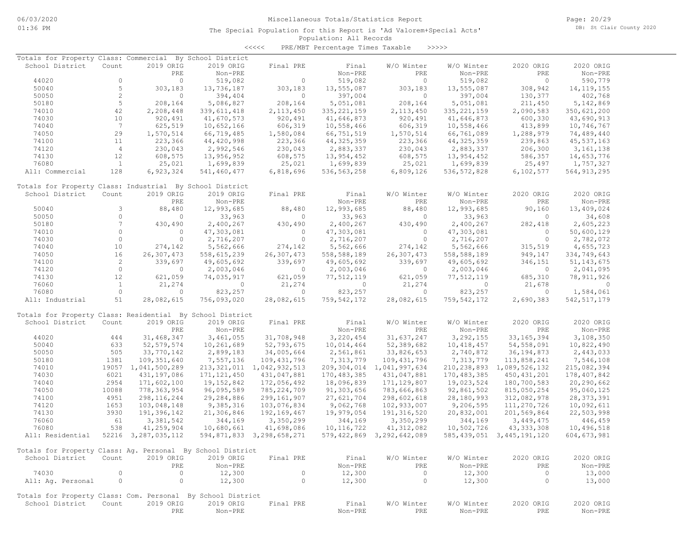Page: 20/29 DB: St Clair County 2020

### Population: All Records The Special Population for this Report is 'Ad Valorem+Special Acts'

<<<<< PRE/MBT Percentage Times Taxable >>>>>

| Totals for Property Class: Commercial By School District    |                |                     |               |                           |               |                                |               |                                |               |
|-------------------------------------------------------------|----------------|---------------------|---------------|---------------------------|---------------|--------------------------------|---------------|--------------------------------|---------------|
| School District                                             | Count          | 2019 ORIG           | 2019 ORIG     | Final PRE                 | Final         | W/O Winter                     | W/O Winter    | 2020 ORIG                      | 2020 ORIG     |
|                                                             |                | PRE                 | Non-PRE       |                           | Non-PRE       | PRE                            | Non-PRE       | PRE                            | Non-PRE       |
| 44020                                                       | $\circ$        | $\circ$             | 519,082       | $\circ$                   | 519,082       | $\circ$                        | 519,082       | $\circ$                        | 590,779       |
| 50040                                                       | 5              | 303,183             | 13,736,187    | 303,183                   | 13,555,087    | 303,183                        | 13,555,087    | 308,942                        | 14, 119, 155  |
| 50050                                                       | $\overline{c}$ | $\circ$             | 394,404       | $\circ$                   | 397,004       | $\circ$                        | 397,004       | 130,377                        | 402,768       |
| 50180                                                       | 5              | 208,164             | 5,086,827     | 208,164                   | 5,051,081     | 208,164                        | 5,051,081     | 211,450                        | 5,142,869     |
| 74010                                                       | 42             | 2,208,448           | 339, 611, 418 | 2, 113, 450               | 335, 221, 159 | 2, 113, 450                    | 335, 221, 159 | 2,090,583                      | 350,621,200   |
|                                                             | 10             |                     |               |                           |               |                                |               |                                |               |
| 74030                                                       |                | 920,491             | 41,670,573    | 920,491                   | 41,646,873    | 920,491                        | 41,646,873    | 600,330                        | 43,690,913    |
| 74040                                                       | 7              | 625,519             | 10,652,166    | 606,319                   | 10,558,466    | 606,319                        | 10,558,466    | 413,899                        | 10,746,767    |
| 74050                                                       | 29             | 1,570,514           | 66,719,485    | 1,580,084                 | 66,751,519    | 1,570,514                      | 66,761,089    | 1,288,979                      | 74,489,440    |
| 74100                                                       | 11             | 223,366             | 44,420,998    | 223,366                   | 44, 325, 359  | 223,366                        | 44, 325, 359  | 239,863                        | 45, 537, 163  |
| 74120                                                       | $\overline{4}$ | 230,043             | 2,992,546     | 230,043                   | 2,883,337     | 230,043                        | 2,883,337     | 206,300                        | 3, 161, 138   |
| 74130                                                       | 12             | 608,575             | 13,956,952    | 608,575                   | 13,954,452    | 608,575                        | 13,954,452    | 586,357                        | 14,653,776    |
| 76080                                                       | $\mathbf{1}$   | 25,021              | 1,699,839     | 25,021                    | 1,699,839     | 25,021                         | 1,699,839     | 25,497                         | 1,757,327     |
| All: Commercial                                             | 128            | 6,923,324           | 541,460,477   | 6,818,696                 | 536, 563, 258 | 6,809,126                      | 536, 572, 828 | 6,102,577                      | 564, 913, 295 |
|                                                             |                |                     |               |                           |               |                                |               |                                |               |
| Totals for Property Class: Industrial By School District    |                |                     |               |                           |               |                                |               |                                |               |
| School District                                             | Count          | 2019 ORIG           | 2019 ORIG     | Final PRE                 | Final         | W/O Winter                     | W/O Winter    | 2020 ORIG                      | 2020 ORIG     |
|                                                             |                | PRE                 | Non-PRE       |                           | Non-PRE       | PRE                            | Non-PRE       | PRE                            | Non-PRE       |
| 50040                                                       | 3              | 88,480              | 12,993,685    | 88,480                    | 12,993,685    | 88,480                         | 12,993,685    | 90,160                         | 13,409,024    |
| 50050                                                       | $\circ$        | $\circ$             | 33,963        | $\circ$                   | 33,963        | $\mathbf{0}$                   | 33,963        | $\circ$                        | 34,608        |
| 50180                                                       | 7              | 430,490             | 2,400,267     | 430,490                   | 2,400,267     | 430,490                        | 2,400,267     | 282,418                        | 2,605,223     |
| 74010                                                       | $\circ$        | $\circ$             | 47,303,081    | $\circ$                   | 47,303,081    | $\circ$                        | 47,303,081    | $\circ$                        | 50,600,129    |
| 74030                                                       | $\circ$        | $\circ$             | 2,716,207     | $\circ$                   | 2,716,207     | $\Omega$                       | 2,716,207     | $\circ$                        | 2,782,072     |
| 74040                                                       | 10             | 274,142             | 5,562,666     | 274,142                   | 5,562,666     | 274,142                        | 5,562,666     | 315,519                        | 4,655,723     |
| 74050                                                       | 16             | 26,307,473          | 558,615,239   | 26,307,473                | 558,588,189   | 26,307,473                     | 558,588,189   | 949,147                        | 334,749,643   |
| 74100                                                       | $\overline{c}$ | 339,697             | 49,605,692    | 339,697                   | 49,605,692    | 339,697                        | 49,605,692    | 346,151                        | 51, 143, 675  |
| 74120                                                       | $\circ$        | $\circ$             | 2,003,046     | $\circ$                   | 2,003,046     | $\overline{0}$                 | 2,003,046     | $\circ$                        | 2,041,095     |
| 74130                                                       | 12             | 621,059             | 74,035,917    | 621,059                   | 77,512,119    | 621,059                        | 77,512,119    | 685,310                        | 78, 911, 926  |
| 76060                                                       | $\mathbf{1}$   | 21,274              | $\mathbf{0}$  | 21,274                    | $\circ$       | 21,274                         | $\circ$       | 21,678                         | $\circ$       |
| 76080                                                       | $\circ$        | $\circ$             | 823,257       | $\circ$                   | 823,257       | $\Omega$                       | 823,257       | $\circ$                        | 1,584,061     |
| All: Industrial                                             | 51             | 28,082,615          | 756,093,020   | 28,082,615                | 759, 542, 172 | 28,082,615                     | 759, 542, 172 | 2,690,383                      | 542, 517, 179 |
|                                                             |                |                     |               |                           |               |                                |               |                                |               |
| Totals for Property Class: Residential By School District   |                |                     |               |                           |               |                                |               |                                |               |
| School District                                             | Count          | 2019 ORIG           | 2019 ORIG     | Final PRE                 | Final         | W/O Winter                     | W/O Winter    | 2020 ORIG                      | 2020 ORIG     |
|                                                             |                | PRE                 | Non-PRE       |                           | Non-PRE       | PRE                            | Non-PRE       | PRE                            | Non-PRE       |
| 44020                                                       | 444            | 31,468,347          | 3,461,055     | 31,708,948                | 3,220,454     | 31,637,247                     | 3,292,155     | 33, 165, 394                   | 3,108,350     |
| 50040                                                       | 633            | 52, 579, 574        | 10,261,689    | 52,793,675                | 10,014,464    | 52,389,682                     | 10, 418, 457  | 54,558,091                     | 10,822,490    |
| 50050                                                       | 505            | 33,770,142          | 2,899,183     | 34,005,664                | 2,561,861     | 33,826,653                     | 2,740,872     | 36, 194, 873                   | 2,443,033     |
| 50180                                                       | 1381           | 109, 351, 640       | 7,557,136     | 109, 431, 796             | 7,313,779     | 109, 431, 796                  | 7,313,779     | 113,858,241                    | 7,546,108     |
|                                                             |                |                     |               |                           |               |                                |               |                                |               |
| 74010                                                       |                | 19057 1,041,500,289 | 213, 321, 011 | 1,042,932,513             |               | 209, 304, 014 1, 041, 997, 634 | 210,238,893   | 1,089,526,132                  | 215,082,394   |
| 74030                                                       | 6021           | 431, 197, 086       | 171, 121, 450 | 431,047,881               | 170, 483, 385 | 431,047,881                    | 170, 483, 385 | 450, 431, 201                  | 178,407,842   |
| 74040                                                       | 2954           | 171,602,100         | 19, 152, 842  | 172,056,492               | 18,096,839    | 171, 129, 807                  | 19,023,524    | 180,700,583                    | 20,290,662    |
| 74050                                                       | 10088          | 778, 363, 954       | 96,095,589    | 785,224,709               | 91,303,656    | 783,666,863                    | 92,861,502    | 815,050,254                    | 95,060,125    |
| 74100                                                       | 4951           | 298, 116, 244       | 29,284,886    | 299, 161, 907             | 27,621,704    | 298,602,618                    | 28,180,993    | 312,082,978                    | 28, 373, 391  |
| 74120                                                       | 1653           | 103,048,148         | 9,385,316     | 103,076,834               | 9,062,768     | 102,933,007                    | 9,206,595     | 111,270,726                    | 10,092,611    |
| 74130                                                       | 3930           | 191,396,142         | 21,306,846    | 192, 169, 467             | 19,979,054    | 191, 316, 520                  | 20,832,001    | 201,569,864                    | 22,503,998    |
| 76060                                                       | 61             | 3,381,542           | 344,169       | 3,350,299                 | 344,169       | 3,350,299                      | 344,169       | 3,449,475                      | 446,459       |
| 76080                                                       | 538            | 41,259,904          | 10,680,661    | 41,698,086                | 10, 116, 722  | 41, 312, 082                   | 10,502,726    | 43, 333, 308                   | 10,496,518    |
| All: Residential                                            |                | 52216 3,287,035,112 |               | 594,871,833 3,298,658,271 |               | 579,422,869 3,292,642,089      |               | 585, 439, 051 3, 445, 191, 120 | 604, 673, 981 |
|                                                             |                |                     |               |                           |               |                                |               |                                |               |
| Totals for Property Class: Ag. Personal By School District  |                |                     |               |                           |               |                                |               |                                |               |
| School District                                             | Count          | 2019 ORIG           | 2019 ORIG     | Final PRE                 | Final         | W/O Winter                     | W/O Winter    | 2020 ORIG                      | 2020 ORIG     |
|                                                             |                | PRE                 | Non-PRE       |                           | Non-PRE       | PRE                            | Non-PRE       | PRE                            | Non-PRE       |
| 74030                                                       | $\circ$        | $\circ$             | 12,300        | $\circ$                   | 12,300        | $\circ$                        | 12,300        | $\circ$                        | 13,000        |
| All: Ag. Personal                                           | $\circ$        | $\circ$             | 12,300        | $\circ$                   | 12,300        | 0                              | 12,300        | $\circ$                        | 13,000        |
| Totals for Property Class: Com. Personal By School District |                |                     |               |                           |               |                                |               |                                |               |
| School District                                             | Count          | 2019 ORIG           | 2019 ORIG     | Final PRE                 | Final         | W/O Winter                     | W/O Winter    | 2020 ORIG                      | 2020 ORIG     |
|                                                             |                |                     |               |                           |               |                                |               |                                |               |
|                                                             |                | PRE                 | Non-PRE       |                           | Non-PRE       | PRE                            | Non-PRE       | PRE                            | Non-PRE       |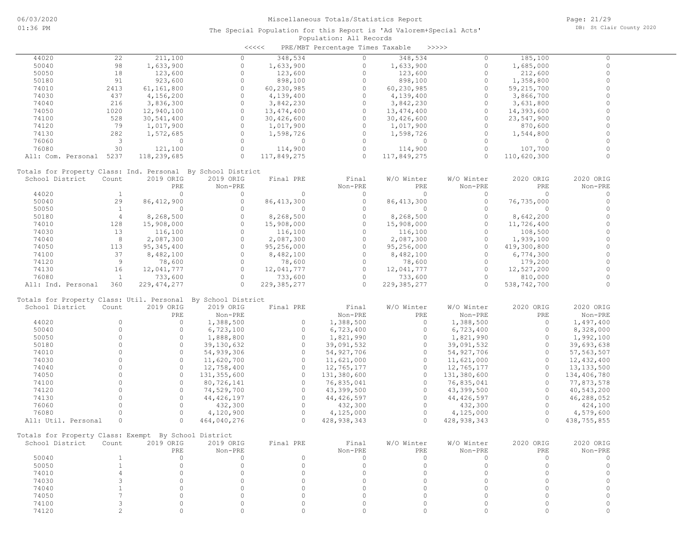| 211,100<br>44020<br>22<br>348,534<br>348,534<br>185,100<br>$\Omega$<br>$\circ$<br>$\circ$<br>$\circ$<br>$\circ$<br>50040<br>98<br>$\circ$<br>$\circ$<br>1,633,900<br>$\circ$<br>1,633,900<br>1,633,900<br>1,685,000<br>$\Omega$<br>50050<br>$\circ$<br>123,600<br>$\Omega$<br>$\Omega$<br>18<br>123,600<br>123,600<br>212,600<br>$\circ$<br>50180<br>91<br>923,600<br>$\circ$<br>$\circ$<br>$\circ$<br>898,100<br>898,100<br>1,358,800<br>$\mathbf 0$<br>2413<br>$\circ$<br>$\circ$<br>$\circ$<br>74010<br>61,161,800<br>60,230,985<br>60,230,985<br>59, 215, 700<br>$\Omega$<br>$\circ$<br>$\Omega$<br>$\circ$<br>74030<br>437<br>4,156,200<br>4,139,400<br>4,139,400<br>3,866,700<br>$\circ$<br>216<br>$\circ$<br>$\circ$<br>74040<br>3,836,300<br>$\circ$<br>3,842,230<br>3,842,230<br>3,631,800<br>1020<br>$\circ$<br>$\circ$<br>$\circ$<br>$\circ$<br>74050<br>12,940,100<br>13, 474, 400<br>13, 474, 400<br>14,393,600<br>$\circ$<br>528<br>$\circ$<br>$\circ$<br>$\circ$<br>74100<br>30,541,400<br>30,426,600<br>23,547,900<br>30,426,600<br>$\circ$<br>$\circ$<br>$\Omega$<br>$\Omega$<br>74120<br>79<br>1,017,900<br>1,017,900<br>870,600<br>1,017,900<br>$\circ$<br>$\circ$<br>$\circ$<br>$\circ$<br>74130<br>282<br>1,572,685<br>1,598,726<br>1,598,726<br>1,544,800<br>$\circ$<br>$\Omega$<br>76060<br>3<br>$\circ$<br>$\Omega$<br>$\Omega$<br>$\circ$<br>$\overline{0}$<br>$\circ$<br>$\circ$<br>30<br>$\circ$<br>$\circ$<br>76080<br>121,100<br>114,900<br>114,900<br>107,700<br>$\circ$<br>$\Omega$<br>$\Omega$<br>$\Omega$<br>$\circ$<br>All: Com. Personal 5237<br>118,239,685<br>117,849,275<br>117,849,275<br>110,620,300<br>Totals for Property Class: Ind. Personal By School District<br>2019 ORIG<br>W/O Winter<br>2020 ORIG<br>School District<br>Count<br>2019 ORIG<br>Final PRE<br>Final<br>W/O Winter<br>2020 ORIG<br>Non-PRE<br>PRE<br>PRE<br>Non-PRE<br>PRE<br>Non-PRE<br>Non-PRE<br>$\Omega$<br>44020<br>$\circ$<br>$\circ$<br>$\circ$<br>$\Omega$<br>$\circ$<br>$\Omega$<br>0<br>$\perp$<br>50040<br>29<br>86, 412, 900<br>$\circ$<br>$\circ$<br>86, 413, 300<br>$\circ$<br>$\circ$<br>86, 413, 300<br>76,735,000<br>50050<br><sup>1</sup><br>$\circ$<br>$\circ$<br>$\circ$<br>$\Omega$<br>$\Omega$<br>$\Omega$<br>$\circ$<br>$\Omega$<br>$\mathbf 0$<br>$\circ$<br>$\overline{4}$<br>$\circ$<br>$\circ$<br>50180<br>8,268,500<br>8,268,500<br>8,268,500<br>8,642,200<br>$\Omega$<br>$\Omega$<br>$\circ$<br>$\Omega$<br>74010<br>128<br>15,908,000<br>15,908,000<br>15,908,000<br>11,726,400<br>$\circ$<br>$\Omega$<br>$\circ$<br>$\Omega$<br>74030<br>13<br>116,100<br>116,100<br>116,100<br>108,500<br>8<br>$\circ$<br>$\circ$<br>$\circ$<br>$\circ$<br>74040<br>2,087,300<br>2,087,300<br>1,939,100<br>2,087,300<br>$\circ$<br>$\circ$<br>$\Omega$<br>$\circ$<br>74050<br>113<br>95, 345, 400<br>95,256,000<br>95,256,000<br>419,300,800<br>$\circ$<br>$\circ$<br>37<br>$\circ$<br>$\circ$<br>74100<br>8,482,100<br>8,482,100<br>8,482,100<br>6,774,300<br>$\Omega$<br>$\Omega$<br>9<br>$\circ$<br>$\Omega$<br>78,600<br>74120<br>78,600<br>78,600<br>179,200<br>$\circ$<br>$\circ$<br>$\circ$<br>74130<br>16<br>12,041,777<br>12,041,777<br>$\circ$<br>12,041,777<br>12,527,200<br>76080<br>$\circ$<br>$\circ$<br>$\circ$<br>$\circ$<br>$\mathbf{1}$<br>733,600<br>733,600<br>733,600<br>810,000<br>$\Omega$<br>$\circ$<br>$\Omega$<br>229, 385, 277<br>$\circ$<br>All: Ind. Personal<br>360<br>229, 474, 277<br>229, 385, 277<br>538,742,700<br>Totals for Property Class: Util. Personal By School District<br>School District<br>W/O Winter<br>2020 ORIG<br>Count<br>2019 ORIG<br>2019 ORIG<br>Final PRE<br>Final<br>W/O Winter<br>2020 ORIG<br>PRE<br>Non-PRE<br>Non-PRE<br>PRE<br>Non-PRE<br>PRE<br>Non-PRE<br>$\Omega$<br>$\Omega$<br>$\circ$<br>1,388,500<br>1,388,500<br>$\Omega$<br>$\circ$<br>44020<br>1,388,500<br>1,497,400<br>$\circ$<br>50040<br>$\circ$<br>$\circ$<br>$\Omega$<br>$\circ$<br>6,723,100<br>6,723,400<br>6,723,400<br>8,328,000<br>$\circ$<br>$\circ$<br>50050<br>$\circ$<br>1,888,800<br>1,821,990<br>$\circ$<br>$\circ$<br>1,821,990<br>1,992,100<br>$\circ$<br>$\circ$<br>$\circ$<br>$\circ$<br>$\circ$<br>50180<br>39,130,632<br>39,091,532<br>39,091,532<br>39,693,638<br>$\circ$<br>$\circ$<br>$\circ$<br>$\circ$<br>$\circ$<br>74010<br>54,939,306<br>54, 927, 706<br>54,927,706<br>57, 563, 507<br>$\Omega$<br>$\circ$<br>$\circ$<br>$\Omega$<br>$\circ$<br>74030<br>11,620,700<br>11,621,000<br>11,621,000<br>12,432,400<br>$\Omega$<br>$\Omega$<br>$\circ$<br>$\Omega$<br>$\circ$<br>74040<br>12,758,400<br>12,765,177<br>12,765,177<br>13, 133, 500<br>$\circ$<br>$\circ$<br>$\circ$<br>$\circ$<br>$\circ$<br>74050<br>131,355,600<br>131,380,600<br>131,380,600<br>134,406,780<br>$\Omega$<br>$\Omega$<br>$\Omega$<br>$\Omega$<br>74100<br>80,726,141<br>76,835,041<br>$\Omega$<br>76,835,041<br>77,873,578<br>$\Omega$<br>$\Omega$<br>$\circ$<br>$\Omega$<br>$\circ$<br>74120<br>74,529,700<br>43,399,500<br>40,543,200<br>43,399,500<br>$\Omega$<br>74130<br>$\Omega$<br>$\circ$<br>$\Omega$<br>$\circ$<br>44, 426, 197<br>44, 426, 597<br>46,288,052<br>44,426,597<br>$\circ$<br>$\circ$<br>$\circ$<br>$\circ$<br>$\circ$<br>76060<br>432,300<br>432,300<br>424,100<br>432,300<br>$\Omega$<br>$\circ$<br>$\circ$<br>$\circ$<br>76080<br>4,120,900<br>4,125,000<br>$\circ$<br>4,125,000<br>4,579,600<br>$\Omega$<br>$\Omega$<br>$\Omega$<br>All: Util. Personal<br>$\circ$<br>$\Omega$<br>464,040,276<br>428,938,343<br>428,938,343<br>438,755,855<br>Totals for Property Class: Exempt By School District<br>Final<br>W/O Winter 2020 ORIG<br>2019 ORIG<br>Final PRE<br>W/O Winter<br>2020 ORIG<br>School District Count<br>2019 ORIG<br>PRE<br>$Non-PRE$<br>Non-PRE<br>PRE<br>Non-PRE<br>PRE<br>Non-PRE<br>$\circ$<br>$\mathbf{1}$<br>$\circ$<br>$\circ$<br>$\overline{0}$<br>$\circ$<br>50040<br>$\circ$<br>$\circ$<br>$\Omega$<br>$\circ$<br>$\circ$<br>$\circ$<br>$\circ$<br>$\overline{0}$<br>$\circ$<br>$\circ$<br>$\circ$<br>50050<br>$\mathbf{1}$<br>$\circ$<br>$\Omega$<br>$\circ$<br>74010<br>$\overline{4}$<br>$\circ$<br>$\circ$<br>$\circ$<br>$\circ$<br>0<br>$\Omega$<br>$\circ$<br>74030<br>3<br>$\Omega$<br>$\Omega$<br>$\Omega$<br>$\Omega$<br>$\Omega$<br>$\Omega$<br>$\Omega$<br>$\circ$<br>74040<br>$\mathbf{1}$<br>$\Omega$<br>$\Omega$<br>$\Omega$<br>$\Omega$<br>$\Omega$<br>$\Omega$<br>$7\overline{ }$<br>74050<br>$\Omega$<br>$\circ$<br>$\circ$<br>$\Omega$<br>$\circ$<br>$\circ$<br>0<br>$\circ$<br>74100<br>3<br>$\Omega$<br>$\mathbf{0}$<br>$\bigcap$<br>$\circ$<br>$\Omega$<br>$\circ$<br>$\Omega$<br>$\Omega$<br>74120<br>$\overline{2}$<br>$\circ$<br>$\circ$<br>$\Omega$<br>$\mathbf 0$<br>$\circ$<br>$\Omega$<br>$\Omega$<br>$\Omega$ |  |  | $\prec$ <<<< | PRE/MBT Percentage Times Taxable | >>>>> |  |  |
|---------------------------------------------------------------------------------------------------------------------------------------------------------------------------------------------------------------------------------------------------------------------------------------------------------------------------------------------------------------------------------------------------------------------------------------------------------------------------------------------------------------------------------------------------------------------------------------------------------------------------------------------------------------------------------------------------------------------------------------------------------------------------------------------------------------------------------------------------------------------------------------------------------------------------------------------------------------------------------------------------------------------------------------------------------------------------------------------------------------------------------------------------------------------------------------------------------------------------------------------------------------------------------------------------------------------------------------------------------------------------------------------------------------------------------------------------------------------------------------------------------------------------------------------------------------------------------------------------------------------------------------------------------------------------------------------------------------------------------------------------------------------------------------------------------------------------------------------------------------------------------------------------------------------------------------------------------------------------------------------------------------------------------------------------------------------------------------------------------------------------------------------------------------------------------------------------------------------------------------------------------------------------------------------------------------------------------------------------------------------------------------------------------------------------------------------------------------------------------------------------------------------------------------------------------------------------------------------------------------------------------------------------------------------------------------------------------------------------------------------------------------------------------------------------------------------------------------------------------------------------------------------------------------------------------------------------------------------------------------------------------------------------------------------------------------------------------------------------------------------------------------------------------------------------------------------------------------------------------------------------------------------------------------------------------------------------------------------------------------------------------------------------------------------------------------------------------------------------------------------------------------------------------------------------------------------------------------------------------------------------------------------------------------------------------------------------------------------------------------------------------------------------------------------------------------------------------------------------------------------------------------------------------------------------------------------------------------------------------------------------------------------------------------------------------------------------------------------------------------------------------------------------------------------------------------------------------------------------------------------------------------------------------------------------------------------------------------------------------------------------------------------------------------------------------------------------------------------------------------------------------------------------------------------------------------------------------------------------------------------------------------------------------------------------------------------------------------------------------------------------------------------------------------------------------------------------------------------------------------------------------------------------------------------------------------------------------------------------------------------------------------------------------------------------------------------------------------------------------------------------------------------------------------------------------------------------------------------------------------------------------------------------------------------------------------------------------------------------------------------------------------------------------------------------------------------------------------------------------------------------------------------------------------------------------------------------------------------------------------------------------------------------------------------------------------------------------------------------------------------------------------------------------------------------------------------------------------------------------------------------------------------------------------------------------------------------------------------------------------------------------------------------------------------------------------------------------------------------------------------------------------------------------------------------------------------------------------------------------------------------------------------------------------------------------------------------------------------------------------------------------------------------------------------------------------------------------------------------------------------------------------------------------------------------------------------------------------------------------------------------------------------------------------------------------------------------------------------------------------------------------|--|--|--------------|----------------------------------|-------|--|--|
|                                                                                                                                                                                                                                                                                                                                                                                                                                                                                                                                                                                                                                                                                                                                                                                                                                                                                                                                                                                                                                                                                                                                                                                                                                                                                                                                                                                                                                                                                                                                                                                                                                                                                                                                                                                                                                                                                                                                                                                                                                                                                                                                                                                                                                                                                                                                                                                                                                                                                                                                                                                                                                                                                                                                                                                                                                                                                                                                                                                                                                                                                                                                                                                                                                                                                                                                                                                                                                                                                                                                                                                                                                                                                                                                                                                                                                                                                                                                                                                                                                                                                                                                                                                                                                                                                                                                                                                                                                                                                                                                                                                                                                                                                                                                                                                                                                                                                                                                                                                                                                                                                                                                                                                                                                                                                                                                                                                                                                                                                                                                                                                                                                                                                                                                                                                                                                                                                                                                                                                                                                                                                                                                                                                                                                                                                                                                                                                                                                                                                                                                                                                                                                                                                                                                                         |  |  |              |                                  |       |  |  |
|                                                                                                                                                                                                                                                                                                                                                                                                                                                                                                                                                                                                                                                                                                                                                                                                                                                                                                                                                                                                                                                                                                                                                                                                                                                                                                                                                                                                                                                                                                                                                                                                                                                                                                                                                                                                                                                                                                                                                                                                                                                                                                                                                                                                                                                                                                                                                                                                                                                                                                                                                                                                                                                                                                                                                                                                                                                                                                                                                                                                                                                                                                                                                                                                                                                                                                                                                                                                                                                                                                                                                                                                                                                                                                                                                                                                                                                                                                                                                                                                                                                                                                                                                                                                                                                                                                                                                                                                                                                                                                                                                                                                                                                                                                                                                                                                                                                                                                                                                                                                                                                                                                                                                                                                                                                                                                                                                                                                                                                                                                                                                                                                                                                                                                                                                                                                                                                                                                                                                                                                                                                                                                                                                                                                                                                                                                                                                                                                                                                                                                                                                                                                                                                                                                                                                         |  |  |              |                                  |       |  |  |
|                                                                                                                                                                                                                                                                                                                                                                                                                                                                                                                                                                                                                                                                                                                                                                                                                                                                                                                                                                                                                                                                                                                                                                                                                                                                                                                                                                                                                                                                                                                                                                                                                                                                                                                                                                                                                                                                                                                                                                                                                                                                                                                                                                                                                                                                                                                                                                                                                                                                                                                                                                                                                                                                                                                                                                                                                                                                                                                                                                                                                                                                                                                                                                                                                                                                                                                                                                                                                                                                                                                                                                                                                                                                                                                                                                                                                                                                                                                                                                                                                                                                                                                                                                                                                                                                                                                                                                                                                                                                                                                                                                                                                                                                                                                                                                                                                                                                                                                                                                                                                                                                                                                                                                                                                                                                                                                                                                                                                                                                                                                                                                                                                                                                                                                                                                                                                                                                                                                                                                                                                                                                                                                                                                                                                                                                                                                                                                                                                                                                                                                                                                                                                                                                                                                                                         |  |  |              |                                  |       |  |  |
|                                                                                                                                                                                                                                                                                                                                                                                                                                                                                                                                                                                                                                                                                                                                                                                                                                                                                                                                                                                                                                                                                                                                                                                                                                                                                                                                                                                                                                                                                                                                                                                                                                                                                                                                                                                                                                                                                                                                                                                                                                                                                                                                                                                                                                                                                                                                                                                                                                                                                                                                                                                                                                                                                                                                                                                                                                                                                                                                                                                                                                                                                                                                                                                                                                                                                                                                                                                                                                                                                                                                                                                                                                                                                                                                                                                                                                                                                                                                                                                                                                                                                                                                                                                                                                                                                                                                                                                                                                                                                                                                                                                                                                                                                                                                                                                                                                                                                                                                                                                                                                                                                                                                                                                                                                                                                                                                                                                                                                                                                                                                                                                                                                                                                                                                                                                                                                                                                                                                                                                                                                                                                                                                                                                                                                                                                                                                                                                                                                                                                                                                                                                                                                                                                                                                                         |  |  |              |                                  |       |  |  |
|                                                                                                                                                                                                                                                                                                                                                                                                                                                                                                                                                                                                                                                                                                                                                                                                                                                                                                                                                                                                                                                                                                                                                                                                                                                                                                                                                                                                                                                                                                                                                                                                                                                                                                                                                                                                                                                                                                                                                                                                                                                                                                                                                                                                                                                                                                                                                                                                                                                                                                                                                                                                                                                                                                                                                                                                                                                                                                                                                                                                                                                                                                                                                                                                                                                                                                                                                                                                                                                                                                                                                                                                                                                                                                                                                                                                                                                                                                                                                                                                                                                                                                                                                                                                                                                                                                                                                                                                                                                                                                                                                                                                                                                                                                                                                                                                                                                                                                                                                                                                                                                                                                                                                                                                                                                                                                                                                                                                                                                                                                                                                                                                                                                                                                                                                                                                                                                                                                                                                                                                                                                                                                                                                                                                                                                                                                                                                                                                                                                                                                                                                                                                                                                                                                                                                         |  |  |              |                                  |       |  |  |
|                                                                                                                                                                                                                                                                                                                                                                                                                                                                                                                                                                                                                                                                                                                                                                                                                                                                                                                                                                                                                                                                                                                                                                                                                                                                                                                                                                                                                                                                                                                                                                                                                                                                                                                                                                                                                                                                                                                                                                                                                                                                                                                                                                                                                                                                                                                                                                                                                                                                                                                                                                                                                                                                                                                                                                                                                                                                                                                                                                                                                                                                                                                                                                                                                                                                                                                                                                                                                                                                                                                                                                                                                                                                                                                                                                                                                                                                                                                                                                                                                                                                                                                                                                                                                                                                                                                                                                                                                                                                                                                                                                                                                                                                                                                                                                                                                                                                                                                                                                                                                                                                                                                                                                                                                                                                                                                                                                                                                                                                                                                                                                                                                                                                                                                                                                                                                                                                                                                                                                                                                                                                                                                                                                                                                                                                                                                                                                                                                                                                                                                                                                                                                                                                                                                                                         |  |  |              |                                  |       |  |  |
|                                                                                                                                                                                                                                                                                                                                                                                                                                                                                                                                                                                                                                                                                                                                                                                                                                                                                                                                                                                                                                                                                                                                                                                                                                                                                                                                                                                                                                                                                                                                                                                                                                                                                                                                                                                                                                                                                                                                                                                                                                                                                                                                                                                                                                                                                                                                                                                                                                                                                                                                                                                                                                                                                                                                                                                                                                                                                                                                                                                                                                                                                                                                                                                                                                                                                                                                                                                                                                                                                                                                                                                                                                                                                                                                                                                                                                                                                                                                                                                                                                                                                                                                                                                                                                                                                                                                                                                                                                                                                                                                                                                                                                                                                                                                                                                                                                                                                                                                                                                                                                                                                                                                                                                                                                                                                                                                                                                                                                                                                                                                                                                                                                                                                                                                                                                                                                                                                                                                                                                                                                                                                                                                                                                                                                                                                                                                                                                                                                                                                                                                                                                                                                                                                                                                                         |  |  |              |                                  |       |  |  |
|                                                                                                                                                                                                                                                                                                                                                                                                                                                                                                                                                                                                                                                                                                                                                                                                                                                                                                                                                                                                                                                                                                                                                                                                                                                                                                                                                                                                                                                                                                                                                                                                                                                                                                                                                                                                                                                                                                                                                                                                                                                                                                                                                                                                                                                                                                                                                                                                                                                                                                                                                                                                                                                                                                                                                                                                                                                                                                                                                                                                                                                                                                                                                                                                                                                                                                                                                                                                                                                                                                                                                                                                                                                                                                                                                                                                                                                                                                                                                                                                                                                                                                                                                                                                                                                                                                                                                                                                                                                                                                                                                                                                                                                                                                                                                                                                                                                                                                                                                                                                                                                                                                                                                                                                                                                                                                                                                                                                                                                                                                                                                                                                                                                                                                                                                                                                                                                                                                                                                                                                                                                                                                                                                                                                                                                                                                                                                                                                                                                                                                                                                                                                                                                                                                                                                         |  |  |              |                                  |       |  |  |
|                                                                                                                                                                                                                                                                                                                                                                                                                                                                                                                                                                                                                                                                                                                                                                                                                                                                                                                                                                                                                                                                                                                                                                                                                                                                                                                                                                                                                                                                                                                                                                                                                                                                                                                                                                                                                                                                                                                                                                                                                                                                                                                                                                                                                                                                                                                                                                                                                                                                                                                                                                                                                                                                                                                                                                                                                                                                                                                                                                                                                                                                                                                                                                                                                                                                                                                                                                                                                                                                                                                                                                                                                                                                                                                                                                                                                                                                                                                                                                                                                                                                                                                                                                                                                                                                                                                                                                                                                                                                                                                                                                                                                                                                                                                                                                                                                                                                                                                                                                                                                                                                                                                                                                                                                                                                                                                                                                                                                                                                                                                                                                                                                                                                                                                                                                                                                                                                                                                                                                                                                                                                                                                                                                                                                                                                                                                                                                                                                                                                                                                                                                                                                                                                                                                                                         |  |  |              |                                  |       |  |  |
|                                                                                                                                                                                                                                                                                                                                                                                                                                                                                                                                                                                                                                                                                                                                                                                                                                                                                                                                                                                                                                                                                                                                                                                                                                                                                                                                                                                                                                                                                                                                                                                                                                                                                                                                                                                                                                                                                                                                                                                                                                                                                                                                                                                                                                                                                                                                                                                                                                                                                                                                                                                                                                                                                                                                                                                                                                                                                                                                                                                                                                                                                                                                                                                                                                                                                                                                                                                                                                                                                                                                                                                                                                                                                                                                                                                                                                                                                                                                                                                                                                                                                                                                                                                                                                                                                                                                                                                                                                                                                                                                                                                                                                                                                                                                                                                                                                                                                                                                                                                                                                                                                                                                                                                                                                                                                                                                                                                                                                                                                                                                                                                                                                                                                                                                                                                                                                                                                                                                                                                                                                                                                                                                                                                                                                                                                                                                                                                                                                                                                                                                                                                                                                                                                                                                                         |  |  |              |                                  |       |  |  |
|                                                                                                                                                                                                                                                                                                                                                                                                                                                                                                                                                                                                                                                                                                                                                                                                                                                                                                                                                                                                                                                                                                                                                                                                                                                                                                                                                                                                                                                                                                                                                                                                                                                                                                                                                                                                                                                                                                                                                                                                                                                                                                                                                                                                                                                                                                                                                                                                                                                                                                                                                                                                                                                                                                                                                                                                                                                                                                                                                                                                                                                                                                                                                                                                                                                                                                                                                                                                                                                                                                                                                                                                                                                                                                                                                                                                                                                                                                                                                                                                                                                                                                                                                                                                                                                                                                                                                                                                                                                                                                                                                                                                                                                                                                                                                                                                                                                                                                                                                                                                                                                                                                                                                                                                                                                                                                                                                                                                                                                                                                                                                                                                                                                                                                                                                                                                                                                                                                                                                                                                                                                                                                                                                                                                                                                                                                                                                                                                                                                                                                                                                                                                                                                                                                                                                         |  |  |              |                                  |       |  |  |
|                                                                                                                                                                                                                                                                                                                                                                                                                                                                                                                                                                                                                                                                                                                                                                                                                                                                                                                                                                                                                                                                                                                                                                                                                                                                                                                                                                                                                                                                                                                                                                                                                                                                                                                                                                                                                                                                                                                                                                                                                                                                                                                                                                                                                                                                                                                                                                                                                                                                                                                                                                                                                                                                                                                                                                                                                                                                                                                                                                                                                                                                                                                                                                                                                                                                                                                                                                                                                                                                                                                                                                                                                                                                                                                                                                                                                                                                                                                                                                                                                                                                                                                                                                                                                                                                                                                                                                                                                                                                                                                                                                                                                                                                                                                                                                                                                                                                                                                                                                                                                                                                                                                                                                                                                                                                                                                                                                                                                                                                                                                                                                                                                                                                                                                                                                                                                                                                                                                                                                                                                                                                                                                                                                                                                                                                                                                                                                                                                                                                                                                                                                                                                                                                                                                                                         |  |  |              |                                  |       |  |  |
|                                                                                                                                                                                                                                                                                                                                                                                                                                                                                                                                                                                                                                                                                                                                                                                                                                                                                                                                                                                                                                                                                                                                                                                                                                                                                                                                                                                                                                                                                                                                                                                                                                                                                                                                                                                                                                                                                                                                                                                                                                                                                                                                                                                                                                                                                                                                                                                                                                                                                                                                                                                                                                                                                                                                                                                                                                                                                                                                                                                                                                                                                                                                                                                                                                                                                                                                                                                                                                                                                                                                                                                                                                                                                                                                                                                                                                                                                                                                                                                                                                                                                                                                                                                                                                                                                                                                                                                                                                                                                                                                                                                                                                                                                                                                                                                                                                                                                                                                                                                                                                                                                                                                                                                                                                                                                                                                                                                                                                                                                                                                                                                                                                                                                                                                                                                                                                                                                                                                                                                                                                                                                                                                                                                                                                                                                                                                                                                                                                                                                                                                                                                                                                                                                                                                                         |  |  |              |                                  |       |  |  |
|                                                                                                                                                                                                                                                                                                                                                                                                                                                                                                                                                                                                                                                                                                                                                                                                                                                                                                                                                                                                                                                                                                                                                                                                                                                                                                                                                                                                                                                                                                                                                                                                                                                                                                                                                                                                                                                                                                                                                                                                                                                                                                                                                                                                                                                                                                                                                                                                                                                                                                                                                                                                                                                                                                                                                                                                                                                                                                                                                                                                                                                                                                                                                                                                                                                                                                                                                                                                                                                                                                                                                                                                                                                                                                                                                                                                                                                                                                                                                                                                                                                                                                                                                                                                                                                                                                                                                                                                                                                                                                                                                                                                                                                                                                                                                                                                                                                                                                                                                                                                                                                                                                                                                                                                                                                                                                                                                                                                                                                                                                                                                                                                                                                                                                                                                                                                                                                                                                                                                                                                                                                                                                                                                                                                                                                                                                                                                                                                                                                                                                                                                                                                                                                                                                                                                         |  |  |              |                                  |       |  |  |
|                                                                                                                                                                                                                                                                                                                                                                                                                                                                                                                                                                                                                                                                                                                                                                                                                                                                                                                                                                                                                                                                                                                                                                                                                                                                                                                                                                                                                                                                                                                                                                                                                                                                                                                                                                                                                                                                                                                                                                                                                                                                                                                                                                                                                                                                                                                                                                                                                                                                                                                                                                                                                                                                                                                                                                                                                                                                                                                                                                                                                                                                                                                                                                                                                                                                                                                                                                                                                                                                                                                                                                                                                                                                                                                                                                                                                                                                                                                                                                                                                                                                                                                                                                                                                                                                                                                                                                                                                                                                                                                                                                                                                                                                                                                                                                                                                                                                                                                                                                                                                                                                                                                                                                                                                                                                                                                                                                                                                                                                                                                                                                                                                                                                                                                                                                                                                                                                                                                                                                                                                                                                                                                                                                                                                                                                                                                                                                                                                                                                                                                                                                                                                                                                                                                                                         |  |  |              |                                  |       |  |  |
|                                                                                                                                                                                                                                                                                                                                                                                                                                                                                                                                                                                                                                                                                                                                                                                                                                                                                                                                                                                                                                                                                                                                                                                                                                                                                                                                                                                                                                                                                                                                                                                                                                                                                                                                                                                                                                                                                                                                                                                                                                                                                                                                                                                                                                                                                                                                                                                                                                                                                                                                                                                                                                                                                                                                                                                                                                                                                                                                                                                                                                                                                                                                                                                                                                                                                                                                                                                                                                                                                                                                                                                                                                                                                                                                                                                                                                                                                                                                                                                                                                                                                                                                                                                                                                                                                                                                                                                                                                                                                                                                                                                                                                                                                                                                                                                                                                                                                                                                                                                                                                                                                                                                                                                                                                                                                                                                                                                                                                                                                                                                                                                                                                                                                                                                                                                                                                                                                                                                                                                                                                                                                                                                                                                                                                                                                                                                                                                                                                                                                                                                                                                                                                                                                                                                                         |  |  |              |                                  |       |  |  |
|                                                                                                                                                                                                                                                                                                                                                                                                                                                                                                                                                                                                                                                                                                                                                                                                                                                                                                                                                                                                                                                                                                                                                                                                                                                                                                                                                                                                                                                                                                                                                                                                                                                                                                                                                                                                                                                                                                                                                                                                                                                                                                                                                                                                                                                                                                                                                                                                                                                                                                                                                                                                                                                                                                                                                                                                                                                                                                                                                                                                                                                                                                                                                                                                                                                                                                                                                                                                                                                                                                                                                                                                                                                                                                                                                                                                                                                                                                                                                                                                                                                                                                                                                                                                                                                                                                                                                                                                                                                                                                                                                                                                                                                                                                                                                                                                                                                                                                                                                                                                                                                                                                                                                                                                                                                                                                                                                                                                                                                                                                                                                                                                                                                                                                                                                                                                                                                                                                                                                                                                                                                                                                                                                                                                                                                                                                                                                                                                                                                                                                                                                                                                                                                                                                                                                         |  |  |              |                                  |       |  |  |
|                                                                                                                                                                                                                                                                                                                                                                                                                                                                                                                                                                                                                                                                                                                                                                                                                                                                                                                                                                                                                                                                                                                                                                                                                                                                                                                                                                                                                                                                                                                                                                                                                                                                                                                                                                                                                                                                                                                                                                                                                                                                                                                                                                                                                                                                                                                                                                                                                                                                                                                                                                                                                                                                                                                                                                                                                                                                                                                                                                                                                                                                                                                                                                                                                                                                                                                                                                                                                                                                                                                                                                                                                                                                                                                                                                                                                                                                                                                                                                                                                                                                                                                                                                                                                                                                                                                                                                                                                                                                                                                                                                                                                                                                                                                                                                                                                                                                                                                                                                                                                                                                                                                                                                                                                                                                                                                                                                                                                                                                                                                                                                                                                                                                                                                                                                                                                                                                                                                                                                                                                                                                                                                                                                                                                                                                                                                                                                                                                                                                                                                                                                                                                                                                                                                                                         |  |  |              |                                  |       |  |  |
|                                                                                                                                                                                                                                                                                                                                                                                                                                                                                                                                                                                                                                                                                                                                                                                                                                                                                                                                                                                                                                                                                                                                                                                                                                                                                                                                                                                                                                                                                                                                                                                                                                                                                                                                                                                                                                                                                                                                                                                                                                                                                                                                                                                                                                                                                                                                                                                                                                                                                                                                                                                                                                                                                                                                                                                                                                                                                                                                                                                                                                                                                                                                                                                                                                                                                                                                                                                                                                                                                                                                                                                                                                                                                                                                                                                                                                                                                                                                                                                                                                                                                                                                                                                                                                                                                                                                                                                                                                                                                                                                                                                                                                                                                                                                                                                                                                                                                                                                                                                                                                                                                                                                                                                                                                                                                                                                                                                                                                                                                                                                                                                                                                                                                                                                                                                                                                                                                                                                                                                                                                                                                                                                                                                                                                                                                                                                                                                                                                                                                                                                                                                                                                                                                                                                                         |  |  |              |                                  |       |  |  |
|                                                                                                                                                                                                                                                                                                                                                                                                                                                                                                                                                                                                                                                                                                                                                                                                                                                                                                                                                                                                                                                                                                                                                                                                                                                                                                                                                                                                                                                                                                                                                                                                                                                                                                                                                                                                                                                                                                                                                                                                                                                                                                                                                                                                                                                                                                                                                                                                                                                                                                                                                                                                                                                                                                                                                                                                                                                                                                                                                                                                                                                                                                                                                                                                                                                                                                                                                                                                                                                                                                                                                                                                                                                                                                                                                                                                                                                                                                                                                                                                                                                                                                                                                                                                                                                                                                                                                                                                                                                                                                                                                                                                                                                                                                                                                                                                                                                                                                                                                                                                                                                                                                                                                                                                                                                                                                                                                                                                                                                                                                                                                                                                                                                                                                                                                                                                                                                                                                                                                                                                                                                                                                                                                                                                                                                                                                                                                                                                                                                                                                                                                                                                                                                                                                                                                         |  |  |              |                                  |       |  |  |
|                                                                                                                                                                                                                                                                                                                                                                                                                                                                                                                                                                                                                                                                                                                                                                                                                                                                                                                                                                                                                                                                                                                                                                                                                                                                                                                                                                                                                                                                                                                                                                                                                                                                                                                                                                                                                                                                                                                                                                                                                                                                                                                                                                                                                                                                                                                                                                                                                                                                                                                                                                                                                                                                                                                                                                                                                                                                                                                                                                                                                                                                                                                                                                                                                                                                                                                                                                                                                                                                                                                                                                                                                                                                                                                                                                                                                                                                                                                                                                                                                                                                                                                                                                                                                                                                                                                                                                                                                                                                                                                                                                                                                                                                                                                                                                                                                                                                                                                                                                                                                                                                                                                                                                                                                                                                                                                                                                                                                                                                                                                                                                                                                                                                                                                                                                                                                                                                                                                                                                                                                                                                                                                                                                                                                                                                                                                                                                                                                                                                                                                                                                                                                                                                                                                                                         |  |  |              |                                  |       |  |  |
|                                                                                                                                                                                                                                                                                                                                                                                                                                                                                                                                                                                                                                                                                                                                                                                                                                                                                                                                                                                                                                                                                                                                                                                                                                                                                                                                                                                                                                                                                                                                                                                                                                                                                                                                                                                                                                                                                                                                                                                                                                                                                                                                                                                                                                                                                                                                                                                                                                                                                                                                                                                                                                                                                                                                                                                                                                                                                                                                                                                                                                                                                                                                                                                                                                                                                                                                                                                                                                                                                                                                                                                                                                                                                                                                                                                                                                                                                                                                                                                                                                                                                                                                                                                                                                                                                                                                                                                                                                                                                                                                                                                                                                                                                                                                                                                                                                                                                                                                                                                                                                                                                                                                                                                                                                                                                                                                                                                                                                                                                                                                                                                                                                                                                                                                                                                                                                                                                                                                                                                                                                                                                                                                                                                                                                                                                                                                                                                                                                                                                                                                                                                                                                                                                                                                                         |  |  |              |                                  |       |  |  |
|                                                                                                                                                                                                                                                                                                                                                                                                                                                                                                                                                                                                                                                                                                                                                                                                                                                                                                                                                                                                                                                                                                                                                                                                                                                                                                                                                                                                                                                                                                                                                                                                                                                                                                                                                                                                                                                                                                                                                                                                                                                                                                                                                                                                                                                                                                                                                                                                                                                                                                                                                                                                                                                                                                                                                                                                                                                                                                                                                                                                                                                                                                                                                                                                                                                                                                                                                                                                                                                                                                                                                                                                                                                                                                                                                                                                                                                                                                                                                                                                                                                                                                                                                                                                                                                                                                                                                                                                                                                                                                                                                                                                                                                                                                                                                                                                                                                                                                                                                                                                                                                                                                                                                                                                                                                                                                                                                                                                                                                                                                                                                                                                                                                                                                                                                                                                                                                                                                                                                                                                                                                                                                                                                                                                                                                                                                                                                                                                                                                                                                                                                                                                                                                                                                                                                         |  |  |              |                                  |       |  |  |
|                                                                                                                                                                                                                                                                                                                                                                                                                                                                                                                                                                                                                                                                                                                                                                                                                                                                                                                                                                                                                                                                                                                                                                                                                                                                                                                                                                                                                                                                                                                                                                                                                                                                                                                                                                                                                                                                                                                                                                                                                                                                                                                                                                                                                                                                                                                                                                                                                                                                                                                                                                                                                                                                                                                                                                                                                                                                                                                                                                                                                                                                                                                                                                                                                                                                                                                                                                                                                                                                                                                                                                                                                                                                                                                                                                                                                                                                                                                                                                                                                                                                                                                                                                                                                                                                                                                                                                                                                                                                                                                                                                                                                                                                                                                                                                                                                                                                                                                                                                                                                                                                                                                                                                                                                                                                                                                                                                                                                                                                                                                                                                                                                                                                                                                                                                                                                                                                                                                                                                                                                                                                                                                                                                                                                                                                                                                                                                                                                                                                                                                                                                                                                                                                                                                                                         |  |  |              |                                  |       |  |  |
|                                                                                                                                                                                                                                                                                                                                                                                                                                                                                                                                                                                                                                                                                                                                                                                                                                                                                                                                                                                                                                                                                                                                                                                                                                                                                                                                                                                                                                                                                                                                                                                                                                                                                                                                                                                                                                                                                                                                                                                                                                                                                                                                                                                                                                                                                                                                                                                                                                                                                                                                                                                                                                                                                                                                                                                                                                                                                                                                                                                                                                                                                                                                                                                                                                                                                                                                                                                                                                                                                                                                                                                                                                                                                                                                                                                                                                                                                                                                                                                                                                                                                                                                                                                                                                                                                                                                                                                                                                                                                                                                                                                                                                                                                                                                                                                                                                                                                                                                                                                                                                                                                                                                                                                                                                                                                                                                                                                                                                                                                                                                                                                                                                                                                                                                                                                                                                                                                                                                                                                                                                                                                                                                                                                                                                                                                                                                                                                                                                                                                                                                                                                                                                                                                                                                                         |  |  |              |                                  |       |  |  |
|                                                                                                                                                                                                                                                                                                                                                                                                                                                                                                                                                                                                                                                                                                                                                                                                                                                                                                                                                                                                                                                                                                                                                                                                                                                                                                                                                                                                                                                                                                                                                                                                                                                                                                                                                                                                                                                                                                                                                                                                                                                                                                                                                                                                                                                                                                                                                                                                                                                                                                                                                                                                                                                                                                                                                                                                                                                                                                                                                                                                                                                                                                                                                                                                                                                                                                                                                                                                                                                                                                                                                                                                                                                                                                                                                                                                                                                                                                                                                                                                                                                                                                                                                                                                                                                                                                                                                                                                                                                                                                                                                                                                                                                                                                                                                                                                                                                                                                                                                                                                                                                                                                                                                                                                                                                                                                                                                                                                                                                                                                                                                                                                                                                                                                                                                                                                                                                                                                                                                                                                                                                                                                                                                                                                                                                                                                                                                                                                                                                                                                                                                                                                                                                                                                                                                         |  |  |              |                                  |       |  |  |
|                                                                                                                                                                                                                                                                                                                                                                                                                                                                                                                                                                                                                                                                                                                                                                                                                                                                                                                                                                                                                                                                                                                                                                                                                                                                                                                                                                                                                                                                                                                                                                                                                                                                                                                                                                                                                                                                                                                                                                                                                                                                                                                                                                                                                                                                                                                                                                                                                                                                                                                                                                                                                                                                                                                                                                                                                                                                                                                                                                                                                                                                                                                                                                                                                                                                                                                                                                                                                                                                                                                                                                                                                                                                                                                                                                                                                                                                                                                                                                                                                                                                                                                                                                                                                                                                                                                                                                                                                                                                                                                                                                                                                                                                                                                                                                                                                                                                                                                                                                                                                                                                                                                                                                                                                                                                                                                                                                                                                                                                                                                                                                                                                                                                                                                                                                                                                                                                                                                                                                                                                                                                                                                                                                                                                                                                                                                                                                                                                                                                                                                                                                                                                                                                                                                                                         |  |  |              |                                  |       |  |  |
|                                                                                                                                                                                                                                                                                                                                                                                                                                                                                                                                                                                                                                                                                                                                                                                                                                                                                                                                                                                                                                                                                                                                                                                                                                                                                                                                                                                                                                                                                                                                                                                                                                                                                                                                                                                                                                                                                                                                                                                                                                                                                                                                                                                                                                                                                                                                                                                                                                                                                                                                                                                                                                                                                                                                                                                                                                                                                                                                                                                                                                                                                                                                                                                                                                                                                                                                                                                                                                                                                                                                                                                                                                                                                                                                                                                                                                                                                                                                                                                                                                                                                                                                                                                                                                                                                                                                                                                                                                                                                                                                                                                                                                                                                                                                                                                                                                                                                                                                                                                                                                                                                                                                                                                                                                                                                                                                                                                                                                                                                                                                                                                                                                                                                                                                                                                                                                                                                                                                                                                                                                                                                                                                                                                                                                                                                                                                                                                                                                                                                                                                                                                                                                                                                                                                                         |  |  |              |                                  |       |  |  |
|                                                                                                                                                                                                                                                                                                                                                                                                                                                                                                                                                                                                                                                                                                                                                                                                                                                                                                                                                                                                                                                                                                                                                                                                                                                                                                                                                                                                                                                                                                                                                                                                                                                                                                                                                                                                                                                                                                                                                                                                                                                                                                                                                                                                                                                                                                                                                                                                                                                                                                                                                                                                                                                                                                                                                                                                                                                                                                                                                                                                                                                                                                                                                                                                                                                                                                                                                                                                                                                                                                                                                                                                                                                                                                                                                                                                                                                                                                                                                                                                                                                                                                                                                                                                                                                                                                                                                                                                                                                                                                                                                                                                                                                                                                                                                                                                                                                                                                                                                                                                                                                                                                                                                                                                                                                                                                                                                                                                                                                                                                                                                                                                                                                                                                                                                                                                                                                                                                                                                                                                                                                                                                                                                                                                                                                                                                                                                                                                                                                                                                                                                                                                                                                                                                                                                         |  |  |              |                                  |       |  |  |
|                                                                                                                                                                                                                                                                                                                                                                                                                                                                                                                                                                                                                                                                                                                                                                                                                                                                                                                                                                                                                                                                                                                                                                                                                                                                                                                                                                                                                                                                                                                                                                                                                                                                                                                                                                                                                                                                                                                                                                                                                                                                                                                                                                                                                                                                                                                                                                                                                                                                                                                                                                                                                                                                                                                                                                                                                                                                                                                                                                                                                                                                                                                                                                                                                                                                                                                                                                                                                                                                                                                                                                                                                                                                                                                                                                                                                                                                                                                                                                                                                                                                                                                                                                                                                                                                                                                                                                                                                                                                                                                                                                                                                                                                                                                                                                                                                                                                                                                                                                                                                                                                                                                                                                                                                                                                                                                                                                                                                                                                                                                                                                                                                                                                                                                                                                                                                                                                                                                                                                                                                                                                                                                                                                                                                                                                                                                                                                                                                                                                                                                                                                                                                                                                                                                                                         |  |  |              |                                  |       |  |  |
|                                                                                                                                                                                                                                                                                                                                                                                                                                                                                                                                                                                                                                                                                                                                                                                                                                                                                                                                                                                                                                                                                                                                                                                                                                                                                                                                                                                                                                                                                                                                                                                                                                                                                                                                                                                                                                                                                                                                                                                                                                                                                                                                                                                                                                                                                                                                                                                                                                                                                                                                                                                                                                                                                                                                                                                                                                                                                                                                                                                                                                                                                                                                                                                                                                                                                                                                                                                                                                                                                                                                                                                                                                                                                                                                                                                                                                                                                                                                                                                                                                                                                                                                                                                                                                                                                                                                                                                                                                                                                                                                                                                                                                                                                                                                                                                                                                                                                                                                                                                                                                                                                                                                                                                                                                                                                                                                                                                                                                                                                                                                                                                                                                                                                                                                                                                                                                                                                                                                                                                                                                                                                                                                                                                                                                                                                                                                                                                                                                                                                                                                                                                                                                                                                                                                                         |  |  |              |                                  |       |  |  |
|                                                                                                                                                                                                                                                                                                                                                                                                                                                                                                                                                                                                                                                                                                                                                                                                                                                                                                                                                                                                                                                                                                                                                                                                                                                                                                                                                                                                                                                                                                                                                                                                                                                                                                                                                                                                                                                                                                                                                                                                                                                                                                                                                                                                                                                                                                                                                                                                                                                                                                                                                                                                                                                                                                                                                                                                                                                                                                                                                                                                                                                                                                                                                                                                                                                                                                                                                                                                                                                                                                                                                                                                                                                                                                                                                                                                                                                                                                                                                                                                                                                                                                                                                                                                                                                                                                                                                                                                                                                                                                                                                                                                                                                                                                                                                                                                                                                                                                                                                                                                                                                                                                                                                                                                                                                                                                                                                                                                                                                                                                                                                                                                                                                                                                                                                                                                                                                                                                                                                                                                                                                                                                                                                                                                                                                                                                                                                                                                                                                                                                                                                                                                                                                                                                                                                         |  |  |              |                                  |       |  |  |
|                                                                                                                                                                                                                                                                                                                                                                                                                                                                                                                                                                                                                                                                                                                                                                                                                                                                                                                                                                                                                                                                                                                                                                                                                                                                                                                                                                                                                                                                                                                                                                                                                                                                                                                                                                                                                                                                                                                                                                                                                                                                                                                                                                                                                                                                                                                                                                                                                                                                                                                                                                                                                                                                                                                                                                                                                                                                                                                                                                                                                                                                                                                                                                                                                                                                                                                                                                                                                                                                                                                                                                                                                                                                                                                                                                                                                                                                                                                                                                                                                                                                                                                                                                                                                                                                                                                                                                                                                                                                                                                                                                                                                                                                                                                                                                                                                                                                                                                                                                                                                                                                                                                                                                                                                                                                                                                                                                                                                                                                                                                                                                                                                                                                                                                                                                                                                                                                                                                                                                                                                                                                                                                                                                                                                                                                                                                                                                                                                                                                                                                                                                                                                                                                                                                                                         |  |  |              |                                  |       |  |  |
|                                                                                                                                                                                                                                                                                                                                                                                                                                                                                                                                                                                                                                                                                                                                                                                                                                                                                                                                                                                                                                                                                                                                                                                                                                                                                                                                                                                                                                                                                                                                                                                                                                                                                                                                                                                                                                                                                                                                                                                                                                                                                                                                                                                                                                                                                                                                                                                                                                                                                                                                                                                                                                                                                                                                                                                                                                                                                                                                                                                                                                                                                                                                                                                                                                                                                                                                                                                                                                                                                                                                                                                                                                                                                                                                                                                                                                                                                                                                                                                                                                                                                                                                                                                                                                                                                                                                                                                                                                                                                                                                                                                                                                                                                                                                                                                                                                                                                                                                                                                                                                                                                                                                                                                                                                                                                                                                                                                                                                                                                                                                                                                                                                                                                                                                                                                                                                                                                                                                                                                                                                                                                                                                                                                                                                                                                                                                                                                                                                                                                                                                                                                                                                                                                                                                                         |  |  |              |                                  |       |  |  |
|                                                                                                                                                                                                                                                                                                                                                                                                                                                                                                                                                                                                                                                                                                                                                                                                                                                                                                                                                                                                                                                                                                                                                                                                                                                                                                                                                                                                                                                                                                                                                                                                                                                                                                                                                                                                                                                                                                                                                                                                                                                                                                                                                                                                                                                                                                                                                                                                                                                                                                                                                                                                                                                                                                                                                                                                                                                                                                                                                                                                                                                                                                                                                                                                                                                                                                                                                                                                                                                                                                                                                                                                                                                                                                                                                                                                                                                                                                                                                                                                                                                                                                                                                                                                                                                                                                                                                                                                                                                                                                                                                                                                                                                                                                                                                                                                                                                                                                                                                                                                                                                                                                                                                                                                                                                                                                                                                                                                                                                                                                                                                                                                                                                                                                                                                                                                                                                                                                                                                                                                                                                                                                                                                                                                                                                                                                                                                                                                                                                                                                                                                                                                                                                                                                                                                         |  |  |              |                                  |       |  |  |
|                                                                                                                                                                                                                                                                                                                                                                                                                                                                                                                                                                                                                                                                                                                                                                                                                                                                                                                                                                                                                                                                                                                                                                                                                                                                                                                                                                                                                                                                                                                                                                                                                                                                                                                                                                                                                                                                                                                                                                                                                                                                                                                                                                                                                                                                                                                                                                                                                                                                                                                                                                                                                                                                                                                                                                                                                                                                                                                                                                                                                                                                                                                                                                                                                                                                                                                                                                                                                                                                                                                                                                                                                                                                                                                                                                                                                                                                                                                                                                                                                                                                                                                                                                                                                                                                                                                                                                                                                                                                                                                                                                                                                                                                                                                                                                                                                                                                                                                                                                                                                                                                                                                                                                                                                                                                                                                                                                                                                                                                                                                                                                                                                                                                                                                                                                                                                                                                                                                                                                                                                                                                                                                                                                                                                                                                                                                                                                                                                                                                                                                                                                                                                                                                                                                                                         |  |  |              |                                  |       |  |  |
|                                                                                                                                                                                                                                                                                                                                                                                                                                                                                                                                                                                                                                                                                                                                                                                                                                                                                                                                                                                                                                                                                                                                                                                                                                                                                                                                                                                                                                                                                                                                                                                                                                                                                                                                                                                                                                                                                                                                                                                                                                                                                                                                                                                                                                                                                                                                                                                                                                                                                                                                                                                                                                                                                                                                                                                                                                                                                                                                                                                                                                                                                                                                                                                                                                                                                                                                                                                                                                                                                                                                                                                                                                                                                                                                                                                                                                                                                                                                                                                                                                                                                                                                                                                                                                                                                                                                                                                                                                                                                                                                                                                                                                                                                                                                                                                                                                                                                                                                                                                                                                                                                                                                                                                                                                                                                                                                                                                                                                                                                                                                                                                                                                                                                                                                                                                                                                                                                                                                                                                                                                                                                                                                                                                                                                                                                                                                                                                                                                                                                                                                                                                                                                                                                                                                                         |  |  |              |                                  |       |  |  |
|                                                                                                                                                                                                                                                                                                                                                                                                                                                                                                                                                                                                                                                                                                                                                                                                                                                                                                                                                                                                                                                                                                                                                                                                                                                                                                                                                                                                                                                                                                                                                                                                                                                                                                                                                                                                                                                                                                                                                                                                                                                                                                                                                                                                                                                                                                                                                                                                                                                                                                                                                                                                                                                                                                                                                                                                                                                                                                                                                                                                                                                                                                                                                                                                                                                                                                                                                                                                                                                                                                                                                                                                                                                                                                                                                                                                                                                                                                                                                                                                                                                                                                                                                                                                                                                                                                                                                                                                                                                                                                                                                                                                                                                                                                                                                                                                                                                                                                                                                                                                                                                                                                                                                                                                                                                                                                                                                                                                                                                                                                                                                                                                                                                                                                                                                                                                                                                                                                                                                                                                                                                                                                                                                                                                                                                                                                                                                                                                                                                                                                                                                                                                                                                                                                                                                         |  |  |              |                                  |       |  |  |
|                                                                                                                                                                                                                                                                                                                                                                                                                                                                                                                                                                                                                                                                                                                                                                                                                                                                                                                                                                                                                                                                                                                                                                                                                                                                                                                                                                                                                                                                                                                                                                                                                                                                                                                                                                                                                                                                                                                                                                                                                                                                                                                                                                                                                                                                                                                                                                                                                                                                                                                                                                                                                                                                                                                                                                                                                                                                                                                                                                                                                                                                                                                                                                                                                                                                                                                                                                                                                                                                                                                                                                                                                                                                                                                                                                                                                                                                                                                                                                                                                                                                                                                                                                                                                                                                                                                                                                                                                                                                                                                                                                                                                                                                                                                                                                                                                                                                                                                                                                                                                                                                                                                                                                                                                                                                                                                                                                                                                                                                                                                                                                                                                                                                                                                                                                                                                                                                                                                                                                                                                                                                                                                                                                                                                                                                                                                                                                                                                                                                                                                                                                                                                                                                                                                                                         |  |  |              |                                  |       |  |  |
|                                                                                                                                                                                                                                                                                                                                                                                                                                                                                                                                                                                                                                                                                                                                                                                                                                                                                                                                                                                                                                                                                                                                                                                                                                                                                                                                                                                                                                                                                                                                                                                                                                                                                                                                                                                                                                                                                                                                                                                                                                                                                                                                                                                                                                                                                                                                                                                                                                                                                                                                                                                                                                                                                                                                                                                                                                                                                                                                                                                                                                                                                                                                                                                                                                                                                                                                                                                                                                                                                                                                                                                                                                                                                                                                                                                                                                                                                                                                                                                                                                                                                                                                                                                                                                                                                                                                                                                                                                                                                                                                                                                                                                                                                                                                                                                                                                                                                                                                                                                                                                                                                                                                                                                                                                                                                                                                                                                                                                                                                                                                                                                                                                                                                                                                                                                                                                                                                                                                                                                                                                                                                                                                                                                                                                                                                                                                                                                                                                                                                                                                                                                                                                                                                                                                                         |  |  |              |                                  |       |  |  |
|                                                                                                                                                                                                                                                                                                                                                                                                                                                                                                                                                                                                                                                                                                                                                                                                                                                                                                                                                                                                                                                                                                                                                                                                                                                                                                                                                                                                                                                                                                                                                                                                                                                                                                                                                                                                                                                                                                                                                                                                                                                                                                                                                                                                                                                                                                                                                                                                                                                                                                                                                                                                                                                                                                                                                                                                                                                                                                                                                                                                                                                                                                                                                                                                                                                                                                                                                                                                                                                                                                                                                                                                                                                                                                                                                                                                                                                                                                                                                                                                                                                                                                                                                                                                                                                                                                                                                                                                                                                                                                                                                                                                                                                                                                                                                                                                                                                                                                                                                                                                                                                                                                                                                                                                                                                                                                                                                                                                                                                                                                                                                                                                                                                                                                                                                                                                                                                                                                                                                                                                                                                                                                                                                                                                                                                                                                                                                                                                                                                                                                                                                                                                                                                                                                                                                         |  |  |              |                                  |       |  |  |
|                                                                                                                                                                                                                                                                                                                                                                                                                                                                                                                                                                                                                                                                                                                                                                                                                                                                                                                                                                                                                                                                                                                                                                                                                                                                                                                                                                                                                                                                                                                                                                                                                                                                                                                                                                                                                                                                                                                                                                                                                                                                                                                                                                                                                                                                                                                                                                                                                                                                                                                                                                                                                                                                                                                                                                                                                                                                                                                                                                                                                                                                                                                                                                                                                                                                                                                                                                                                                                                                                                                                                                                                                                                                                                                                                                                                                                                                                                                                                                                                                                                                                                                                                                                                                                                                                                                                                                                                                                                                                                                                                                                                                                                                                                                                                                                                                                                                                                                                                                                                                                                                                                                                                                                                                                                                                                                                                                                                                                                                                                                                                                                                                                                                                                                                                                                                                                                                                                                                                                                                                                                                                                                                                                                                                                                                                                                                                                                                                                                                                                                                                                                                                                                                                                                                                         |  |  |              |                                  |       |  |  |
|                                                                                                                                                                                                                                                                                                                                                                                                                                                                                                                                                                                                                                                                                                                                                                                                                                                                                                                                                                                                                                                                                                                                                                                                                                                                                                                                                                                                                                                                                                                                                                                                                                                                                                                                                                                                                                                                                                                                                                                                                                                                                                                                                                                                                                                                                                                                                                                                                                                                                                                                                                                                                                                                                                                                                                                                                                                                                                                                                                                                                                                                                                                                                                                                                                                                                                                                                                                                                                                                                                                                                                                                                                                                                                                                                                                                                                                                                                                                                                                                                                                                                                                                                                                                                                                                                                                                                                                                                                                                                                                                                                                                                                                                                                                                                                                                                                                                                                                                                                                                                                                                                                                                                                                                                                                                                                                                                                                                                                                                                                                                                                                                                                                                                                                                                                                                                                                                                                                                                                                                                                                                                                                                                                                                                                                                                                                                                                                                                                                                                                                                                                                                                                                                                                                                                         |  |  |              |                                  |       |  |  |
|                                                                                                                                                                                                                                                                                                                                                                                                                                                                                                                                                                                                                                                                                                                                                                                                                                                                                                                                                                                                                                                                                                                                                                                                                                                                                                                                                                                                                                                                                                                                                                                                                                                                                                                                                                                                                                                                                                                                                                                                                                                                                                                                                                                                                                                                                                                                                                                                                                                                                                                                                                                                                                                                                                                                                                                                                                                                                                                                                                                                                                                                                                                                                                                                                                                                                                                                                                                                                                                                                                                                                                                                                                                                                                                                                                                                                                                                                                                                                                                                                                                                                                                                                                                                                                                                                                                                                                                                                                                                                                                                                                                                                                                                                                                                                                                                                                                                                                                                                                                                                                                                                                                                                                                                                                                                                                                                                                                                                                                                                                                                                                                                                                                                                                                                                                                                                                                                                                                                                                                                                                                                                                                                                                                                                                                                                                                                                                                                                                                                                                                                                                                                                                                                                                                                                         |  |  |              |                                  |       |  |  |
|                                                                                                                                                                                                                                                                                                                                                                                                                                                                                                                                                                                                                                                                                                                                                                                                                                                                                                                                                                                                                                                                                                                                                                                                                                                                                                                                                                                                                                                                                                                                                                                                                                                                                                                                                                                                                                                                                                                                                                                                                                                                                                                                                                                                                                                                                                                                                                                                                                                                                                                                                                                                                                                                                                                                                                                                                                                                                                                                                                                                                                                                                                                                                                                                                                                                                                                                                                                                                                                                                                                                                                                                                                                                                                                                                                                                                                                                                                                                                                                                                                                                                                                                                                                                                                                                                                                                                                                                                                                                                                                                                                                                                                                                                                                                                                                                                                                                                                                                                                                                                                                                                                                                                                                                                                                                                                                                                                                                                                                                                                                                                                                                                                                                                                                                                                                                                                                                                                                                                                                                                                                                                                                                                                                                                                                                                                                                                                                                                                                                                                                                                                                                                                                                                                                                                         |  |  |              |                                  |       |  |  |
|                                                                                                                                                                                                                                                                                                                                                                                                                                                                                                                                                                                                                                                                                                                                                                                                                                                                                                                                                                                                                                                                                                                                                                                                                                                                                                                                                                                                                                                                                                                                                                                                                                                                                                                                                                                                                                                                                                                                                                                                                                                                                                                                                                                                                                                                                                                                                                                                                                                                                                                                                                                                                                                                                                                                                                                                                                                                                                                                                                                                                                                                                                                                                                                                                                                                                                                                                                                                                                                                                                                                                                                                                                                                                                                                                                                                                                                                                                                                                                                                                                                                                                                                                                                                                                                                                                                                                                                                                                                                                                                                                                                                                                                                                                                                                                                                                                                                                                                                                                                                                                                                                                                                                                                                                                                                                                                                                                                                                                                                                                                                                                                                                                                                                                                                                                                                                                                                                                                                                                                                                                                                                                                                                                                                                                                                                                                                                                                                                                                                                                                                                                                                                                                                                                                                                         |  |  |              |                                  |       |  |  |
|                                                                                                                                                                                                                                                                                                                                                                                                                                                                                                                                                                                                                                                                                                                                                                                                                                                                                                                                                                                                                                                                                                                                                                                                                                                                                                                                                                                                                                                                                                                                                                                                                                                                                                                                                                                                                                                                                                                                                                                                                                                                                                                                                                                                                                                                                                                                                                                                                                                                                                                                                                                                                                                                                                                                                                                                                                                                                                                                                                                                                                                                                                                                                                                                                                                                                                                                                                                                                                                                                                                                                                                                                                                                                                                                                                                                                                                                                                                                                                                                                                                                                                                                                                                                                                                                                                                                                                                                                                                                                                                                                                                                                                                                                                                                                                                                                                                                                                                                                                                                                                                                                                                                                                                                                                                                                                                                                                                                                                                                                                                                                                                                                                                                                                                                                                                                                                                                                                                                                                                                                                                                                                                                                                                                                                                                                                                                                                                                                                                                                                                                                                                                                                                                                                                                                         |  |  |              |                                  |       |  |  |
|                                                                                                                                                                                                                                                                                                                                                                                                                                                                                                                                                                                                                                                                                                                                                                                                                                                                                                                                                                                                                                                                                                                                                                                                                                                                                                                                                                                                                                                                                                                                                                                                                                                                                                                                                                                                                                                                                                                                                                                                                                                                                                                                                                                                                                                                                                                                                                                                                                                                                                                                                                                                                                                                                                                                                                                                                                                                                                                                                                                                                                                                                                                                                                                                                                                                                                                                                                                                                                                                                                                                                                                                                                                                                                                                                                                                                                                                                                                                                                                                                                                                                                                                                                                                                                                                                                                                                                                                                                                                                                                                                                                                                                                                                                                                                                                                                                                                                                                                                                                                                                                                                                                                                                                                                                                                                                                                                                                                                                                                                                                                                                                                                                                                                                                                                                                                                                                                                                                                                                                                                                                                                                                                                                                                                                                                                                                                                                                                                                                                                                                                                                                                                                                                                                                                                         |  |  |              |                                  |       |  |  |
|                                                                                                                                                                                                                                                                                                                                                                                                                                                                                                                                                                                                                                                                                                                                                                                                                                                                                                                                                                                                                                                                                                                                                                                                                                                                                                                                                                                                                                                                                                                                                                                                                                                                                                                                                                                                                                                                                                                                                                                                                                                                                                                                                                                                                                                                                                                                                                                                                                                                                                                                                                                                                                                                                                                                                                                                                                                                                                                                                                                                                                                                                                                                                                                                                                                                                                                                                                                                                                                                                                                                                                                                                                                                                                                                                                                                                                                                                                                                                                                                                                                                                                                                                                                                                                                                                                                                                                                                                                                                                                                                                                                                                                                                                                                                                                                                                                                                                                                                                                                                                                                                                                                                                                                                                                                                                                                                                                                                                                                                                                                                                                                                                                                                                                                                                                                                                                                                                                                                                                                                                                                                                                                                                                                                                                                                                                                                                                                                                                                                                                                                                                                                                                                                                                                                                         |  |  |              |                                  |       |  |  |
|                                                                                                                                                                                                                                                                                                                                                                                                                                                                                                                                                                                                                                                                                                                                                                                                                                                                                                                                                                                                                                                                                                                                                                                                                                                                                                                                                                                                                                                                                                                                                                                                                                                                                                                                                                                                                                                                                                                                                                                                                                                                                                                                                                                                                                                                                                                                                                                                                                                                                                                                                                                                                                                                                                                                                                                                                                                                                                                                                                                                                                                                                                                                                                                                                                                                                                                                                                                                                                                                                                                                                                                                                                                                                                                                                                                                                                                                                                                                                                                                                                                                                                                                                                                                                                                                                                                                                                                                                                                                                                                                                                                                                                                                                                                                                                                                                                                                                                                                                                                                                                                                                                                                                                                                                                                                                                                                                                                                                                                                                                                                                                                                                                                                                                                                                                                                                                                                                                                                                                                                                                                                                                                                                                                                                                                                                                                                                                                                                                                                                                                                                                                                                                                                                                                                                         |  |  |              |                                  |       |  |  |
|                                                                                                                                                                                                                                                                                                                                                                                                                                                                                                                                                                                                                                                                                                                                                                                                                                                                                                                                                                                                                                                                                                                                                                                                                                                                                                                                                                                                                                                                                                                                                                                                                                                                                                                                                                                                                                                                                                                                                                                                                                                                                                                                                                                                                                                                                                                                                                                                                                                                                                                                                                                                                                                                                                                                                                                                                                                                                                                                                                                                                                                                                                                                                                                                                                                                                                                                                                                                                                                                                                                                                                                                                                                                                                                                                                                                                                                                                                                                                                                                                                                                                                                                                                                                                                                                                                                                                                                                                                                                                                                                                                                                                                                                                                                                                                                                                                                                                                                                                                                                                                                                                                                                                                                                                                                                                                                                                                                                                                                                                                                                                                                                                                                                                                                                                                                                                                                                                                                                                                                                                                                                                                                                                                                                                                                                                                                                                                                                                                                                                                                                                                                                                                                                                                                                                         |  |  |              |                                  |       |  |  |
|                                                                                                                                                                                                                                                                                                                                                                                                                                                                                                                                                                                                                                                                                                                                                                                                                                                                                                                                                                                                                                                                                                                                                                                                                                                                                                                                                                                                                                                                                                                                                                                                                                                                                                                                                                                                                                                                                                                                                                                                                                                                                                                                                                                                                                                                                                                                                                                                                                                                                                                                                                                                                                                                                                                                                                                                                                                                                                                                                                                                                                                                                                                                                                                                                                                                                                                                                                                                                                                                                                                                                                                                                                                                                                                                                                                                                                                                                                                                                                                                                                                                                                                                                                                                                                                                                                                                                                                                                                                                                                                                                                                                                                                                                                                                                                                                                                                                                                                                                                                                                                                                                                                                                                                                                                                                                                                                                                                                                                                                                                                                                                                                                                                                                                                                                                                                                                                                                                                                                                                                                                                                                                                                                                                                                                                                                                                                                                                                                                                                                                                                                                                                                                                                                                                                                         |  |  |              |                                  |       |  |  |
|                                                                                                                                                                                                                                                                                                                                                                                                                                                                                                                                                                                                                                                                                                                                                                                                                                                                                                                                                                                                                                                                                                                                                                                                                                                                                                                                                                                                                                                                                                                                                                                                                                                                                                                                                                                                                                                                                                                                                                                                                                                                                                                                                                                                                                                                                                                                                                                                                                                                                                                                                                                                                                                                                                                                                                                                                                                                                                                                                                                                                                                                                                                                                                                                                                                                                                                                                                                                                                                                                                                                                                                                                                                                                                                                                                                                                                                                                                                                                                                                                                                                                                                                                                                                                                                                                                                                                                                                                                                                                                                                                                                                                                                                                                                                                                                                                                                                                                                                                                                                                                                                                                                                                                                                                                                                                                                                                                                                                                                                                                                                                                                                                                                                                                                                                                                                                                                                                                                                                                                                                                                                                                                                                                                                                                                                                                                                                                                                                                                                                                                                                                                                                                                                                                                                                         |  |  |              |                                  |       |  |  |
|                                                                                                                                                                                                                                                                                                                                                                                                                                                                                                                                                                                                                                                                                                                                                                                                                                                                                                                                                                                                                                                                                                                                                                                                                                                                                                                                                                                                                                                                                                                                                                                                                                                                                                                                                                                                                                                                                                                                                                                                                                                                                                                                                                                                                                                                                                                                                                                                                                                                                                                                                                                                                                                                                                                                                                                                                                                                                                                                                                                                                                                                                                                                                                                                                                                                                                                                                                                                                                                                                                                                                                                                                                                                                                                                                                                                                                                                                                                                                                                                                                                                                                                                                                                                                                                                                                                                                                                                                                                                                                                                                                                                                                                                                                                                                                                                                                                                                                                                                                                                                                                                                                                                                                                                                                                                                                                                                                                                                                                                                                                                                                                                                                                                                                                                                                                                                                                                                                                                                                                                                                                                                                                                                                                                                                                                                                                                                                                                                                                                                                                                                                                                                                                                                                                                                         |  |  |              |                                  |       |  |  |
|                                                                                                                                                                                                                                                                                                                                                                                                                                                                                                                                                                                                                                                                                                                                                                                                                                                                                                                                                                                                                                                                                                                                                                                                                                                                                                                                                                                                                                                                                                                                                                                                                                                                                                                                                                                                                                                                                                                                                                                                                                                                                                                                                                                                                                                                                                                                                                                                                                                                                                                                                                                                                                                                                                                                                                                                                                                                                                                                                                                                                                                                                                                                                                                                                                                                                                                                                                                                                                                                                                                                                                                                                                                                                                                                                                                                                                                                                                                                                                                                                                                                                                                                                                                                                                                                                                                                                                                                                                                                                                                                                                                                                                                                                                                                                                                                                                                                                                                                                                                                                                                                                                                                                                                                                                                                                                                                                                                                                                                                                                                                                                                                                                                                                                                                                                                                                                                                                                                                                                                                                                                                                                                                                                                                                                                                                                                                                                                                                                                                                                                                                                                                                                                                                                                                                         |  |  |              |                                  |       |  |  |
|                                                                                                                                                                                                                                                                                                                                                                                                                                                                                                                                                                                                                                                                                                                                                                                                                                                                                                                                                                                                                                                                                                                                                                                                                                                                                                                                                                                                                                                                                                                                                                                                                                                                                                                                                                                                                                                                                                                                                                                                                                                                                                                                                                                                                                                                                                                                                                                                                                                                                                                                                                                                                                                                                                                                                                                                                                                                                                                                                                                                                                                                                                                                                                                                                                                                                                                                                                                                                                                                                                                                                                                                                                                                                                                                                                                                                                                                                                                                                                                                                                                                                                                                                                                                                                                                                                                                                                                                                                                                                                                                                                                                                                                                                                                                                                                                                                                                                                                                                                                                                                                                                                                                                                                                                                                                                                                                                                                                                                                                                                                                                                                                                                                                                                                                                                                                                                                                                                                                                                                                                                                                                                                                                                                                                                                                                                                                                                                                                                                                                                                                                                                                                                                                                                                                                         |  |  |              |                                  |       |  |  |
|                                                                                                                                                                                                                                                                                                                                                                                                                                                                                                                                                                                                                                                                                                                                                                                                                                                                                                                                                                                                                                                                                                                                                                                                                                                                                                                                                                                                                                                                                                                                                                                                                                                                                                                                                                                                                                                                                                                                                                                                                                                                                                                                                                                                                                                                                                                                                                                                                                                                                                                                                                                                                                                                                                                                                                                                                                                                                                                                                                                                                                                                                                                                                                                                                                                                                                                                                                                                                                                                                                                                                                                                                                                                                                                                                                                                                                                                                                                                                                                                                                                                                                                                                                                                                                                                                                                                                                                                                                                                                                                                                                                                                                                                                                                                                                                                                                                                                                                                                                                                                                                                                                                                                                                                                                                                                                                                                                                                                                                                                                                                                                                                                                                                                                                                                                                                                                                                                                                                                                                                                                                                                                                                                                                                                                                                                                                                                                                                                                                                                                                                                                                                                                                                                                                                                         |  |  |              |                                  |       |  |  |
|                                                                                                                                                                                                                                                                                                                                                                                                                                                                                                                                                                                                                                                                                                                                                                                                                                                                                                                                                                                                                                                                                                                                                                                                                                                                                                                                                                                                                                                                                                                                                                                                                                                                                                                                                                                                                                                                                                                                                                                                                                                                                                                                                                                                                                                                                                                                                                                                                                                                                                                                                                                                                                                                                                                                                                                                                                                                                                                                                                                                                                                                                                                                                                                                                                                                                                                                                                                                                                                                                                                                                                                                                                                                                                                                                                                                                                                                                                                                                                                                                                                                                                                                                                                                                                                                                                                                                                                                                                                                                                                                                                                                                                                                                                                                                                                                                                                                                                                                                                                                                                                                                                                                                                                                                                                                                                                                                                                                                                                                                                                                                                                                                                                                                                                                                                                                                                                                                                                                                                                                                                                                                                                                                                                                                                                                                                                                                                                                                                                                                                                                                                                                                                                                                                                                                         |  |  |              |                                  |       |  |  |
|                                                                                                                                                                                                                                                                                                                                                                                                                                                                                                                                                                                                                                                                                                                                                                                                                                                                                                                                                                                                                                                                                                                                                                                                                                                                                                                                                                                                                                                                                                                                                                                                                                                                                                                                                                                                                                                                                                                                                                                                                                                                                                                                                                                                                                                                                                                                                                                                                                                                                                                                                                                                                                                                                                                                                                                                                                                                                                                                                                                                                                                                                                                                                                                                                                                                                                                                                                                                                                                                                                                                                                                                                                                                                                                                                                                                                                                                                                                                                                                                                                                                                                                                                                                                                                                                                                                                                                                                                                                                                                                                                                                                                                                                                                                                                                                                                                                                                                                                                                                                                                                                                                                                                                                                                                                                                                                                                                                                                                                                                                                                                                                                                                                                                                                                                                                                                                                                                                                                                                                                                                                                                                                                                                                                                                                                                                                                                                                                                                                                                                                                                                                                                                                                                                                                                         |  |  |              |                                  |       |  |  |
|                                                                                                                                                                                                                                                                                                                                                                                                                                                                                                                                                                                                                                                                                                                                                                                                                                                                                                                                                                                                                                                                                                                                                                                                                                                                                                                                                                                                                                                                                                                                                                                                                                                                                                                                                                                                                                                                                                                                                                                                                                                                                                                                                                                                                                                                                                                                                                                                                                                                                                                                                                                                                                                                                                                                                                                                                                                                                                                                                                                                                                                                                                                                                                                                                                                                                                                                                                                                                                                                                                                                                                                                                                                                                                                                                                                                                                                                                                                                                                                                                                                                                                                                                                                                                                                                                                                                                                                                                                                                                                                                                                                                                                                                                                                                                                                                                                                                                                                                                                                                                                                                                                                                                                                                                                                                                                                                                                                                                                                                                                                                                                                                                                                                                                                                                                                                                                                                                                                                                                                                                                                                                                                                                                                                                                                                                                                                                                                                                                                                                                                                                                                                                                                                                                                                                         |  |  |              |                                  |       |  |  |
|                                                                                                                                                                                                                                                                                                                                                                                                                                                                                                                                                                                                                                                                                                                                                                                                                                                                                                                                                                                                                                                                                                                                                                                                                                                                                                                                                                                                                                                                                                                                                                                                                                                                                                                                                                                                                                                                                                                                                                                                                                                                                                                                                                                                                                                                                                                                                                                                                                                                                                                                                                                                                                                                                                                                                                                                                                                                                                                                                                                                                                                                                                                                                                                                                                                                                                                                                                                                                                                                                                                                                                                                                                                                                                                                                                                                                                                                                                                                                                                                                                                                                                                                                                                                                                                                                                                                                                                                                                                                                                                                                                                                                                                                                                                                                                                                                                                                                                                                                                                                                                                                                                                                                                                                                                                                                                                                                                                                                                                                                                                                                                                                                                                                                                                                                                                                                                                                                                                                                                                                                                                                                                                                                                                                                                                                                                                                                                                                                                                                                                                                                                                                                                                                                                                                                         |  |  |              |                                  |       |  |  |
|                                                                                                                                                                                                                                                                                                                                                                                                                                                                                                                                                                                                                                                                                                                                                                                                                                                                                                                                                                                                                                                                                                                                                                                                                                                                                                                                                                                                                                                                                                                                                                                                                                                                                                                                                                                                                                                                                                                                                                                                                                                                                                                                                                                                                                                                                                                                                                                                                                                                                                                                                                                                                                                                                                                                                                                                                                                                                                                                                                                                                                                                                                                                                                                                                                                                                                                                                                                                                                                                                                                                                                                                                                                                                                                                                                                                                                                                                                                                                                                                                                                                                                                                                                                                                                                                                                                                                                                                                                                                                                                                                                                                                                                                                                                                                                                                                                                                                                                                                                                                                                                                                                                                                                                                                                                                                                                                                                                                                                                                                                                                                                                                                                                                                                                                                                                                                                                                                                                                                                                                                                                                                                                                                                                                                                                                                                                                                                                                                                                                                                                                                                                                                                                                                                                                                         |  |  |              |                                  |       |  |  |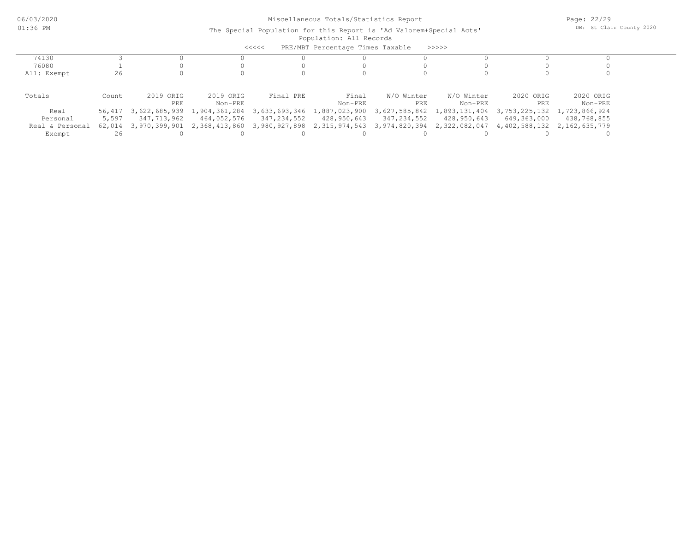|                 |        |                                    |                             | $<<<<<$       | PRE/MBT Percentage Times Taxable |               | >>>>>         |                             |               |
|-----------------|--------|------------------------------------|-----------------------------|---------------|----------------------------------|---------------|---------------|-----------------------------|---------------|
| 74130           |        |                                    |                             |               |                                  |               |               |                             |               |
| 76080           |        |                                    |                             |               |                                  |               |               |                             |               |
| All: Exempt     | 26     |                                    |                             |               |                                  |               |               |                             |               |
|                 |        |                                    |                             |               |                                  |               |               |                             |               |
| Totals          | Count  | 2019 ORIG                          | 2019 ORIG                   | Final PRE     | Final                            | W/O Winter    | W/O Winter    | 2020 ORIG                   | 2020 ORIG     |
|                 |        | PRE                                | Non-PRE                     |               | Non-PRE                          | PRE           | Non-PRE       | PRE                         | Non-PRE       |
| Real            | 56,417 |                                    | 3,622,685,939 1,904,361,284 | 3,633,693,346 | 1,887,023,900                    | 3,627,585,842 | 1,893,131,404 | 3,753,225,132               | 1,723,866,924 |
| Personal        | 5,597  | 347,713,962                        | 464,052,576                 | 347,234,552   | 428,950,643                      | 347,234,552   | 428,950,643   | 649,363,000                 | 438,768,855   |
| Real & Personal |        | 62,014 3,970,399,901 2,368,413,860 |                             | 3,980,927,898 | 2,315,974,543 3,974,820,394      |               | 2,322,082,047 | 4,402,588,132 2,162,635,779 |               |
| Exempt          | 26     |                                    |                             |               |                                  |               |               |                             |               |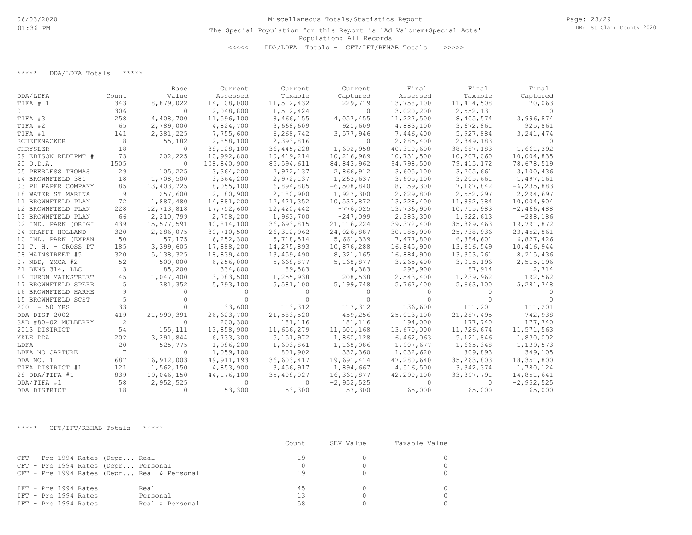\*\*\*\*\* DDA/LDFA Totals \*\*\*\*\*

|                     |       | Base        | Current      | Current      | Current      | Final        | Final        | Final          |
|---------------------|-------|-------------|--------------|--------------|--------------|--------------|--------------|----------------|
| DDA/LDFA            | Count | Value       | Assessed     | Taxable      | Captured     | Assessed     | Taxable      | Captured       |
| TIFA # 1            | 343   | 8,879,022   | 14,108,000   | 11,512,432   | 229,719      | 13,758,100   | 11, 414, 508 | 70,063         |
| $\circ$             | 306   | $\Omega$    | 2,048,800    | 1,512,424    | $\Omega$     | 3,020,200    | 2,552,131    | $\Omega$       |
| TIFA #3             | 258   | 4,408,700   | 11,596,100   | 8,466,155    | 4,057,455    | 11,227,500   | 8,405,574    | 3,996,874      |
| TIFA #2             | 65    | 2,789,000   | 4,824,700    | 3,668,609    | 921,609      | 4,883,100    | 3,672,861    | 925,861        |
| TIFA #1             | 141   | 2,381,225   | 7,755,600    | 6,268,742    | 3,577,946    | 7,446,400    | 5,927,884    | 3, 241, 474    |
| SCHEFENACKER        | 8     | 55,182      | 2,858,100    | 2,393,816    | $\Omega$     | 2,685,400    | 2,349,183    |                |
| CHRYSLER            | 18    | 0           | 38,128,100   | 36, 445, 228 | 1,692,958    | 40,310,600   | 38,687,183   | 1,661,392      |
| 09 EDISON REDEPMT # | 73    | 202,225     | 10,992,800   | 10,419,214   | 10,216,989   | 10,731,500   | 10,207,060   | 10,004,835     |
| 20 D.D.A.           | 1505  | $\Omega$    | 108,840,900  | 85,594,611   | 84,843,962   | 94,798,500   | 79, 415, 172 | 78,678,519     |
| 05 PEERLESS THOMAS  | 29    | 105,225     | 3,364,200    | 2,972,137    | 2,866,912    | 3,605,100    | 3,205,661    | 3,100,436      |
| 14 BROWNFIELD 381   | 18    | 1,708,500   | 3,364,200    | 2,972,137    | 1,263,637    | 3,605,100    | 3,205,661    | 1,497,161      |
| 03 PH PAPER COMPANY | 85    | 13,403,725  | 8,055,100    | 6,894,885    | $-6,508,840$ | 8,159,300    | 7,167,842    | $-6, 235, 883$ |
| 18 WATER ST MARINA  | 9     | 257,600     | 2,180,900    | 2,180,900    | 1,923,300    | 2,629,800    | 2,552,297    | 2,294,697      |
| 11 BROWNFIELD PLAN  | 72    | 1,887,480   | 14,881,200   | 12, 421, 352 | 10,533,872   | 13,228,400   | 11,892,384   | 10,004,904     |
| 12 BROWNFIELD PLAN  | 228   | 12,713,818  | 17,752,600   | 12,420,442   | $-776,025$   | 13,736,900   | 10,715,983   | $-2,466,488$   |
| 13 BROWNFIELD PLAN  | 66    | 2,210,799   | 2,708,200    | 1,963,700    | $-247,099$   | 2,383,300    | 1,922,613    | $-288,186$     |
| 02 IND. PARK (ORIGI | 439   | 15,577,591  | 40,814,100   | 36,693,815   | 21, 116, 224 | 39, 372, 400 | 35, 369, 463 | 19,791,872     |
| 04 KRAFFT-HOLLAND   | 320   | 2,286,075   | 30,710,500   | 26, 312, 962 | 24,026,887   | 30,185,900   | 25,738,936   | 23, 452, 861   |
| 10 IND. PARK (EXPAN | 50    | 57,175      | 6, 252, 300  | 5,718,514    | 5,661,339    | 7,477,800    | 6,884,601    | 6,827,426      |
| 01 T. H. - CROSS PT | 185   | 3,399,605   | 17,888,200   | 14,275,893   | 10,876,288   | 16,845,900   | 13,816,549   | 10,416,944     |
| 08 MAINSTREET #5    | 320   | 5, 138, 325 | 18,839,400   | 13,459,490   | 8,321,165    | 16,884,900   | 13, 353, 761 | 8,215,436      |
| 07 NBD, YMCA #2     | 52    | 500,000     | 6, 256, 000  | 5,668,877    | 5,168,877    | 3,265,400    | 3,015,196    | 2,515,196      |
| 21 BENS 314, LLC    | 3     | 85,200      | 334,800      | 89,583       | 4,383        | 298,900      | 87,914       | 2,714          |
| 19 HURON MAINSTREET | 45    | 1,047,400   | 3,083,500    | 1,255,938    | 208,538      | 2,543,400    | 1,239,962    | 192,562        |
| 17 BROWNFIELD SPERR | 5     | 381,352     | 5,793,100    | 5,581,100    | 5,199,748    | 5,767,400    | 5,663,100    | 5, 281, 748    |
| 16 BROWNFIELD HARKE | 9     |             |              |              |              |              |              |                |
| 15 BROWNFIELD SCST  | 5     |             |              |              |              |              |              |                |
| $2001 - 50$ YRS     | 33    | $\Omega$    | 133,600      | 113,312      | 113,312      | 136,600      | 111,201      | 111,201        |
| DDA DIST 2002       | 419   | 21,990,391  | 26,623,700   | 21,583,520   | $-459, 256$  | 25,013,100   | 21,287,495   | $-742,938$     |
| SAD #80-02 MULBERRY | -2    | $\Omega$    | 200,300      | 181,116      | 181,116      | 194,000      | 177,740      | 177,740        |
| 2013 DISTRICT       | 54    | 155,111     | 13,858,900   | 11,656,279   | 11,501,168   | 13,670,000   | 11,726,674   | 11,571,563     |
| YALE DDA            | 202   | 3,291,844   | 6,733,300    | 5, 151, 972  | 1,860,128    | 6,462,063    | 5,121,846    | 1,830,002      |
| LDFA                | 20    | 525,775     | 1,986,200    | 1,693,861    | 1,168,086    | 1,907,677    | 1,665,348    | 1,139,573      |
| LDFA NO CAPTURE     | 7     | $\Omega$    | 1,059,100    | 801,902      | 332,360      | 1,032,620    | 809,893      | 349,105        |
| DDA NO. 1           | 687   | 16,912,003  | 49, 911, 193 | 36,603,417   | 19,691,414   | 47,280,640   | 35, 263, 803 | 18,351,800     |
| TIFA DISTRICT #1    | 121   | 1,562,150   | 4,853,900    | 3,456,917    | 1,894,667    | 4,516,500    | 3, 342, 374  | 1,780,124      |
| 28-DDA/TIFA #1      | 839   | 19,046,150  | 44,176,100   | 35,408,027   | 16,361,877   | 42,290,100   | 33,897,791   | 14,851,641     |
| DDA/TIFA #1         | 58    | 2,952,525   | $\Omega$     | 0            | $-2,952,525$ | 0            | $\Omega$     | $-2,952,525$   |
| DDA DISTRICT        | 18    | $\Omega$    | 53,300       | 53,300       | 53,300       | 65,000       | 65,000       | 65,000         |

\*\*\*\*\* CFT/IFT/REHAB Totals \*\*\*\*\*

|                                                                                                                      | Count          | SEV Value | Taxable Value |
|----------------------------------------------------------------------------------------------------------------------|----------------|-----------|---------------|
| CFT - Pre 1994 Rates (Depr Real<br>CFT - Pre 1994 Rates (Depr Personal<br>CFT - Pre 1994 Rates (Depr Real & Personal | 19             |           |               |
| IFT - Pre 1994 Rates<br>Real<br>IFT - Pre 1994 Rates<br>Personal<br>IFT - Pre 1994 Rates<br>Real & Personal          | 45<br>13<br>58 |           |               |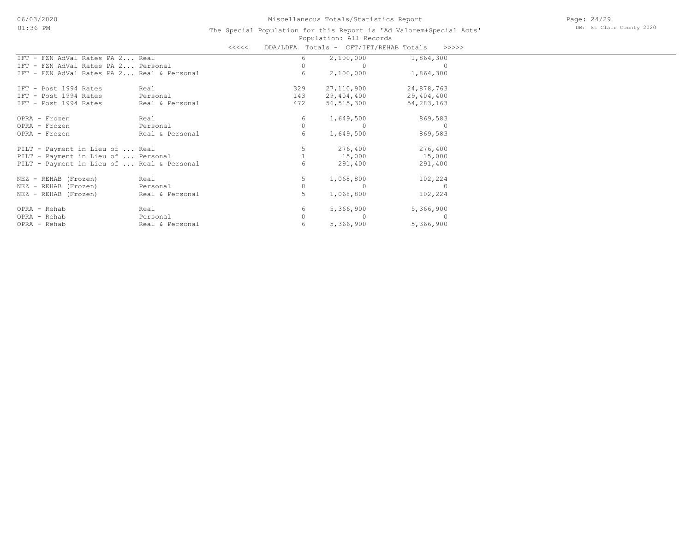|                                            |                 | <<<< |     |   | DDA/LDFA Totals - CFT/IFT/REHAB Totals | >>>>>        |
|--------------------------------------------|-----------------|------|-----|---|----------------------------------------|--------------|
| IFT - FZN AdVal Rates PA 2 Real            |                 |      |     | 6 | 2,100,000                              | 1,864,300    |
| IFT - FZN AdVal Rates PA 2 Personal        |                 |      |     | 0 |                                        |              |
| IFT - FZN AdVal Rates PA 2 Real & Personal |                 |      |     | 6 | 2,100,000                              | 1,864,300    |
| IFT - Post 1994 Rates                      | Real            |      | 329 |   | 27,110,900                             | 24,878,763   |
| IFT - Post 1994 Rates                      | Personal        |      | 143 |   | 29,404,400                             | 29,404,400   |
| IFT - Post 1994 Rates                      | Real & Personal |      | 472 |   | 56, 515, 300                           | 54, 283, 163 |
| OPRA - Frozen                              | Real            |      |     | 6 | 1,649,500                              | 869,583      |
| OPRA - Frozen                              | Personal        |      |     | 0 |                                        |              |
| OPRA - Frozen                              | Real & Personal |      |     | 6 | 1,649,500                              | 869,583      |
| PILT - Payment in Lieu of  Real            |                 |      |     |   | 276,400                                | 276,400      |
| PILT - Payment in Lieu of  Personal        |                 |      |     |   | 15,000                                 | 15,000       |
| PILT - Payment in Lieu of  Real & Personal |                 |      |     | 6 | 291,400                                | 291,400      |
| NEZ - REHAB (Frozen)                       | Real            |      |     | 5 | 1,068,800                              | 102,224      |
| NEZ - REHAB (Frozen)                       | Personal        |      |     | 0 |                                        | $\Omega$     |
| NEZ - REHAB (Frozen)                       | Real & Personal |      |     | 5 | 1,068,800                              | 102,224      |
| OPRA - Rehab                               | Real            |      |     | 6 | 5,366,900                              | 5,366,900    |
| OPRA - Rehab                               | Personal        |      |     | 0 | $\left($                               |              |
| OPRA - Rehab                               | Real & Personal |      |     | 6 | 5,366,900                              | 5,366,900    |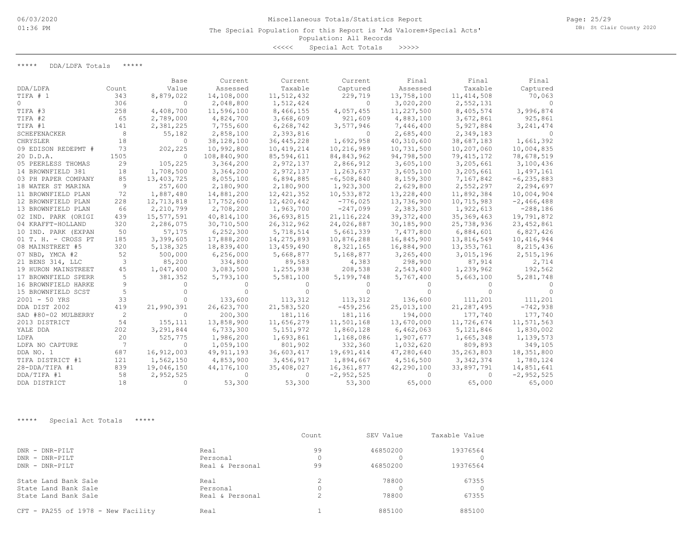Page: 25/29 DB: St Clair County 2020

### Population: All Records The Special Population for this Report is 'Ad Valorem+Special Acts'

<<<<< Special Act Totals >>>>>

\*\*\*\*\* DDA/LDFA Totals \*\*\*\*\*

|                       |       | Base        | Current      | Current      | Current      | Final        | Final        | Final          |
|-----------------------|-------|-------------|--------------|--------------|--------------|--------------|--------------|----------------|
| DDA/LDFA              | Count | Value       | Assessed     | Taxable      | Captured     | Assessed     | Taxable      | Captured       |
| TIFA # 1              | 343   | 8,879,022   | 14,108,000   | 11,512,432   | 229,719      | 13,758,100   | 11, 414, 508 | 70,063         |
| 0                     | 306   | $\Omega$    | 2,048,800    | 1,512,424    | $\Omega$     | 3,020,200    | 2,552,131    |                |
| TIFA #3               | 258   | 4,408,700   | 11,596,100   | 8,466,155    | 4,057,455    | 11,227,500   | 8,405,574    | 3,996,874      |
| TIFA #2               | 65    | 2,789,000   | 4,824,700    | 3,668,609    | 921,609      | 4,883,100    | 3,672,861    | 925,861        |
| TIFA #1               | 141   | 2,381,225   | 7,755,600    | 6,268,742    | 3,577,946    | 7,446,400    | 5,927,884    | 3, 241, 474    |
| SCHEFENACKER          | 8     | 55,182      | 2,858,100    | 2,393,816    | $\Omega$     | 2,685,400    | 2,349,183    |                |
| CHRYSLER              | 18    | $\Omega$    | 38,128,100   | 36,445,228   | 1,692,958    | 40,310,600   | 38,687,183   | 1,661,392      |
| 09 EDISON REDEPMT #   | 73    | 202,225     | 10,992,800   | 10,419,214   | 10,216,989   | 10,731,500   | 10,207,060   | 10,004,835     |
| 20 D.D.A.             | 1505  | $\Omega$    | 108,840,900  | 85,594,611   | 84,843,962   | 94,798,500   | 79, 415, 172 | 78,678,519     |
| 05 PEERLESS THOMAS    | 29    | 105,225     | 3,364,200    | 2,972,137    | 2,866,912    | 3,605,100    | 3,205,661    | 3,100,436      |
| 14 BROWNFIELD 381     | 18    | 1,708,500   | 3,364,200    | 2,972,137    | 1,263,637    | 3,605,100    | 3,205,661    | 1,497,161      |
| 03 PH PAPER COMPANY   | 85    | 13,403,725  | 8,055,100    | 6,894,885    | $-6,508,840$ | 8,159,300    | 7,167,842    | $-6, 235, 883$ |
| 18 WATER ST MARINA    | 9     | 257,600     | 2,180,900    | 2,180,900    | 1,923,300    | 2,629,800    | 2,552,297    | 2,294,697      |
| 11 BROWNFIELD PLAN    | 72    | 1,887,480   | 14,881,200   | 12, 421, 352 | 10,533,872   | 13,228,400   | 11,892,384   | 10,004,904     |
| 12 BROWNFIELD PLAN    | 228   | 12,713,818  | 17,752,600   | 12,420,442   | $-776,025$   | 13,736,900   | 10,715,983   | $-2,466,488$   |
| 13 BROWNFIELD PLAN    | 66    | 2,210,799   | 2,708,200    | 1,963,700    | $-247,099$   | 2,383,300    | 1,922,613    | $-288,186$     |
| 02 IND. PARK (ORIGI   | 439   | 15,577,591  | 40,814,100   | 36,693,815   | 21, 116, 224 | 39, 372, 400 | 35,369,463   | 19,791,872     |
| 04 KRAFFT-HOLLAND     | 320   | 2,286,075   | 30,710,500   | 26, 312, 962 | 24,026,887   | 30,185,900   | 25,738,936   | 23, 452, 861   |
| 10 IND. PARK (EXPAN   | 50    | 57,175      | 6, 252, 300  | 5,718,514    | 5,661,339    | 7,477,800    | 6,884,601    | 6,827,426      |
| $01$ T. H. - CROSS PT | 185   | 3,399,605   | 17,888,200   | 14,275,893   | 10,876,288   | 16,845,900   | 13,816,549   | 10,416,944     |
| 08 MAINSTREET #5      | 320   | 5, 138, 325 | 18,839,400   | 13,459,490   | 8,321,165    | 16,884,900   | 13,353,761   | 8,215,436      |
| 07 NBD, YMCA #2       | 52    | 500,000     | 6, 256, 000  | 5,668,877    | 5,168,877    | 3,265,400    | 3,015,196    | 2,515,196      |
| 21 BENS 314, LLC      | 3     | 85,200      | 334,800      | 89,583       | 4,383        | 298,900      | 87,914       | 2,714          |
| 19 HURON MAINSTREET   | 45    | 1,047,400   | 3,083,500    | 1,255,938    | 208,538      | 2,543,400    | 1,239,962    | 192,562        |
| 17 BROWNFIELD SPERR   | 5     | 381,352     | 5,793,100    | 5,581,100    | 5,199,748    | 5,767,400    | 5,663,100    | 5,281,748      |
| 16 BROWNFIELD HARKE   | 9     |             |              |              |              |              |              |                |
| 15 BROWNFIELD SCST    | 5     |             |              |              |              |              |              |                |
| $2001 - 50$ YRS       | 33    |             | 133,600      | 113,312      | 113,312      | 136,600      | 111,201      | 111,201        |
| DDA DIST 2002         | 419   | 21,990,391  | 26,623,700   | 21,583,520   | $-459, 256$  | 25,013,100   | 21,287,495   | $-742,938$     |
| SAD #80-02 MULBERRY   | 2     | $\Omega$    | 200,300      | 181,116      | 181,116      | 194,000      | 177,740      | 177,740        |
| 2013 DISTRICT         | 54    | 155,111     | 13,858,900   | 11,656,279   | 11,501,168   | 13,670,000   | 11,726,674   | 11,571,563     |
| YALE DDA              | 202   | 3,291,844   | 6,733,300    | 5, 151, 972  | 1,860,128    | 6,462,063    | 5, 121, 846  | 1,830,002      |
| LDFA                  | 20    | 525,775     | 1,986,200    | 1,693,861    | 1,168,086    | 1,907,677    | 1,665,348    | 1,139,573      |
| LDFA NO CAPTURE       | 7     | $\Omega$    | 1,059,100    | 801,902      | 332,360      | 1,032,620    | 809,893      | 349,105        |
| DDA NO. 1             | 687   | 16,912,003  | 49, 911, 193 | 36,603,417   | 19,691,414   | 47,280,640   | 35, 263, 803 | 18,351,800     |
| TIFA DISTRICT #1      | 121   | 1,562,150   | 4,853,900    | 3,456,917    | 1,894,667    | 4,516,500    | 3, 342, 374  | 1,780,124      |
| 28-DDA/TIFA #1        | 839   | 19,046,150  | 44,176,100   | 35,408,027   | 16,361,877   | 42,290,100   | 33,897,791   | 14,851,641     |
| DDA/TIFA #1           | 58    | 2,952,525   | $\Omega$     | $\Omega$     | $-2,952,525$ | ∩            | $\Omega$     | $-2,952,525$   |
| DDA DISTRICT          | 18    | $\Omega$    | 53,300       | 53,300       | 53,300       | 65,000       | 65,000       | 65,000         |

\*\*\*\*\* Special Act Totals \*\*\*\*\*

|                                    |                 | Count     | SEV Value | Taxable Value |
|------------------------------------|-----------------|-----------|-----------|---------------|
| $DNR - DNR - PTI.T$                | Real            | 99        | 46850200  | 19376564      |
| $DNR - DNR - PTI.T$                | Personal        |           |           |               |
| DNR - DNR-PILT                     | Real & Personal | 99        | 46850200  | 19376564      |
| State Land Bank Sale               | Real            |           | 78800     | 67355         |
| State Land Bank Sale               | Personal        |           |           |               |
| State Land Bank Sale               | Real & Personal | $\hat{ }$ | 78800     | 67355         |
| CFT - PA255 of 1978 - New Facility | Real            |           | 885100    | 885100        |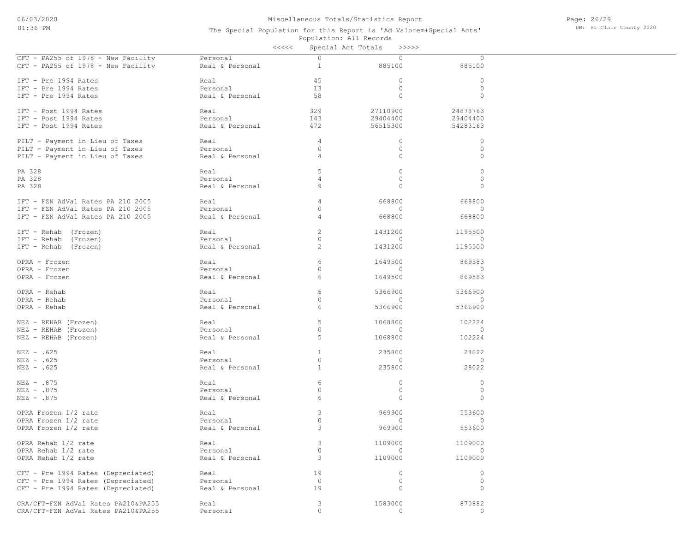Page: 26/29 DB: St Clair County 2020

|                                     |                 | <<<<           | Special Act Totals<br>>>>>> |              |
|-------------------------------------|-----------------|----------------|-----------------------------|--------------|
| CFT - PA255 of 1978 - New Facility  | Personal        | $\Omega$       | $\circ$                     | $\circ$      |
| CFT - PA255 of 1978 - New Facility  | Real & Personal | $\mathbf{1}$   | 885100                      | 885100       |
|                                     |                 |                |                             |              |
| IFT - Pre 1994 Rates                | Real            | 45             | $\circ$                     | $\circ$      |
| IFT - Pre 1994 Rates                | Personal        | 13             | $\circ$                     | $\circ$      |
| IFT - Pre 1994 Rates                | Real & Personal | 58             | $\circ$                     | $\circ$      |
|                                     |                 |                |                             |              |
| IFT - Post 1994 Rates               | Real            | 329            | 27110900                    | 24878763     |
| IFT - Post 1994 Rates               | Personal        | 143            | 29404400                    | 29404400     |
| IFT - Post 1994 Rates               | Real & Personal | 472            | 56515300                    | 54283163     |
|                                     |                 |                |                             |              |
| PILT - Payment in Lieu of Taxes     | Real            | $\overline{4}$ | $\circ$                     | $\circ$      |
| PILT - Payment in Lieu of Taxes     | Personal        | $\circ$        | $\circ$                     | $\circ$      |
| PILT - Payment in Lieu of Taxes     | Real & Personal | $\overline{4}$ | $\mathbf{0}$                | $\mathbf{0}$ |
|                                     |                 |                |                             |              |
| PA 328                              | Real            | 5              | $\circ$                     | $\circ$      |
| PA 328                              | Personal        | $\overline{4}$ | $\mathbf{0}$                | $\circ$      |
|                                     |                 |                |                             |              |
| PA 328                              | Real & Personal | 9              | $\mathbf{0}$                | $\mathbf{0}$ |
|                                     |                 |                |                             |              |
| IFT - FZN AdVal Rates PA 210 2005   | Real            | $\overline{4}$ | 668800                      | 668800       |
| IFT - FZN AdVal Rates PA 210 2005   | Personal        | $\circ$        | $\circ$                     | $\circ$      |
| IFT - FZN AdVal Rates PA 210 2005   | Real & Personal | $\overline{4}$ | 668800                      | 668800       |
|                                     |                 |                |                             |              |
| IFT - Rehab (Frozen)                | Real            | 2              | 1431200                     | 1195500      |
| IFT - Rehab (Frozen)                | Personal        | $\circ$        | $\circ$                     | $\circ$      |
| IFT - Rehab (Frozen)                | Real & Personal | 2              | 1431200                     | 1195500      |
|                                     |                 |                |                             |              |
| OPRA - Frozen                       | Real            | 6              | 1649500                     | 869583       |
| OPRA - Frozen                       | Personal        | $\circ$        | $\circ$                     | $\circ$      |
| OPRA - Frozen                       | Real & Personal | 6              | 1649500                     | 869583       |
|                                     |                 |                |                             |              |
| OPRA - Rehab                        | Real            | 6              | 5366900                     | 5366900      |
| OPRA - Rehab                        | Personal        | $\mathbf{0}$   | $\circ$                     | $\circ$      |
| OPRA - Rehab                        | Real & Personal | 6              | 5366900                     | 5366900      |
|                                     |                 |                |                             |              |
| NEZ - REHAB (Frozen)                | Real            | 5              | 1068800                     | 102224       |
| NEZ - REHAB (Frozen)                | Personal        | $\circ$        | $\circ$                     | $\mathbf{0}$ |
| NEZ - REHAB (Frozen)                | Real & Personal | 5              | 1068800                     | 102224       |
|                                     |                 |                |                             |              |
| $NEZ - .625$                        | Real            | $\mathbf{1}$   | 235800                      | 28022        |
| $NEZ - .625$                        | Personal        | $\circ$        | 0                           | $\mathbf{0}$ |
|                                     |                 |                |                             |              |
| $NEZ - .625$                        | Real & Personal | $\mathbf{1}$   | 235800                      | 28022        |
|                                     |                 |                |                             |              |
| NEZ - .875                          | Real            | 6              | $\circ$                     | $\circ$      |
| $NEZ - .875$                        | Personal        | $\circ$        | $\circ$                     | $\circ$      |
| $NEZ - .875$                        | Real & Personal | 6              | $\mathbf{0}$                | $\circ$      |
|                                     |                 |                |                             |              |
| OPRA Frozen 1/2 rate                | Real            | 3              | 969900                      | 553600       |
| OPRA Frozen 1/2 rate                | Personal        | $\circ$        | $\circ$                     | $\circ$      |
| OPRA Frozen 1/2 rate                | Real & Personal | 3              | 969900                      | 553600       |
|                                     |                 |                |                             |              |
| OPRA Rehab 1/2 rate                 | Real            | 3              | 1109000                     | 1109000      |
| OPRA Rehab 1/2 rate                 | Personal        | $\circ$        | $\circ$                     |              |
| OPRA Rehab 1/2 rate                 | Real & Personal | 3              | 1109000                     | 1109000      |
|                                     |                 |                |                             |              |
| CFT - Pre 1994 Rates (Depreciated)  | Real            | 19             | $\circ$                     | $\circ$      |
| CFT - Pre 1994 Rates (Depreciated)  | Personal        | $\circ$        | $\circ$                     | $\circ$      |
| CFT - Pre 1994 Rates (Depreciated)  | Real & Personal | 19             | $\circ$                     | $\circ$      |
|                                     |                 |                |                             |              |
| CRA/CFT-FZN AdVal Rates PA210&PA255 | Real            | 3              | 1583000                     | 870882       |
| CRA/CFT-FZN AdVal Rates PA210&PA255 | Personal        | $\circ$        | $\circ$                     | $\circ$      |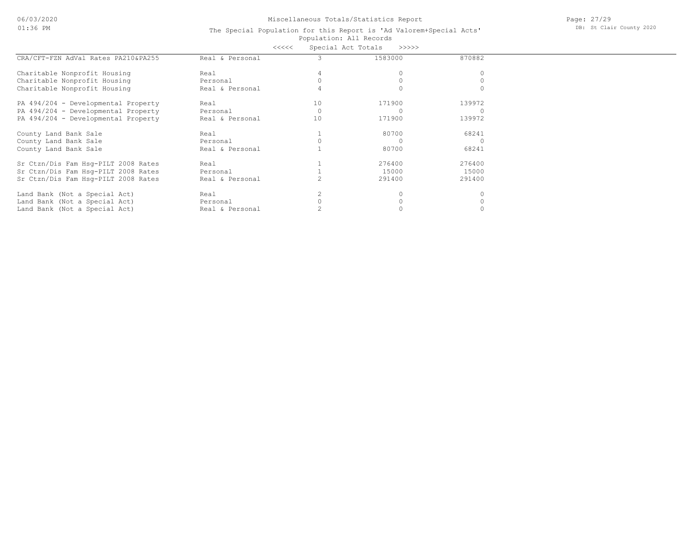06/03/2020 01:36 PM

## Miscellaneous Totals/Statistics Report

Page: 27/29 DB: St Clair County 2020

### Population: All Records The Special Population for this Report is 'Ad Valorem+Special Acts' <<<<< Special Act Totals >>>>>

|                                     | ヽヽヽヽヽ           | ODCCIGI NCC IOCGIO |         |        |  |
|-------------------------------------|-----------------|--------------------|---------|--------|--|
| CRA/CFT-FZN AdVal Rates PA210&PA255 | Real & Personal |                    | 1583000 | 870882 |  |
| Charitable Nonprofit Housing        | Real            |                    |         |        |  |
| Charitable Nonprofit Housing        | Personal        |                    |         |        |  |
| Charitable Nonprofit Housing        | Real & Personal |                    |         |        |  |
| PA 494/204 - Developmental Property | Real            | 10                 | 171900  | 139972 |  |
| PA 494/204 - Developmental Property | Personal        |                    |         |        |  |
| PA 494/204 - Developmental Property | Real & Personal | 10                 | 171900  | 139972 |  |
| County Land Bank Sale               | Real            |                    | 80700   | 68241  |  |
| County Land Bank Sale               | Personal        |                    |         |        |  |
| County Land Bank Sale               | Real & Personal |                    | 80700   | 68241  |  |
| Sr Ctzn/Dis Fam Hsq-PILT 2008 Rates | Real            |                    | 276400  | 276400 |  |
| Sr Ctzn/Dis Fam Hsq-PILT 2008 Rates | Personal        |                    | 15000   | 15000  |  |
| Sr Ctzn/Dis Fam Hsq-PILT 2008 Rates | Real & Personal |                    | 291400  | 291400 |  |
| Land Bank (Not a Special Act)       | Real            |                    |         |        |  |
| Land Bank (Not a Special Act)       | Personal        |                    |         |        |  |
| Land Bank (Not a Special Act)       | Real & Personal |                    |         |        |  |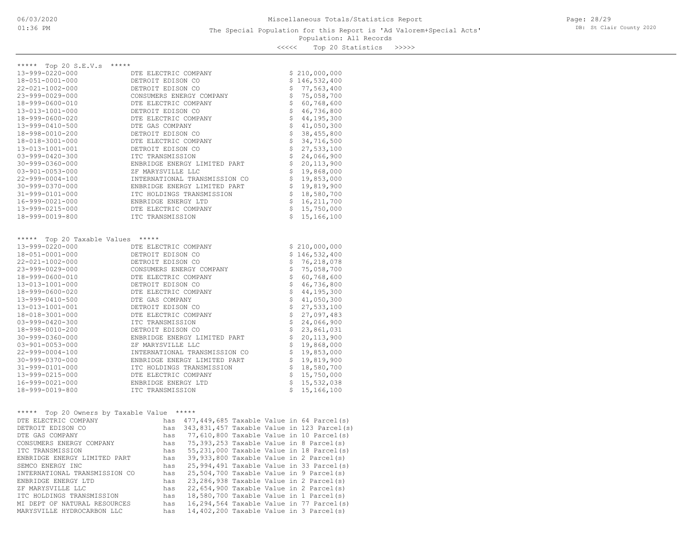Population: All Records <<<<< Top 20 Statistics >>>>>

| ***** Top 20 S.E.V.s *****         |                                         |                            |                                    |
|------------------------------------|-----------------------------------------|----------------------------|------------------------------------|
| 13-999-0220-000                    | DTE ELECTRIC COMPANY                    |                            | \$210,000,000                      |
| 18-051-0001-000                    | DETROIT EDISON CO                       |                            | \$146,532,400                      |
| 22-021-1002-000                    | DETROIT EDISON CO                       |                            | \$77,563,400                       |
| 23-999-0029-000                    | CONSUMERS ENERGY COMPANY                |                            | \$75,058,700                       |
| 18-999-0600-010                    | DTE ELECTRIC COMPANY                    |                            | \$60,768,600                       |
| 13-013-1001-000                    | DETROIT EDISON CO                       |                            | $\ddot{\mathsf{S}}$<br>46,736,800  |
| 18-999-0600-020                    | DTE ELECTRIC COMPANY                    |                            | \$44, 195, 300                     |
| 13-999-0410-500                    | DTE GAS COMPANY                         | \$                         | 41,050,300                         |
| 18-998-0010-200                    | DETROIT EDISON CO                       |                            | $\ddot{\varsigma}$<br>38, 455, 800 |
| 18-018-3001-000                    | DTE ELECTRIC COMPANY                    |                            | \$34,716,500                       |
| 13-013-1001-001                    | DETROIT EDISON CO                       | \$                         | 27,533,100                         |
| $03 - 999 - 0420 - 300$            | ITC TRANSMISSION                        | \$                         | 24,066,900                         |
| $30 - 999 - 0360 - 000$            | ENBRIDGE ENERGY LIMITED PART            | \$                         | 20, 113, 900                       |
| $03 - 901 - 0053 - 000$            | ZF MARYSVILLE LLC                       | \$                         | 19,868,000                         |
| $22 - 999 - 0004 - 100$            | INTERNATIONAL TRANSMISSION CO           |                            | \$19,853,000                       |
| 30-999-0370-000                    | ENBRIDGE ENERGY LIMITED PART            |                            | $\ddot{\varsigma}$<br>19,819,900   |
| 31-999-0101-000                    | ITC HOLDINGS TRANSMISSION               |                            | \$18,580,700                       |
| $16 - 999 - 0021 - 000$            | ENBRIDGE ENERGY LTD                     |                            | 16, 211, 700                       |
| 13-999-0215-000                    | DTE ELECTRIC COMPANY                    | $\frac{1}{2}$              | 15,750,000                         |
| 18-999-0019-800                    | ITC TRANSMISSION                        | $\mathsf{S}$               | 15,166,100                         |
|                                    |                                         |                            |                                    |
|                                    |                                         |                            |                                    |
| ***** Top 20 Taxable Values *****  |                                         |                            |                                    |
| 13-999-0220-000                    | DTE ELECTRIC COMPANY                    |                            | \$210,000,000                      |
| 18-051-0001-000                    | DETROIT EDISON CO                       |                            | \$146,532,400                      |
| $22 - 021 - 1002 - 000$            | DETROIT EDISON CO                       |                            | \$76, 218, 078                     |
| $23 - 999 - 0029 - 000$            | CONSUMERS ENERGY COMPANY                |                            | \$75,058,700                       |
| 18-999-0600-010                    | DTE ELECTRIC COMPANY                    |                            | \$60, 768, 600                     |
| 13-013-1001-000                    | DETROIT EDISON CO                       |                            | \$46, 736, 800                     |
| 18-999-0600-020                    | DTE ELECTRIC COMPANY                    |                            | \$44, 195, 300                     |
| 13-999-0410-500                    | DTE GAS COMPANY                         | \$                         | 41,050,300                         |
| 13-013-1001-001                    | DETROIT EDISON CO                       | \$                         | 27,533,100                         |
| 18-018-3001-000                    | DTE ELECTRIC COMPANY                    | \$                         | 27,097,483                         |
| $03 - 999 - 0420 - 300$            | ITC TRANSMISSION                        | \$                         | 24,066,900                         |
| 18-998-0010-200                    | DETROIT EDISON CO                       | \$                         | 23,861,031                         |
| $30 - 999 - 0360 - 000$            | ENBRIDGE ENERGY LIMITED PART            | $\frac{1}{2}$              | 20,113,900                         |
| $03 - 901 - 0053 - 000$            | ZF MARYSVILLE LLC                       | \$                         | 19,868,000                         |
| $22 - 999 - 0004 - 100$            | INTERNATIONAL TRANSMISSION CO           | \$                         | 19,853,000                         |
| $30 - 999 - 0370 - 000$            | ENBRIDGE ENERGY LIMITED PART            | \$                         | 19,819,900                         |
| $31 - 999 - 0101 - 000$            | ITC HOLDINGS TRANSMISSION               | $\dot{\tilde{\mathbf{S}}}$ | 18,580,700                         |
| 13-999-0215-000                    | DTE ELECTRIC COMPANY                    |                            | 15,750,000                         |
| 16-999-0021-000<br>18-999-0019-800 | ENBRIDGE ENERGY LTD<br>ITC TRANSMISSION | $\frac{1}{2}$<br>Ś         | 15,532,038<br>15,166,100           |

| *****<br>Top 20 Owners by Taxable Value |     | ***** |  |                                             |
|-----------------------------------------|-----|-------|--|---------------------------------------------|
| DTE ELECTRIC COMPANY                    | has |       |  | $477,449,685$ Taxable Value in 64 Parcel(s) |
| DETROIT EDISON CO                       | has |       |  | 343,831,457 Taxable Value in 123 Parcel(s)  |
| DTE GAS COMPANY                         | has |       |  | 77,610,800 Taxable Value in 10 Parcel(s)    |
| CONSUMERS ENERGY COMPANY                | has |       |  | 75, 393, 253 Taxable Value in 8 Parcel(s)   |
| ITC TRANSMISSION                        | has |       |  | 55,231,000 Taxable Value in 18 Parcel(s)    |
| ENBRIDGE ENERGY LIMITED PART            | has |       |  | 39,933,800 Taxable Value in 2 Parcel(s)     |
| SEMCO ENERGY INC                        | has |       |  | 25,994,491 Taxable Value in 33 Parcel(s)    |
| INTERNATIONAL TRANSMISSION CO           | has |       |  | $25,504,700$ Taxable Value in 9 Parcel(s)   |
| ENBRIDGE ENERGY LTD                     | has |       |  | 23, 286, 938 Taxable Value in 2 Parcel(s)   |
| ZF MARYSVILLE LLC                       | has |       |  | 22,654,900 Taxable Value in 2 Parcel(s)     |
| ITC HOLDINGS TRANSMISSION               | has |       |  | 18,580,700 Taxable Value in 1 Parcel(s)     |
| MI DEPT OF NATURAL RESOURCES            | has |       |  | 16,294,564 Taxable Value in 77 Parcel(s)    |
| MARYSVILLE HYDROCARBON LLC              | has |       |  | 14,402,200 Taxable Value in 3 Parcel(s)     |